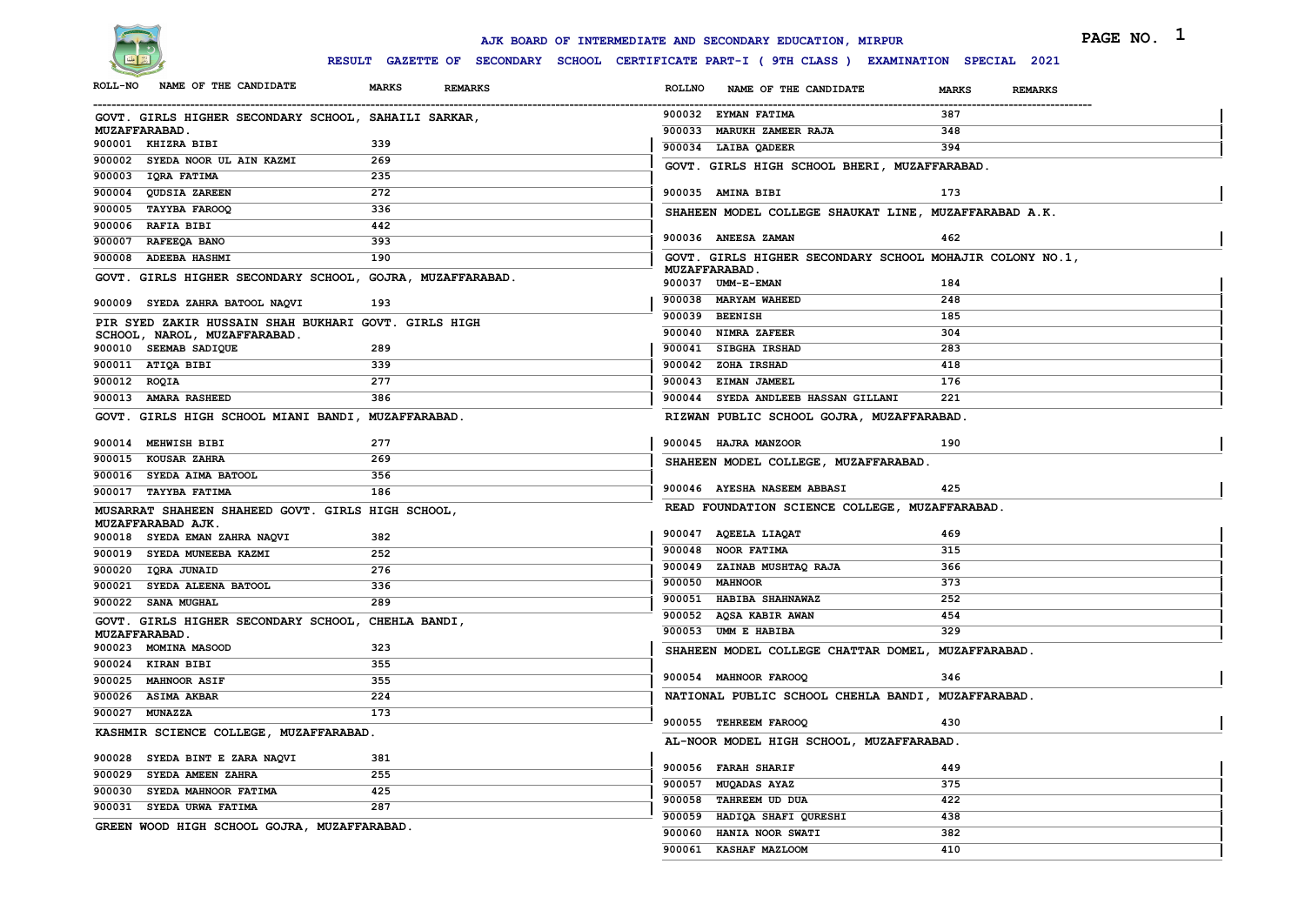

|                                                                        |                                                                                              | AJK BOARD OF INTERMEDIATE AND SECONDARY EDUCATION, MIRPUR | PAGE NO. 1                     |
|------------------------------------------------------------------------|----------------------------------------------------------------------------------------------|-----------------------------------------------------------|--------------------------------|
|                                                                        | RESULT GAZETTE OF SECONDARY SCHOOL CERTIFICATE PART-I ( 9TH CLASS ) EXAMINATION SPECIAL 2021 |                                                           |                                |
| NAME OF THE CANDIDATE<br><b>ROLL-NO</b>                                | <b>MARKS</b><br>REMARKS                                                                      | <b>ROLLNO</b><br>NAME OF THE CANDIDATE                    | <b>MARKS</b><br><b>REMARKS</b> |
| GOVT. GIRLS HIGHER SECONDARY SCHOOL, SAHAILI SARKAR,                   |                                                                                              | 900032 EYMAN FATIMA                                       | 387                            |
| <b>MUZAFFARABAD.</b>                                                   |                                                                                              | 900033 MARUKH ZAMEER RAJA                                 | 348                            |
| 900001 KHIZRA BIBI                                                     | 339                                                                                          | 900034 LAIBA QADEER                                       | 394                            |
| 900002 SYEDA NOOR UL AIN KAZMI                                         | 269                                                                                          | GOVT. GIRLS HIGH SCHOOL BHERI, MUZAFFARABAD.              |                                |
| 900003 IQRA FATIMA                                                     | 235                                                                                          |                                                           |                                |
| 900004 QUDSIA ZAREEN                                                   | 272                                                                                          | 900035 AMINA BIBI                                         | 173                            |
| 900005 TAYYBA FAROOQ                                                   | 336                                                                                          | SHAHEEN MODEL COLLEGE SHAUKAT LINE, MUZAFFARABAD A.K.     |                                |
| 900006 RAFIA BIBI                                                      | 442                                                                                          |                                                           |                                |
| 900007 RAFEEQA BANO                                                    | 393                                                                                          | 900036 ANEESA ZAMAN                                       | 462                            |
| 900008 ADEEBA HASHMI                                                   | 190                                                                                          | GOVT. GIRLS HIGHER SECONDARY SCHOOL MOHAJIR COLONY NO.1,  |                                |
| GOVT. GIRLS HIGHER SECONDARY SCHOOL, GOJRA, MUZAFFARABAD.              |                                                                                              | <b>MUZAFFARABAD.</b>                                      |                                |
|                                                                        |                                                                                              | 900037 UMM-E-EMAN                                         | 184                            |
| 900009 SYEDA ZAHRA BATOOL NAQVI                                        | 193                                                                                          | 900038 MARYAM WAHEED                                      | 248                            |
| PIR SYED ZAKIR HUSSAIN SHAH BUKHARI GOVT. GIRLS HIGH                   |                                                                                              | 900039 BEENISH                                            | 185                            |
| SCHOOL, NAROL, MUZAFFARABAD.                                           |                                                                                              | 900040 NIMRA ZAFEER                                       | 304                            |
| 900010 SEEMAB SADIQUE                                                  | 289                                                                                          | 900041 SIBGHA IRSHAD                                      | 283                            |
| 900011 ATIQA BIBI                                                      | 339                                                                                          | 900042 ZOHA IRSHAD                                        | 418                            |
| 900012 ROQIA                                                           | 277                                                                                          | 900043 EIMAN JAMEEL                                       | 176                            |
| 900013 AMARA RASHEED                                                   | 386                                                                                          | 900044 SYEDA ANDLEEB HASSAN GILLANI                       | 221                            |
| GOVT. GIRLS HIGH SCHOOL MIANI BANDI, MUZAFFARABAD                      |                                                                                              | RIZWAN PUBLIC SCHOOL GOJRA, MUZAFFARABAD                  |                                |
| 900014 MEHWISH BIBI                                                    | 277                                                                                          | 900045 HAJRA MANZOOR                                      | 190                            |
| 900015 KOUSAR ZAHRA                                                    | 269                                                                                          | SHAHEEN MODEL COLLEGE, MUZAFFARABAD.                      |                                |
| 900016 SYEDA AIMA BATOOL                                               | 356                                                                                          |                                                           |                                |
| 900017 TAYYBA FATIMA                                                   | 186                                                                                          | 900046 AYESHA NASEEM ABBASI                               | 425                            |
| MUSARRAT SHAHEEN SHAHEED GOVT. GIRLS HIGH SCHOOL,<br>MUZAFFARABAD AJK. |                                                                                              | READ FOUNDATION SCIENCE COLLEGE, MUZAFFARABAD.            |                                |
| 900018 SYEDA EMAN ZAHRA NAQVI                                          | 382                                                                                          | 900047 AQEELA LIAQAT                                      | 469                            |
| 900019 SYEDA MUNEEBA KAZMI                                             | 252                                                                                          | 900048 NOOR FATIMA                                        | 315                            |
| 900020 IQRA JUNAID                                                     | 276                                                                                          | 900049 ZAINAB MUSHTAQ RAJA                                | 366                            |
| 900021 SYEDA ALEENA BATOOL                                             | 336                                                                                          | 900050 MAHNOOR                                            | 373                            |
| 900022 SANA MUGHAL                                                     | 289                                                                                          | 900051 HABIBA SHAHNAWAZ                                   | 252                            |
| GOVT. GIRLS HIGHER SECONDARY SCHOOL, CHEHLA BANDI,                     |                                                                                              | 900052 AQSA KABIR AWAN                                    | 454                            |
| <b>MUZAFFARABAD.</b>                                                   |                                                                                              | 900053 UMM E HABIBA                                       | 329                            |
| 900023 MOMINA MASOOD                                                   | 323                                                                                          | SHAHEEN MODEL COLLEGE CHATTAR DOMEL, MUZAFFARABAD.        |                                |
| 900024 KIRAN BIBI                                                      | 355                                                                                          |                                                           |                                |
| 900025 MAHNOOR ASIF                                                    | 355                                                                                          | 900054 MAHNOOR FAROOQ                                     | 346                            |
| 900026 ASIMA AKBAR                                                     | 224                                                                                          | NATIONAL PUBLIC SCHOOL CHEHLA BANDI, MUZAFFARABAD.        |                                |
| 900027 MUNAZZA                                                         | 173                                                                                          |                                                           |                                |
| KASHMIR SCIENCE COLLEGE, MUZAFFARABAD.                                 |                                                                                              | 900055 TEHREEM FAROOQ                                     | 430                            |
|                                                                        |                                                                                              | AL-NOOR MODEL HIGH SCHOOL, MUZAFFARABAD.                  |                                |
| 900028 SYEDA BINT E ZARA NAQVI                                         | 381                                                                                          | 900056 FARAH SHARIF                                       | 449                            |
| 900029 SYEDA AMEEN ZAHRA                                               | 255                                                                                          | 900057 MUQADAS AYAZ                                       | 375                            |
| 900030 SYEDA MAHNOOR FATIMA                                            | 425                                                                                          | 900058 TAHREEM UD DUA                                     | 422                            |
| 900031 SYEDA URWA FATIMA                                               | 287                                                                                          | 900059 HADIQA SHAFI QURESHI                               | 438                            |
| GREEN WOOD HIGH SCHOOL GOJRA, MUZAFFARABAD.                            |                                                                                              | 900060 HANIA NOOR SWATI                                   | 382                            |
|                                                                        |                                                                                              | 900061 KASHAF MAZLOOM                                     | 410                            |
|                                                                        |                                                                                              |                                                           |                                |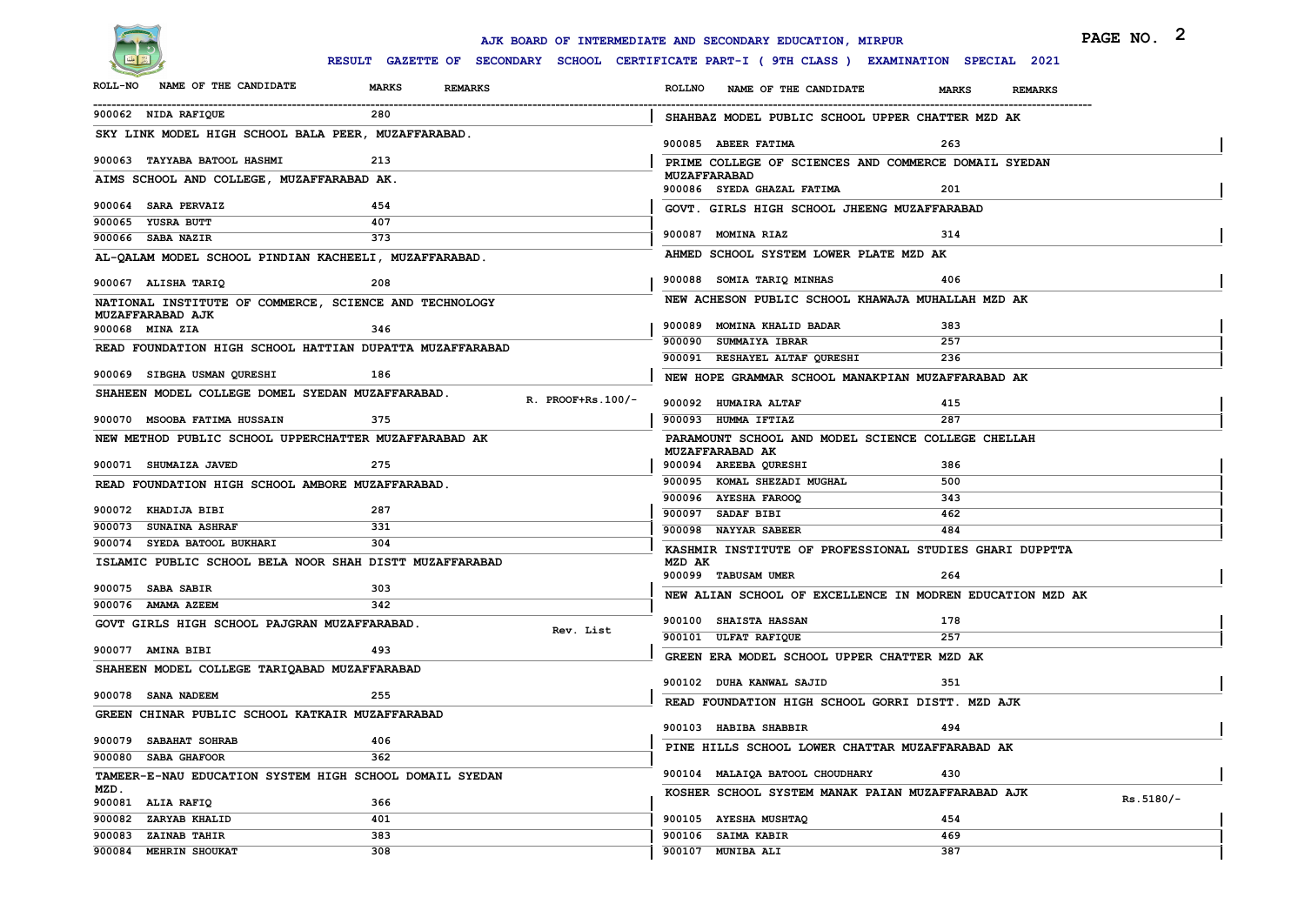

|                                                          |                                                                                              | AJK BOARD OF INTERMEDIATE AND SECONDARY EDUCATION, MIRPUR | PAGE NO. 2                     |             |
|----------------------------------------------------------|----------------------------------------------------------------------------------------------|-----------------------------------------------------------|--------------------------------|-------------|
|                                                          | RESULT GAZETTE OF SECONDARY SCHOOL CERTIFICATE PART-I ( 9TH CLASS ) EXAMINATION SPECIAL 2021 |                                                           |                                |             |
| NAME OF THE CANDIDATE<br><b>ROLL-NO</b>                  | <b>MARKS</b><br><b>REMARKS</b>                                                               | <b>ROLLNO</b><br>NAME OF THE CANDIDATE                    | <b>MARKS</b><br><b>REMARKS</b> |             |
| 900062 NIDA RAFIQUE                                      | 280                                                                                          | SHAHBAZ MODEL PUBLIC SCHOOL UPPER CHATTER MZD AK          |                                |             |
| SKY LINK MODEL HIGH SCHOOL BALA PEER, MUZAFFARABAD.      |                                                                                              | 900085 ABEER FATIMA                                       | 263                            |             |
| 900063 TAYYABA BATOOL HASHMI                             | 213                                                                                          | PRIME COLLEGE OF SCIENCES AND COMMERCE DOMAIL SYEDAN      |                                |             |
| AIMS SCHOOL AND COLLEGE, MUZAFFARABAD AK.                |                                                                                              | <b>MUZAFFARABAD</b><br>900086 SYEDA GHAZAL FATIMA         | 201                            |             |
| 900064 SARA PERVAIZ                                      | 454                                                                                          | GOVT. GIRLS HIGH SCHOOL JHEENG MUZAFFARABAD               |                                |             |
| 900065 YUSRA BUTT                                        | 407                                                                                          |                                                           |                                |             |
| 900066 SABA NAZIR                                        | 373                                                                                          | 900087 MOMINA RIAZ                                        | 314                            |             |
| AL-QALAM MODEL SCHOOL PINDIAN KACHEELI, MUZAFFARABAD.    |                                                                                              | AHMED SCHOOL SYSTEM LOWER PLATE MZD AK                    |                                |             |
| 900067 ALISHA TARIQ                                      | 208                                                                                          | 900088 SOMIA TARIQ MINHAS                                 | 406                            |             |
| NATIONAL INSTITUTE OF COMMERCE, SCIENCE AND TECHNOLOGY   |                                                                                              | NEW ACHESON PUBLIC SCHOOL KHAWAJA MUHALLAH MZD AK         |                                |             |
| MUZAFFARABAD AJK<br>900068 MINA ZIA                      | 346                                                                                          | 900089 MOMINA KHALID BADAR                                | 383                            |             |
| READ FOUNDATION HIGH SCHOOL HATTIAN DUPATTA MUZAFFARABAD |                                                                                              | 900090 SUMMAIYA IBRAR                                     | 257                            |             |
|                                                          |                                                                                              | 900091 RESHAYEL ALTAF QURESHI                             | 236                            |             |
| 900069 SIBGHA USMAN QURESHI                              | 186                                                                                          | NEW HOPE GRAMMAR SCHOOL MANAKPIAN MUZAFFARABAD AK         |                                |             |
| SHAHEEN MODEL COLLEGE DOMEL SYEDAN MUZAFFARABAD.         | $R.$ PROOF+Rs. $100/-$                                                                       | 900092 HUMAIRA ALTAF                                      | 415                            |             |
| 900070 MSOOBA FATIMA HUSSAIN                             | 375                                                                                          | 900093 HUMMA IFTIAZ                                       | 287                            |             |
| NEW METHOD PUBLIC SCHOOL UPPERCHATTER MUZAFFARABAD AK    |                                                                                              | PARAMOUNT SCHOOL AND MODEL SCIENCE COLLEGE CHELLAH        |                                |             |
| 900071 SHUMAIZA JAVED                                    |                                                                                              | MUZAFFARABAD AK                                           |                                |             |
|                                                          | 275                                                                                          | 900094 AREEBA QURESHI<br>900095 KOMAL SHEZADI MUGHAL      | 386<br>500                     |             |
| READ FOUNDATION HIGH SCHOOL AMBORE MUZAFFARABAD.         |                                                                                              | 900096 AYESHA FAROOQ                                      | 343                            |             |
| 900072 KHADIJA BIBI                                      | 287                                                                                          | 900097 SADAF BIBI                                         | 462                            |             |
| 900073 SUNAINA ASHRAF                                    | 331                                                                                          | 900098 NAYYAR SABEER                                      | 484                            |             |
| 900074 SYEDA BATOOL BUKHARI                              | 304                                                                                          | KASHMIR INSTITUTE OF PROFESSIONAL STUDIES GHARI DUPPTTA   |                                |             |
| ISLAMIC PUBLIC SCHOOL BELA NOOR SHAH DISTT MUZAFFARABAD  |                                                                                              | MZD AK                                                    |                                |             |
| 900075 SABA SABIR                                        | 303                                                                                          | 900099 TABUSAM UMER                                       | 264                            |             |
| 900076 AMAMA AZEEM                                       | 342                                                                                          | NEW ALIAN SCHOOL OF EXCELLENCE IN MODREN EDUCATION MZD AK |                                |             |
| GOVT GIRLS HIGH SCHOOL PAJGRAN MUZAFFARABAD.             |                                                                                              | 900100 SHAISTA HASSAN                                     | 178                            |             |
|                                                          | Rev. List                                                                                    | 900101 ULFAT RAFIQUE                                      | 257                            |             |
| 900077 AMINA BIBI                                        | 493                                                                                          | GREEN ERA MODEL SCHOOL UPPER CHATTER MZD AK               |                                |             |
| SHAHEEN MODEL COLLEGE TARIQABAD MUZAFFARABAD             |                                                                                              |                                                           |                                |             |
| 900078 SANA NADEEM                                       | 255                                                                                          | 900102 DUHA KANWAL SAJID                                  | 351                            |             |
| GREEN CHINAR PUBLIC SCHOOL KATKAIR MUZAFFARABAD          |                                                                                              | READ FOUNDATION HIGH SCHOOL GORRI DISTT. MZD AJK          |                                |             |
|                                                          |                                                                                              | 900103 HABIBA SHABBIR                                     | 494                            |             |
| 900079 SABAHAT SOHRAB                                    | 406                                                                                          | PINE HILLS SCHOOL LOWER CHATTAR MUZAFFARABAD AK           |                                |             |
| 900080 SABA GHAFOOR                                      | 362                                                                                          |                                                           |                                |             |
| TAMEER-E-NAU EDUCATION SYSTEM HIGH SCHOOL DOMAIL SYEDAN  |                                                                                              | 900104 MALAIQA BATOOL CHOUDHARY                           | 430                            |             |
| MZD.<br>900081 ALIA RAFIQ                                | 366                                                                                          | KOSHER SCHOOL SYSTEM MANAK PAIAN MUZAFFARABAD AJK         |                                | $Rs.5180/-$ |
| 900082 ZARYAB KHALID                                     | 401                                                                                          | 900105 AYESHA MUSHTAQ                                     | 454                            |             |
| 900083 ZAINAB TAHIR                                      | 383                                                                                          | 900106 SAIMA KABIR                                        | 469                            |             |
| 900084 MEHRIN SHOUKAT                                    | 308                                                                                          | 900107 MUNIBA ALI                                         | 387                            |             |
|                                                          |                                                                                              |                                                           |                                |             |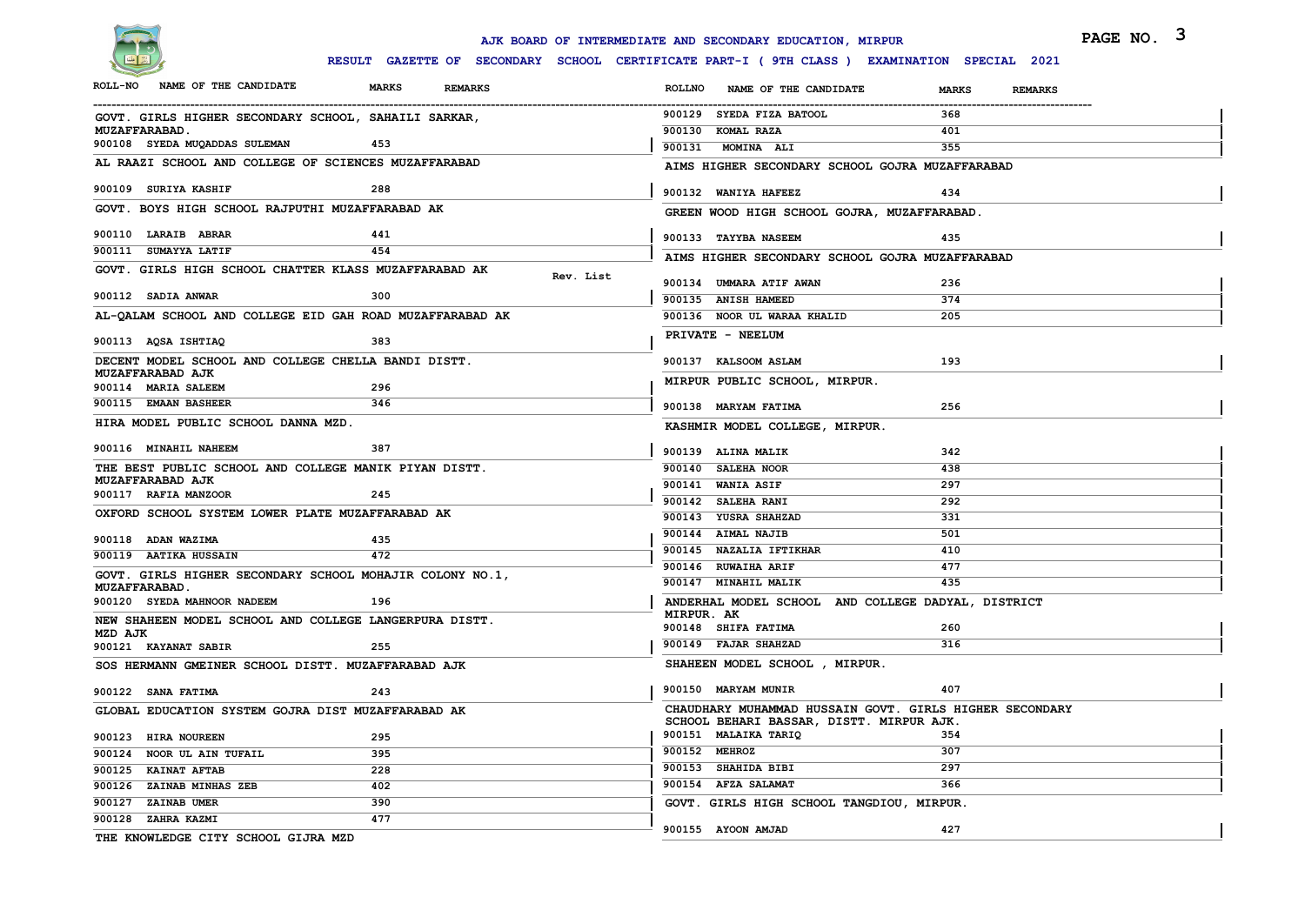

|                                                                                  |                                                                                              | AJK BOARD OF INTERMEDIATE AND SECONDARY EDUCATION, MIRPUR | PAGE NO. 3              |
|----------------------------------------------------------------------------------|----------------------------------------------------------------------------------------------|-----------------------------------------------------------|-------------------------|
|                                                                                  | RESULT GAZETTE OF SECONDARY SCHOOL CERTIFICATE PART-I ( 9TH CLASS ) EXAMINATION SPECIAL 2021 |                                                           |                         |
| ROLL-NO NAME OF THE CANDIDATE                                                    | <b>MARKS</b><br><b>REMARKS</b>                                                               | <b>ROLLNO</b><br>NAME OF THE CANDIDATE                    | <b>MARKS</b><br>REMARKS |
| GOVT. GIRLS HIGHER SECONDARY SCHOOL, SAHAILI SARKAR,                             |                                                                                              | 900129 SYEDA FIZA BATOOL                                  | 368                     |
| <b>MUZAFFARABAD.</b>                                                             |                                                                                              | 900130 KOMAL RAZA                                         | 401                     |
| 900108 SYEDA MUQADDAS SULEMAN                                                    | 453                                                                                          | 900131 MOMINA ALI                                         | 355                     |
| AL RAAZI SCHOOL AND COLLEGE OF SCIENCES MUZAFFARABAD                             |                                                                                              | AIMS HIGHER SECONDARY SCHOOL GOJRA MUZAFFARABAD           |                         |
| 900109 SURIYA KASHIF                                                             | 288                                                                                          | 900132 WANIYA HAFEEZ                                      | 434                     |
| GOVT. BOYS HIGH SCHOOL RAJPUTHI MUZAFFARABAD AK                                  |                                                                                              | GREEN WOOD HIGH SCHOOL GOJRA, MUZAFFARABAD.               |                         |
| 900110 LARAIB ABRAR                                                              | 441                                                                                          | 900133 TAYYBA NASEEM                                      | 435                     |
| 900111 SUMAYYA LATIF                                                             | 454                                                                                          | AIMS HIGHER SECONDARY SCHOOL GOJRA MUZAFFARABAD           |                         |
| GOVT. GIRLS HIGH SCHOOL CHATTER KLASS MUZAFFARABAD AK                            | Rev. List                                                                                    |                                                           |                         |
| 900112 SADIA ANWAR                                                               | 300                                                                                          | 900134 UMMARA ATIF AWAN                                   | 236                     |
|                                                                                  |                                                                                              | 900135 ANISH HAMEED                                       | 374                     |
| AL-QALAM SCHOOL AND COLLEGE EID GAH ROAD MUZAFFARABAD AK                         |                                                                                              | 900136 NOOR UL WARAA KHALID                               | 205                     |
| 900113 AQSA ISHTIAQ                                                              | 383                                                                                          | PRIVATE - NEELUM                                          |                         |
| DECENT MODEL SCHOOL AND COLLEGE CHELLA BANDI DISTT.                              |                                                                                              | 900137 KALSOOM ASLAM                                      | 193                     |
| MUZAFFARABAD AJK<br>900114 MARIA SALEEM                                          | 296                                                                                          | MIRPUR PUBLIC SCHOOL, MIRPUR.                             |                         |
| 900115 EMAAN BASHEER                                                             | 346                                                                                          | 900138 MARYAM FATIMA                                      | 256                     |
| HIRA MODEL PUBLIC SCHOOL DANNA MZD.                                              |                                                                                              | KASHMIR MODEL COLLEGE, MIRPUR.                            |                         |
| 900116 MINAHIL NAHEEM                                                            | 387                                                                                          |                                                           |                         |
| THE BEST PUBLIC SCHOOL AND COLLEGE MANIK PIYAN DISTT.                            |                                                                                              | 900139 ALINA MALIK<br>900140 SALEHA NOOR                  | 342<br>438              |
| MUZAFFARABAD AJK                                                                 |                                                                                              | 900141 WANIA ASIF                                         | 297                     |
| 900117 RAFIA MANZOOR                                                             | 245                                                                                          | 900142 SALEHA RANI                                        | 292                     |
| OXFORD SCHOOL SYSTEM LOWER PLATE MUZAFFARABAD AK                                 |                                                                                              | 900143 YUSRA SHAHZAD                                      | 331                     |
|                                                                                  |                                                                                              | 900144 AIMAL NAJIB                                        | 501                     |
| 900118 ADAN WAZIMA                                                               | 435                                                                                          | 900145 NAZALIA IFTIKHAR                                   | 410                     |
| 900119 AATIKA HUSSAIN                                                            | 472                                                                                          | 900146 RUWAIHA ARIF                                       | 477                     |
| GOVT. GIRLS HIGHER SECONDARY SCHOOL MOHAJIR COLONY NO.1,<br><b>MUZAFFARABAD.</b> |                                                                                              | 900147 MINAHIL MALIK                                      | 435                     |
| 900120 SYEDA MAHNOOR NADEEM                                                      | 196                                                                                          | ANDERHAL MODEL SCHOOL AND COLLEGE DADYAL, DISTRICT        |                         |
| NEW SHAHEEN MODEL SCHOOL AND COLLEGE LANGERPURA DISTT.                           |                                                                                              | MIRPUR. AK                                                |                         |
| MZD AJK                                                                          |                                                                                              | 900148 SHIFA FATIMA                                       | 260                     |
| 900121 KAYANAT SABIR                                                             | 255                                                                                          | 900149 FAJAR SHAHZAD                                      | 316                     |
| SOS HERMANN GMEINER SCHOOL DISTT. MUZAFFARABAD AJK                               |                                                                                              | SHAHEEN MODEL SCHOOL, MIRPUR.                             |                         |
| 900122 SANA FATIMA                                                               | 243                                                                                          | 900150 MARYAM MUNIR                                       | 407                     |
| GLOBAL EDUCATION SYSTEM GOJRA DIST MUZAFFARABAD AK                               |                                                                                              | CHAUDHARY MUHAMMAD HUSSAIN GOVT. GIRLS HIGHER SECONDARY   |                         |
|                                                                                  |                                                                                              | SCHOOL BEHARI BASSAR, DISTT. MIRPUR AJK.                  |                         |
| 900123 HIRA NOUREEN                                                              | 295                                                                                          | 900151 MALAIKA TARIQ<br>900152 MEHROZ                     | 354                     |
| 900124 NOOR UL AIN TUFAIL                                                        | 395                                                                                          | 900153 SHAHIDA BIBI                                       | 307<br>297              |
| 900125 KAINAT AFTAB                                                              | 228                                                                                          | 900154 AFZA SALAMAT                                       |                         |
| 900126 ZAINAB MINHAS ZEB                                                         | 402                                                                                          |                                                           | 366                     |
| 900127 ZAINAB UMER                                                               | 390                                                                                          | GOVT. GIRLS HIGH SCHOOL TANGDIOU, MIRPUR.                 |                         |
| 900128 ZAHRA KAZMI                                                               | 477                                                                                          | 900155 AYOON AMJAD                                        | 427                     |
| THE KNOWLEDGE CITY SCHOOL GIJRA MZD                                              |                                                                                              |                                                           |                         |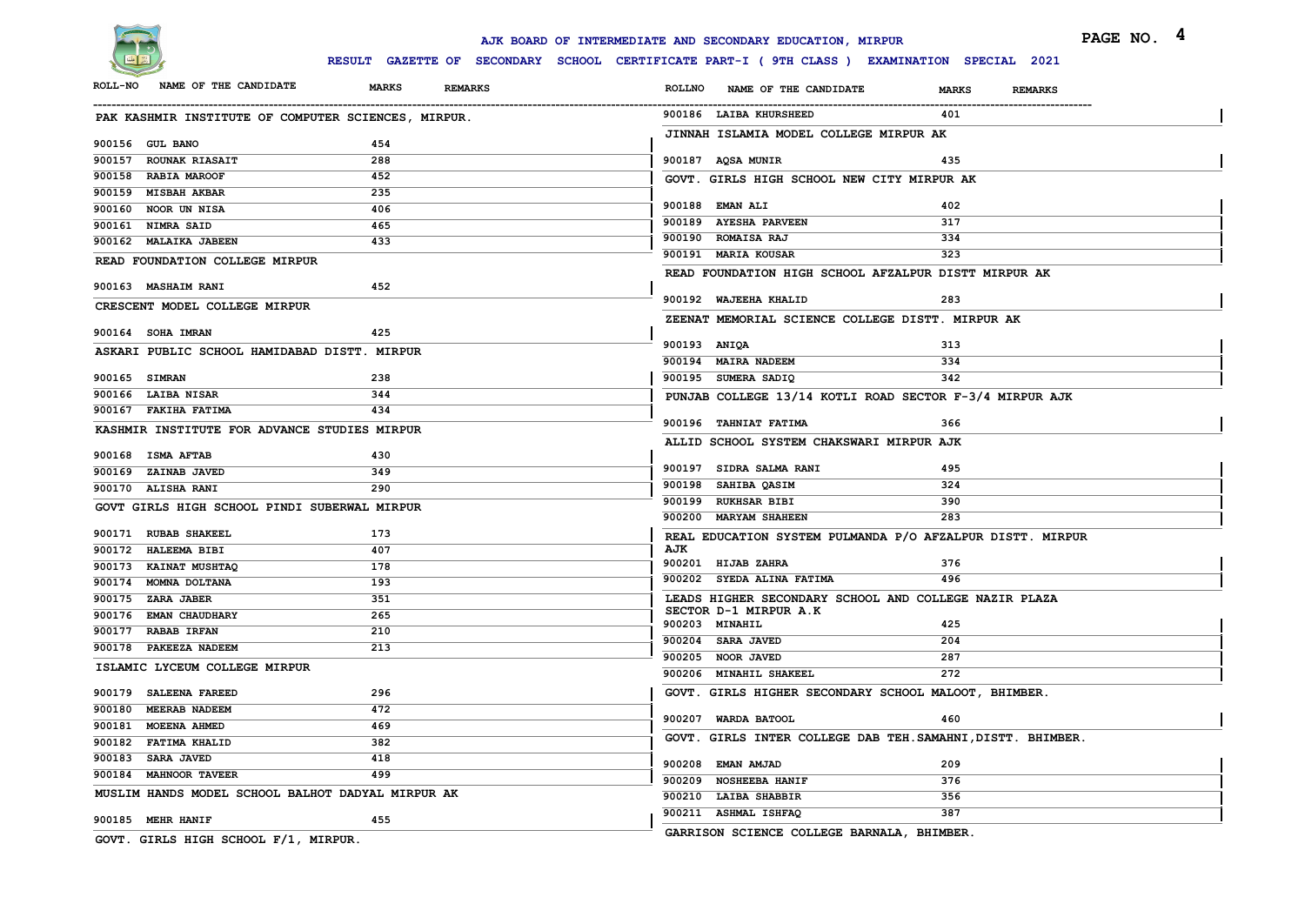

|                                                     |                                | AJK BOARD OF INTERMEDIATE AND SECONDARY EDUCATION, MIRPUR                                    | PAGE NO. 4              |
|-----------------------------------------------------|--------------------------------|----------------------------------------------------------------------------------------------|-------------------------|
|                                                     |                                | RESULT GAZETTE OF SECONDARY SCHOOL CERTIFICATE PART-I ( 9TH CLASS ) EXAMINATION SPECIAL 2021 |                         |
| ROLL-NO NAME OF THE CANDIDATE                       | <b>MARKS</b><br><b>REMARKS</b> | <b>ROLLNO</b><br>NAME OF THE CANDIDATE                                                       | <b>MARKS</b><br>REMARKS |
| PAK KASHMIR INSTITUTE OF COMPUTER SCIENCES, MIRPUR. |                                | 900186 LAIBA KHURSHEED                                                                       | 401                     |
| 900156 GUL BANO                                     | 454                            | JINNAH ISLAMIA MODEL COLLEGE MIRPUR AK                                                       |                         |
| 900157 ROUNAK RIASAIT                               | 288                            | 900187 AQSA MUNIR                                                                            | 435                     |
| 900158 RABIA MAROOF                                 | 452                            | GOVT. GIRLS HIGH SCHOOL NEW CITY MIRPUR AK                                                   |                         |
| 900159 MISBAH AKBAR                                 | 235                            |                                                                                              |                         |
| 900160 NOOR UN NISA                                 | 406                            | 900188 EMAN ALI                                                                              | 402                     |
| 900161 NIMRA SAID                                   | 465                            | 900189 AYESHA PARVEEN                                                                        | 317                     |
| 900162 MALAIKA JABEEN                               | 433                            | 900190 ROMAISA RAJ                                                                           | 334                     |
| READ FOUNDATION COLLEGE MIRPUR                      |                                | 900191 MARIA KOUSAR                                                                          | 323                     |
|                                                     |                                | READ FOUNDATION HIGH SCHOOL AFZALPUR DISTT MIRPUR AK                                         |                         |
| 900163 MASHAIM RANI                                 | 452                            | 900192 WAJEEHA KHALID                                                                        | 283                     |
| CRESCENT MODEL COLLEGE MIRPUR                       |                                |                                                                                              |                         |
| 900164 SOHA IMRAN                                   | 425                            | ZEENAT MEMORIAL SCIENCE COLLEGE DISTT. MIRPUR AK                                             |                         |
|                                                     |                                | 900193 ANIQA                                                                                 | 313                     |
| ASKARI PUBLIC SCHOOL HAMIDABAD DISTT. MIRPUR        |                                | 900194 MAIRA NADEEM                                                                          | 334                     |
| 900165 SIMRAN                                       | 238                            | 900195 SUMERA SADIQ                                                                          | 342                     |
| 900166 LAIBA NISAR                                  | 344                            | PUNJAB COLLEGE 13/14 KOTLI ROAD SECTOR F-3/4 MIRPUR AJK                                      |                         |
| 900167 FAKIHA FATIMA                                | 434                            |                                                                                              |                         |
| KASHMIR INSTITUTE FOR ADVANCE STUDIES MIRPUR        |                                | 900196 TAHNIAT FATIMA                                                                        | 366                     |
|                                                     |                                | ALLID SCHOOL SYSTEM CHAKSWARI MIRPUR AJK                                                     |                         |
| 900168 ISMA AFTAB                                   | 430                            | 900197 SIDRA SALMA RANI                                                                      | 495                     |
| 900169 ZAINAB JAVED                                 | 349                            | 900198 SAHIBA QASIM                                                                          | 324                     |
| 900170 ALISHA RANI                                  | 290                            | 900199 RUKHSAR BIBI                                                                          | 390                     |
| GOVT GIRLS HIGH SCHOOL PINDI SUBERWAL MIRPUR        |                                | 900200 MARYAM SHAHEEN                                                                        | 283                     |
| 900171 RUBAB SHAKEEL                                | 173                            | REAL EDUCATION SYSTEM PULMANDA P/O AFZALPUR DISTT. MIRPUR                                    |                         |
| 900172 HALEEMA BIBI                                 | 407                            | AJK                                                                                          |                         |
| 900173 KAINAT MUSHTAQ                               | 178                            | 900201 HIJAB ZAHRA                                                                           | 376                     |
| 900174 MOMNA DOLTANA                                | 193                            | 900202 SYEDA ALINA FATIMA                                                                    | 496                     |
| 900175 ZARA JABER                                   | 351                            | LEADS HIGHER SECONDARY SCHOOL AND COLLEGE NAZIR PLAZA                                        |                         |
| 900176 EMAN CHAUDHARY                               | 265                            | SECTOR D-1 MIRPUR A.K                                                                        |                         |
| 900177 RABAB IRFAN                                  | 210                            | 900203 MINAHIL                                                                               | 425                     |
| 900178 PAKEEZA NADEEM                               | 213                            | 900204 SARA JAVED<br>900205 NOOR JAVED                                                       | 204<br>287              |
| ISLAMIC LYCEUM COLLEGE MIRPUR                       |                                | 900206 MINAHIL SHAKEEL                                                                       | 272                     |
|                                                     |                                |                                                                                              |                         |
| 900179 SALEENA FAREED                               | 296                            | GOVT. GIRLS HIGHER SECONDARY SCHOOL MALOOT, BHIMBER.                                         |                         |
| 900180 MEERAB NADEEM                                | 472                            | 900207 WARDA BATOOL                                                                          | 460                     |
| 900181 MOEENA AHMED                                 | 469                            | GOVT. GIRLS INTER COLLEGE DAB TEH. SAMAHNI, DISTT. BHIMBER.                                  |                         |
| 900182 FATIMA KHALID<br>900183 SARA JAVED           | 382<br>418                     |                                                                                              |                         |
| 900184 MAHNOOR TAVEER                               | 499                            | 900208 EMAN AMJAD                                                                            | 209                     |
|                                                     |                                | 900209 NOSHEEBA HANIF                                                                        | 376                     |
| MUSLIM HANDS MODEL SCHOOL BALHOT DADYAL MIRPUR AK   |                                | 900210 LAIBA SHABBIR                                                                         | 356                     |
| 900185 MEHR HANIF                                   | 455                            | 900211 ASHMAL ISHFAQ                                                                         | 387                     |
| GOVT. GIRLS HIGH SCHOOL F/1, MIRPUR.                |                                | GARRISON SCIENCE COLLEGE BARNALA, BHIMBER.                                                   |                         |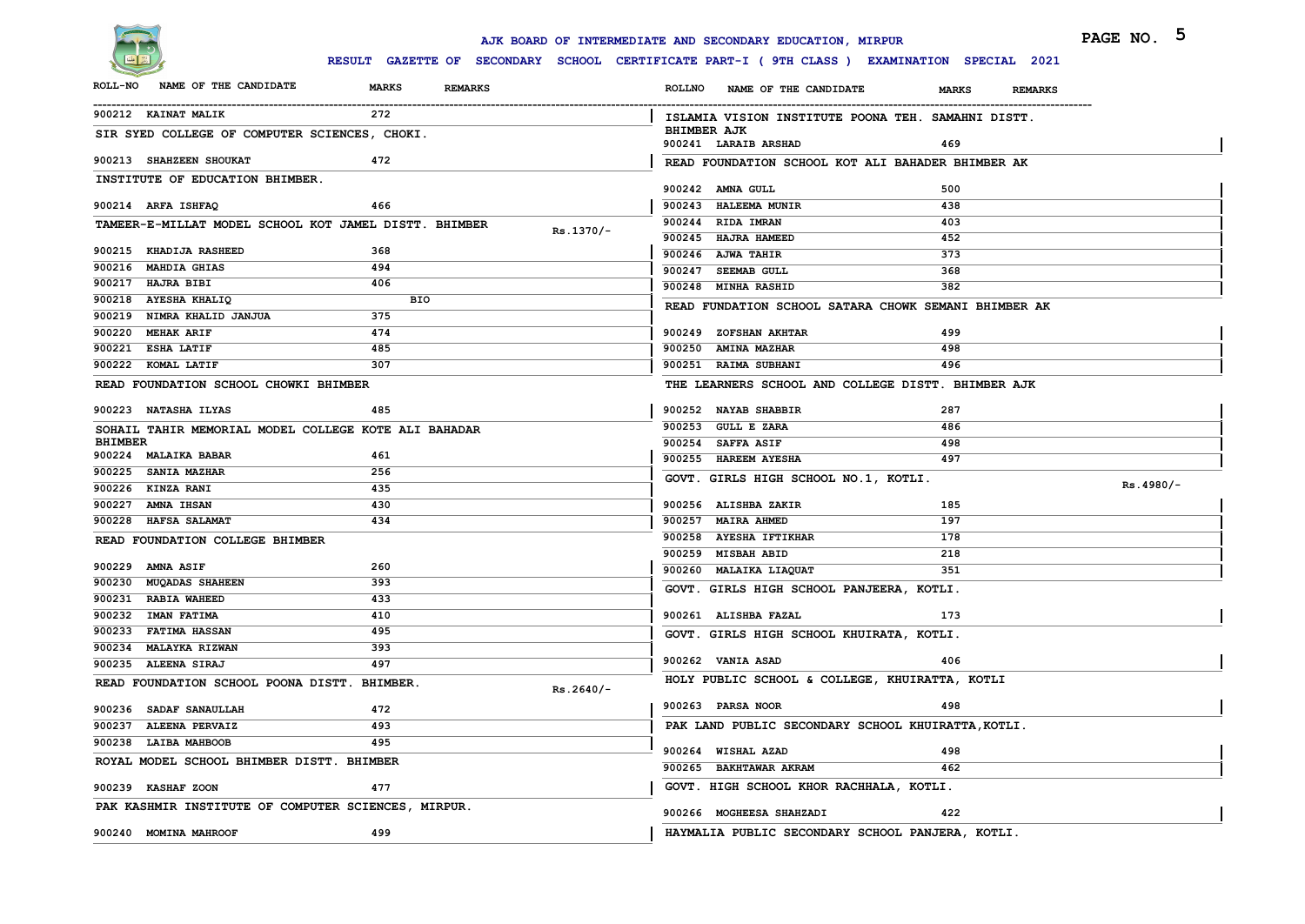

|                                                       |                                |             | AJK BOARD OF INTERMEDIATE AND SECONDARY EDUCATION, MIRPUR                                    |                                | PAGE NO. 5  |
|-------------------------------------------------------|--------------------------------|-------------|----------------------------------------------------------------------------------------------|--------------------------------|-------------|
|                                                       |                                |             | RESULT GAZETTE OF SECONDARY SCHOOL CERTIFICATE PART-I ( 9TH CLASS ) EXAMINATION SPECIAL 2021 |                                |             |
| ROLL-NO NAME OF THE CANDIDATE                         | <b>MARKS</b><br><b>REMARKS</b> |             | ROLLNO NAME OF THE CANDIDATE                                                                 | <b>REMARKS</b><br><b>MARKS</b> |             |
| 900212 KAINAT MALIK                                   | 272                            |             | ISLAMIA VISION INSTITUTE POONA TEH. SAMAHNI DISTT.                                           |                                |             |
| SIR SYED COLLEGE OF COMPUTER SCIENCES, CHOKI.         |                                |             | <b>BHIMBER AJK</b><br>900241 LARAIB ARSHAD                                                   | 469                            |             |
| 900213 SHAHZEEN SHOUKAT                               | 472                            |             | READ FOUNDATION SCHOOL KOT ALI BAHADER BHIMBER AK                                            |                                |             |
| INSTITUTE OF EDUCATION BHIMBER.                       |                                |             | 900242 AMNA GULL                                                                             | 500                            |             |
| 900214 ARFA ISHFAQ                                    | 466                            |             | 900243 HALEEMA MUNIR                                                                         | 438                            |             |
| TAMEER-E-MILLAT MODEL SCHOOL KOT JAMEL DISTT. BHIMBER |                                | $Rs.1370/-$ | 900244 RIDA IMRAN                                                                            | 403                            |             |
| 900215 KHADIJA RASHEED                                | 368                            |             | 900245 HAJRA HAMEED                                                                          | 452<br>373                     |             |
| 900216 MAHDIA GHIAS                                   | 494                            |             | 900246 AJWA TAHIR<br>900247 SEEMAB GULL                                                      | 368                            |             |
| 900217 HAJRA BIBI                                     | 406                            |             | 900248 MINHA RASHID                                                                          | 382                            |             |
| 900218 AYESHA KHALIQ                                  | BIO                            |             |                                                                                              |                                |             |
| 900219 NIMRA KHALID JANJUA                            | 375                            |             | READ FUNDATION SCHOOL SATARA CHOWK SEMANI BHIMBER AK                                         |                                |             |
| 900220 MEHAK ARIF                                     | 474                            |             | 900249 ZOFSHAN AKHTAR                                                                        | 499                            |             |
| 900221 ESHA LATIF                                     | 485                            |             | 900250 AMINA MAZHAR                                                                          | 498                            |             |
| 900222 KOMAL LATIF                                    | 307                            |             | 900251 RAIMA SUBHANI                                                                         | 496                            |             |
| READ FOUNDATION SCHOOL CHOWKI BHIMBER                 |                                |             | THE LEARNERS SCHOOL AND COLLEGE DISTT. BHIMBER AJK                                           |                                |             |
| 900223 NATASHA ILYAS                                  | 485                            |             | 900252 NAYAB SHABBIR                                                                         | 287                            |             |
| SOHAIL TAHIR MEMORIAL MODEL COLLEGE KOTE ALI BAHADAR  |                                |             | 900253 GULL E ZARA                                                                           | 486                            |             |
| <b>BHIMBER</b>                                        |                                |             | 900254 SAFFA ASIF                                                                            | 498                            |             |
| 900224 MALAIKA BABAR                                  | 461<br>256                     |             | 900255 HAREEM AYESHA                                                                         | 497                            |             |
| 900225 SANIA MAZHAR<br>900226 KINZA RANI              | 435                            |             | GOVT. GIRLS HIGH SCHOOL NO.1, KOTLI.                                                         |                                | $Rs.4980/-$ |
| 900227 AMNA IHSAN                                     | 430                            |             | 900256 ALISHBA ZAKIR                                                                         | 185                            |             |
| 900228 HAFSA SALAMAT                                  | 434                            |             | 900257 MAIRA AHMED                                                                           | 197                            |             |
| READ FOUNDATION COLLEGE BHIMBER                       |                                |             | 900258 AYESHA IFTIKHAR                                                                       | 178                            |             |
|                                                       |                                |             | 900259 MISBAH ABID                                                                           | 218                            |             |
| 900229 AMNA ASIF                                      | 260                            |             | 900260 MALAIKA LIAQUAT                                                                       | 351                            |             |
| 900230 MUQADAS SHAHEEN                                | 393                            |             | GOVT. GIRLS HIGH SCHOOL PANJEERA, KOTLI.                                                     |                                |             |
| 900231 RABIA WAHEED                                   | 433                            |             |                                                                                              |                                |             |
| 900232 IMAN FATIMA                                    | 410                            |             | 900261 ALISHBA FAZAL                                                                         | 173                            |             |
| 900233 FATIMA HASSAN                                  | 495                            |             | GOVT. GIRLS HIGH SCHOOL KHUIRATA, KOTLI.                                                     |                                |             |
| 900234 MALAYKA RIZWAN                                 | 393                            |             |                                                                                              |                                |             |
| 900235 ALEENA SIRAJ                                   | 497                            |             | 900262 VANIA ASAD                                                                            | 406                            |             |
| READ FOUNDATION SCHOOL POONA DISTT. BHIMBER.          |                                | $Rs.2640/-$ | HOLY PUBLIC SCHOOL & COLLEGE, KHUIRATTA, KOTLI                                               |                                |             |
| 900236 SADAF SANAULLAH                                | 472                            |             | 900263 PARSA NOOR                                                                            | 498                            |             |
| 900237 ALEENA PERVAIZ                                 | 493                            |             | PAK LAND PUBLIC SECONDARY SCHOOL KHUIRATTA, KOTLI.                                           |                                |             |
| 900238 LAIBA MAHBOOB                                  | 495                            |             | 900264 WISHAL AZAD                                                                           | 498                            |             |
| ROYAL MODEL SCHOOL BHIMBER DISTT. BHIMBER             |                                |             | 900265 BAKHTAWAR AKRAM                                                                       | 462                            |             |
| 900239 KASHAF ZOON                                    | 477                            |             | GOVT. HIGH SCHOOL KHOR RACHHALA, KOTLI.                                                      |                                |             |
| PAK KASHMIR INSTITUTE OF COMPUTER SCIENCES, MIRPUR.   |                                |             | 900266 MOGHEESA SHAHZADI                                                                     | 422                            |             |
| 900240 MOMINA MAHROOF                                 | 499                            |             | HAYMALIA PUBLIC SECONDARY SCHOOL PANJERA, KOTLI.                                             |                                |             |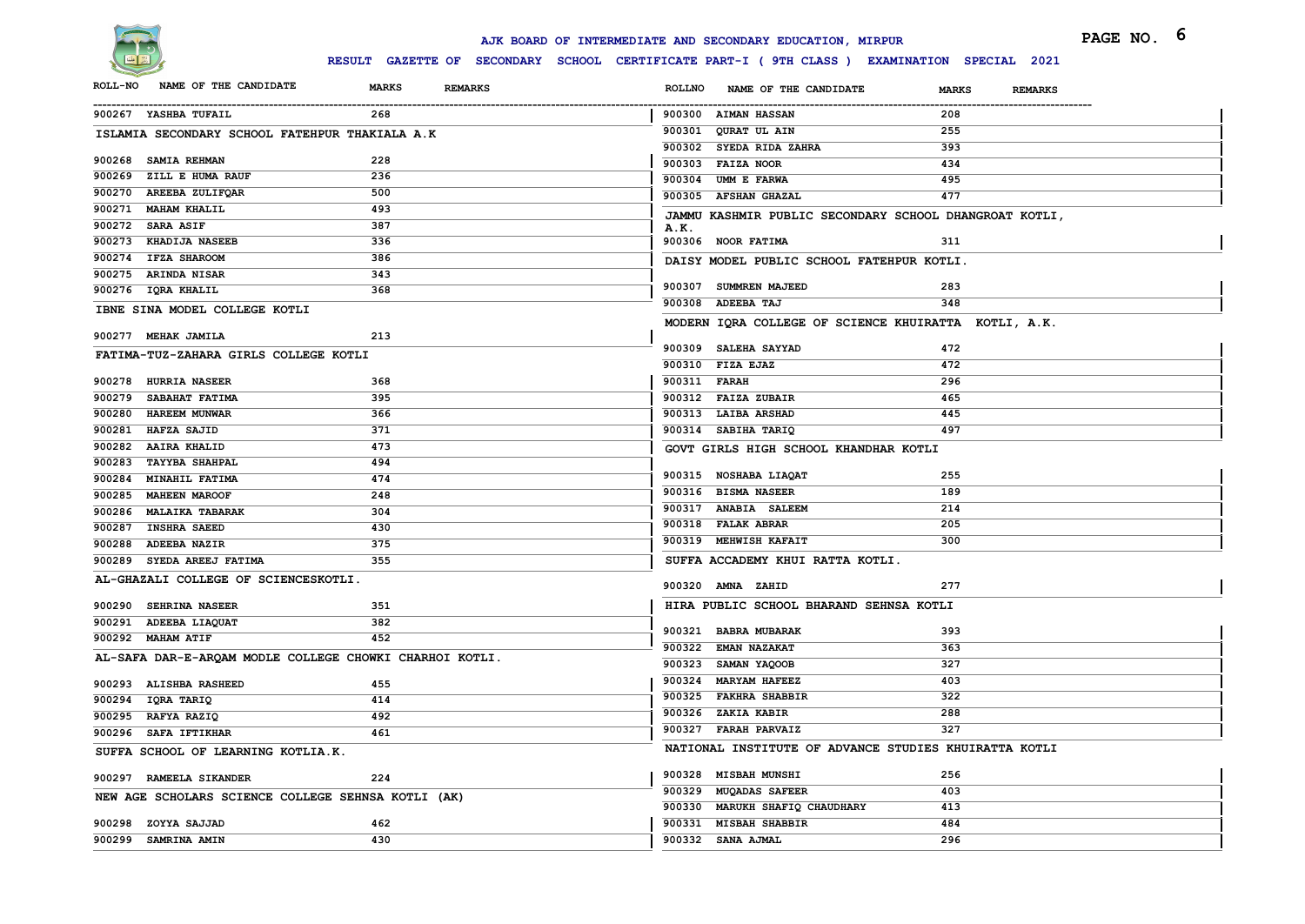

|                                                      |                                                         | AJK BOARD OF INTERMEDIATE AND SECONDARY EDUCATION, MIRPUR                                    |                                | PAGE NO. 6 |
|------------------------------------------------------|---------------------------------------------------------|----------------------------------------------------------------------------------------------|--------------------------------|------------|
|                                                      |                                                         | RESULT GAZETTE OF SECONDARY SCHOOL CERTIFICATE PART-I ( 9TH CLASS ) EXAMINATION SPECIAL 2021 |                                |            |
| ROLL-NO NAME OF THE CANDIDATE                        | <b>MARKS</b><br><b>REMARKS</b>                          | <b>ROLLNO</b><br>NAME OF THE CANDIDATE                                                       | <b>MARKS</b><br><b>REMARKS</b> |            |
| 900267 YASHBA TUFAIL                                 | 268                                                     | 900300 AIMAN HASSAN                                                                          | 208                            |            |
| ISLAMIA SECONDARY SCHOOL FATEHPUR THAKIALA A.K       |                                                         | 900301 QURAT UL AIN                                                                          | 255                            |            |
|                                                      |                                                         | 900302 SYEDA RIDA ZAHRA                                                                      | 393                            |            |
| 900268 SAMIA REHMAN                                  | 228                                                     | 900303 FAIZA NOOR                                                                            | 434                            |            |
| 900269 ZILL E HUMA RAUF                              | 236                                                     | 900304 UMM E FARWA                                                                           | 495                            |            |
| 900270 AREEBA ZULIFQAR                               | 500                                                     | 900305 AFSHAN GHAZAL                                                                         | 477                            |            |
| 900271 MAHAM KHALIL<br>900272 SARA ASIF              | 493<br>387                                              | JAMMU KASHMIR PUBLIC SECONDARY SCHOOL DHANGROAT KOTLI,                                       |                                |            |
| 900273 KHADIJA NASEEB                                | 336                                                     | A.K.<br>900306 NOOR FATIMA                                                                   | 311                            |            |
| 900274 IFZA SHAROOM                                  | 386                                                     |                                                                                              |                                |            |
| 900275 ARINDA NISAR                                  | 343                                                     | DAISY MODEL PUBLIC SCHOOL FATEHPUR KOTLI.                                                    |                                |            |
| 900276 IQRA KHALIL                                   | 368                                                     | 900307 SUMMREN MAJEED                                                                        | 283                            |            |
|                                                      |                                                         | 900308 ADEEBA TAJ                                                                            | 348                            |            |
| IBNE SINA MODEL COLLEGE KOTLI<br>900277 MEHAK JAMILA | 213                                                     | MODERN IQRA COLLEGE OF SCIENCE KHUIRATTA KOTLI, A.K.                                         |                                |            |
| FATIMA-TUZ-ZAHARA GIRLS COLLEGE KOTLI                |                                                         | 900309 SALEHA SAYYAD                                                                         | 472                            |            |
|                                                      |                                                         | 900310 FIZA EJAZ                                                                             | 472                            |            |
| 900278 HURRIA NASEER                                 | 368                                                     | 900311 FARAH                                                                                 | 296                            |            |
| 900279 SABAHAT FATIMA                                | 395                                                     | 900312 FAIZA ZUBAIR                                                                          | 465                            |            |
| 900280 HAREEM MUNWAR                                 | 366                                                     | 900313 LAIBA ARSHAD                                                                          | 445                            |            |
| 900281 HAFZA SAJID                                   | 371                                                     | 900314 SABIHA TARIQ                                                                          | 497                            |            |
| 900282 AAIRA KHALID                                  | 473                                                     | GOVT GIRLS HIGH SCHOOL KHANDHAR KOTLI                                                        |                                |            |
| <b>TAYYBA SHAHPAL</b><br>900283                      | 494                                                     |                                                                                              |                                |            |
| 900284 MINAHIL FATIMA                                | 474                                                     | 900315 NOSHABA LIAQAT                                                                        | 255                            |            |
| 900285<br><b>MAHEEN MAROOF</b>                       | 248                                                     | 900316 BISMA NASEER                                                                          | 189                            |            |
| 900286 MALAIKA TABARAK                               | 304                                                     | 900317 ANABIA SALEEM                                                                         | 214                            |            |
| 900287 INSHRA SAEED                                  | 430                                                     | 900318 FALAK ABRAR                                                                           | 205                            |            |
| 900288 ADEEBA NAZIR                                  | 375                                                     | 900319 MEHWISH KAFAIT                                                                        | 300                            |            |
| 900289 SYEDA AREEJ FATIMA                            | 355                                                     | SUFFA ACCADEMY KHUI RATTA KOTLI.                                                             |                                |            |
| AL-GHAZALI COLLEGE OF SCIENCESKOTLI.                 |                                                         | 900320 AMNA ZAHID                                                                            | 277                            |            |
| 900290 SEHRINA NASEER                                | 351                                                     | HIRA PUBLIC SCHOOL BHARAND SEHNSA KOTLI                                                      |                                |            |
| 900291 ADEEBA LIAQUAT                                | 382                                                     | 900321 BABRA MUBARAK                                                                         | 393                            |            |
| 900292 MAHAM ATIF                                    | 452                                                     | 900322 EMAN NAZAKAT                                                                          | 363                            |            |
|                                                      | AL-SAFA DAR-E-ARQAM MODLE COLLEGE CHOWKI CHARHOI KOTLI. | 900323 SAMAN YAQOOB                                                                          | 327                            |            |
| 900293 ALISHBA RASHEED                               | 455                                                     | 900324 MARYAM HAFEEZ                                                                         | 403                            |            |
| 900294 IQRA TARIQ                                    |                                                         | 900325 FAKHRA SHABBIR                                                                        | 322                            |            |
|                                                      | 414<br>492                                              | 900326 ZAKIA KABIR                                                                           | 288                            |            |
| 900295 RAFYA RAZIQ                                   |                                                         | 900327 FARAH PARVAIZ                                                                         | 327                            |            |
| 900296 SAFA IFTIKHAR                                 | 461                                                     | NATIONAL INSTITUTE OF ADVANCE STUDIES KHUIRATTA KOTLI                                        |                                |            |
| SUFFA SCHOOL OF LEARNING KOTLIA.K.                   |                                                         |                                                                                              |                                |            |
| 900297 RAMEELA SIKANDER                              | 224                                                     | 900328 MISBAH MUNSHI<br>900329 MUQADAS SAFEER                                                | 256                            |            |
| NEW AGE SCHOLARS SCIENCE COLLEGE SEHNSA KOTLI (AK)   |                                                         |                                                                                              | 403<br>413                     |            |
|                                                      |                                                         | 900330 MARUKH SHAFIQ CHAUDHARY                                                               |                                |            |
| 900298 ZOYYA SAJJAD<br>900299 SAMRINA AMIN           | 462                                                     | 900331 MISBAH SHABBIR                                                                        | 484                            |            |
|                                                      | 430                                                     | 900332 SANA AJMAL                                                                            | 296                            |            |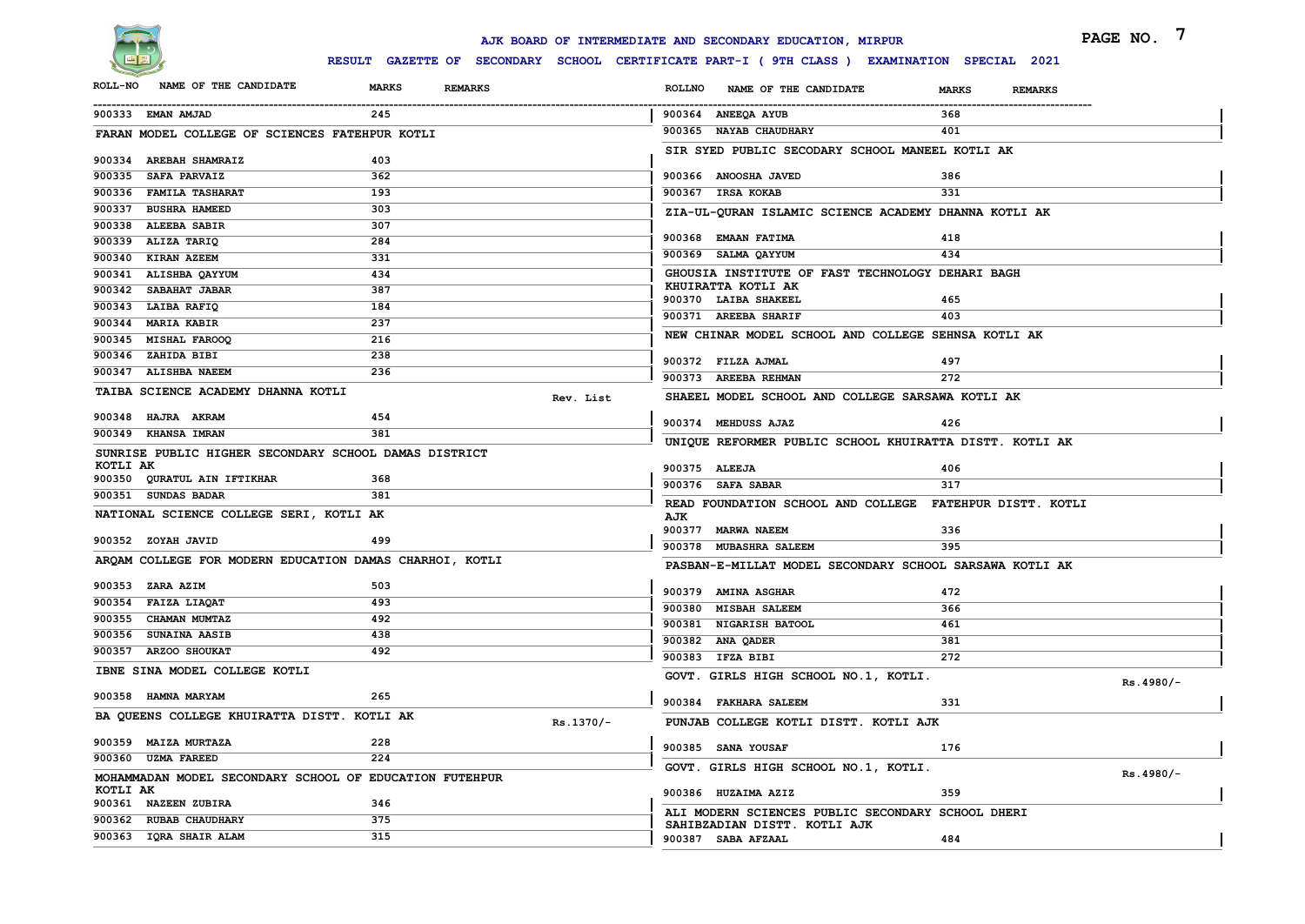

|                |                                                         |                                |           |               | AJK BOARD OF INTERMEDIATE AND SECONDARY EDUCATION, MIRPUR                                    |              |                | PAGE NO.    |
|----------------|---------------------------------------------------------|--------------------------------|-----------|---------------|----------------------------------------------------------------------------------------------|--------------|----------------|-------------|
|                |                                                         |                                |           |               | RESULT GAZETTE OF SECONDARY SCHOOL CERTIFICATE PART-I ( 9TH CLASS ) EXAMINATION SPECIAL 2021 |              |                |             |
| <b>ROLL-NO</b> | NAME OF THE CANDIDATE                                   | <b>MARKS</b><br><b>REMARKS</b> |           | <b>ROLLNO</b> | NAME OF THE CANDIDATE                                                                        | <b>MARKS</b> | <b>REMARKS</b> |             |
|                | 900333 EMAN AMJAD                                       | 245                            |           |               | 900364 ANEEQA AYUB                                                                           | 368          |                |             |
|                | FARAN MODEL COLLEGE OF SCIENCES FATEHPUR KOTLI          |                                |           |               | 900365 NAYAB CHAUDHARY                                                                       | 401          |                |             |
|                |                                                         |                                |           |               | SIR SYED PUBLIC SECODARY SCHOOL MANEEL KOTLI AK                                              |              |                |             |
|                | 900334 AREBAH SHAMRAIZ<br>900335 SAFA PARVAIZ           | 403<br>362                     |           |               | 900366 ANOOSHA JAVED                                                                         |              |                |             |
|                | 900336 FAMILA TASHARAT                                  | 193                            |           |               | 900367 IRSA KOKAB                                                                            | 386<br>331   |                |             |
|                | 900337 BUSHRA HAMEED                                    | 303                            |           |               | ZIA-UL-QURAN ISLAMIC SCIENCE ACADEMY DHANNA KOTLI AK                                         |              |                |             |
|                | 900338 ALEEBA SABIR                                     | 307                            |           |               |                                                                                              |              |                |             |
|                | 900339 ALIZA TARIQ                                      | 284                            |           |               | 900368 EMAAN FATIMA                                                                          | 418          |                |             |
|                | 900340 KIRAN AZEEM                                      | 331                            |           |               | 900369 SALMA QAYYUM                                                                          | 434          |                |             |
|                | 900341 ALISHBA QAYYUM                                   | 434                            |           |               | GHOUSIA INSTITUTE OF FAST TECHNOLOGY DEHARI BAGH                                             |              |                |             |
| 900342         | <b>SABAHAT JABAR</b>                                    | 387                            |           |               | KHUIRATTA KOTLI AK<br>900370 LAIBA SHAKEEL                                                   | 465          |                |             |
|                | 900343 LAIBA RAFIQ                                      | 184                            |           |               | 900371 AREEBA SHARIF                                                                         | 403          |                |             |
|                | 900344 MARIA KABIR                                      | 237                            |           |               |                                                                                              |              |                |             |
|                | 900345 MISHAL FAROOQ                                    | 216                            |           |               | NEW CHINAR MODEL SCHOOL AND COLLEGE SEHNSA KOTLI AK                                          |              |                |             |
|                | 900346 ZAHIDA BIBI                                      | 238                            |           |               | 900372 FILZA AJMAL                                                                           | 497          |                |             |
|                | 900347 ALISHBA NAEEM                                    | 236                            |           |               | 900373 AREEBA REHMAN                                                                         | 272          |                |             |
|                | TAIBA SCIENCE ACADEMY DHANNA KOTLI                      |                                | Rev. List |               | SHAEEL MODEL SCHOOL AND COLLEGE SARSAWA KOTLI AK                                             |              |                |             |
|                | 900348 HAJRA AKRAM                                      | 454                            |           |               | 900374 MEHDUSS AJAZ                                                                          | 426          |                |             |
|                | 900349 KHANSA IMRAN                                     | 381                            |           |               |                                                                                              |              |                |             |
|                | SUNRISE PUBLIC HIGHER SECONDARY SCHOOL DAMAS DISTRICT   |                                |           |               | UNIQUE REFORMER PUBLIC SCHOOL KHUIRATTA DISTT. KOTLI AK                                      |              |                |             |
| KOTLI AK       |                                                         |                                |           |               | 900375 ALEEJA                                                                                | 406          |                |             |
|                | 900350 QURATUL AIN IFTIKHAR                             | 368                            |           |               | 900376 SAFA SABAR                                                                            | 317          |                |             |
|                | 900351 SUNDAS BADAR                                     | 381                            |           |               | READ FOUNDATION SCHOOL AND COLLEGE FATEHPUR DISTT. KOTLI                                     |              |                |             |
|                | NATIONAL SCIENCE COLLEGE SERI, KOTLI AK                 |                                |           | AJK           |                                                                                              |              |                |             |
|                | 900352 ZOYAH JAVID                                      | 499                            |           |               | 900377 MARWA NAEEM<br>900378 MUBASHRA SALEEM                                                 | 336<br>395   |                |             |
|                | ARQAM COLLEGE FOR MODERN EDUCATION DAMAS CHARHOI, KOTLI |                                |           |               |                                                                                              |              |                |             |
|                |                                                         |                                |           |               | PASBAN-E-MILLAT MODEL SECONDARY SCHOOL SARSAWA KOTLI AK                                      |              |                |             |
|                | 900353 ZARA AZIM                                        | 503                            |           |               | 900379 AMINA ASGHAR                                                                          | 472          |                |             |
|                | 900354 FAIZA LIAQAT                                     | 493                            |           |               | 900380 MISBAH SALEEM                                                                         | 366          |                |             |
|                | 900355 CHAMAN MUMTAZ                                    | 492                            |           |               | 900381 NIGARISH BATOOL                                                                       | 461          |                |             |
|                | 900356 SUNAINA AASIB<br>900357 ARZOO SHOUKAT            | 438<br>492                     |           |               | 900382 ANA QADER                                                                             | 381          |                |             |
|                |                                                         |                                |           |               | 900383 IFZA BIBI                                                                             | 272          |                |             |
|                | IBNE SINA MODEL COLLEGE KOTLI                           |                                |           |               | GOVT. GIRLS HIGH SCHOOL NO.1, KOTLI.                                                         |              |                | $Rs.4980/-$ |
|                | 900358 HAMNA MARYAM                                     | 265                            |           |               | 900384 FAKHARA SALEEM                                                                        | 331          |                |             |
|                | BA QUEENS COLLEGE KHUIRATTA DISTT. KOTLI AK             |                                | Rs.1370/- |               | PUNJAB COLLEGE KOTLI DISTT. KOTLI AJK                                                        |              |                |             |
|                |                                                         |                                |           |               |                                                                                              |              |                |             |
|                | 900359 MAIZA MURTAZA                                    | 228                            |           |               | 900385 SANA YOUSAF                                                                           | 176          |                |             |
|                | 900360 UZMA FAREED                                      | 224                            |           |               | GOVT. GIRLS HIGH SCHOOL NO.1, KOTLI.                                                         |              |                | Rs.4980/-   |
| KOTLI AK       | MOHAMMADAN MODEL SECONDARY SCHOOL OF EDUCATION FUTEHPUR |                                |           |               |                                                                                              |              |                |             |
|                | 900361 NAZEEN ZUBIRA                                    | 346                            |           |               | 900386 HUZAIMA AZIZ                                                                          | 359          |                |             |
|                | 900362 RUBAB CHAUDHARY                                  | 375                            |           |               | ALI MODERN SCIENCES PUBLIC SECONDARY SCHOOL DHERI<br>SAHIBZADIAN DISTT. KOTLI AJK            |              |                |             |
|                | 900363 IQRA SHAIR ALAM                                  | 315                            |           |               | 900387 SABA AFZAAL                                                                           | 484          |                |             |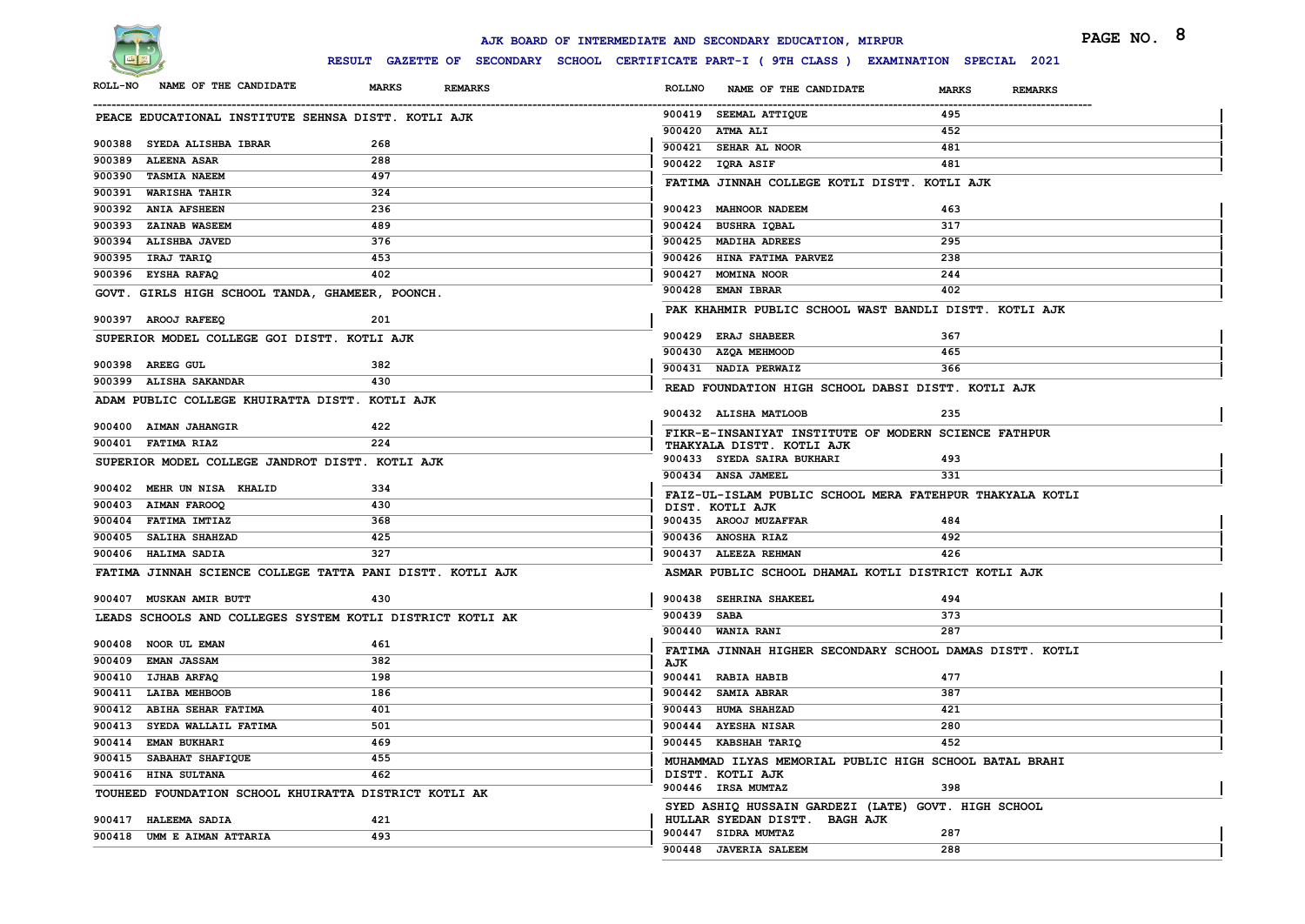

|                                                       |                                                           | AJK BOARD OF INTERMEDIATE AND SECONDARY EDUCATION, MIRPUR                                   | PAGE NO. 8              |  |
|-------------------------------------------------------|-----------------------------------------------------------|---------------------------------------------------------------------------------------------|-------------------------|--|
|                                                       |                                                           | RESULT GAZETTE OF SECONDARY SCHOOL CERTIFICATE PART-I (9TH CLASS ) EXAMINATION SPECIAL 2021 |                         |  |
| NAME OF THE CANDIDATE<br><b>ROLL-NO</b>               | <b>MARKS</b><br><b>REMARKS</b>                            | <b>ROLLNO</b><br>NAME OF THE CANDIDATE                                                      | <b>MARKS</b><br>REMARKS |  |
| PEACE EDUCATIONAL INSTITUTE SEHNSA DISTT. KOTLI AJK   |                                                           | 900419 SEEMAL ATTIQUE                                                                       | 495                     |  |
|                                                       |                                                           | 900420 ATMA ALI                                                                             | 452                     |  |
| 900388 SYEDA ALISHBA IBRAR                            | 268                                                       | 900421 SEHAR AL NOOR                                                                        | 481                     |  |
| 900389<br><b>ALEENA ASAR</b>                          | 288                                                       | 900422 IQRA ASIF                                                                            | 481                     |  |
| 900390 TASMIA NAEEM                                   | 497                                                       | FATIMA JINNAH COLLEGE KOTLI DISTT. KOTLI AJK                                                |                         |  |
| 900391 WARISHA TAHIR                                  | 324                                                       |                                                                                             |                         |  |
| 900392 ANIA AFSHEEN                                   | 236                                                       | 900423 MAHNOOR NADEEM                                                                       | 463                     |  |
| 900393 ZAINAB WASEEM                                  | 489                                                       | 900424 BUSHRA IQBAL                                                                         | 317                     |  |
| 900394 ALISHBA JAVED                                  | 376                                                       | 900425 MADIHA ADREES                                                                        | 295                     |  |
| 900395 IRAJ TARIQ                                     | 453                                                       | 900426 HINA FATIMA PARVEZ                                                                   | 238                     |  |
| 900396 EYSHA RAFAQ                                    | 402                                                       | 900427 MOMINA NOOR                                                                          | 244                     |  |
| GOVT. GIRLS HIGH SCHOOL TANDA, GHAMEER, POONCH.       |                                                           | 900428 EMAN IBRAR                                                                           | 402                     |  |
| 900397 AROOJ RAFEEQ                                   | 201                                                       | PAK KHAHMIR PUBLIC SCHOOL WAST BANDLI DISTT. KOTLI AJK                                      |                         |  |
| SUPERIOR MODEL COLLEGE GOI DISTT. KOTLI AJK           |                                                           | 900429 ERAJ SHABEER                                                                         | 367                     |  |
|                                                       |                                                           | 900430 AZQA MEHMOOD                                                                         | 465                     |  |
| 900398 AREEG GUL                                      | 382                                                       | 900431 NADIA PERWAIZ                                                                        | 366                     |  |
| 900399 ALISHA SAKANDAR                                | 430                                                       | READ FOUNDATION HIGH SCHOOL DABSI DISTT. KOTLI AJK                                          |                         |  |
| ADAM PUBLIC COLLEGE KHUIRATTA DISTT. KOTLI AJK        |                                                           |                                                                                             |                         |  |
|                                                       |                                                           | 900432 ALISHA MATLOOB                                                                       | 235                     |  |
| 900400 AIMAN JAHANGIR                                 | 422                                                       | FIKR-E-INSANIYAT INSTITUTE OF MODERN SCIENCE FATHPUR                                        |                         |  |
| 900401 FATIMA RIAZ                                    | 224                                                       | THAKYALA DISTT. KOTLI AJK                                                                   |                         |  |
| SUPERIOR MODEL COLLEGE JANDROT DISTT. KOTLI AJK       |                                                           | 900433 SYEDA SAIRA BUKHARI                                                                  | 493                     |  |
| 900402 MEHR UN NISA KHALID                            | 334                                                       | 900434 ANSA JAMEEL                                                                          | 331                     |  |
| 900403 AIMAN FAROOQ                                   | 430                                                       | FAIZ-UL-ISLAM PUBLIC SCHOOL MERA FATEHPUR THAKYALA KOTLI                                    |                         |  |
| 900404 FATIMA IMTIAZ                                  | 368                                                       | DIST. KOTLI AJK<br>900435 AROOJ MUZAFFAR                                                    | 484                     |  |
| 900405 SALIHA SHAHZAD                                 | 425                                                       | 900436 ANOSHA RIAZ                                                                          | 492                     |  |
| 900406 HALIMA SADIA                                   | 327                                                       | 900437 ALEEZA REHMAN                                                                        | 426                     |  |
|                                                       |                                                           |                                                                                             |                         |  |
|                                                       | FATIMA JINNAH SCIENCE COLLEGE TATTA PANI DISTT. KOTLI AJK | ASMAR PUBLIC SCHOOL DHAMAL KOTLI DISTRICT KOTLI AJK                                         |                         |  |
| 900407 MUSKAN AMIR BUTT                               | 430                                                       | 900438 SEHRINA SHAKEEL                                                                      | 494                     |  |
|                                                       | LEADS SCHOOLS AND COLLEGES SYSTEM KOTLI DISTRICT KOTLI AK | 900439 SABA                                                                                 | 373                     |  |
|                                                       |                                                           | 900440 WANIA RANI                                                                           | 287                     |  |
| 900408 NOOR UL EMAN                                   | 461                                                       | FATIMA JINNAH HIGHER SECONDARY SCHOOL DAMAS DISTT. KOTLI                                    |                         |  |
| 900409 EMAN JASSAM                                    | 382                                                       | AJK                                                                                         |                         |  |
| 900410 IJHAB ARFAQ                                    | 198                                                       | 900441 RABIA HABIB                                                                          | 477                     |  |
| 900411 LAIBA MEHBOOB                                  | 186                                                       | 900442 SAMIA ABRAR                                                                          | 387                     |  |
| 900412 ABIHA SEHAR FATIMA                             | 401                                                       | 900443 HUMA SHAHZAD                                                                         | 421                     |  |
| 900413 SYEDA WALLAIL FATIMA                           | 501                                                       | 900444 AYESHA NISAR                                                                         | 280                     |  |
| 900414 EMAN BUKHARI                                   | 469                                                       | 900445 KABSHAH TARIQ                                                                        | 452                     |  |
| 900415 SABAHAT SHAFIQUE                               | 455                                                       | MUHAMMAD ILYAS MEMORIAL PUBLIC HIGH SCHOOL BATAL BRAHI                                      |                         |  |
| 900416 HINA SULTANA                                   | 462                                                       | DISTT. KOTLI AJK                                                                            |                         |  |
| TOUHEED FOUNDATION SCHOOL KHUIRATTA DISTRICT KOTLI AK |                                                           | 900446 IRSA MUMTAZ                                                                          | 398                     |  |
|                                                       |                                                           | SYED ASHIQ HUSSAIN GARDEZI (LATE) GOVT. HIGH SCHOOL                                         |                         |  |
| 900417 HALEEMA SADIA                                  | 421                                                       | HULLAR SYEDAN DISTT. BAGH AJK<br>900447 SIDRA MUMTAZ                                        | 287                     |  |
| 900418 UMM E AIMAN ATTARIA                            | 493                                                       | 900448 JAVERIA SALEEM                                                                       | 288                     |  |
|                                                       |                                                           |                                                                                             |                         |  |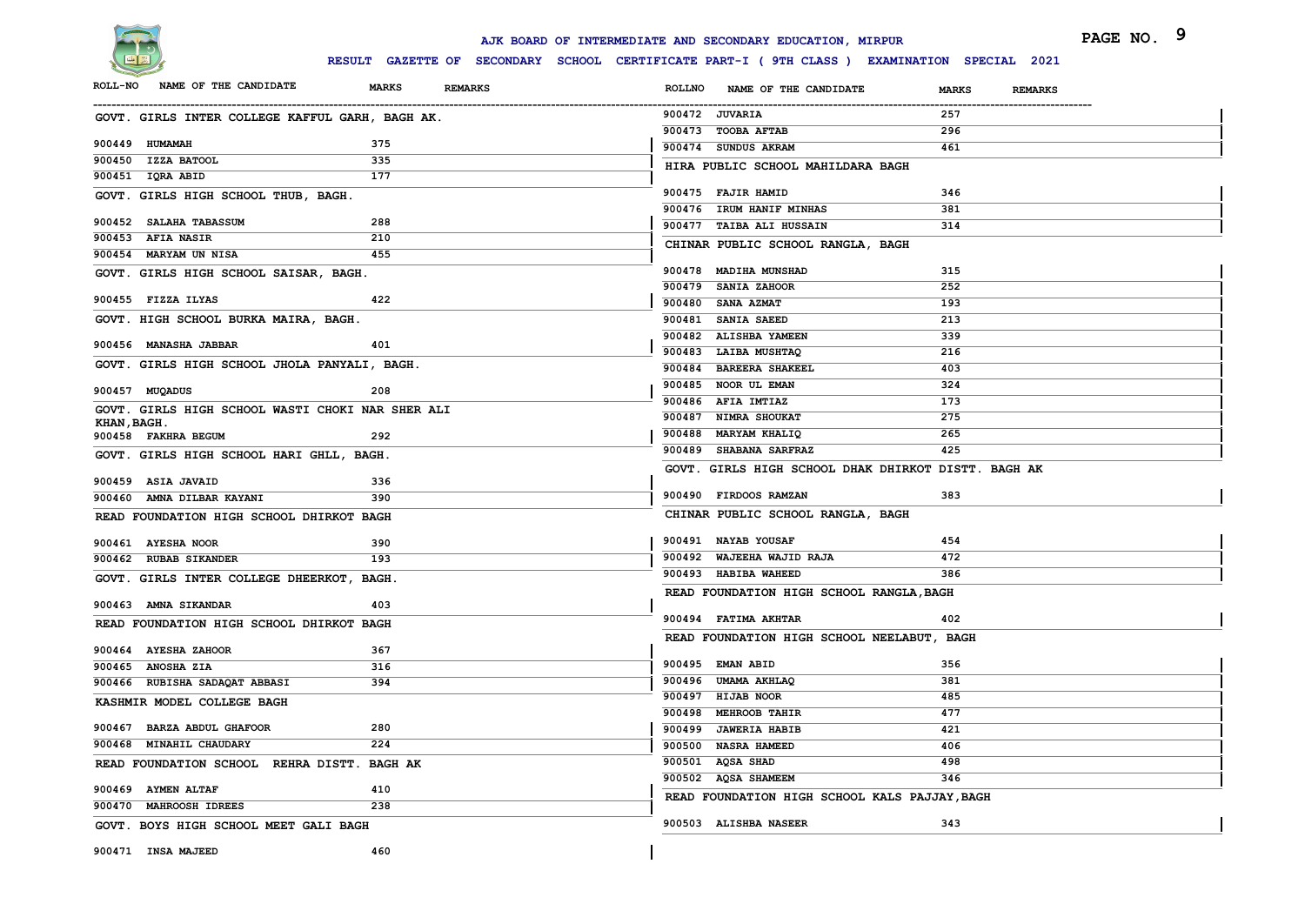

|                                                  |                                | AJK BOARD OF INTERMEDIATE AND SECONDARY EDUCATION, MIRPUR                                    | PAGE NO.                       | -9 |
|--------------------------------------------------|--------------------------------|----------------------------------------------------------------------------------------------|--------------------------------|----|
|                                                  |                                | RESULT GAZETTE OF SECONDARY SCHOOL CERTIFICATE PART-I ( 9TH CLASS ) EXAMINATION SPECIAL 2021 |                                |    |
| ROLL-NO NAME OF THE CANDIDATE                    | <b>MARKS</b><br><b>REMARKS</b> | ROLLNO NAME OF THE CANDIDATE                                                                 | <b>MARKS</b><br><b>REMARKS</b> |    |
| GOVT. GIRLS INTER COLLEGE KAFFUL GARH, BAGH AK.  |                                | 900472 JUVARIA                                                                               | 257                            |    |
|                                                  |                                | 900473 TOOBA AFTAB                                                                           | 296                            |    |
| 900449 HUMAMAH                                   | 375                            | 900474 SUNDUS AKRAM                                                                          | 461                            |    |
| 900450 IZZA BATOOL                               | 335                            | HIRA PUBLIC SCHOOL MAHILDARA BAGH                                                            |                                |    |
| 900451 IQRA ABID                                 | 177                            |                                                                                              |                                |    |
| GOVT. GIRLS HIGH SCHOOL THUB, BAGH.              |                                | 900475 FAJIR HAMID                                                                           | 346                            |    |
| 900452 SALAHA TABASSUM                           | 288                            | 900476 IRUM HANIF MINHAS<br>900477 TAIBA ALI HUSSAIN                                         | 381<br>314                     |    |
| 900453 AFIA NASIR                                | 210                            |                                                                                              |                                |    |
| 900454 MARYAM UN NISA                            | 455                            | CHINAR PUBLIC SCHOOL RANGLA, BAGH                                                            |                                |    |
| GOVT. GIRLS HIGH SCHOOL SAISAR, BAGH.            |                                | 900478 MADIHA MUNSHAD                                                                        | 315                            |    |
|                                                  |                                | 900479 SANIA ZAHOOR                                                                          | 252                            |    |
| 900455 FIZZA ILYAS                               | 422                            | 900480 SANA AZMAT                                                                            | 193                            |    |
| GOVT. HIGH SCHOOL BURKA MAIRA, BAGH.             |                                | 900481 SANIA SAEED                                                                           | 213                            |    |
| 900456 MANASHA JABBAR                            | 401                            | 900482 ALISHBA YAMEEN                                                                        | 339                            |    |
|                                                  |                                | 900483 LAIBA MUSHTAQ                                                                         | 216                            |    |
| GOVT. GIRLS HIGH SCHOOL JHOLA PANYALI, BAGH.     |                                | 900484<br><b>BAREERA SHAKEEL</b>                                                             | 403                            |    |
| 900457 MUQADUS                                   | 208                            | 900485 NOOR UL EMAN                                                                          | 324                            |    |
| GOVT. GIRLS HIGH SCHOOL WASTI CHOKI NAR SHER ALI |                                | 900486 AFIA IMTIAZ                                                                           | 173                            |    |
| KHAN, BAGH.                                      |                                | 900487 NIMRA SHOUKAT                                                                         | 275                            |    |
| 900458 FAKHRA BEGUM                              | 292                            | 900488 MARYAM KHALIQ                                                                         | 265<br>425                     |    |
| GOVT. GIRLS HIGH SCHOOL HARI GHLL, BAGH.         |                                | 900489 SHABANA SARFRAZ                                                                       |                                |    |
| 900459 ASIA JAVAID                               | 336                            | GOVT. GIRLS HIGH SCHOOL DHAK DHIRKOT DISTT. BAGH AK                                          |                                |    |
| 900460 AMNA DILBAR KAYANI                        | 390                            | 900490 FIRDOOS RAMZAN                                                                        | 383                            |    |
| READ FOUNDATION HIGH SCHOOL DHIRKOT BAGH         |                                | CHINAR PUBLIC SCHOOL RANGLA, BAGH                                                            |                                |    |
|                                                  |                                |                                                                                              |                                |    |
| 900461 AYESHA NOOR                               | 390                            | 900491 NAYAB YOUSAF                                                                          | 454                            |    |
| 900462 RUBAB SIKANDER                            | 193                            | 900492 WAJEEHA WAJID RAJA                                                                    | 472                            |    |
| GOVT. GIRLS INTER COLLEGE DHEERKOT, BAGH.        |                                | 900493 HABIBA WAHEED                                                                         | 386                            |    |
|                                                  |                                | READ FOUNDATION HIGH SCHOOL RANGLA, BAGH                                                     |                                |    |
| 900463 AMNA SIKANDAR                             | 403                            | 900494 FATIMA AKHTAR                                                                         | 402                            |    |
| READ FOUNDATION HIGH SCHOOL DHIRKOT BAGH         |                                | READ FOUNDATION HIGH SCHOOL NEELABUT, BAGH                                                   |                                |    |
| 900464 AYESHA ZAHOOR                             | 367                            |                                                                                              |                                |    |
| 900465 ANOSHA ZIA                                | 316                            | 900495 EMAN ABID                                                                             | 356                            |    |
| 900466 RUBISHA SADAQAT ABBASI                    | 394                            | 900496 UMAMA AKHLAQ                                                                          | 381                            |    |
| KASHMIR MODEL COLLEGE BAGH                       |                                | 900497 HIJAB NOOR                                                                            | 485                            |    |
|                                                  |                                | 900498 MEHROOB TAHIR                                                                         | 477                            |    |
| 900467 BARZA ABDUL GHAFOOR                       | 280                            | 900499 JAWERIA HABIB                                                                         | 421                            |    |
| 900468 MINAHIL CHAUDARY                          | 224                            | 900500 NASRA HAMEED                                                                          | 406                            |    |
| READ FOUNDATION SCHOOL REHRA DISTT. BAGH AK      |                                | 900501 AQSA SHAD                                                                             | 498                            |    |
| 900469 AYMEN ALTAF                               | 410                            | 900502 AQSA SHAMEEM                                                                          | 346                            |    |
| 900470 MAHROOSH IDREES                           | 238                            | READ FOUNDATION HIGH SCHOOL KALS PAJJAY, BAGH                                                |                                |    |
| GOVT. BOYS HIGH SCHOOL MEET GALI BAGH            |                                | 900503 ALISHBA NASEER                                                                        | 343                            |    |
|                                                  |                                |                                                                                              |                                |    |
| 900471 INSA MAJEED                               | 460                            |                                                                                              |                                |    |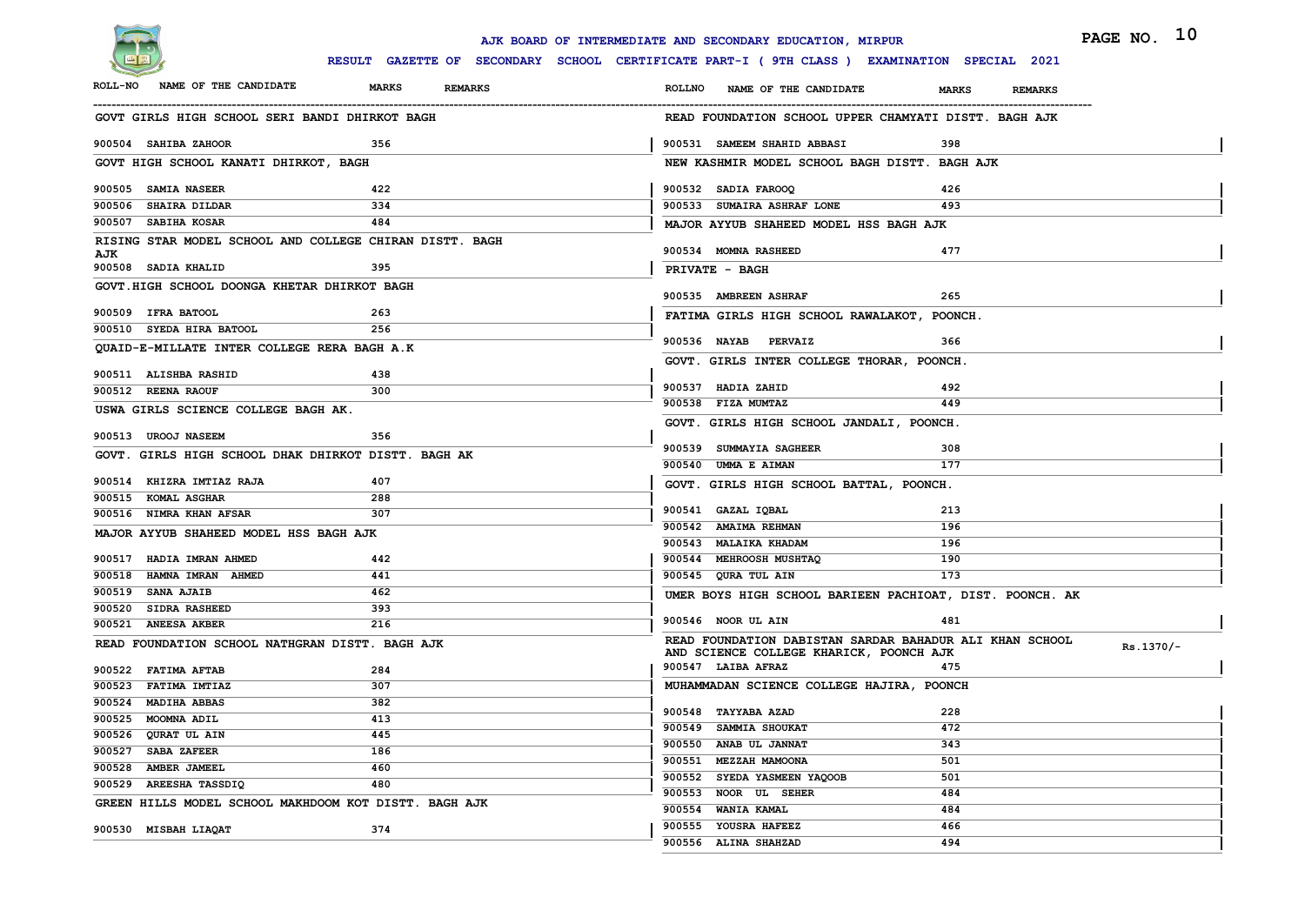

|                                               |                                                         | PAGE NO. 10<br>AJK BOARD OF INTERMEDIATE AND SECONDARY EDUCATION, MIRPUR                                        |
|-----------------------------------------------|---------------------------------------------------------|-----------------------------------------------------------------------------------------------------------------|
|                                               |                                                         | RESULT GAZETTE OF SECONDARY SCHOOL CERTIFICATE PART-I ( 9TH CLASS ) EXAMINATION SPECIAL 2021                    |
| NAME OF THE CANDIDATE<br><b>ROLL-NO</b>       | <b>MARKS</b><br><b>REMARKS</b>                          | <b>ROLLNO</b><br>NAME OF THE CANDIDATE<br><b>MARKS</b><br><b>REMARKS</b>                                        |
|                                               | GOVT GIRLS HIGH SCHOOL SERI BANDI DHIRKOT BAGH          | READ FOUNDATION SCHOOL UPPER CHAMYATI DISTT. BAGH AJK                                                           |
| 900504 SAHIBA ZAHOOR                          | 356                                                     | 900531 SAMEEM SHAHID ABBASI<br>398                                                                              |
| GOVT HIGH SCHOOL KANATI DHIRKOT, BAGH         |                                                         | NEW KASHMIR MODEL SCHOOL BAGH DISTT. BAGH AJK                                                                   |
| 900505 SAMIA NASEER                           | 422                                                     | 900532 SADIA FAROOQ<br>426                                                                                      |
| 900506 SHAIRA DILDAR                          | 334                                                     | 900533 SUMAIRA ASHRAF LONE<br>493                                                                               |
| 900507 SABIHA KOSAR                           | 484                                                     | MAJOR AYYUB SHAHEED MODEL HSS BAGH AJK                                                                          |
| AJK                                           | RISING STAR MODEL SCHOOL AND COLLEGE CHIRAN DISTT. BAGH | 477<br>900534 MOMNA RASHEED                                                                                     |
| 900508 SADIA KHALID                           | 395                                                     | <b>PRIVATE - BAGH</b>                                                                                           |
| GOVT.HIGH SCHOOL DOONGA KHETAR DHIRKOT BAGH   |                                                         | 265<br>900535 AMBREEN ASHRAF                                                                                    |
| 900509 IFRA BATOOL                            | 263                                                     | FATIMA GIRLS HIGH SCHOOL RAWALAKOT, POONCH.                                                                     |
| 900510 SYEDA HIRA BATOOL                      | 256                                                     |                                                                                                                 |
|                                               | QUAID-E-MILLATE INTER COLLEGE RERA BAGH A.K             | 900536 NAYAB<br><b>PERVAIZ</b><br>366                                                                           |
|                                               |                                                         | GOVT. GIRLS INTER COLLEGE THORAR, POONCH.                                                                       |
| 900511 ALISHBA RASHID<br>900512 REENA RAOUF   | 438<br>300                                              | 900537 HADIA ZAHID<br>492                                                                                       |
| USWA GIRLS SCIENCE COLLEGE BAGH AK.           |                                                         | 449<br>900538 FIZA MUMTAZ                                                                                       |
|                                               |                                                         | GOVT. GIRLS HIGH SCHOOL JANDALI, POONCH.                                                                        |
| 900513 UROOJ NASEEM                           | 356                                                     |                                                                                                                 |
|                                               | GOVT. GIRLS HIGH SCHOOL DHAK DHIRKOT DISTT. BAGH AK     | 900539 SUMMAYIA SAGHEER<br>308<br>177<br>900540 UMMA E AIMAN                                                    |
| 900514 KHIZRA IMTIAZ RAJA                     | 407                                                     | GOVT. GIRLS HIGH SCHOOL BATTAL, POONCH.                                                                         |
| 900515 KOMAL ASGHAR                           | 288                                                     |                                                                                                                 |
| 900516 NIMRA KHAN AFSAR                       | 307                                                     | 900541 GAZAL IQBAL<br>213                                                                                       |
| MAJOR AYYUB SHAHEED MODEL HSS BAGH AJK        |                                                         | 900542 AMAIMA REHMAN<br>196                                                                                     |
|                                               |                                                         | 900543 MALAIKA KHADAM<br>196                                                                                    |
| 900517 HADIA IMRAN AHMED                      | 442                                                     | 900544 MEHROOSH MUSHTAQ<br>190                                                                                  |
| 900518 HAMNA IMRAN AHMED<br>900519 SANA AJAIB | 441                                                     | 900545 QURA TUL AIN<br>173                                                                                      |
| 900520 SIDRA RASHEED                          | 462<br>393                                              | UMER BOYS HIGH SCHOOL BARIEEN PACHIOAT, DIST. POONCH. AK                                                        |
| 900521 ANEESA AKBER                           | 216                                                     | 900546 NOOR UL AIN<br>481                                                                                       |
|                                               | READ FOUNDATION SCHOOL NATHGRAN DISTT. BAGH AJK         | READ FOUNDATION DABISTAN SARDAR BAHADUR ALI KHAN SCHOOL<br>Rs.1370/-<br>AND SCIENCE COLLEGE KHARICK, POONCH AJK |
| 900522 FATIMA AFTAB                           | 284                                                     | 900547 LAIBA AFRAZ<br>475                                                                                       |
| 900523 FATIMA IMTIAZ                          | 307                                                     | MUHAMMADAN SCIENCE COLLEGE HAJIRA, POONCH                                                                       |
| 900524 MADIHA ABBAS                           | 382                                                     |                                                                                                                 |
| 900525 MOOMNA ADIL                            | 413                                                     | 228<br>900548 TAYYABA AZAD                                                                                      |
| 900526 QURAT UL AIN                           | 445                                                     | 900549 SAMMIA SHOUKAT<br>472                                                                                    |
| 900527 SABA ZAFEER                            | 186                                                     | 900550 ANAB UL JANNAT<br>343                                                                                    |
| 900528 AMBER JAMEEL                           | 460                                                     | 900551 MEZZAH MAMOONA<br>501                                                                                    |
| 900529 AREESHA TASSDIQ                        | 480                                                     | 900552 SYEDA YASMEEN YAQOOB<br>501                                                                              |
|                                               | GREEN HILLS MODEL SCHOOL MAKHDOOM KOT DISTT. BAGH AJK   | 900553 NOOR UL SEHER<br>484                                                                                     |
|                                               |                                                         | 900554 WANIA KAMAL<br>484<br>900555 YOUSRA HAFEEZ<br>466                                                        |
| 900530 MISBAH LIAQAT                          | 374                                                     | 900556 ALINA SHAHZAD<br>494                                                                                     |
|                                               |                                                         |                                                                                                                 |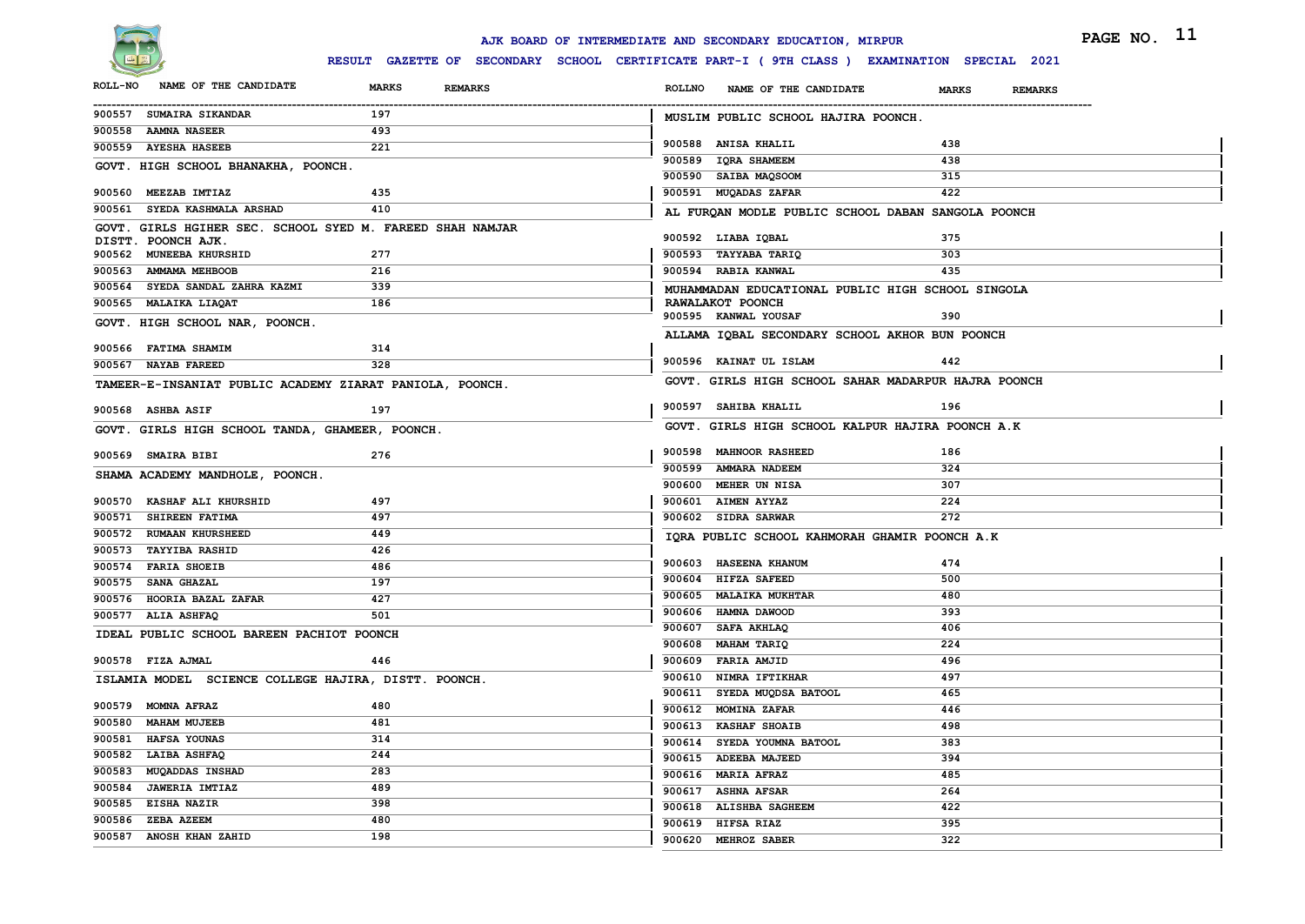

|                                                           |                                | AJK BOARD OF INTERMEDIATE AND SECONDARY EDUCATION, MIRPUR                                    | PAGE NO. 11                    |
|-----------------------------------------------------------|--------------------------------|----------------------------------------------------------------------------------------------|--------------------------------|
|                                                           |                                | RESULT GAZETTE OF SECONDARY SCHOOL CERTIFICATE PART-I ( 9TH CLASS ) EXAMINATION SPECIAL 2021 |                                |
| NAME OF THE CANDIDATE<br><b>ROLL-NO</b>                   | <b>MARKS</b><br><b>REMARKS</b> | <b>ROLLNO</b><br>NAME OF THE CANDIDATE                                                       | <b>MARKS</b><br><b>REMARKS</b> |
| 900557 SUMAIRA SIKANDAR                                   | 197                            | MUSLIM PUBLIC SCHOOL HAJIRA POONCH.                                                          |                                |
| 900558 AAMNA NASEER<br>900559 AYESHA HASEEB               | 493<br>221                     | 900588 ANISA KHALIL                                                                          | 438                            |
|                                                           |                                | 900589 IQRA SHAMEEM                                                                          | 438                            |
| GOVT. HIGH SCHOOL BHANAKHA, POONCH.                       |                                | 900590 SAIBA MAQSOOM                                                                         | 315                            |
| 900560 MEEZAB IMTIAZ                                      | 435                            | 900591 MUQADAS ZAFAR                                                                         | 422                            |
| 900561 SYEDA KASHMALA ARSHAD                              | 410                            | AL FURQAN MODLE PUBLIC SCHOOL DABAN SANGOLA POONCH                                           |                                |
| GOVT. GIRLS HGIHER SEC. SCHOOL SYED M. FAREED SHAH NAMJAR |                                |                                                                                              |                                |
| DISTT. POONCH AJK.                                        |                                | 900592 LIABA IQBAL                                                                           | 375                            |
| 900562 MUNEEBA KHURSHID                                   | 277                            | 900593 TAYYABA TARIQ                                                                         | 303                            |
| 900563 AMMAMA MEHBOOB                                     | 216                            | 900594 RABIA KANWAL                                                                          | 435                            |
| 900564 SYEDA SANDAL ZAHRA KAZMI                           | 339                            | MUHAMMADAN EDUCATIONAL PUBLIC HIGH SCHOOL SINGOLA                                            |                                |
| 900565 MALAIKA LIAQAT                                     | 186                            | RAWALAKOT POONCH<br>900595 KANWAL YOUSAF                                                     | 390                            |
| GOVT. HIGH SCHOOL NAR, POONCH.                            |                                |                                                                                              |                                |
| 900566 FATIMA SHAMIM                                      | 314                            | ALLAMA IQBAL SECONDARY SCHOOL AKHOR BUN POONCH                                               |                                |
| 900567 NAYAB FAREED                                       | 328                            | 900596 KAINAT UL ISLAM                                                                       | 442                            |
| TAMEER-E-INSANIAT PUBLIC ACADEMY ZIARAT PANIOLA, POONCH.  |                                | GOVT. GIRLS HIGH SCHOOL SAHAR MADARPUR HAJRA POONCH                                          |                                |
|                                                           |                                |                                                                                              |                                |
| 900568 ASHBA ASIF                                         | 197                            | 900597 SAHIBA KHALIL                                                                         | 196                            |
| GOVT. GIRLS HIGH SCHOOL TANDA, GHAMEER, POONCH.           |                                | GOVT. GIRLS HIGH SCHOOL KALPUR HAJIRA POONCH A.K                                             |                                |
|                                                           |                                | 900598 MAHNOOR RASHEED                                                                       | 186                            |
| 900569 SMAIRA BIBI                                        | 276                            | 900599 AMMARA NADEEM                                                                         | 324                            |
| SHAMA ACADEMY MANDHOLE, POONCH.                           |                                | 900600 MEHER UN NISA                                                                         | 307                            |
| 900570 KASHAF ALI KHURSHID                                | 497                            | 900601 AIMEN AYYAZ                                                                           | 224                            |
| 900571 SHIREEN FATIMA                                     | 497                            | 900602 SIDRA SARWAR                                                                          | 272                            |
| 900572 RUMAAN KHURSHEED                                   | 449                            | IQRA PUBLIC SCHOOL KAHMORAH GHAMIR POONCH A.K                                                |                                |
| 900573 TAYYIBA RASHID                                     | 426                            |                                                                                              |                                |
| 900574 FARIA SHOEIB                                       | 486                            | 900603 HASEENA KHANUM                                                                        | 474                            |
| 900575 SANA GHAZAL                                        | 197                            | 900604 HIFZA SAFEED                                                                          | 500                            |
| 900576 HOORIA BAZAL ZAFAR                                 | 427                            | 900605 MALAIKA MUKHTAR                                                                       | 480                            |
| 900577 ALIA ASHFAQ                                        | 501                            | 900606 HAMNA DAWOOD                                                                          | 393                            |
| IDEAL PUBLIC SCHOOL BAREEN PACHIOT POONCH                 |                                | 900607 SAFA AKHLAQ                                                                           | 406                            |
|                                                           |                                | 900608 MAHAM TARIQ                                                                           | 224                            |
| 900578 FIZA AJMAL                                         | 446                            | 900609 FARIA AMJID                                                                           | 496                            |
| ISLAMIA MODEL SCIENCE COLLEGE HAJIRA, DISTT. POONCH.      |                                | 900610 NIMRA IFTIKHAR                                                                        | 497                            |
| 900579 MOMNA AFRAZ                                        | 480                            | 900611 SYEDA MUQDSA BATOOL                                                                   | 465                            |
| 900580 MAHAM MUJEEB                                       | 481                            | 900612 MOMINA ZAFAR                                                                          | 446                            |
| 900581 HAFSA YOUNAS                                       | 314                            | 900613 KASHAF SHOAIB                                                                         | 498                            |
| 900582 LAIBA ASHFAQ                                       | 244                            | 900614 SYEDA YOUMNA BATOOL                                                                   | 383                            |
| 900583 MUQADDAS INSHAD                                    | 283                            | 900615 ADEEBA MAJEED                                                                         | 394                            |
| 900584 JAWERIA IMTIAZ                                     | 489                            | 900616 MARIA AFRAZ                                                                           | 485                            |
| 900585 EISHA NAZIR                                        | 398                            | 900617 ASHNA AFSAR                                                                           | 264                            |
| 900586 ZEBA AZEEM                                         | 480                            | 900618 ALISHBA SAGHEEM                                                                       | 422                            |
| 900587 ANOSH KHAN ZAHID                                   | 198                            | 900619 HIFSA RIAZ                                                                            | 395                            |
|                                                           |                                | 900620 MEHROZ SABER                                                                          | 322                            |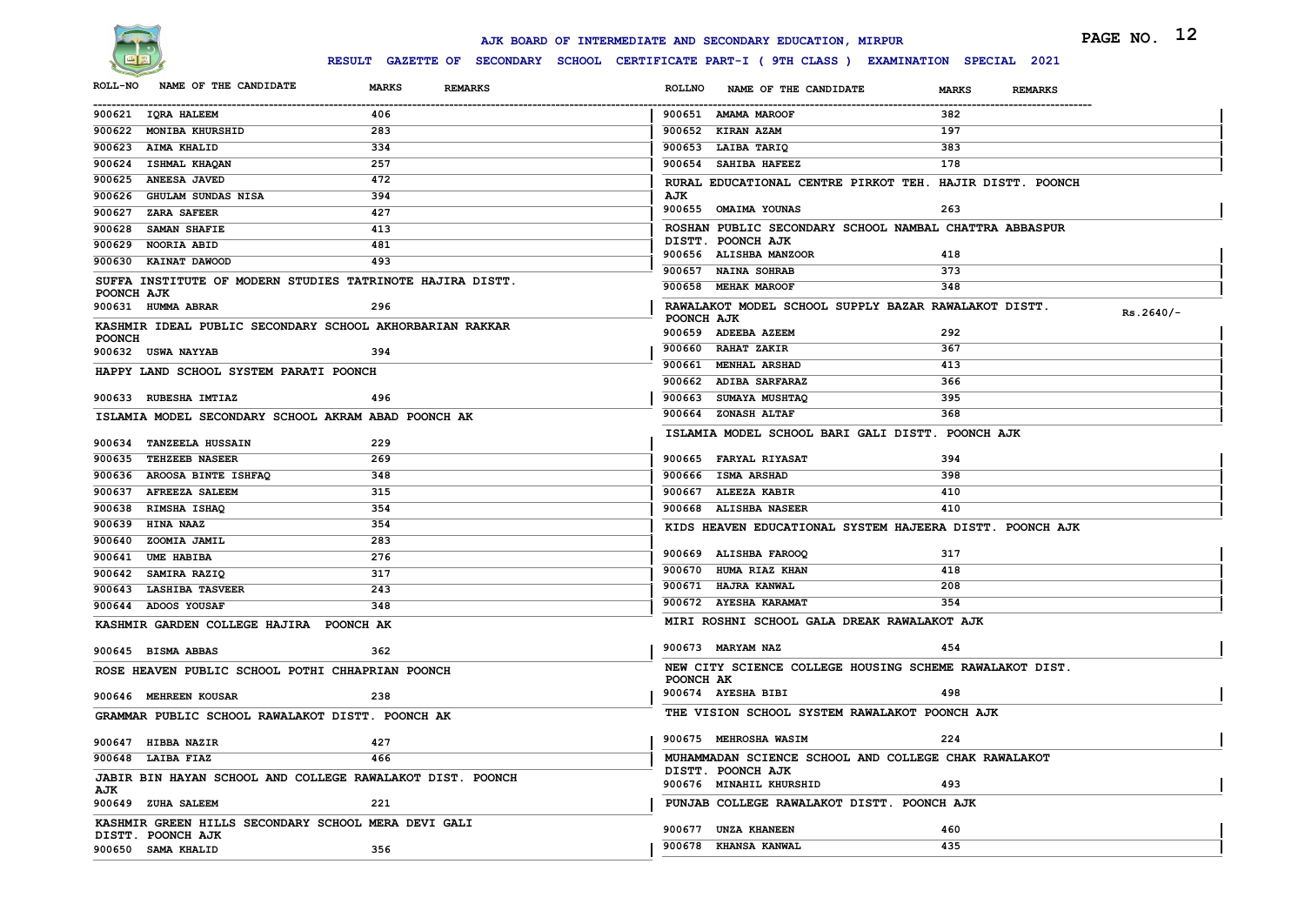

|                                                                          |                                | AJK BOARD OF INTERMEDIATE AND SECONDARY EDUCATION, MIRPUR<br>RESULT GAZETTE OF SECONDARY SCHOOL CERTIFICATE PART-I ( 9TH CLASS ) EXAMINATION SPECIAL 2021 | PAGE NO. 12                    |
|--------------------------------------------------------------------------|--------------------------------|-----------------------------------------------------------------------------------------------------------------------------------------------------------|--------------------------------|
| NAME OF THE CANDIDATE<br><b>ROLL-NO</b>                                  | <b>MARKS</b><br><b>REMARKS</b> | <b>ROLLNO</b><br>NAME OF THE CANDIDATE                                                                                                                    | <b>MARKS</b><br><b>REMARKS</b> |
| 900621 IQRA HALEEM                                                       | 406                            | 900651 AMAMA MAROOF                                                                                                                                       | 382                            |
| 900622 MONIBA KHURSHID                                                   | 283                            | 900652 KIRAN AZAM                                                                                                                                         | 197                            |
| 900623 AIMA KHALID                                                       | 334                            | 900653 LAIBA TARIQ                                                                                                                                        | 383                            |
| 900624 ISHMAL KHAQAN                                                     | 257                            | 900654 SAHIBA HAFEEZ                                                                                                                                      | 178                            |
| 900625 ANEESA JAVED                                                      | 472                            | RURAL EDUCATIONAL CENTRE PIRKOT TEH. HAJIR DISTT. POONCH                                                                                                  |                                |
| 900626 GHULAM SUNDAS NISA                                                | 394                            | AJK                                                                                                                                                       |                                |
| 900627 ZARA SAFEER                                                       | 427                            | 900655 OMAIMA YOUNAS                                                                                                                                      | 263                            |
| 900628 SAMAN SHAFIE                                                      | 413                            | ROSHAN PUBLIC SECONDARY SCHOOL NAMBAL CHATTRA ABBASPUR                                                                                                    |                                |
| 900629 NOORIA ABID                                                       | 481                            | DISTT. POONCH AJK<br>900656 ALISHBA MANZOOR                                                                                                               | 418                            |
| 900630 KAINAT DAWOOD                                                     | 493                            | 900657 NAINA SOHRAB                                                                                                                                       | 373                            |
| SUFFA INSTITUTE OF MODERN STUDIES TATRINOTE HAJIRA DISTT.                |                                | 900658 MEHAK MAROOF                                                                                                                                       | 348                            |
| POONCH AJK                                                               |                                |                                                                                                                                                           |                                |
| 900631 HUMMA ABRAR                                                       | 296                            | RAWALAKOT MODEL SCHOOL SUPPLY BAZAR RAWALAKOT DISTT.<br>POONCH AJK                                                                                        | $Rs.2640/-$                    |
| KASHMIR IDEAL PUBLIC SECONDARY SCHOOL AKHORBARIAN RAKKAR                 |                                | 900659 ADEEBA AZEEM                                                                                                                                       | 292                            |
| <b>POONCH</b><br>900632 USWA NAYYAB                                      | 394                            | 900660 RAHAT ZAKIR                                                                                                                                        | 367                            |
| HAPPY LAND SCHOOL SYSTEM PARATI POONCH                                   |                                | 900661 MENHAL ARSHAD                                                                                                                                      | 413                            |
|                                                                          |                                | 900662 ADIBA SARFARAZ                                                                                                                                     | 366                            |
| 900633 RUBESHA IMTIAZ                                                    | 496                            | 900663 SUMAYA MUSHTAQ                                                                                                                                     | 395                            |
| ISLAMIA MODEL SECONDARY SCHOOL AKRAM ABAD POONCH AK                      |                                | 900664 ZONASH ALTAF                                                                                                                                       | 368                            |
| 900634 TANZEELA HUSSAIN                                                  | 229                            | ISLAMIA MODEL SCHOOL BARI GALI DISTT. POONCH AJK                                                                                                          |                                |
| 900635 TEHZEEB NASEER                                                    | 269                            | 900665 FARYAL RIYASAT                                                                                                                                     | 394                            |
| 900636 AROOSA BINTE ISHFAQ                                               | 348                            | 900666 ISMA ARSHAD                                                                                                                                        | 398                            |
| 900637 AFREEZA SALEEM                                                    | 315                            | 900667 ALEEZA KABIR                                                                                                                                       | 410                            |
| 900638 RIMSHA ISHAQ                                                      | 354                            | 900668 ALISHBA NASEER                                                                                                                                     | 410                            |
| 900639 HINA NAAZ                                                         | 354                            | KIDS HEAVEN EDUCATIONAL SYSTEM HAJEERA DISTT. POONCH AJK                                                                                                  |                                |
| 900640 ZOOMIA JAMIL                                                      | 283                            |                                                                                                                                                           |                                |
| 900641 UME HABIBA                                                        | 276                            | 900669 ALISHBA FAROOQ                                                                                                                                     | 317                            |
| 900642 SAMIRA RAZIQ                                                      | 317                            | 900670 HUMA RIAZ KHAN                                                                                                                                     | 418                            |
| 900643 LASHIBA TASVEER                                                   | 243                            | 900671 HAJRA KANWAL                                                                                                                                       | 208                            |
| 900644 ADOOS YOUSAF                                                      | 348                            | 900672 AYESHA KARAMAT                                                                                                                                     | 354                            |
| KASHMIR GARDEN COLLEGE HAJIRA POONCH AK                                  |                                | MIRI ROSHNI SCHOOL GALA DREAK RAWALAKOT AJK                                                                                                               |                                |
| 900645 BISMA ABBAS                                                       | 362                            | 900673 MARYAM NAZ                                                                                                                                         | 454                            |
| ROSE HEAVEN PUBLIC SCHOOL POTHI CHHAPRIAN POONCH                         |                                | NEW CITY SCIENCE COLLEGE HOUSING SCHEME RAWALAKOT DIST.<br>POONCH AK                                                                                      |                                |
| 900646 MEHREEN KOUSAR                                                    | 238                            | 900674 AYESHA BIBI                                                                                                                                        | 498                            |
| GRAMMAR PUBLIC SCHOOL RAWALAKOT DISTT. POONCH AK                         |                                | THE VISION SCHOOL SYSTEM RAWALAKOT POONCH AJK                                                                                                             |                                |
| 900647 HIBBA NAZIR                                                       | 427                            | 900675 MEHROSHA WASIM                                                                                                                                     | 224                            |
| 900648 LAIBA FIAZ                                                        | 466                            | MUHAMMADAN SCIENCE SCHOOL AND COLLEGE CHAK RAWALAKOT                                                                                                      |                                |
| JABIR BIN HAYAN SCHOOL AND COLLEGE RAWALAKOT DIST. POONCH<br>AJK         |                                | DISTT. POONCH AJK<br>900676 MINAHIL KHURSHID                                                                                                              | 493                            |
| 900649 ZUHA SALEEM                                                       | 221                            | PUNJAB COLLEGE RAWALAKOT DISTT. POONCH AJK                                                                                                                |                                |
| KASHMIR GREEN HILLS SECONDARY SCHOOL MERA DEVI GALI<br>DISTT. POONCH AJK |                                | 900677 UNZA KHANEEN                                                                                                                                       | 460                            |
| 900650 SAMA KHALID                                                       | 356                            | 900678 KHANSA KANWAL                                                                                                                                      | 435                            |
|                                                                          |                                |                                                                                                                                                           |                                |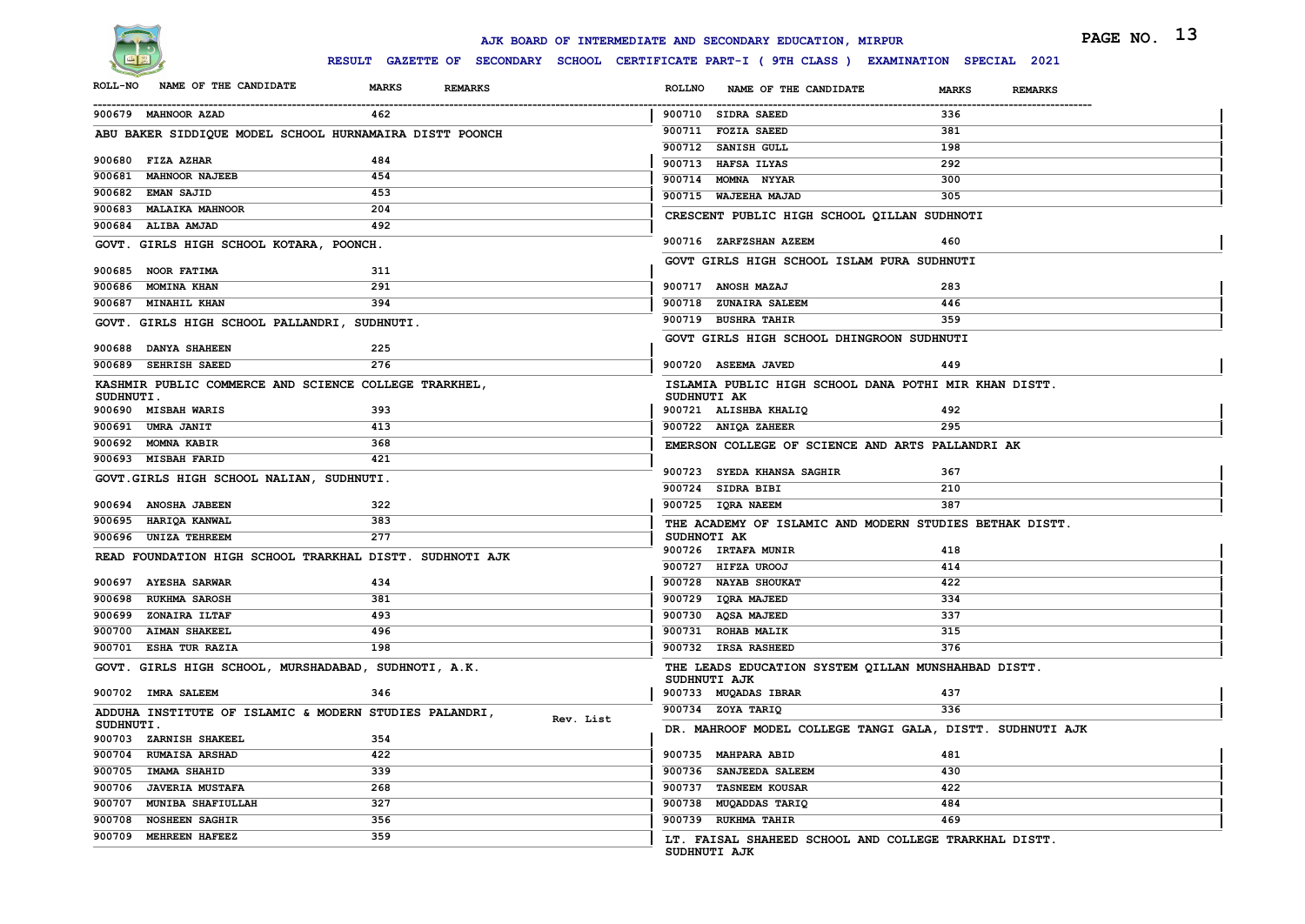

|                  |                                                          |                                                                                              |               | AJK BOARD OF INTERMEDIATE AND SECONDARY EDUCATION, MIRPUR             |              | PAGE NO. 13    |
|------------------|----------------------------------------------------------|----------------------------------------------------------------------------------------------|---------------|-----------------------------------------------------------------------|--------------|----------------|
|                  |                                                          | RESULT GAZETTE OF SECONDARY SCHOOL CERTIFICATE PART-I ( 9TH CLASS ) EXAMINATION SPECIAL 2021 |               |                                                                       |              |                |
| <b>ROLL-NO</b>   | NAME OF THE CANDIDATE                                    | <b>MARKS</b><br><b>REMARKS</b>                                                               | <b>ROLLNO</b> | NAME OF THE CANDIDATE                                                 | <b>MARKS</b> | <b>REMARKS</b> |
|                  | 900679 MAHNOOR AZAD                                      | 462                                                                                          |               | 900710 SIDRA SAEED                                                    | 336          |                |
|                  | ABU BAKER SIDDIQUE MODEL SCHOOL HURNAMAIRA DISTT POONCH  |                                                                                              |               | 900711 FOZIA SAEED                                                    | 381          |                |
|                  |                                                          |                                                                                              |               | 900712 SANISH GULL                                                    | 198          |                |
|                  | 900680 FIZA AZHAR                                        | 484                                                                                          |               | 900713 HAFSA ILYAS                                                    | 292          |                |
|                  | 900681 MAHNOOR NAJEEB                                    | 454                                                                                          |               | 900714 MOMNA NYYAR                                                    | 300          |                |
|                  | 900682 EMAN SAJID                                        | 453                                                                                          |               | 900715 WAJEEHA MAJAD                                                  | 305          |                |
|                  | 900683 MALAIKA MAHNOOR                                   | 204                                                                                          |               | CRESCENT PUBLIC HIGH SCHOOL QILLAN SUDHNOTI                           |              |                |
|                  | 900684 ALIBA AMJAD                                       | 492                                                                                          |               |                                                                       |              |                |
|                  | GOVT. GIRLS HIGH SCHOOL KOTARA, POONCH.                  |                                                                                              |               | 900716 ZARFZSHAN AZEEM                                                | 460          |                |
|                  | 900685 NOOR FATIMA                                       | 311                                                                                          |               | GOVT GIRLS HIGH SCHOOL ISLAM PURA SUDHNUTI                            |              |                |
|                  | 900686 MOMINA KHAN                                       | 291                                                                                          |               | 900717 ANOSH MAZAJ                                                    | 283          |                |
|                  | 900687 MINAHIL KHAN                                      | 394                                                                                          |               | 900718 ZUNAIRA SALEEM                                                 | 446          |                |
|                  | GOVT. GIRLS HIGH SCHOOL PALLANDRI, SUDHNUTI.             |                                                                                              |               | 900719 BUSHRA TAHIR                                                   | 359          |                |
|                  |                                                          |                                                                                              |               | GOVT GIRLS HIGH SCHOOL DHINGROON SUDHNUTI                             |              |                |
|                  | 900688 DANYA SHAHEEN                                     | 225                                                                                          |               |                                                                       |              |                |
|                  | 900689 SEHRISH SAEED                                     | 276                                                                                          |               | 900720 ASEEMA JAVED                                                   | 449          |                |
| SUDHNUTI.        | KASHMIR PUBLIC COMMERCE AND SCIENCE COLLEGE TRARKHEL,    |                                                                                              |               | ISLAMIA PUBLIC HIGH SCHOOL DANA POTHI MIR KHAN DISTT.<br>SUDHNUTI AK  |              |                |
|                  | 900690 MISBAH WARIS                                      | 393                                                                                          |               | 900721 ALISHBA KHALIQ                                                 | 492          |                |
|                  | 900691 UMRA JANIT                                        | 413                                                                                          |               | 900722 ANIQA ZAHEER                                                   | 295          |                |
|                  | 900692 MOMNA KABIR                                       | 368                                                                                          |               | EMERSON COLLEGE OF SCIENCE AND ARTS PALLANDRI AK                      |              |                |
|                  | 900693 MISBAH FARID                                      | 421                                                                                          |               |                                                                       |              |                |
|                  | GOVT.GIRLS HIGH SCHOOL NALIAN, SUDHNUTI.                 |                                                                                              |               | 900723 SYEDA KHANSA SAGHIR                                            | 367          |                |
|                  |                                                          |                                                                                              |               | 900724 SIDRA BIBI                                                     | 210          |                |
|                  | 900694 ANOSHA JABEEN                                     | 322                                                                                          |               | 900725 IQRA NAEEM                                                     | 387          |                |
|                  | 900695 HARIQA KANWAL                                     | 383                                                                                          |               | THE ACADEMY OF ISLAMIC AND MODERN STUDIES BETHAK DISTT.               |              |                |
|                  | 900696 UNIZA TEHREEM                                     | 277                                                                                          |               | SUDHNOTI AK<br>900726 IRTAFA MUNIR                                    | 418          |                |
|                  | READ FOUNDATION HIGH SCHOOL TRARKHAL DISTT. SUDHNOTI AJK |                                                                                              |               | 900727 HIFZA UROOJ                                                    | 414          |                |
|                  | 900697 AYESHA SARWAR                                     | 434                                                                                          |               | 900728 NAYAB SHOUKAT                                                  | 422          |                |
|                  | 900698 RUKHMA SAROSH                                     | 381                                                                                          |               | 900729 IQRA MAJEED                                                    | 334          |                |
|                  | 900699 ZONAIRA ILTAF                                     | 493                                                                                          |               | 900730 AQSA MAJEED                                                    | 337          |                |
|                  | 900700 AIMAN SHAKEEL                                     | 496                                                                                          |               | 900731 ROHAB MALIK                                                    | 315          |                |
|                  | 900701 ESHA TUR RAZIA                                    | 198                                                                                          |               | 900732 IRSA RASHEED                                                   | 376          |                |
|                  | GOVT. GIRLS HIGH SCHOOL, MURSHADABAD, SUDHNOTI, A.K.     |                                                                                              |               | THE LEADS EDUCATION SYSTEM QILLAN MUNSHAHBAD DISTT.<br>SUDHNUTI AJK   |              |                |
|                  | 900702 IMRA SALEEM                                       | 346                                                                                          |               | 900733 MUQADAS IBRAR                                                  | 437          |                |
|                  | ADDUHA INSTITUTE OF ISLAMIC & MODERN STUDIES PALANDRI,   |                                                                                              |               | 900734 ZOYA TARIQ                                                     | 336          |                |
| <b>SUDHNUTI.</b> |                                                          | Rev. List                                                                                    |               | DR. MAHROOF MODEL COLLEGE TANGI GALA, DISTT. SUDHNUTI AJK             |              |                |
|                  | 900703 ZARNISH SHAKEEL                                   | 354                                                                                          |               |                                                                       |              |                |
|                  | 900704 RUMAISA ARSHAD                                    | 422                                                                                          |               | 900735 MAHPARA ABID                                                   | 481          |                |
|                  | 900705 IMAMA SHAHID                                      | 339                                                                                          |               | 900736 SANJEEDA SALEEM                                                | 430          |                |
|                  | 900706 JAVERIA MUSTAFA                                   | 268                                                                                          |               | 900737 TASNEEM KOUSAR                                                 | 422          |                |
|                  | 900707 MUNIBA SHAFIULLAH                                 | 327                                                                                          |               | 900738 MUQADDAS TARIQ                                                 | 484          |                |
|                  | 900708 NOSHEEN SAGHIR                                    | 356                                                                                          |               | 900739 RUKHMA TAHIR                                                   | 469          |                |
|                  | 900709 MEHREEN HAFEEZ                                    | 359                                                                                          |               | LT. FAISAL SHAHEED SCHOOL AND COLLEGE TRARKHAL DISTT.<br>SUDHNUTI AJK |              |                |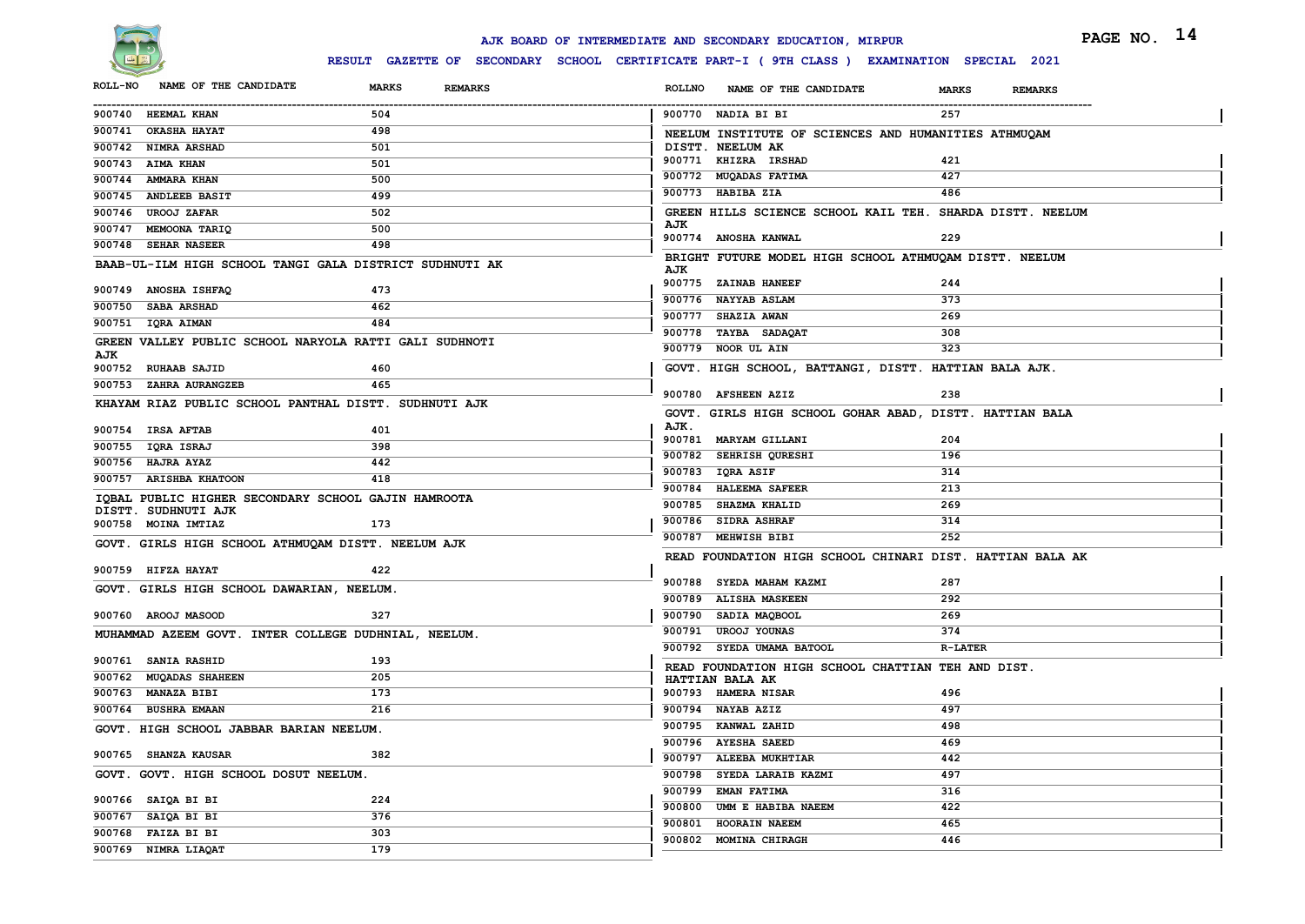

|                |                     |                                           |                                                                                              |               | AJK BOARD OF INTERMEDIATE AND SECONDARY EDUCATION, MIRPUR |                                                           | PAGE NO. 14 |
|----------------|---------------------|-------------------------------------------|----------------------------------------------------------------------------------------------|---------------|-----------------------------------------------------------|-----------------------------------------------------------|-------------|
|                |                     |                                           | RESULT GAZETTE OF SECONDARY SCHOOL CERTIFICATE PART-I ( 9TH CLASS ) EXAMINATION SPECIAL 2021 |               |                                                           |                                                           |             |
| <b>ROLL-NO</b> |                     | NAME OF THE CANDIDATE                     | <b>MARKS</b><br><b>REMARKS</b>                                                               | <b>ROLLNO</b> | NAME OF THE CANDIDATE                                     | <b>MARKS</b><br><b>REMARKS</b>                            |             |
|                | 900740 HEEMAL KHAN  |                                           | 504                                                                                          |               | 900770 NADIA BI BI                                        | 257                                                       |             |
|                | 900741 OKASHA HAYAT |                                           | 498                                                                                          |               |                                                           | NEELUM INSTITUTE OF SCIENCES AND HUMANITIES ATHMUQAM      |             |
|                | 900742 NIMRA ARSHAD |                                           | 501                                                                                          |               | DISTT. NEELUM AK                                          |                                                           |             |
|                | 900743 AIMA KHAN    |                                           | 501                                                                                          |               | 900771 KHIZRA IRSHAD                                      | 421                                                       |             |
|                | 900744 AMMARA KHAN  |                                           | 500                                                                                          |               | 900772 MUQADAS FATIMA                                     | 427                                                       |             |
|                |                     | 900745 ANDLEEB BASIT                      | 499                                                                                          |               | 900773 HABIBA ZIA                                         | 486                                                       |             |
|                | 900746 UROOJ ZAFAR  |                                           | 502                                                                                          |               |                                                           | GREEN HILLS SCIENCE SCHOOL KAIL TEH. SHARDA DISTT. NEELUM |             |
|                |                     | 900747 MEMOONA TARIQ                      | 500                                                                                          | AJK           | 900774 ANOSHA KANWAL                                      | 229                                                       |             |
|                | 900748 SEHAR NASEER |                                           | 498                                                                                          |               |                                                           |                                                           |             |
|                |                     |                                           | BAAB-UL-ILM HIGH SCHOOL TANGI GALA DISTRICT SUDHNUTI AK                                      | AJK           |                                                           | BRIGHT FUTURE MODEL HIGH SCHOOL ATHMUQAM DISTT. NEELUM    |             |
|                |                     | 900749 ANOSHA ISHFAQ                      | 473                                                                                          |               | 900775 ZAINAB HANEEF                                      | 244                                                       |             |
|                | 900750 SABA ARSHAD  |                                           | 462                                                                                          |               | 900776 NAYYAB ASLAM                                       | 373                                                       |             |
|                | 900751 IQRA AIMAN   |                                           | 484                                                                                          |               | 900777 SHAZIA AWAN                                        | 269                                                       |             |
|                |                     |                                           | GREEN VALLEY PUBLIC SCHOOL NARYOLA RATTI GALI SUDHNOTI                                       |               | 900778 TAYBA SADAQAT                                      | 308                                                       |             |
| AJK            |                     |                                           |                                                                                              |               | 900779 NOOR UL AIN                                        | 323                                                       |             |
|                | 900752 RUHAAB SAJID |                                           | 460                                                                                          |               |                                                           | GOVT. HIGH SCHOOL, BATTANGI, DISTT. HATTIAN BALA AJK.     |             |
|                |                     | 900753 ZAHRA AURANGZEB                    | 465                                                                                          |               | 900780 AFSHEEN AZIZ                                       | 238                                                       |             |
|                |                     |                                           | KHAYAM RIAZ PUBLIC SCHOOL PANTHAL DISTT. SUDHNUTI AJK                                        |               |                                                           | GOVT. GIRLS HIGH SCHOOL GOHAR ABAD, DISTT. HATTIAN BALA   |             |
|                | 900754 IRSA AFTAB   |                                           | 401                                                                                          | AJK.          |                                                           |                                                           |             |
|                | 900755 IQRA ISRAJ   |                                           | 398                                                                                          |               | 900781 MARYAM GILLANI                                     | 204                                                       |             |
|                | 900756 HAJRA AYAZ   |                                           | 442                                                                                          |               | 900782 SEHRISH QURESHI                                    | 196                                                       |             |
|                |                     | 900757 ARISHBA KHATOON                    | 418                                                                                          |               | 900783 IQRA ASIF                                          | 314                                                       |             |
|                |                     |                                           | IQBAL PUBLIC HIGHER SECONDARY SCHOOL GAJIN HAMROOTA                                          |               | 900784 HALEEMA SAFEER                                     | 213                                                       |             |
|                |                     | DISTT. SUDHNUTI AJK                       |                                                                                              |               | 900785 SHAZMA KHALID                                      | 269                                                       |             |
|                |                     | 900758 MOINA IMTIAZ                       | 173                                                                                          |               | 900786 SIDRA ASHRAF                                       | 314                                                       |             |
|                |                     |                                           | GOVT. GIRLS HIGH SCHOOL ATHMUQAM DISTT. NEELUM AJK                                           |               | 900787 MEHWISH BIBI                                       | 252                                                       |             |
|                |                     |                                           |                                                                                              |               |                                                           | READ FOUNDATION HIGH SCHOOL CHINARI DIST. HATTIAN BALA AK |             |
|                | 900759 HIFZA HAYAT  |                                           | 422                                                                                          |               | 900788 SYEDA MAHAM KAZMI                                  | 287                                                       |             |
|                |                     | GOVT. GIRLS HIGH SCHOOL DAWARIAN, NEELUM. |                                                                                              |               | 900789 ALISHA MASKEEN                                     | 292                                                       |             |
|                | 900760 AROOJ MASOOD |                                           | 327                                                                                          |               | 900790 SADIA MAQBOOL                                      | 269                                                       |             |
|                |                     |                                           | MUHAMMAD AZEEM GOVT. INTER COLLEGE DUDHNIAL, NEELUM.                                         |               | 900791 UROOJ YOUNAS                                       | 374                                                       |             |
|                |                     |                                           |                                                                                              |               | 900792 SYEDA UMAMA BATOOL                                 | <b>R-LATER</b>                                            |             |
|                | 900761 SANIA RASHID |                                           | 193                                                                                          |               | READ FOUNDATION HIGH SCHOOL CHATTIAN TEH AND DIST.        |                                                           |             |
|                |                     | 900762 MUQADAS SHAHEEN                    | 205                                                                                          |               | HATTIAN BALA AK                                           |                                                           |             |
|                | 900763 MANAZA BIBI  |                                           | 173                                                                                          |               | 900793 HAMERA NISAR                                       | 496                                                       |             |
|                | 900764 BUSHRA EMAAN |                                           | 216                                                                                          |               | 900794 NAYAB AZIZ                                         | 497                                                       |             |
|                |                     | GOVT. HIGH SCHOOL JABBAR BARIAN NEELUM.   |                                                                                              |               | 900795 KANWAL ZAHID                                       | 498                                                       |             |
|                |                     | 900765 SHANZA KAUSAR                      | 382                                                                                          |               | 900796 AYESHA SAEED<br>900797 ALEEBA MUKHTIAR             | 469                                                       |             |
|                |                     | GOVT. GOVT. HIGH SCHOOL DOSUT NEELUM.     |                                                                                              |               |                                                           | 442<br>497                                                |             |
|                |                     |                                           |                                                                                              |               | 900798 SYEDA LARAIB KAZMI<br>900799 EMAN FATIMA           | 316                                                       |             |
|                | 900766 SAIQA BI BI  |                                           | 224                                                                                          |               | 900800 UMM E HABIBA NAEEM                                 | 422                                                       |             |
|                | 900767 SAIQA BI BI  |                                           | 376                                                                                          |               | 900801 HOORAIN NAEEM                                      | 465                                                       |             |
|                | 900768 FAIZA BI BI  |                                           | 303                                                                                          |               | 900802 MOMINA CHIRAGH                                     | 446                                                       |             |
|                |                     | 900769 NIMRA LIAQAT                       | 179                                                                                          |               |                                                           |                                                           |             |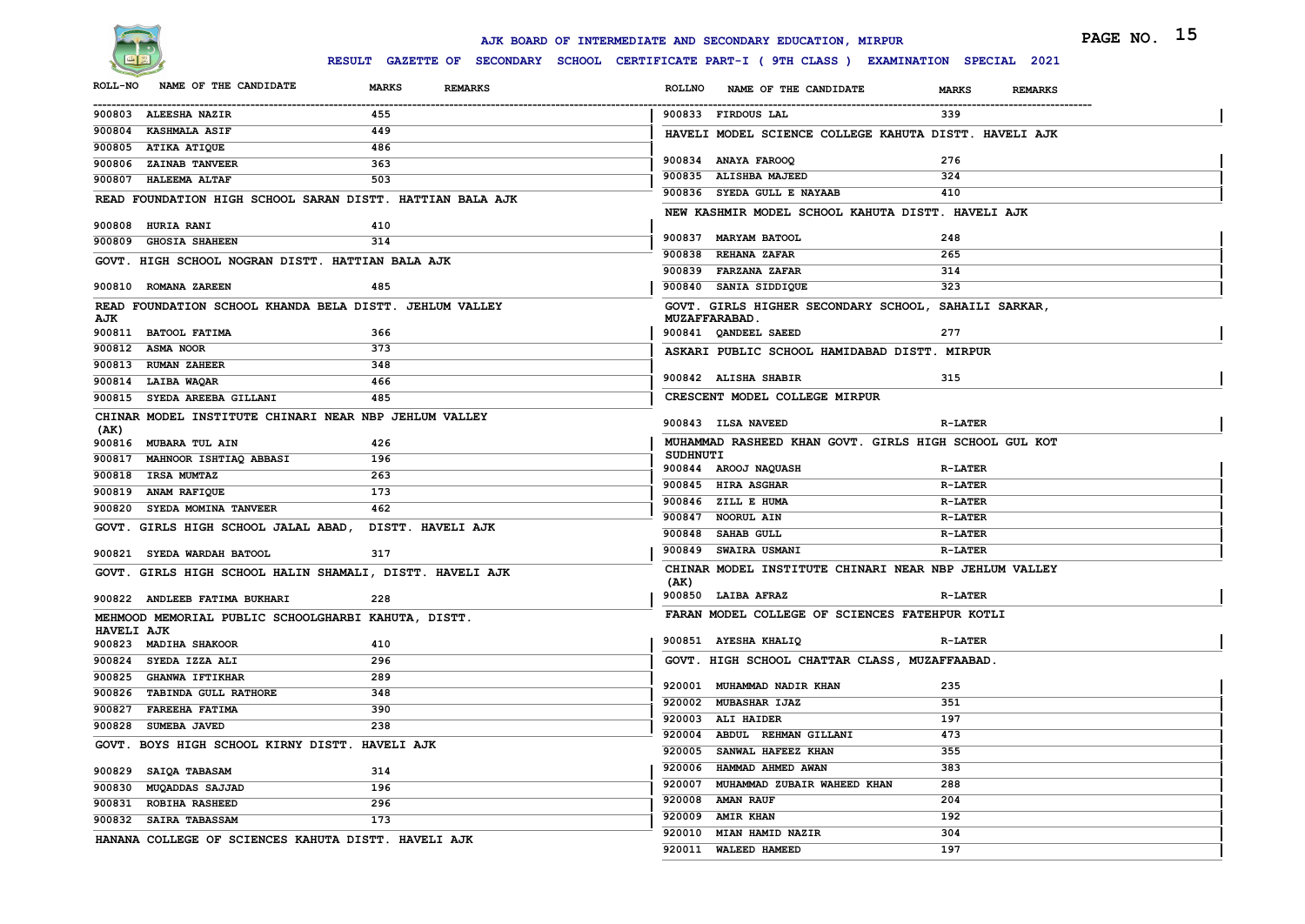

|                                                     |                                                           | PAGE NO. 15<br>AJK BOARD OF INTERMEDIATE AND SECONDARY EDUCATION, MIRPUR                     |  |
|-----------------------------------------------------|-----------------------------------------------------------|----------------------------------------------------------------------------------------------|--|
|                                                     |                                                           | RESULT GAZETTE OF SECONDARY SCHOOL CERTIFICATE PART-I ( 9TH CLASS ) EXAMINATION SPECIAL 2021 |  |
| NAME OF THE CANDIDATE<br><b>ROLL-NO</b>             | MARKS<br><b>REMARKS</b>                                   | <b>ROLLNO</b><br>NAME OF THE CANDIDATE<br><b>MARKS</b><br><b>REMARKS</b>                     |  |
| 900803 ALEESHA NAZIR                                | 455                                                       | 900833 FIRDOUS LAL<br>339                                                                    |  |
| 900804 KASHMALA ASIF                                | 449                                                       | HAVELI MODEL SCIENCE COLLEGE KAHUTA DISTT. HAVELI AJK                                        |  |
| 900805 ATIKA ATIQUE                                 | 486                                                       |                                                                                              |  |
| 900806 ZAINAB TANVEER                               | 363                                                       | 900834 ANAYA FAROOQ<br>276                                                                   |  |
| 900807 HALEEMA ALTAF                                | 503                                                       | 900835 ALISHBA MAJEED<br>324                                                                 |  |
|                                                     | READ FOUNDATION HIGH SCHOOL SARAN DISTT. HATTIAN BALA AJK | 410<br>900836 SYEDA GULL E NAYAAB                                                            |  |
| 900808 HURIA RANI                                   | 410                                                       | NEW KASHMIR MODEL SCHOOL KAHUTA DISTT. HAVELI AJK                                            |  |
| 900809 GHOSIA SHAHEEN                               | 314                                                       | 900837 MARYAM BATOOL<br>248                                                                  |  |
| GOVT. HIGH SCHOOL NOGRAN DISTT. HATTIAN BALA AJK    |                                                           | 900838 REHANA ZAFAR<br>265                                                                   |  |
|                                                     |                                                           | 900839 FARZANA ZAFAR<br>314                                                                  |  |
| 900810 ROMANA ZAREEN                                | 485                                                       | 323<br>900840 SANIA SIDDIQUE                                                                 |  |
|                                                     | READ FOUNDATION SCHOOL KHANDA BELA DISTT. JEHLUM VALLEY   | GOVT. GIRLS HIGHER SECONDARY SCHOOL, SAHAILI SARKAR,                                         |  |
| AJK<br>900811 BATOOL FATIMA                         | 366                                                       | <b>MUZAFFARABAD.</b><br>277<br>900841 QANDEEL SAEED                                          |  |
| 900812 ASMA NOOR                                    | 373                                                       |                                                                                              |  |
| 900813 RUMAN ZAHEER                                 | 348                                                       | ASKARI PUBLIC SCHOOL HAMIDABAD DISTT. MIRPUR                                                 |  |
| 900814 LAIBA WAQAR                                  | 466                                                       | 315<br>900842 ALISHA SHABIR                                                                  |  |
| 900815 SYEDA AREEBA GILLANI                         | 485                                                       | CRESCENT MODEL COLLEGE MIRPUR                                                                |  |
|                                                     | CHINAR MODEL INSTITUTE CHINARI NEAR NBP JEHLUM VALLEY     |                                                                                              |  |
| (AK)                                                |                                                           | 900843 ILSA NAVEED<br><b>R-LATER</b>                                                         |  |
| 900816 MUBARA TUL AIN                               | 426                                                       | MUHAMMAD RASHEED KHAN GOVT. GIRLS HIGH SCHOOL GUL KOT                                        |  |
| 900817 MAHNOOR ISHTIAQ ABBASI                       | 196                                                       | <b>SUDHNUTI</b><br>900844 AROOJ NAQUASH<br><b>R-LATER</b>                                    |  |
| 900818 IRSA MUMTAZ                                  | 263                                                       | 900845 HIRA ASGHAR<br><b>R-LATER</b>                                                         |  |
| 900819 ANAM RAFIQUE                                 | 173                                                       | 900846 ZILL E HUMA<br><b>R-LATER</b>                                                         |  |
| 900820 SYEDA MOMINA TANVEER                         | 462                                                       | 900847 NOORUL AIN<br><b>R-LATER</b>                                                          |  |
| GOVT. GIRLS HIGH SCHOOL JALAL ABAD,                 | <b>DISTT. HAVELI AJK</b>                                  | 900848 SAHAB GULL<br><b>R-LATER</b>                                                          |  |
| 900821 SYEDA WARDAH BATOOL                          | 317                                                       | 900849 SWAIRA USMANI<br><b>R-LATER</b>                                                       |  |
|                                                     |                                                           | CHINAR MODEL INSTITUTE CHINARI NEAR NBP JEHLUM VALLEY                                        |  |
|                                                     | GOVT. GIRLS HIGH SCHOOL HALIN SHAMALI, DISTT. HAVELI AJK  | (AK)                                                                                         |  |
| 900822 ANDLEEB FATIMA BUKHARI                       | 228                                                       | 900850 LAIBA AFRAZ<br><b>R-LATER</b>                                                         |  |
| MEHMOOD MEMORIAL PUBLIC SCHOOLGHARBI KAHUTA, DISTT. |                                                           | FARAN MODEL COLLEGE OF SCIENCES FATEHPUR KOTLI                                               |  |
| <b>HAVELI AJK</b><br>900823 MADIHA SHAKOOR          | 410                                                       | 900851 AYESHA KHALIQ<br><b>R-LATER</b>                                                       |  |
| 900824 SYEDA IZZA ALI                               | 296                                                       | GOVT. HIGH SCHOOL CHATTAR CLASS, MUZAFFAABAD.                                                |  |
| 900825<br><b>GHANWA IFTIKHAR</b>                    | 289                                                       |                                                                                              |  |
| 900826 TABINDA GULL RATHORE                         | 348                                                       | 235<br>920001 MUHAMMAD NADIR KHAN                                                            |  |
| 900827 FAREEHA FATIMA                               | 390                                                       | 351<br>920002 MUBASHAR IJAZ                                                                  |  |
| 900828 SUMEBA JAVED                                 | 238                                                       | 920003 ALI HAIDER<br>197                                                                     |  |
| GOVT. BOYS HIGH SCHOOL KIRNY DISTT. HAVELI AJK      |                                                           | 473<br>920004 ABDUL REHMAN GILLANI                                                           |  |
|                                                     |                                                           | 920005 SANWAL HAFEEZ KHAN<br>355                                                             |  |
| 900829 SAIQA TABASAM                                | 314                                                       | 920006 HAMMAD AHMED AWAN<br>383                                                              |  |
| 900830 MUQADDAS SAJJAD                              | 196                                                       | 920007 MUHAMMAD ZUBAIR WAHEED KHAN<br>288                                                    |  |
| 900831 ROBIHA RASHEED                               | 296                                                       | 920008 AMAN RAUF<br>204                                                                      |  |
| 900832 SAIRA TABASSAM                               | 173                                                       | 920009 AMIR KHAN<br>192                                                                      |  |
| HANANA COLLEGE OF SCIENCES KAHUTA DISTT. HAVELI AJK |                                                           | 920010 MIAN HAMID NAZIR<br>304                                                               |  |
|                                                     |                                                           | 920011 WALEED HAMEED<br>197                                                                  |  |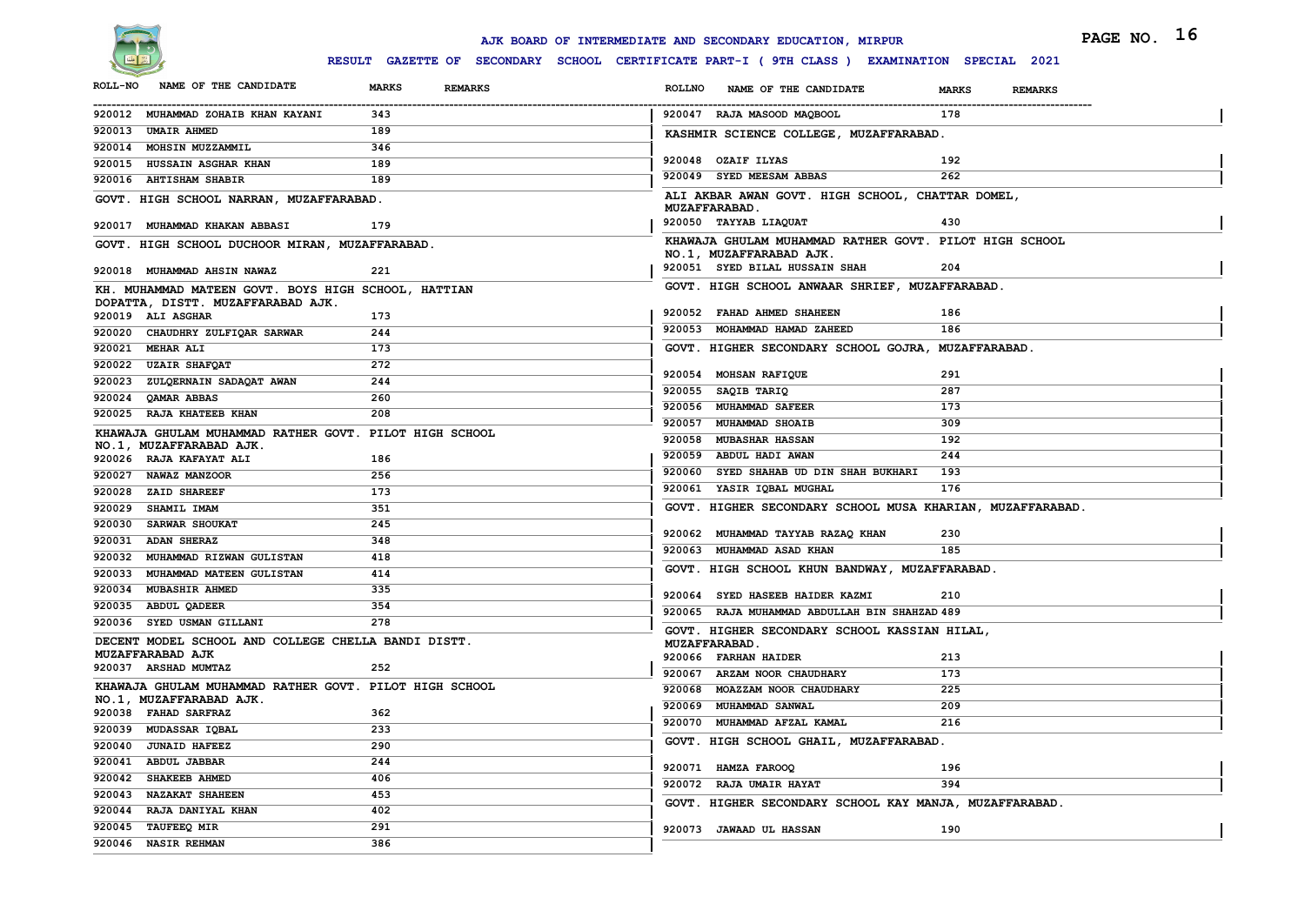

|                                                                                          |                                                                                              | AJK BOARD OF INTERMEDIATE AND SECONDARY EDUCATION, MIRPUR |                                                           |                                | PAGE NO. 16 |
|------------------------------------------------------------------------------------------|----------------------------------------------------------------------------------------------|-----------------------------------------------------------|-----------------------------------------------------------|--------------------------------|-------------|
|                                                                                          | RESULT GAZETTE OF SECONDARY SCHOOL CERTIFICATE PART-I ( 9TH CLASS ) EXAMINATION SPECIAL 2021 |                                                           |                                                           |                                |             |
| NAME OF THE CANDIDATE<br><b>ROLL-NO</b>                                                  | <b>MARKS</b><br><b>REMARKS</b>                                                               | <b>ROLLNO</b>                                             | NAME OF THE CANDIDATE                                     | <b>MARKS</b><br><b>REMARKS</b> |             |
| 920012 MUHAMMAD ZOHAIB KHAN KAYANI                                                       | 343                                                                                          | 920047 RAJA MASOOD MAQBOOL                                |                                                           | 178                            |             |
| 920013 UMAIR AHMED                                                                       | 189                                                                                          |                                                           | KASHMIR SCIENCE COLLEGE, MUZAFFARABAD.                    |                                |             |
| 920014 MOHSIN MUZZAMMIL                                                                  | 346                                                                                          |                                                           |                                                           |                                |             |
| 920015 HUSSAIN ASGHAR KHAN                                                               | 189                                                                                          | 920048 OZAIF ILYAS                                        |                                                           | 192                            |             |
| 920016 AHTISHAM SHABIR                                                                   | 189                                                                                          | 920049 SYED MEESAM ABBAS                                  |                                                           | 262                            |             |
| GOVT. HIGH SCHOOL NARRAN, MUZAFFARABAD.                                                  |                                                                                              | <b>MUZAFFARABAD.</b>                                      | ALI AKBAR AWAN GOVT. HIGH SCHOOL, CHATTAR DOMEL,          |                                |             |
| 920017 MUHAMMAD KHAKAN ABBASI                                                            | 179                                                                                          | 920050 TAYYAB LIAQUAT                                     |                                                           | 430                            |             |
| GOVT. HIGH SCHOOL DUCHOOR MIRAN, MUZAFFARABAD.                                           |                                                                                              | NO.1, MUZAFFARABAD AJK.                                   | KHAWAJA GHULAM MUHAMMAD RATHER GOVT. PILOT HIGH SCHOOL    |                                |             |
| 920018 MUHAMMAD AHSIN NAWAZ                                                              | 221                                                                                          |                                                           | 920051 SYED BILAL HUSSAIN SHAH                            | 204                            |             |
| KH. MUHAMMAD MATEEN GOVT. BOYS HIGH SCHOOL, HATTIAN<br>DOPATTA, DISTT. MUZAFFARABAD AJK. |                                                                                              |                                                           | GOVT. HIGH SCHOOL ANWAAR SHRIEF, MUZAFFARABAD.            |                                |             |
| 920019 ALI ASGHAR                                                                        | 173                                                                                          | 920052 FAHAD AHMED SHAHEEN                                |                                                           | 186                            |             |
| 920020 CHAUDHRY ZULFIQAR SARWAR                                                          | 244                                                                                          |                                                           | 920053 MOHAMMAD HAMAD ZAHEED                              | 186                            |             |
| 920021 MEHAR ALI                                                                         | 173                                                                                          |                                                           | GOVT. HIGHER SECONDARY SCHOOL GOJRA, MUZAFFARABAD.        |                                |             |
| 920022 UZAIR SHAFQAT                                                                     | 272                                                                                          |                                                           |                                                           |                                |             |
| 920023 ZULQERNAIN SADAQAT AWAN                                                           | 244                                                                                          | 920054 MOHSAN RAFIQUE                                     |                                                           | 291                            |             |
| 920024 QAMAR ABBAS                                                                       | 260                                                                                          | 920055 SAQIB TARIQ<br>920056 MUHAMMAD SAFEER              |                                                           | 287<br>173                     |             |
| 920025 RAJA KHATEEB KHAN                                                                 | 208                                                                                          | 920057 MUHAMMAD SHOAIB                                    |                                                           | 309                            |             |
| KHAWAJA GHULAM MUHAMMAD RATHER GOVT. PILOT HIGH SCHOOL                                   |                                                                                              | 920058 MUBASHAR HASSAN                                    |                                                           | 192                            |             |
| NO.1, MUZAFFARABAD AJK.                                                                  |                                                                                              | 920059 ABDUL HADI AWAN                                    |                                                           | 244                            |             |
| 920026 RAJA KAFAYAT ALI                                                                  | 186                                                                                          |                                                           | 920060 SYED SHAHAB UD DIN SHAH BUKHARI                    | 193                            |             |
| 920027 NAWAZ MANZOOR<br>920028 ZAID SHAREEF                                              | 256<br>173                                                                                   | 920061 YASIR IQBAL MUGHAL                                 |                                                           | 176                            |             |
| 920029 SHAMIL IMAM                                                                       | 351                                                                                          |                                                           | GOVT. HIGHER SECONDARY SCHOOL MUSA KHARIAN, MUZAFFARABAD. |                                |             |
| 920030 SARWAR SHOUKAT                                                                    | 245                                                                                          |                                                           |                                                           |                                |             |
| 920031 ADAN SHERAZ                                                                       | 348                                                                                          |                                                           | 920062 MUHAMMAD TAYYAB RAZAQ KHAN                         | 230                            |             |
| 920032 MUHAMMAD RIZWAN GULISTAN                                                          | 418                                                                                          | 920063 MUHAMMAD ASAD KHAN                                 |                                                           | 185                            |             |
| 920033 MUHAMMAD MATEEN GULISTAN                                                          | 414                                                                                          |                                                           | GOVT. HIGH SCHOOL KHUN BANDWAY, MUZAFFARABAD.             |                                |             |
| 920034 MUBASHIR AHMED                                                                    | 335                                                                                          |                                                           |                                                           |                                |             |
| 920035 ABDUL QADEER                                                                      | 354                                                                                          |                                                           | 920064 SYED HASEEB HAIDER KAZMI                           | 210                            |             |
| 920036 SYED USMAN GILLANI                                                                | 278                                                                                          |                                                           | 920065 RAJA MUHAMMAD ABDULLAH BIN SHAHZAD 489             |                                |             |
| DECENT MODEL SCHOOL AND COLLEGE CHELLA BANDI DISTT.                                      |                                                                                              | <b>MUZAFFARABAD</b> .                                     | GOVT. HIGHER SECONDARY SCHOOL KASSIAN HILAL,              |                                |             |
| MUZAFFARABAD AJK                                                                         |                                                                                              | 920066 FARHAN HAIDER                                      |                                                           | 213                            |             |
| 920037 ARSHAD MUMTAZ                                                                     | 252                                                                                          |                                                           | 920067 ARZAM NOOR CHAUDHARY                               | 173                            |             |
| KHAWAJA GHULAM MUHAMMAD RATHER GOVT. PILOT HIGH SCHOOL                                   |                                                                                              |                                                           | 920068 MOAZZAM NOOR CHAUDHARY                             | 225                            |             |
| NO.1, MUZAFFARABAD AJK.<br>920038 FAHAD SARFRAZ                                          | 362                                                                                          | 920069 MUHAMMAD SANWAL                                    |                                                           | 209                            |             |
| 920039 MUDASSAR IQBAL                                                                    | 233                                                                                          |                                                           | 920070 MUHAMMAD AFZAL KAMAL                               | 216                            |             |
| 920040 JUNAID HAFEEZ                                                                     | 290                                                                                          |                                                           | GOVT. HIGH SCHOOL GHAIL, MUZAFFARABAD.                    |                                |             |
| 920041 ABDUL JABBAR                                                                      | 244                                                                                          |                                                           |                                                           |                                |             |
| 920042 SHAKEEB AHMED                                                                     | 406                                                                                          | 920071 HAMZA FAROOQ                                       |                                                           | 196                            |             |
| 920043 NAZAKAT SHAHEEN                                                                   | 453                                                                                          | 920072 RAJA UMAIR HAYAT                                   |                                                           | 394                            |             |
| 920044 RAJA DANIYAL KHAN                                                                 | 402                                                                                          |                                                           | GOVT. HIGHER SECONDARY SCHOOL KAY MANJA, MUZAFFARABAD.    |                                |             |
| 920045 TAUFEEQ MIR                                                                       | 291                                                                                          | 920073 JAWAAD UL HASSAN                                   |                                                           | 190                            |             |
| 920046 NASIR REHMAN                                                                      | 386                                                                                          |                                                           |                                                           |                                |             |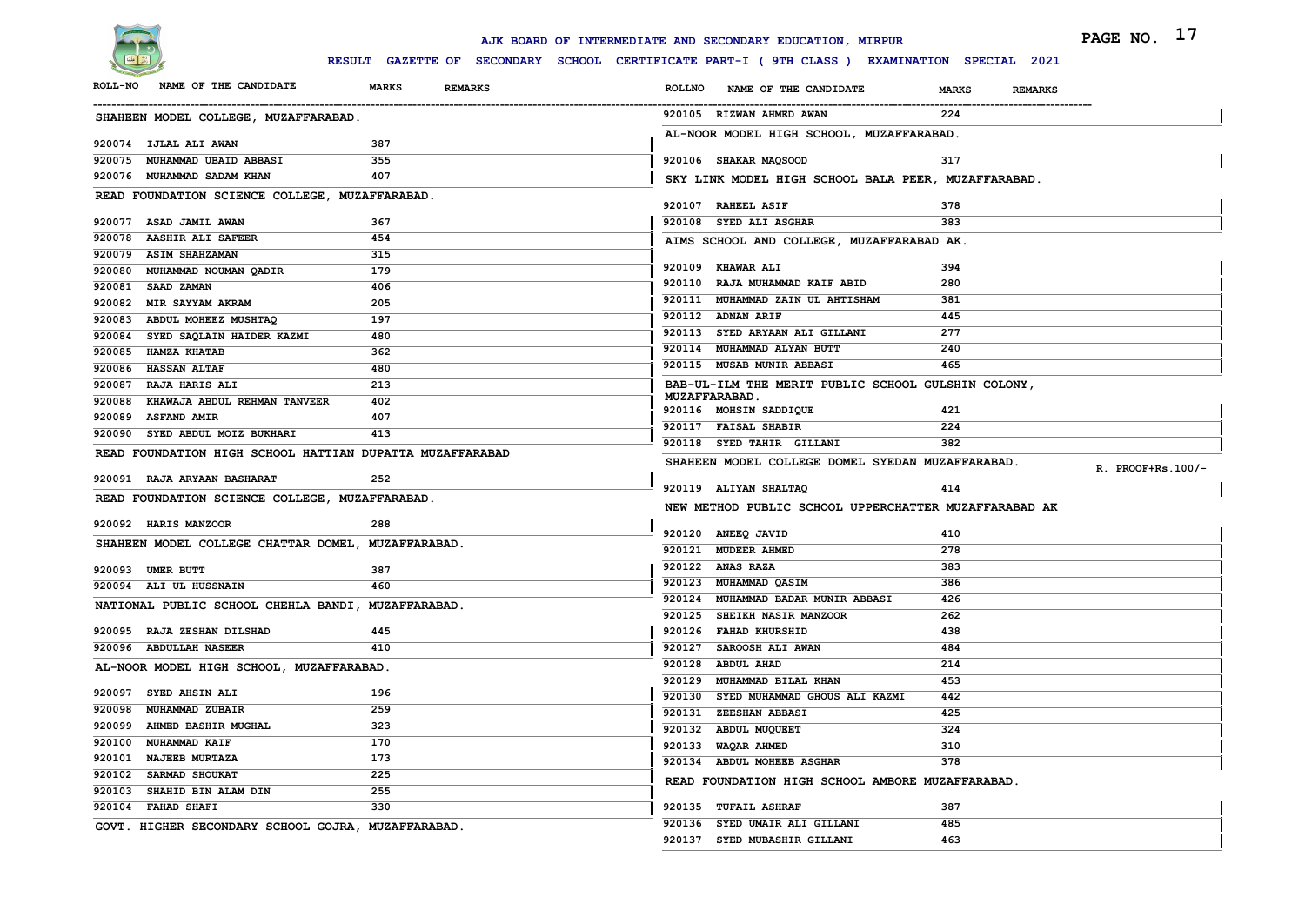

|                   |                                                          |                                                                                              |               | AJK BOARD OF INTERMEDIATE AND SECONDARY EDUCATION, MIRPUR                  |                                | PAGE NO. 17       |
|-------------------|----------------------------------------------------------|----------------------------------------------------------------------------------------------|---------------|----------------------------------------------------------------------------|--------------------------------|-------------------|
|                   |                                                          | RESULT GAZETTE OF SECONDARY SCHOOL CERTIFICATE PART-I ( 9TH CLASS ) EXAMINATION SPECIAL 2021 |               |                                                                            |                                |                   |
| <b>ROLL-NO</b>    | NAME OF THE CANDIDATE                                    | <b>MARKS</b><br><b>REMARKS</b>                                                               | <b>ROLLNO</b> | NAME OF THE CANDIDATE                                                      | <b>MARKS</b><br><b>REMARKS</b> |                   |
|                   | SHAHEEN MODEL COLLEGE, MUZAFFARABAD.                     |                                                                                              |               | 920105 RIZWAN AHMED AWAN                                                   | 224                            |                   |
|                   | 920074 IJLAL ALI AWAN                                    | 387                                                                                          |               | AL-NOOR MODEL HIGH SCHOOL, MUZAFFARABAD.                                   |                                |                   |
|                   | 920075 MUHAMMAD UBAID ABBASI                             | 355                                                                                          |               | 920106 SHAKAR MAQSOOD                                                      | 317                            |                   |
|                   | 920076 MUHAMMAD SADAM KHAN                               | 407                                                                                          |               |                                                                            |                                |                   |
|                   | READ FOUNDATION SCIENCE COLLEGE, MUZAFFARABAD.           |                                                                                              |               | SKY LINK MODEL HIGH SCHOOL BALA PEER, MUZAFFARABAD.                        |                                |                   |
|                   |                                                          |                                                                                              |               | 920107 RAHEEL ASIF                                                         | 378                            |                   |
|                   | 920077 ASAD JAMIL AWAN                                   | 367                                                                                          |               | 920108 SYED ALI ASGHAR                                                     | 383                            |                   |
|                   | 920078 AASHIR ALI SAFEER                                 | 454                                                                                          |               | AIMS SCHOOL AND COLLEGE, MUZAFFARABAD AK.                                  |                                |                   |
|                   | 920079 ASIM SHAHZAMAN                                    | 315                                                                                          |               |                                                                            |                                |                   |
| 920080            | MUHAMMAD NOUMAN QADIR                                    | 179                                                                                          |               | 920109 KHAWAR ALI                                                          | 394                            |                   |
| 920081 SAAD ZAMAN |                                                          | 406                                                                                          |               | 920110 RAJA MUHAMMAD KAIF ABID                                             | 280                            |                   |
|                   | 920082 MIR SAYYAM AKRAM                                  | 205                                                                                          |               | 920111 MUHAMMAD ZAIN UL AHTISHAM                                           | 381                            |                   |
| 920083            | ABDUL MOHEEZ MUSHTAQ                                     | 197                                                                                          |               | 920112 ADNAN ARIF                                                          | 445<br>277                     |                   |
|                   | 920084 SYED SAQLAIN HAIDER KAZMI                         | 480                                                                                          |               | 920113 SYED ARYAAN ALI GILLANI<br>920114 MUHAMMAD ALYAN BUTT               | 240                            |                   |
| 920085            | <b>HAMZA KHATAB</b>                                      | 362                                                                                          |               | 920115 MUSAB MUNIR ABBASI                                                  | 465                            |                   |
| 920086            | <b>HASSAN ALTAF</b>                                      | 480                                                                                          |               |                                                                            |                                |                   |
|                   | 920087 RAJA HARIS ALI                                    | 213                                                                                          |               | BAB-UL-ILM THE MERIT PUBLIC SCHOOL GULSHIN COLONY,<br><b>MUZAFFARABAD.</b> |                                |                   |
|                   | 920088 KHAWAJA ABDUL REHMAN TANVEER                      | 402                                                                                          |               | 920116 MOHSIN SADDIQUE                                                     | 421                            |                   |
|                   | 920089 ASFAND AMIR<br>920090 SYED ABDUL MOIZ BUKHARI     | 407<br>413                                                                                   |               | 920117 FAISAL SHABIR                                                       | 224                            |                   |
|                   |                                                          |                                                                                              |               | 920118 SYED TAHIR GILLANI                                                  | 382                            |                   |
|                   | READ FOUNDATION HIGH SCHOOL HATTIAN DUPATTA MUZAFFARABAD |                                                                                              |               | SHAHEEN MODEL COLLEGE DOMEL SYEDAN MUZAFFARABAD.                           |                                |                   |
|                   | 920091 RAJA ARYAAN BASHARAT                              | 252                                                                                          |               |                                                                            |                                | R. PROOF+Rs.100/- |
|                   | READ FOUNDATION SCIENCE COLLEGE, MUZAFFARABAD.           |                                                                                              |               | 920119 ALIYAN SHALTAQ                                                      | 414                            |                   |
|                   |                                                          |                                                                                              |               | NEW METHOD PUBLIC SCHOOL UPPERCHATTER MUZAFFARABAD AK                      |                                |                   |
|                   | 920092 HARIS MANZOOR                                     | 288                                                                                          |               | 920120 ANEEQ JAVID                                                         | 410                            |                   |
|                   | SHAHEEN MODEL COLLEGE CHATTAR DOMEL, MUZAFFARABAD.       |                                                                                              |               | 920121 MUDEER AHMED                                                        | 278                            |                   |
| 920093 UMER BUTT  |                                                          | 387                                                                                          |               | 920122 ANAS RAZA                                                           | 383                            |                   |
|                   | 920094 ALI UL HUSSNAIN                                   | 460                                                                                          |               | 920123 MUHAMMAD QASIM                                                      | 386                            |                   |
|                   |                                                          |                                                                                              |               | 920124 MUHAMMAD BADAR MUNIR ABBASI                                         | 426                            |                   |
|                   | NATIONAL PUBLIC SCHOOL CHEHLA BANDI, MUZAFFARABAD.       |                                                                                              |               | 920125 SHEIKH NASIR MANZOOR                                                | 262                            |                   |
|                   | 920095 RAJA ZESHAN DILSHAD                               | 445                                                                                          |               | 920126 FAHAD KHURSHID                                                      | 438                            |                   |
|                   | 920096 ABDULLAH NASEER                                   | 410                                                                                          |               | 920127 SAROOSH ALI AWAN                                                    | 484                            |                   |
|                   | AL-NOOR MODEL HIGH SCHOOL, MUZAFFARABAD.                 |                                                                                              |               | 920128 ABDUL AHAD                                                          | 214                            |                   |
|                   |                                                          |                                                                                              |               | 920129 MUHAMMAD BILAL KHAN                                                 | 453                            |                   |
|                   | 920097 SYED AHSIN ALI                                    | 196                                                                                          |               | 920130 SYED MUHAMMAD GHOUS ALI KAZMI                                       | 442                            |                   |
|                   | 920098 MUHAMMAD ZUBAIR                                   | 259                                                                                          |               | 920131 ZEESHAN ABBASI                                                      | 425                            |                   |
|                   | 920099 AHMED BASHIR MUGHAL                               | 323                                                                                          |               | 920132 ABDUL MUQUEET                                                       | 324                            |                   |
|                   | 920100 MUHAMMAD KAIF                                     | 170                                                                                          |               | 920133 WAQAR AHMED                                                         | 310                            |                   |
|                   | 920101 NAJEEB MURTAZA                                    | 173                                                                                          |               | 920134 ABDUL MOHEEB ASGHAR                                                 | 378                            |                   |
|                   | 920102 SARMAD SHOUKAT                                    | 225                                                                                          |               | READ FOUNDATION HIGH SCHOOL AMBORE MUZAFFARABAD.                           |                                |                   |
|                   | 920103 SHAHID BIN ALAM DIN                               | 255                                                                                          |               |                                                                            |                                |                   |
|                   | 920104 FAHAD SHAFI                                       | 330                                                                                          |               | 920135 TUFAIL ASHRAF                                                       | 387                            |                   |
|                   | GOVT. HIGHER SECONDARY SCHOOL GOJRA, MUZAFFARABAD.       |                                                                                              |               | 920136 SYED UMAIR ALI GILLANI                                              | 485                            |                   |
|                   |                                                          |                                                                                              |               | 920137 SYED MUBASHIR GILLANI                                               | 463                            |                   |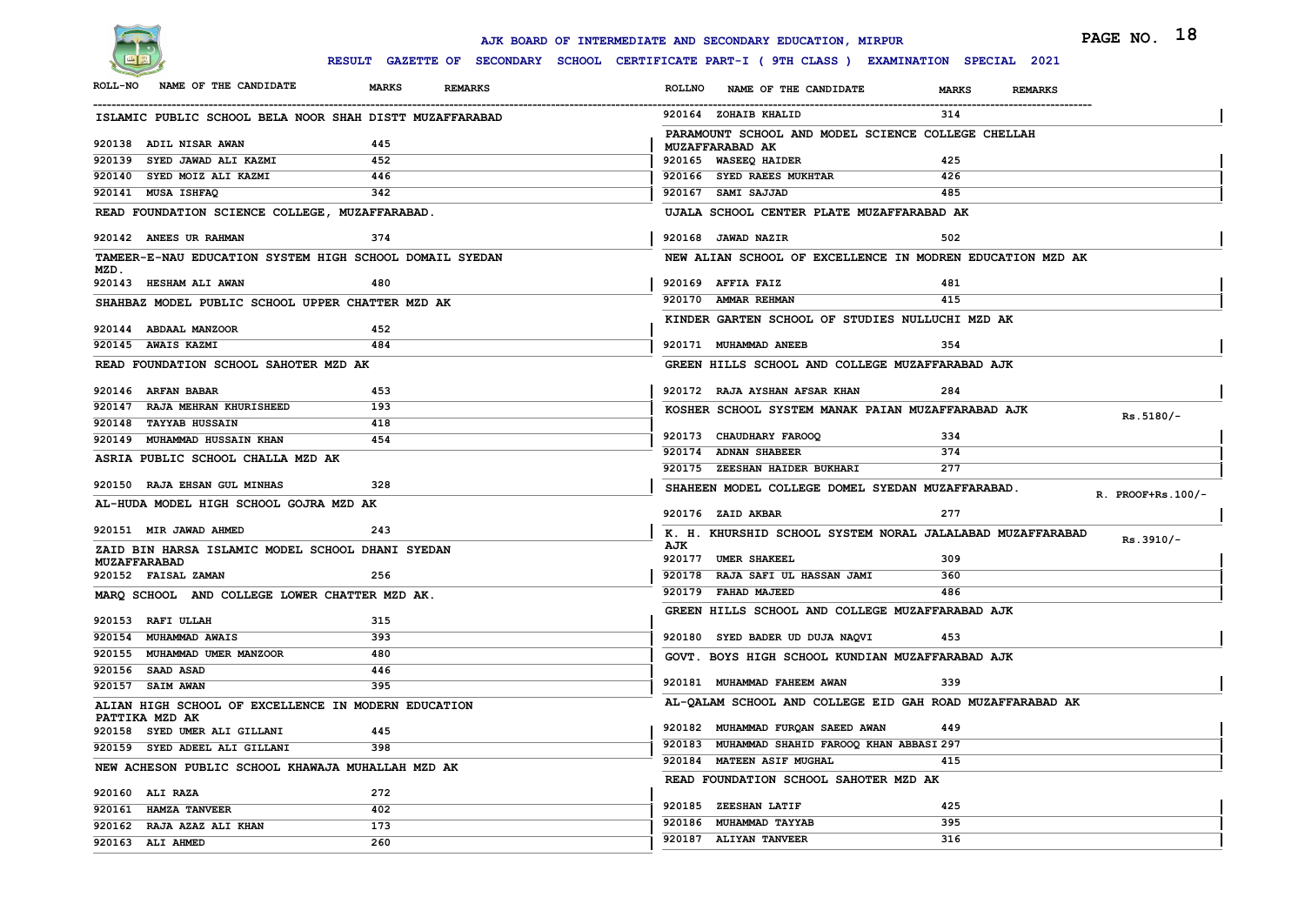

|                |                                                                       |              |                |               | AJK BOARD OF INTERMEDIATE AND SECONDARY EDUCATION, MIRPUR                                    |              |                | PAGE NO. 18          |
|----------------|-----------------------------------------------------------------------|--------------|----------------|---------------|----------------------------------------------------------------------------------------------|--------------|----------------|----------------------|
|                |                                                                       |              |                |               | RESULT GAZETTE OF SECONDARY SCHOOL CERTIFICATE PART-I ( 9TH CLASS ) EXAMINATION SPECIAL 2021 |              |                |                      |
| <b>ROLL-NO</b> | NAME OF THE CANDIDATE                                                 | <b>MARKS</b> | <b>REMARKS</b> | <b>ROLLNO</b> | NAME OF THE CANDIDATE                                                                        | <b>MARKS</b> | <b>REMARKS</b> |                      |
|                | ISLAMIC PUBLIC SCHOOL BELA NOOR SHAH DISTT MUZAFFARABAD               |              |                |               | 920164 ZOHAIB KHALID                                                                         | 314          |                |                      |
|                | 920138 ADIL NISAR AWAN                                                | 445          |                |               | PARAMOUNT SCHOOL AND MODEL SCIENCE COLLEGE CHELLAH                                           |              |                |                      |
|                | 920139 SYED JAWAD ALI KAZMI                                           | 452          |                |               | MUZAFFARABAD AK<br>920165 WASEEQ HAIDER                                                      | 425          |                |                      |
|                | 920140 SYED MOIZ ALI KAZMI                                            | 446          |                |               | 920166 SYED RAEES MUKHTAR                                                                    | 426          |                |                      |
|                | 920141 MUSA ISHFAQ                                                    | 342          |                |               | 920167 SAMI SAJJAD                                                                           | 485          |                |                      |
|                | READ FOUNDATION SCIENCE COLLEGE, MUZAFFARABAD.                        |              |                |               | UJALA SCHOOL CENTER PLATE MUZAFFARABAD AK                                                    |              |                |                      |
|                | 920142 ANEES UR RAHMAN                                                | 374          |                |               | 920168 JAWAD NAZIR                                                                           | 502          |                |                      |
| MZD.           | TAMEER-E-NAU EDUCATION SYSTEM HIGH SCHOOL DOMAIL SYEDAN               |              |                |               | NEW ALIAN SCHOOL OF EXCELLENCE IN MODREN EDUCATION MZD AK                                    |              |                |                      |
|                | 920143 HESHAM ALI AWAN                                                | 480          |                |               | 920169 AFFIA FAIZ                                                                            | 481          |                |                      |
|                | SHAHBAZ MODEL PUBLIC SCHOOL UPPER CHATTER MZD AK                      |              |                |               | 920170 AMMAR REHMAN                                                                          | 415          |                |                      |
|                | 920144 ABDAAL MANZOOR                                                 | 452          |                |               | KINDER GARTEN SCHOOL OF STUDIES NULLUCHI MZD AK                                              |              |                |                      |
|                | 920145 AWAIS KAZMI                                                    | 484          |                |               | 920171 MUHAMMAD ANEEB                                                                        | 354          |                |                      |
|                | READ FOUNDATION SCHOOL SAHOTER MZD AK                                 |              |                |               | GREEN HILLS SCHOOL AND COLLEGE MUZAFFARABAD AJK                                              |              |                |                      |
|                | 920146 ARFAN BABAR                                                    | 453          |                |               | 920172 RAJA AYSHAN AFSAR KHAN                                                                | 284          |                |                      |
|                | 920147 RAJA MEHRAN KHURISHEED                                         | 193          |                |               | KOSHER SCHOOL SYSTEM MANAK PAIAN MUZAFFARABAD AJK                                            |              |                | $Rs.5180/-$          |
|                | 920148 TAYYAB HUSSAIN                                                 | 418          |                |               |                                                                                              |              |                |                      |
|                | 920149 MUHAMMAD HUSSAIN KHAN                                          | 454          |                |               | 920173 CHAUDHARY FAROOQ<br>920174 ADNAN SHABEER                                              | 334          |                |                      |
|                | ASRIA PUBLIC SCHOOL CHALLA MZD AK                                     |              |                |               | 920175 ZEESHAN HAIDER BUKHARI                                                                | 374<br>277   |                |                      |
|                | 920150 RAJA EHSAN GUL MINHAS                                          | 328          |                |               |                                                                                              |              |                |                      |
|                |                                                                       |              |                |               | SHAHEEN MODEL COLLEGE DOMEL SYEDAN MUZAFFARABAD.                                             |              |                | $R.$ PROOF+Rs. 100/- |
|                | AL-HUDA MODEL HIGH SCHOOL GOJRA MZD AK                                |              |                |               | 920176 ZAID AKBAR                                                                            | 277          |                |                      |
|                | 920151 MIR JAWAD AHMED                                                | 243          |                |               | K. H. KHURSHID SCHOOL SYSTEM NORAL JALALABAD MUZAFFARABAD                                    |              |                |                      |
|                | ZAID BIN HARSA ISLAMIC MODEL SCHOOL DHANI SYEDAN                      |              |                | AJK           |                                                                                              |              |                | Rs.3910/-            |
|                | <b>MUZAFFARABAD</b>                                                   |              |                |               | 920177 UMER SHAKEEL                                                                          | 309          |                |                      |
|                | 920152 FAISAL ZAMAN                                                   | 256          |                |               | 920178 RAJA SAFI UL HASSAN JAMI                                                              | 360          |                |                      |
|                | MARQ SCHOOL AND COLLEGE LOWER CHATTER MZD AK.                         |              |                |               | 920179 FAHAD MAJEED                                                                          | 486          |                |                      |
|                | 920153 RAFI ULLAH                                                     | 315          |                |               | GREEN HILLS SCHOOL AND COLLEGE MUZAFFARABAD AJK                                              |              |                |                      |
|                | 920154 MUHAMMAD AWAIS                                                 | 393          |                |               | 920180 SYED BADER UD DUJA NAQVI                                                              | 453          |                |                      |
|                | 920155 MUHAMMAD UMER MANZOOR                                          | 480          |                |               | GOVT. BOYS HIGH SCHOOL KUNDIAN MUZAFFARABAD AJK                                              |              |                |                      |
|                | 920156 SAAD ASAD                                                      | 446          |                |               |                                                                                              |              |                |                      |
|                | 920157 SAIM AWAN                                                      | 395          |                |               | 920181 MUHAMMAD FAHEEM AWAN                                                                  | 339          |                |                      |
|                | ALIAN HIGH SCHOOL OF EXCELLENCE IN MODERN EDUCATION<br>PATTIKA MZD AK |              |                |               | AL-QALAM SCHOOL AND COLLEGE EID GAH ROAD MUZAFFARABAD AK                                     |              |                |                      |
|                | 920158 SYED UMER ALI GILLANI                                          | 445          |                |               | 920182 MUHAMMAD FURQAN SAEED AWAN                                                            | 449          |                |                      |
|                | 920159 SYED ADEEL ALI GILLANI                                         | 398          |                |               | 920183 MUHAMMAD SHAHID FAROOQ KHAN ABBASI 297                                                |              |                |                      |
|                | NEW ACHESON PUBLIC SCHOOL KHAWAJA MUHALLAH MZD AK                     |              |                |               | 920184 MATEEN ASIF MUGHAL                                                                    | 415          |                |                      |
|                | 920160 ALI RAZA                                                       | 272          |                |               | READ FOUNDATION SCHOOL SAHOTER MZD AK                                                        |              |                |                      |
|                | 920161 HAMZA TANVEER                                                  | 402          |                |               | 920185 ZEESHAN LATIF                                                                         | 425          |                |                      |
|                | 920162 RAJA AZAZ ALI KHAN                                             | 173          |                |               | 920186 MUHAMMAD TAYYAB                                                                       | 395          |                |                      |
|                | 920163 ALI AHMED                                                      | 260          |                |               | 920187 ALIYAN TANVEER                                                                        | 316          |                |                      |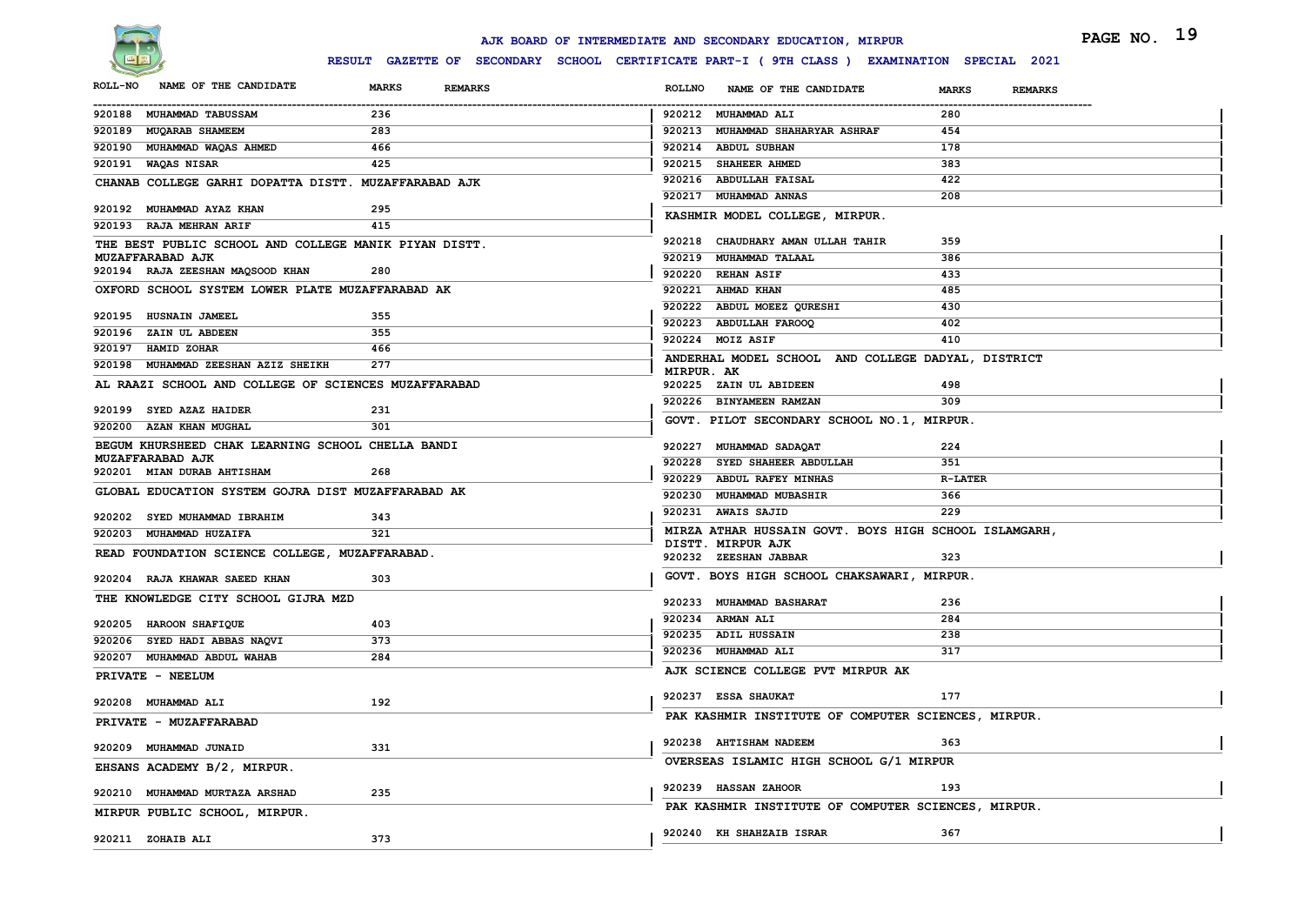

|                                                       |                                                                                              | AJK BOARD OF INTERMEDIATE AND SECONDARY EDUCATION, MIRPUR | PAGE NO. 19                    |
|-------------------------------------------------------|----------------------------------------------------------------------------------------------|-----------------------------------------------------------|--------------------------------|
|                                                       | RESULT GAZETTE OF SECONDARY SCHOOL CERTIFICATE PART-I ( 9TH CLASS ) EXAMINATION SPECIAL 2021 |                                                           |                                |
| NAME OF THE CANDIDATE<br><b>ROLL-NO</b>               | <b>MARKS</b><br><b>REMARKS</b>                                                               | <b>ROLLNO</b><br>NAME OF THE CANDIDATE                    | <b>MARKS</b><br><b>REMARKS</b> |
| 920188 MUHAMMAD TABUSSAM                              | 236                                                                                          | 920212 MUHAMMAD ALI                                       | 280                            |
| 920189 MUQARAB SHAMEEM                                | 283                                                                                          | 920213 MUHAMMAD SHAHARYAR ASHRAF                          | 454                            |
| 920190 MUHAMMAD WAQAS AHMED                           | 466                                                                                          | 920214 ABDUL SUBHAN                                       | 178                            |
| 920191 WAQAS NISAR                                    | 425                                                                                          | 920215 SHAHEER AHMED                                      | 383                            |
| CHANAB COLLEGE GARHI DOPATTA DISTT. MUZAFFARABAD AJK  |                                                                                              | 920216 ABDULLAH FAISAL                                    | 422                            |
| 920192 MUHAMMAD AYAZ KHAN                             | 295                                                                                          | 920217 MUHAMMAD ANNAS                                     | 208                            |
| 920193 RAJA MEHRAN ARIF                               | 415                                                                                          | KASHMIR MODEL COLLEGE, MIRPUR.                            |                                |
| THE BEST PUBLIC SCHOOL AND COLLEGE MANIK PIYAN DISTT. |                                                                                              | 920218 CHAUDHARY AMAN ULLAH TAHIR                         | 359                            |
| MUZAFFARABAD AJK                                      |                                                                                              | 920219 MUHAMMAD TALAAL                                    | 386                            |
| 920194 RAJA ZEESHAN MAQSOOD KHAN                      | 280                                                                                          | 920220 REHAN ASIF                                         | 433                            |
| OXFORD SCHOOL SYSTEM LOWER PLATE MUZAFFARABAD AK      |                                                                                              | 920221 AHMAD KHAN                                         | 485                            |
| 920195 HUSNAIN JAMEEL                                 | 355                                                                                          | 920222 ABDUL MOEEZ QURESHI                                | 430                            |
| 920196 ZAIN UL ABDEEN                                 | 355                                                                                          | 920223 ABDULLAH FAROOQ                                    | 402                            |
| 920197 HAMID ZOHAR                                    | 466                                                                                          | 920224 MOIZ ASIF                                          | 410                            |
| 920198 MUHAMMAD ZEESHAN AZIZ SHEIKH                   | 277                                                                                          | ANDERHAL MODEL SCHOOL AND COLLEGE DADYAL, DISTRICT        |                                |
| AL RAAZI SCHOOL AND COLLEGE OF SCIENCES MUZAFFARABAD  |                                                                                              | MIRPUR. AK<br>920225 ZAIN UL ABIDEEN                      | 498                            |
|                                                       |                                                                                              | 920226 BINYAMEEN RAMZAN                                   | 309                            |
| 920199 SYED AZAZ HAIDER                               | 231                                                                                          | GOVT. PILOT SECONDARY SCHOOL NO.1, MIRPUR.                |                                |
| 920200 AZAN KHAN MUGHAL                               | 301                                                                                          |                                                           |                                |
| BEGUM KHURSHEED CHAK LEARNING SCHOOL CHELLA BANDI     |                                                                                              | 920227 MUHAMMAD SADAQAT                                   | 224                            |
| MUZAFFARABAD AJK<br>920201 MIAN DURAB AHTISHAM        | 268                                                                                          | 920228 SYED SHAHEER ABDULLAH                              | 351                            |
| GLOBAL EDUCATION SYSTEM GOJRA DIST MUZAFFARABAD AK    |                                                                                              | 920229 ABDUL RAFEY MINHAS                                 | <b>R-LATER</b>                 |
|                                                       |                                                                                              | 920230 MUHAMMAD MUBASHIR                                  | 366                            |
| 920202 SYED MUHAMMAD IBRAHIM                          | 343                                                                                          | 920231 AWAIS SAJID                                        | 229                            |
| 920203 MUHAMMAD HUZAIFA                               | 321                                                                                          | MIRZA ATHAR HUSSAIN GOVT. BOYS HIGH SCHOOL ISLAMGARH,     |                                |
| READ FOUNDATION SCIENCE COLLEGE, MUZAFFARABAD.        |                                                                                              | DISTT. MIRPUR AJK<br>920232 ZEESHAN JABBAR                | 323                            |
|                                                       |                                                                                              | GOVT. BOYS HIGH SCHOOL CHAKSAWARI, MIRPUR.                |                                |
| 920204 RAJA KHAWAR SAEED KHAN                         | 303                                                                                          |                                                           |                                |
| THE KNOWLEDGE CITY SCHOOL GIJRA MZD                   |                                                                                              | 920233 MUHAMMAD BASHARAT                                  | 236                            |
| 920205 HAROON SHAFIQUE                                | 403                                                                                          | 920234 ARMAN ALI                                          | 284                            |
| 920206 SYED HADI ABBAS NAQVI                          | 373                                                                                          | 920235 ADIL HUSSAIN                                       | 238                            |
| 920207 MUHAMMAD ABDUL WAHAB                           | 284                                                                                          | 920236 MUHAMMAD ALI                                       | 317                            |
| PRIVATE - NEELUM                                      |                                                                                              | AJK SCIENCE COLLEGE PVT MIRPUR AK                         |                                |
|                                                       |                                                                                              | 920237 ESSA SHAUKAT                                       | 177                            |
| 920208 MUHAMMAD ALI                                   | 192                                                                                          | PAK KASHMIR INSTITUTE OF COMPUTER SCIENCES, MIRPUR.       |                                |
| PRIVATE - MUZAFFARABAD                                |                                                                                              |                                                           |                                |
| 920209 MUHAMMAD JUNAID                                | 331                                                                                          | 920238 AHTISHAM NADEEM                                    | 363                            |
| EHSANS ACADEMY B/2, MIRPUR.                           |                                                                                              | OVERSEAS ISLAMIC HIGH SCHOOL G/1 MIRPUR                   |                                |
|                                                       |                                                                                              |                                                           |                                |
| 920210 MUHAMMAD MURTAZA ARSHAD                        | 235                                                                                          | 920239 HASSAN ZAHOOR                                      | 193                            |
| MIRPUR PUBLIC SCHOOL, MIRPUR.                         |                                                                                              | PAK KASHMIR INSTITUTE OF COMPUTER SCIENCES, MIRPUR.       |                                |
|                                                       |                                                                                              | 920240 KH SHAHZAIB ISRAR                                  | 367                            |
| 920211 ZOHAIB ALI                                     | 373                                                                                          |                                                           |                                |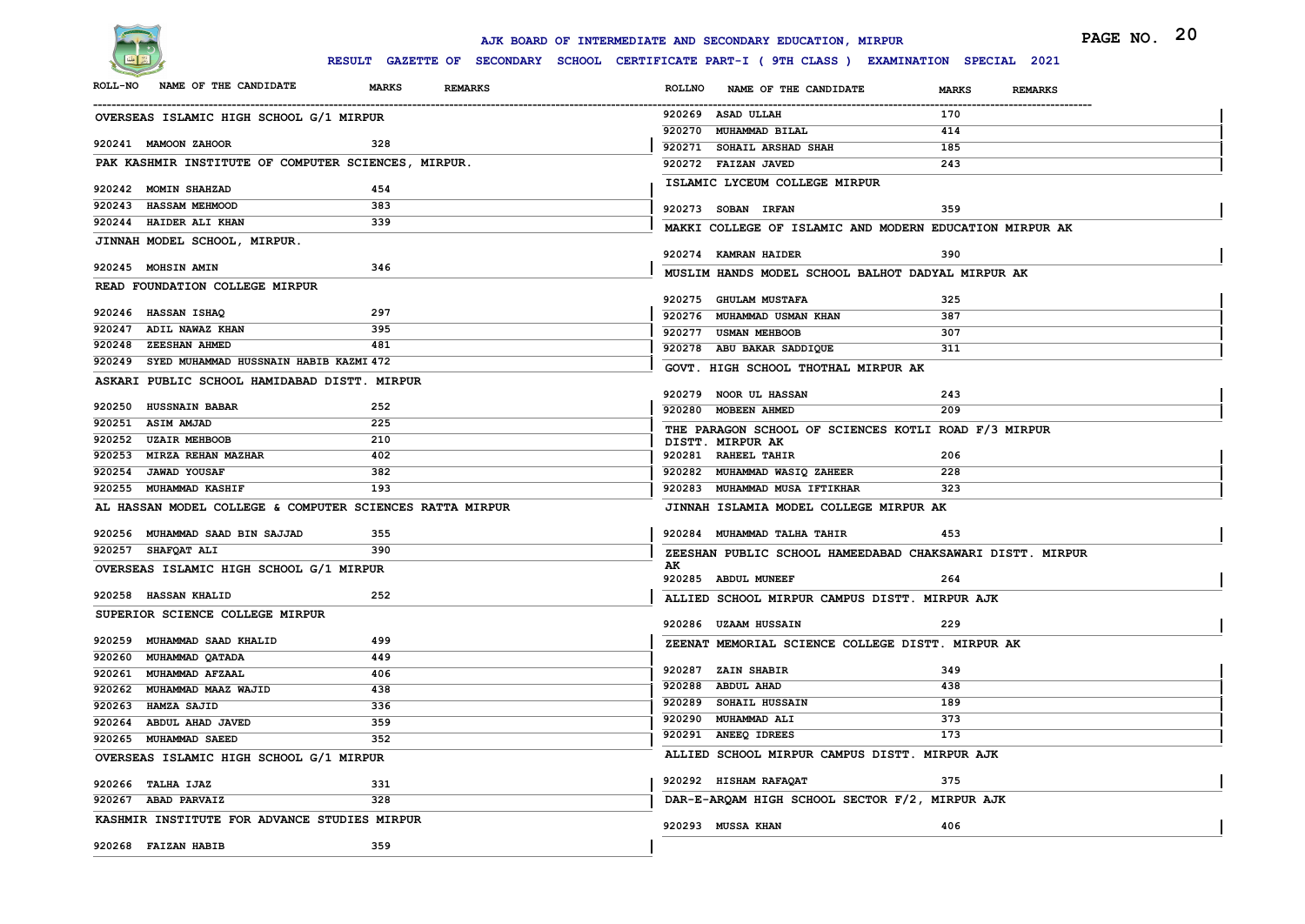

| RESULT GAZETTE OF SECONDARY SCHOOL CERTIFICATE PART-I ( 9TH CLASS ) EXAMINATION SPECIAL 2021<br>NAME OF THE CANDIDATE<br><b>MARKS</b><br><b>REMARKS</b><br><b>ROLLNO</b><br>NAME OF THE CANDIDATE<br><b>MARKS</b><br><b>REMARKS</b><br>920269 ASAD ULLAH<br>170<br>OVERSEAS ISLAMIC HIGH SCHOOL G/1 MIRPUR<br>920270 MUHAMMAD BILAL<br>414<br>328<br>920271 SOHAIL ARSHAD SHAH<br>185<br>PAK KASHMIR INSTITUTE OF COMPUTER SCIENCES, MIRPUR.<br>920272 FAIZAN JAVED<br>243<br>ISLAMIC LYCEUM COLLEGE MIRPUR<br>454<br>383<br>920273 SOBAN IRFAN<br>359<br>339<br>MAKKI COLLEGE OF ISLAMIC AND MODERN EDUCATION MIRPUR AK<br>920274 KAMRAN HAIDER<br>390<br>346<br>MUSLIM HANDS MODEL SCHOOL BALHOT DADYAL MIRPUR AK<br>READ FOUNDATION COLLEGE MIRPUR<br>920275 GHULAM MUSTAFA<br>325<br>297<br>920276 MUHAMMAD USMAN KHAN<br>387<br>395<br>920277 USMAN MEHBOOB<br>307<br>481<br>920278 ABU BAKAR SADDIQUE<br>311<br>920249 SYED MUHAMMAD HUSSNAIN HABIB KAZMI 472<br>GOVT. HIGH SCHOOL THOTHAL MIRPUR AK<br>ASKARI PUBLIC SCHOOL HAMIDABAD DISTT. MIRPUR<br>920279 NOOR UL HASSAN<br>243<br>252<br>920280 MOBEEN AHMED<br>209<br>225<br>THE PARAGON SCHOOL OF SCIENCES KOTLI ROAD F/3 MIRPUR<br>210<br>DISTT. MIRPUR AK<br>402<br>920281 RAHEEL TAHIR<br>206<br>382<br>920282 MUHAMMAD WASIQ ZAHEER<br>228<br>193<br>920283 MUHAMMAD MUSA IFTIKHAR<br>323<br>AL HASSAN MODEL COLLEGE & COMPUTER SCIENCES RATTA MIRPUR<br>JINNAH ISLAMIA MODEL COLLEGE MIRPUR AK<br>355<br>920284 MUHAMMAD TALHA TAHIR<br>453<br>390<br>ZEESHAN PUBLIC SCHOOL HAMEEDABAD CHAKSAWARI DISTT. MIRPUR<br>AK<br>OVERSEAS ISLAMIC HIGH SCHOOL G/1 MIRPUR<br>920285 ABDUL MUNEEF<br>264<br>252<br>ALLIED SCHOOL MIRPUR CAMPUS DISTT. MIRPUR AJK<br>920286 UZAAM HUSSAIN<br>229<br>499<br>ZEENAT MEMORIAL SCIENCE COLLEGE DISTT. MIRPUR AK<br>449<br>920287 ZAIN SHABIR<br>349<br>920261 MUHAMMAD AFZAAL<br>406<br>438<br>920288 ABDUL AHAD<br>920262 MUHAMMAD MAAZ WAJID<br>438<br>920289 SOHAIL HUSSAIN<br>189<br>336<br>920263 HAMZA SAJID<br>920290 MUHAMMAD ALI<br>373<br>359<br>920264 ABDUL AHAD JAVED<br>920291 ANEEQ IDREES<br>173<br>352<br>ALLIED SCHOOL MIRPUR CAMPUS DISTT. MIRPUR AJK<br>OVERSEAS ISLAMIC HIGH SCHOOL G/1 MIRPUR<br>920292 HISHAM RAFAQAT<br>375<br>331<br>DAR-E-ARQAM HIGH SCHOOL SECTOR F/2, MIRPUR AJK<br>328<br>KASHMIR INSTITUTE FOR ADVANCE STUDIES MIRPUR<br>920293 MUSSA KHAN<br>406 |                                 |     | AJK BOARD OF INTERMEDIATE AND SECONDARY EDUCATION, MIRPUR | PAGE NO. 20 |
|-----------------------------------------------------------------------------------------------------------------------------------------------------------------------------------------------------------------------------------------------------------------------------------------------------------------------------------------------------------------------------------------------------------------------------------------------------------------------------------------------------------------------------------------------------------------------------------------------------------------------------------------------------------------------------------------------------------------------------------------------------------------------------------------------------------------------------------------------------------------------------------------------------------------------------------------------------------------------------------------------------------------------------------------------------------------------------------------------------------------------------------------------------------------------------------------------------------------------------------------------------------------------------------------------------------------------------------------------------------------------------------------------------------------------------------------------------------------------------------------------------------------------------------------------------------------------------------------------------------------------------------------------------------------------------------------------------------------------------------------------------------------------------------------------------------------------------------------------------------------------------------------------------------------------------------------------------------------------------------------------------------------------------------------------------------------------------------------------------------------------------------------------------------------------------------------------------------------------------------------------------------------------------------------------------------------------------------------------------------------------------------------------------|---------------------------------|-----|-----------------------------------------------------------|-------------|
|                                                                                                                                                                                                                                                                                                                                                                                                                                                                                                                                                                                                                                                                                                                                                                                                                                                                                                                                                                                                                                                                                                                                                                                                                                                                                                                                                                                                                                                                                                                                                                                                                                                                                                                                                                                                                                                                                                                                                                                                                                                                                                                                                                                                                                                                                                                                                                                                     |                                 |     |                                                           |             |
|                                                                                                                                                                                                                                                                                                                                                                                                                                                                                                                                                                                                                                                                                                                                                                                                                                                                                                                                                                                                                                                                                                                                                                                                                                                                                                                                                                                                                                                                                                                                                                                                                                                                                                                                                                                                                                                                                                                                                                                                                                                                                                                                                                                                                                                                                                                                                                                                     | <b>ROLL-NO</b>                  |     |                                                           |             |
|                                                                                                                                                                                                                                                                                                                                                                                                                                                                                                                                                                                                                                                                                                                                                                                                                                                                                                                                                                                                                                                                                                                                                                                                                                                                                                                                                                                                                                                                                                                                                                                                                                                                                                                                                                                                                                                                                                                                                                                                                                                                                                                                                                                                                                                                                                                                                                                                     |                                 |     |                                                           |             |
|                                                                                                                                                                                                                                                                                                                                                                                                                                                                                                                                                                                                                                                                                                                                                                                                                                                                                                                                                                                                                                                                                                                                                                                                                                                                                                                                                                                                                                                                                                                                                                                                                                                                                                                                                                                                                                                                                                                                                                                                                                                                                                                                                                                                                                                                                                                                                                                                     |                                 |     |                                                           |             |
|                                                                                                                                                                                                                                                                                                                                                                                                                                                                                                                                                                                                                                                                                                                                                                                                                                                                                                                                                                                                                                                                                                                                                                                                                                                                                                                                                                                                                                                                                                                                                                                                                                                                                                                                                                                                                                                                                                                                                                                                                                                                                                                                                                                                                                                                                                                                                                                                     | 920241 MAMOON ZAHOOR            |     |                                                           |             |
|                                                                                                                                                                                                                                                                                                                                                                                                                                                                                                                                                                                                                                                                                                                                                                                                                                                                                                                                                                                                                                                                                                                                                                                                                                                                                                                                                                                                                                                                                                                                                                                                                                                                                                                                                                                                                                                                                                                                                                                                                                                                                                                                                                                                                                                                                                                                                                                                     |                                 |     |                                                           |             |
|                                                                                                                                                                                                                                                                                                                                                                                                                                                                                                                                                                                                                                                                                                                                                                                                                                                                                                                                                                                                                                                                                                                                                                                                                                                                                                                                                                                                                                                                                                                                                                                                                                                                                                                                                                                                                                                                                                                                                                                                                                                                                                                                                                                                                                                                                                                                                                                                     | 920242 MOMIN SHAHZAD            |     |                                                           |             |
|                                                                                                                                                                                                                                                                                                                                                                                                                                                                                                                                                                                                                                                                                                                                                                                                                                                                                                                                                                                                                                                                                                                                                                                                                                                                                                                                                                                                                                                                                                                                                                                                                                                                                                                                                                                                                                                                                                                                                                                                                                                                                                                                                                                                                                                                                                                                                                                                     | 920243 HASSAM MEHMOOD           |     |                                                           |             |
|                                                                                                                                                                                                                                                                                                                                                                                                                                                                                                                                                                                                                                                                                                                                                                                                                                                                                                                                                                                                                                                                                                                                                                                                                                                                                                                                                                                                                                                                                                                                                                                                                                                                                                                                                                                                                                                                                                                                                                                                                                                                                                                                                                                                                                                                                                                                                                                                     | 920244 HAIDER ALI KHAN          |     |                                                           |             |
|                                                                                                                                                                                                                                                                                                                                                                                                                                                                                                                                                                                                                                                                                                                                                                                                                                                                                                                                                                                                                                                                                                                                                                                                                                                                                                                                                                                                                                                                                                                                                                                                                                                                                                                                                                                                                                                                                                                                                                                                                                                                                                                                                                                                                                                                                                                                                                                                     | JINNAH MODEL SCHOOL, MIRPUR.    |     |                                                           |             |
|                                                                                                                                                                                                                                                                                                                                                                                                                                                                                                                                                                                                                                                                                                                                                                                                                                                                                                                                                                                                                                                                                                                                                                                                                                                                                                                                                                                                                                                                                                                                                                                                                                                                                                                                                                                                                                                                                                                                                                                                                                                                                                                                                                                                                                                                                                                                                                                                     | 920245 MOHSIN AMIN              |     |                                                           |             |
|                                                                                                                                                                                                                                                                                                                                                                                                                                                                                                                                                                                                                                                                                                                                                                                                                                                                                                                                                                                                                                                                                                                                                                                                                                                                                                                                                                                                                                                                                                                                                                                                                                                                                                                                                                                                                                                                                                                                                                                                                                                                                                                                                                                                                                                                                                                                                                                                     |                                 |     |                                                           |             |
|                                                                                                                                                                                                                                                                                                                                                                                                                                                                                                                                                                                                                                                                                                                                                                                                                                                                                                                                                                                                                                                                                                                                                                                                                                                                                                                                                                                                                                                                                                                                                                                                                                                                                                                                                                                                                                                                                                                                                                                                                                                                                                                                                                                                                                                                                                                                                                                                     |                                 |     |                                                           |             |
|                                                                                                                                                                                                                                                                                                                                                                                                                                                                                                                                                                                                                                                                                                                                                                                                                                                                                                                                                                                                                                                                                                                                                                                                                                                                                                                                                                                                                                                                                                                                                                                                                                                                                                                                                                                                                                                                                                                                                                                                                                                                                                                                                                                                                                                                                                                                                                                                     | 920246 HASSAN ISHAQ             |     |                                                           |             |
|                                                                                                                                                                                                                                                                                                                                                                                                                                                                                                                                                                                                                                                                                                                                                                                                                                                                                                                                                                                                                                                                                                                                                                                                                                                                                                                                                                                                                                                                                                                                                                                                                                                                                                                                                                                                                                                                                                                                                                                                                                                                                                                                                                                                                                                                                                                                                                                                     | 920247 ADIL NAWAZ KHAN          |     |                                                           |             |
|                                                                                                                                                                                                                                                                                                                                                                                                                                                                                                                                                                                                                                                                                                                                                                                                                                                                                                                                                                                                                                                                                                                                                                                                                                                                                                                                                                                                                                                                                                                                                                                                                                                                                                                                                                                                                                                                                                                                                                                                                                                                                                                                                                                                                                                                                                                                                                                                     | 920248 ZEESHAN AHMED            |     |                                                           |             |
|                                                                                                                                                                                                                                                                                                                                                                                                                                                                                                                                                                                                                                                                                                                                                                                                                                                                                                                                                                                                                                                                                                                                                                                                                                                                                                                                                                                                                                                                                                                                                                                                                                                                                                                                                                                                                                                                                                                                                                                                                                                                                                                                                                                                                                                                                                                                                                                                     |                                 |     |                                                           |             |
|                                                                                                                                                                                                                                                                                                                                                                                                                                                                                                                                                                                                                                                                                                                                                                                                                                                                                                                                                                                                                                                                                                                                                                                                                                                                                                                                                                                                                                                                                                                                                                                                                                                                                                                                                                                                                                                                                                                                                                                                                                                                                                                                                                                                                                                                                                                                                                                                     |                                 |     |                                                           |             |
|                                                                                                                                                                                                                                                                                                                                                                                                                                                                                                                                                                                                                                                                                                                                                                                                                                                                                                                                                                                                                                                                                                                                                                                                                                                                                                                                                                                                                                                                                                                                                                                                                                                                                                                                                                                                                                                                                                                                                                                                                                                                                                                                                                                                                                                                                                                                                                                                     | 920250 HUSSNAIN BABAR           |     |                                                           |             |
|                                                                                                                                                                                                                                                                                                                                                                                                                                                                                                                                                                                                                                                                                                                                                                                                                                                                                                                                                                                                                                                                                                                                                                                                                                                                                                                                                                                                                                                                                                                                                                                                                                                                                                                                                                                                                                                                                                                                                                                                                                                                                                                                                                                                                                                                                                                                                                                                     | 920251 ASIM AMJAD               |     |                                                           |             |
|                                                                                                                                                                                                                                                                                                                                                                                                                                                                                                                                                                                                                                                                                                                                                                                                                                                                                                                                                                                                                                                                                                                                                                                                                                                                                                                                                                                                                                                                                                                                                                                                                                                                                                                                                                                                                                                                                                                                                                                                                                                                                                                                                                                                                                                                                                                                                                                                     | 920252 UZAIR MEHBOOB            |     |                                                           |             |
|                                                                                                                                                                                                                                                                                                                                                                                                                                                                                                                                                                                                                                                                                                                                                                                                                                                                                                                                                                                                                                                                                                                                                                                                                                                                                                                                                                                                                                                                                                                                                                                                                                                                                                                                                                                                                                                                                                                                                                                                                                                                                                                                                                                                                                                                                                                                                                                                     | 920253 MIRZA REHAN MAZHAR       |     |                                                           |             |
|                                                                                                                                                                                                                                                                                                                                                                                                                                                                                                                                                                                                                                                                                                                                                                                                                                                                                                                                                                                                                                                                                                                                                                                                                                                                                                                                                                                                                                                                                                                                                                                                                                                                                                                                                                                                                                                                                                                                                                                                                                                                                                                                                                                                                                                                                                                                                                                                     | <b>JAWAD YOUSAF</b><br>920254   |     |                                                           |             |
|                                                                                                                                                                                                                                                                                                                                                                                                                                                                                                                                                                                                                                                                                                                                                                                                                                                                                                                                                                                                                                                                                                                                                                                                                                                                                                                                                                                                                                                                                                                                                                                                                                                                                                                                                                                                                                                                                                                                                                                                                                                                                                                                                                                                                                                                                                                                                                                                     | 920255 MUHAMMAD KASHIF          |     |                                                           |             |
|                                                                                                                                                                                                                                                                                                                                                                                                                                                                                                                                                                                                                                                                                                                                                                                                                                                                                                                                                                                                                                                                                                                                                                                                                                                                                                                                                                                                                                                                                                                                                                                                                                                                                                                                                                                                                                                                                                                                                                                                                                                                                                                                                                                                                                                                                                                                                                                                     |                                 |     |                                                           |             |
|                                                                                                                                                                                                                                                                                                                                                                                                                                                                                                                                                                                                                                                                                                                                                                                                                                                                                                                                                                                                                                                                                                                                                                                                                                                                                                                                                                                                                                                                                                                                                                                                                                                                                                                                                                                                                                                                                                                                                                                                                                                                                                                                                                                                                                                                                                                                                                                                     | 920256 MUHAMMAD SAAD BIN SAJJAD |     |                                                           |             |
|                                                                                                                                                                                                                                                                                                                                                                                                                                                                                                                                                                                                                                                                                                                                                                                                                                                                                                                                                                                                                                                                                                                                                                                                                                                                                                                                                                                                                                                                                                                                                                                                                                                                                                                                                                                                                                                                                                                                                                                                                                                                                                                                                                                                                                                                                                                                                                                                     | 920257 SHAFQAT ALI              |     |                                                           |             |
|                                                                                                                                                                                                                                                                                                                                                                                                                                                                                                                                                                                                                                                                                                                                                                                                                                                                                                                                                                                                                                                                                                                                                                                                                                                                                                                                                                                                                                                                                                                                                                                                                                                                                                                                                                                                                                                                                                                                                                                                                                                                                                                                                                                                                                                                                                                                                                                                     |                                 |     |                                                           |             |
|                                                                                                                                                                                                                                                                                                                                                                                                                                                                                                                                                                                                                                                                                                                                                                                                                                                                                                                                                                                                                                                                                                                                                                                                                                                                                                                                                                                                                                                                                                                                                                                                                                                                                                                                                                                                                                                                                                                                                                                                                                                                                                                                                                                                                                                                                                                                                                                                     | 920258 HASSAN KHALID            |     |                                                           |             |
|                                                                                                                                                                                                                                                                                                                                                                                                                                                                                                                                                                                                                                                                                                                                                                                                                                                                                                                                                                                                                                                                                                                                                                                                                                                                                                                                                                                                                                                                                                                                                                                                                                                                                                                                                                                                                                                                                                                                                                                                                                                                                                                                                                                                                                                                                                                                                                                                     | SUPERIOR SCIENCE COLLEGE MIRPUR |     |                                                           |             |
|                                                                                                                                                                                                                                                                                                                                                                                                                                                                                                                                                                                                                                                                                                                                                                                                                                                                                                                                                                                                                                                                                                                                                                                                                                                                                                                                                                                                                                                                                                                                                                                                                                                                                                                                                                                                                                                                                                                                                                                                                                                                                                                                                                                                                                                                                                                                                                                                     |                                 |     |                                                           |             |
|                                                                                                                                                                                                                                                                                                                                                                                                                                                                                                                                                                                                                                                                                                                                                                                                                                                                                                                                                                                                                                                                                                                                                                                                                                                                                                                                                                                                                                                                                                                                                                                                                                                                                                                                                                                                                                                                                                                                                                                                                                                                                                                                                                                                                                                                                                                                                                                                     | 920259<br>MUHAMMAD SAAD KHALID  |     |                                                           |             |
|                                                                                                                                                                                                                                                                                                                                                                                                                                                                                                                                                                                                                                                                                                                                                                                                                                                                                                                                                                                                                                                                                                                                                                                                                                                                                                                                                                                                                                                                                                                                                                                                                                                                                                                                                                                                                                                                                                                                                                                                                                                                                                                                                                                                                                                                                                                                                                                                     | 920260 MUHAMMAD QATADA          |     |                                                           |             |
|                                                                                                                                                                                                                                                                                                                                                                                                                                                                                                                                                                                                                                                                                                                                                                                                                                                                                                                                                                                                                                                                                                                                                                                                                                                                                                                                                                                                                                                                                                                                                                                                                                                                                                                                                                                                                                                                                                                                                                                                                                                                                                                                                                                                                                                                                                                                                                                                     |                                 |     |                                                           |             |
|                                                                                                                                                                                                                                                                                                                                                                                                                                                                                                                                                                                                                                                                                                                                                                                                                                                                                                                                                                                                                                                                                                                                                                                                                                                                                                                                                                                                                                                                                                                                                                                                                                                                                                                                                                                                                                                                                                                                                                                                                                                                                                                                                                                                                                                                                                                                                                                                     |                                 |     |                                                           |             |
|                                                                                                                                                                                                                                                                                                                                                                                                                                                                                                                                                                                                                                                                                                                                                                                                                                                                                                                                                                                                                                                                                                                                                                                                                                                                                                                                                                                                                                                                                                                                                                                                                                                                                                                                                                                                                                                                                                                                                                                                                                                                                                                                                                                                                                                                                                                                                                                                     |                                 |     |                                                           |             |
|                                                                                                                                                                                                                                                                                                                                                                                                                                                                                                                                                                                                                                                                                                                                                                                                                                                                                                                                                                                                                                                                                                                                                                                                                                                                                                                                                                                                                                                                                                                                                                                                                                                                                                                                                                                                                                                                                                                                                                                                                                                                                                                                                                                                                                                                                                                                                                                                     | 920265 MUHAMMAD SAEED           |     |                                                           |             |
|                                                                                                                                                                                                                                                                                                                                                                                                                                                                                                                                                                                                                                                                                                                                                                                                                                                                                                                                                                                                                                                                                                                                                                                                                                                                                                                                                                                                                                                                                                                                                                                                                                                                                                                                                                                                                                                                                                                                                                                                                                                                                                                                                                                                                                                                                                                                                                                                     |                                 |     |                                                           |             |
|                                                                                                                                                                                                                                                                                                                                                                                                                                                                                                                                                                                                                                                                                                                                                                                                                                                                                                                                                                                                                                                                                                                                                                                                                                                                                                                                                                                                                                                                                                                                                                                                                                                                                                                                                                                                                                                                                                                                                                                                                                                                                                                                                                                                                                                                                                                                                                                                     |                                 |     |                                                           |             |
|                                                                                                                                                                                                                                                                                                                                                                                                                                                                                                                                                                                                                                                                                                                                                                                                                                                                                                                                                                                                                                                                                                                                                                                                                                                                                                                                                                                                                                                                                                                                                                                                                                                                                                                                                                                                                                                                                                                                                                                                                                                                                                                                                                                                                                                                                                                                                                                                     | 920266 TALHA IJAZ               |     |                                                           |             |
|                                                                                                                                                                                                                                                                                                                                                                                                                                                                                                                                                                                                                                                                                                                                                                                                                                                                                                                                                                                                                                                                                                                                                                                                                                                                                                                                                                                                                                                                                                                                                                                                                                                                                                                                                                                                                                                                                                                                                                                                                                                                                                                                                                                                                                                                                                                                                                                                     | 920267 ABAD PARVAIZ             |     |                                                           |             |
|                                                                                                                                                                                                                                                                                                                                                                                                                                                                                                                                                                                                                                                                                                                                                                                                                                                                                                                                                                                                                                                                                                                                                                                                                                                                                                                                                                                                                                                                                                                                                                                                                                                                                                                                                                                                                                                                                                                                                                                                                                                                                                                                                                                                                                                                                                                                                                                                     |                                 |     |                                                           |             |
|                                                                                                                                                                                                                                                                                                                                                                                                                                                                                                                                                                                                                                                                                                                                                                                                                                                                                                                                                                                                                                                                                                                                                                                                                                                                                                                                                                                                                                                                                                                                                                                                                                                                                                                                                                                                                                                                                                                                                                                                                                                                                                                                                                                                                                                                                                                                                                                                     | 920268 FAIZAN HABIB             | 359 |                                                           |             |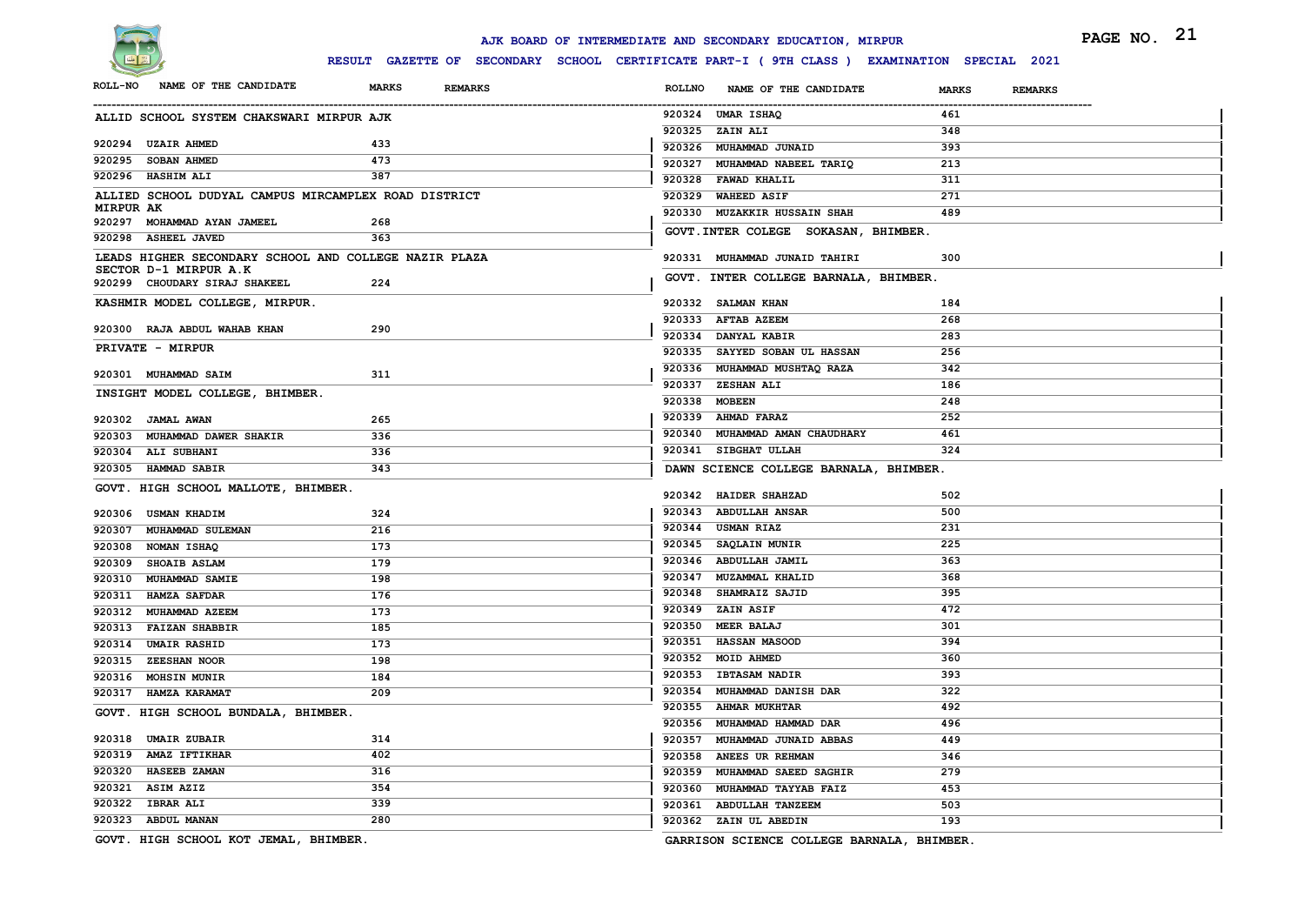

# **RESULT GAZETTE OF SECONDARY SCHOOL CERTIFICATE PART-I ( 9TH CLASS ) EXAMINATION SPECIAL 2021**

|           |                                                                                               |                                                                                            | AJK BOARD OF INTERMEDIATE AND SECONDARY EDUCATION, MIRPUR | PAGE NO. 21                    |
|-----------|-----------------------------------------------------------------------------------------------|--------------------------------------------------------------------------------------------|-----------------------------------------------------------|--------------------------------|
|           |                                                                                               | RESULT GAZETTE OF SECONDARY SCHOOL CERTIFICATE PART-I (9TH CLASS) EXAMINATION SPECIAL 2021 |                                                           |                                |
|           | ROLL-NO NAME OF THE CANDIDATE                                                                 | <b>MARKS</b><br><b>REMARKS</b>                                                             | ROLLNO NAME OF THE CANDIDATE                              | <b>MARKS</b><br><b>REMARKS</b> |
|           | ALLID SCHOOL SYSTEM CHAKSWARI MIRPUR AJK                                                      |                                                                                            | 920324 UMAR ISHAQ                                         | 461                            |
|           |                                                                                               |                                                                                            | 920325 ZAIN ALI                                           | 348                            |
|           | 920294 UZAIR AHMED                                                                            | 433                                                                                        | 920326 MUHAMMAD JUNAID                                    | 393                            |
|           | 920295 SOBAN AHMED                                                                            | 473                                                                                        | 920327 MUHAMMAD NABEEL TARIQ                              | 213                            |
|           | 920296 HASHIM ALI                                                                             | 387                                                                                        | 920328 FAWAD KHALIL                                       | 311                            |
| MIRPUR AK | ALLIED SCHOOL DUDYAL CAMPUS MIRCAMPLEX ROAD DISTRICT                                          |                                                                                            | 920329 WAHEED ASIF                                        | 271                            |
|           | 920297 MOHAMMAD AYAN JAMEEL                                                                   | 268                                                                                        | 920330 MUZAKKIR HUSSAIN SHAH                              | 489                            |
|           | 920298 ASHEEL JAVED                                                                           | 363                                                                                        | GOVT. INTER COLEGE SOKASAN, BHIMBER.                      |                                |
|           | LEADS HIGHER SECONDARY SCHOOL AND COLLEGE NAZIR PLAZA                                         |                                                                                            | 920331 MUHAMMAD JUNAID TAHIRI                             | 300                            |
|           | SECTOR D-1 MIRPUR A.K                                                                         |                                                                                            |                                                           |                                |
|           | 920299 CHOUDARY SIRAJ SHAKEEL                                                                 | 224                                                                                        | GOVT. INTER COLLEGE BARNALA, BHIMBER.                     |                                |
|           | KASHMIR MODEL COLLEGE, MIRPUR.                                                                |                                                                                            | 920332 SALMAN KHAN                                        | 184                            |
|           |                                                                                               | 290                                                                                        | 920333 AFTAB AZEEM                                        | 268                            |
|           | 920300 RAJA ABDUL WAHAB KHAN                                                                  |                                                                                            | 920334 DANYAL KABIR                                       | 283                            |
|           | PRIVATE - MIRPUR                                                                              |                                                                                            | 920335 SAYYED SOBAN UL HASSAN                             | 256                            |
|           | 920301 MUHAMMAD SAIM                                                                          | 311                                                                                        | 920336 MUHAMMAD MUSHTAQ RAZA                              | 342                            |
|           | INSIGHT MODEL COLLEGE, BHIMBER.                                                               |                                                                                            | 920337 ZESHAN ALI                                         | 186                            |
|           |                                                                                               |                                                                                            | 920338 MOBEEN                                             | 248                            |
|           | 920302 JAMAL AWAN                                                                             | 265                                                                                        | 920339 AHMAD FARAZ                                        | 252                            |
|           | 920303 MUHAMMAD DAWER SHAKIR                                                                  | 336                                                                                        | 920340 MUHAMMAD AMAN CHAUDHARY                            | 461                            |
|           | 920304 ALI SUBHANI                                                                            | 336                                                                                        | 920341 SIBGHAT ULLAH                                      | 324                            |
|           | 920305 HAMMAD SABIR                                                                           | 343                                                                                        | DAWN SCIENCE COLLEGE BARNALA, BHIMBER.                    |                                |
|           | GOVT. HIGH SCHOOL MALLOTE, BHIMBER.                                                           |                                                                                            | 920342 HAIDER SHAHZAD                                     | 502                            |
|           | 920306 USMAN KHADIM                                                                           | 324                                                                                        | 920343 ABDULLAH ANSAR                                     | 500                            |
|           | 920307 MUHAMMAD SULEMAN                                                                       | 216                                                                                        | 920344 USMAN RIAZ                                         | 231                            |
|           | 920308 NOMAN ISHAQ                                                                            | 173                                                                                        | 920345 SAQLAIN MUNIR                                      | 225                            |
|           | 920309 SHOAIB ASLAM                                                                           | 179                                                                                        | 920346 ABDULLAH JAMIL                                     | 363                            |
|           | 920310 MUHAMMAD SAMIE                                                                         | 198                                                                                        | 920347 MUZAMMAL KHALID                                    | 368                            |
|           | 920311 HAMZA SAFDAR                                                                           | 176                                                                                        | 920348 SHAMRAIZ SAJID                                     | 395                            |
|           | 920312 MUHAMMAD AZEEM                                                                         | 173                                                                                        | 920349 ZAIN ASIF                                          | 472                            |
|           | 920313 FAIZAN SHABBIR                                                                         | 185                                                                                        | 920350 MEER BALAJ                                         | 301                            |
|           | 920314 UMAIR RASHID                                                                           | 173                                                                                        | 920351 HASSAN MASOOD                                      | 394                            |
|           | 920315 ZEESHAN NOOR                                                                           | 198                                                                                        | 920352 MOID AHMED                                         | 360                            |
|           | 920316 MOHSIN MUNIR                                                                           | 184                                                                                        | 920353 IBTASAM NADIR                                      | 393                            |
|           | 920317 HAMZA KARAMAT                                                                          | 209                                                                                        | 920354 MUHAMMAD DANISH DAR                                | 322                            |
|           | GOVT. HIGH SCHOOL BUNDALA, BHIMBER.                                                           |                                                                                            | 920355 AHMAR MUKHTAR                                      | 492                            |
|           |                                                                                               |                                                                                            | 920356 MUHAMMAD HAMMAD DAR                                | 496                            |
|           | 920318 UMAIR ZUBAIR                                                                           | 314                                                                                        | 920357 MUHAMMAD JUNAID ABBAS                              | 449                            |
|           | 920319 AMAZ IFTIKHAR                                                                          | 402                                                                                        | 920358 ANEES UR REHMAN                                    | 346                            |
|           | 920320 HASEEB ZAMAN                                                                           | 316                                                                                        | 920359 MUHAMMAD SAEED SAGHIR                              | 279                            |
|           | 920321 ASIM AZIZ                                                                              | 354                                                                                        | 920360<br>MUHAMMAD TAYYAB FAIZ                            | 453                            |
|           | 920322 IBRAR ALI                                                                              | 339                                                                                        | 920361 ABDULLAH TANZEEM                                   | 503                            |
|           | 920323 ABDUL MANAN<br>$COT$ <sup><math>m</math></sup> $BTCB$ $CCHOOT$ $VCH$ $TEMAT$ $BHTMDED$ | 280                                                                                        | 920362 ZAIN UL ABEDIN                                     | 193                            |

**GOVT. HIGH SCHOOL KOT JEMAL, BHIMBER.**

**GARRISON SCIENCE COLLEGE BARNALA, BHIMBER.**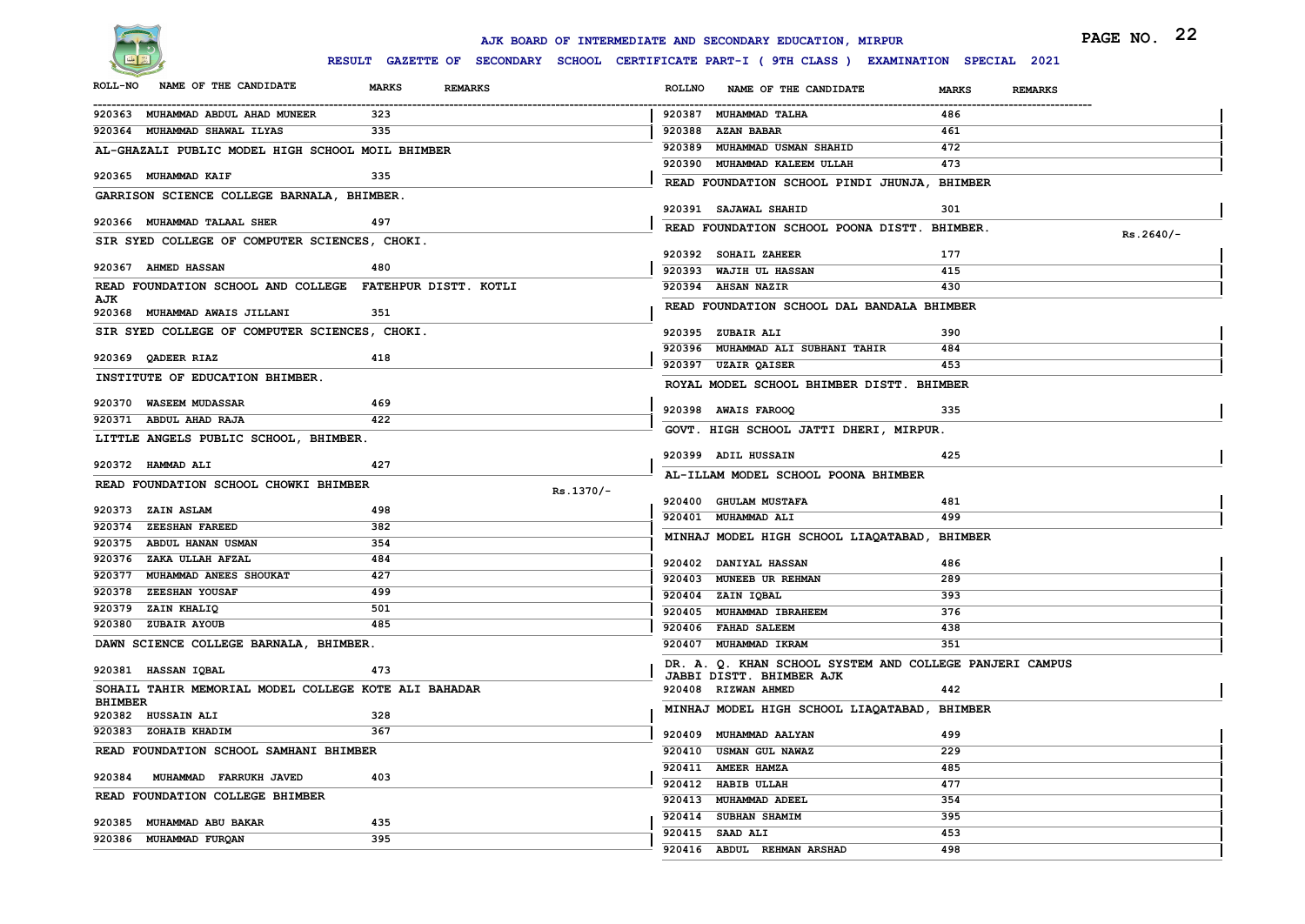

|                                                          |                                                                                              | AJK BOARD OF INTERMEDIATE AND SECONDARY EDUCATION, MIRPUR | PAGE NO. 22                    |
|----------------------------------------------------------|----------------------------------------------------------------------------------------------|-----------------------------------------------------------|--------------------------------|
|                                                          | RESULT GAZETTE OF SECONDARY SCHOOL CERTIFICATE PART-I ( 9TH CLASS ) EXAMINATION SPECIAL 2021 |                                                           |                                |
| NAME OF THE CANDIDATE<br><b>ROLL-NO</b>                  | <b>MARKS</b><br><b>REMARKS</b>                                                               | <b>ROLLNO</b><br>NAME OF THE CANDIDATE                    | <b>MARKS</b><br><b>REMARKS</b> |
| 920363 MUHAMMAD ABDUL AHAD MUNEER                        | 323                                                                                          | 920387 MUHAMMAD TALHA                                     | 486                            |
| 920364 MUHAMMAD SHAWAL ILYAS                             | 335                                                                                          | 920388 AZAN BABAR                                         | 461                            |
| AL-GHAZALI PUBLIC MODEL HIGH SCHOOL MOIL BHIMBER         |                                                                                              | 920389 MUHAMMAD USMAN SHAHID                              | 472                            |
|                                                          |                                                                                              | 920390 MUHAMMAD KALEEM ULLAH                              | 473                            |
| 920365 MUHAMMAD KAIF                                     | 335                                                                                          | READ FOUNDATION SCHOOL PINDI JHUNJA, BHIMBER              |                                |
| GARRISON SCIENCE COLLEGE BARNALA, BHIMBER.               |                                                                                              | 920391 SAJAWAL SHAHID                                     | 301                            |
| 920366 MUHAMMAD TALAAL SHER                              | 497                                                                                          | READ FOUNDATION SCHOOL POONA DISTT. BHIMBER.              |                                |
| SIR SYED COLLEGE OF COMPUTER SCIENCES, CHOKI.            |                                                                                              |                                                           | $Rs.2640/-$                    |
|                                                          |                                                                                              | 920392 SOHAIL ZAHEER                                      | 177                            |
| 920367 AHMED HASSAN                                      | 480                                                                                          | 920393 WAJIH UL HASSAN                                    | 415                            |
| READ FOUNDATION SCHOOL AND COLLEGE FATEHPUR DISTT. KOTLI |                                                                                              | 920394 AHSAN NAZIR                                        | 430                            |
| AJK<br>920368 MUHAMMAD AWAIS JILLANI                     | 351                                                                                          | READ FOUNDATION SCHOOL DAL BANDALA BHIMBER                |                                |
| SIR SYED COLLEGE OF COMPUTER SCIENCES, CHOKI.            |                                                                                              | 920395 ZUBAIR ALI                                         | 390                            |
|                                                          |                                                                                              | 920396 MUHAMMAD ALI SUBHANI TAHIR                         | 484                            |
| 920369 QADEER RIAZ                                       | 418                                                                                          | 920397 UZAIR QAISER                                       | 453                            |
| INSTITUTE OF EDUCATION BHIMBER.                          |                                                                                              | ROYAL MODEL SCHOOL BHIMBER DISTT. BHIMBER                 |                                |
| 920370 WASEEM MUDASSAR                                   | 469                                                                                          |                                                           |                                |
| 920371 ABDUL AHAD RAJA                                   | 422                                                                                          | 920398 AWAIS FAROOQ                                       | 335                            |
| LITTLE ANGELS PUBLIC SCHOOL, BHIMBER.                    |                                                                                              | GOVT. HIGH SCHOOL JATTI DHERI, MIRPUR.                    |                                |
|                                                          |                                                                                              | 920399 ADIL HUSSAIN                                       | 425                            |
| 920372 HAMMAD ALI                                        | 427                                                                                          | AL-ILLAM MODEL SCHOOL POONA BHIMBER                       |                                |
| READ FOUNDATION SCHOOL CHOWKI BHIMBER                    | Rs.1370/-                                                                                    |                                                           |                                |
| 920373 ZAIN ASLAM                                        | 498                                                                                          | 920400 GHULAM MUSTAFA                                     | 481                            |
| 920374 ZEESHAN FAREED                                    | 382                                                                                          | 920401 MUHAMMAD ALI                                       | 499                            |
| 920375 ABDUL HANAN USMAN                                 | 354                                                                                          | MINHAJ MODEL HIGH SCHOOL LIAQATABAD, BHIMBER              |                                |
| 920376 ZAKA ULLAH AFZAL                                  | 484                                                                                          | 920402 DANIYAL HASSAN                                     | 486                            |
| 920377 MUHAMMAD ANEES SHOUKAT                            | 427                                                                                          | 920403 MUNEEB UR REHMAN                                   | 289                            |
| 920378 ZEESHAN YOUSAF                                    | 499                                                                                          | 920404 ZAIN IQBAL                                         | 393                            |
| 920379 ZAIN KHALIQ                                       | 501                                                                                          | 920405 MUHAMMAD IBRAHEEM                                  | 376                            |
| 920380 ZUBAIR AYOUB                                      | 485                                                                                          | 920406 FAHAD SALEEM                                       | 438                            |
| DAWN SCIENCE COLLEGE BARNALA, BHIMBER.                   |                                                                                              | 920407 MUHAMMAD IKRAM                                     | 351                            |
| 920381 HASSAN IQBAL                                      | 473                                                                                          | DR. A. Q. KHAN SCHOOL SYSTEM AND COLLEGE PANJERI CAMPUS   |                                |
| SOHAIL TAHIR MEMORIAL MODEL COLLEGE KOTE ALI BAHADAR     |                                                                                              | <b>JABBI DISTT. BHIMBER AJK</b><br>920408 RIZWAN AHMED    | 442                            |
| <b>BHIMBER</b>                                           |                                                                                              |                                                           |                                |
| 920382 HUSSAIN ALI                                       | 328                                                                                          | MINHAJ MODEL HIGH SCHOOL LIAQATABAD, BHIMBER              |                                |
| 920383 ZOHAIB KHADIM                                     | 367                                                                                          | 920409 MUHAMMAD AALYAN                                    | 499                            |
| READ FOUNDATION SCHOOL SAMHANI BHIMBER                   |                                                                                              | 920410 USMAN GUL NAWAZ                                    | 229                            |
| 920384 MUHAMMAD FARRUKH JAVED                            | 403                                                                                          | 920411 AMEER HAMZA                                        | 485                            |
| READ FOUNDATION COLLEGE BHIMBER                          |                                                                                              | 920412 HABIB ULLAH                                        | 477                            |
|                                                          |                                                                                              | 920413 MUHAMMAD ADEEL                                     | 354                            |
| 920385 MUHAMMAD ABU BAKAR                                | 435                                                                                          | 920414 SUBHAN SHAMIM                                      | 395                            |
| 920386 MUHAMMAD FURQAN                                   | 395                                                                                          | 920415 SAAD ALI                                           | 453                            |
|                                                          |                                                                                              | 920416 ABDUL REHMAN ARSHAD                                | 498                            |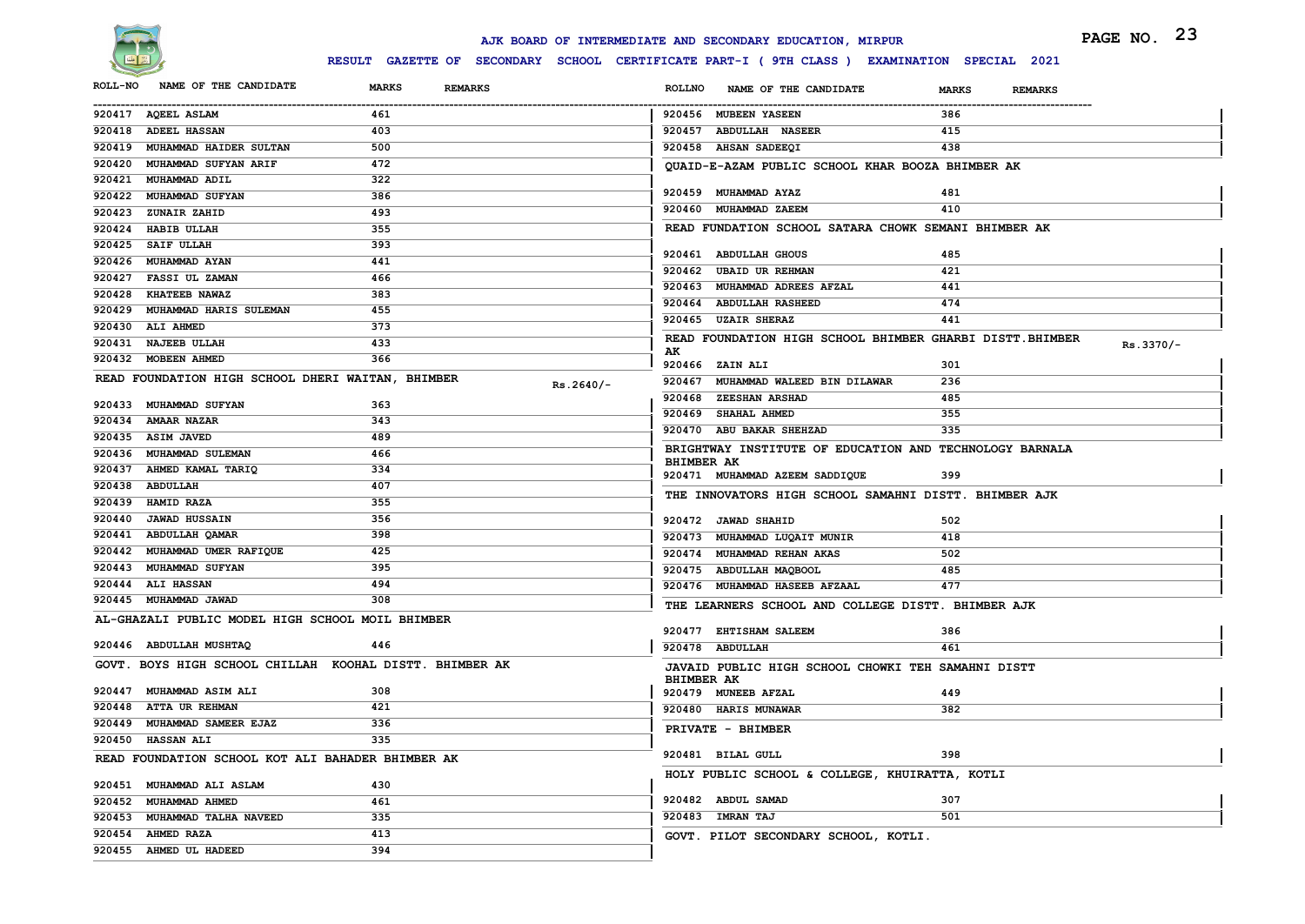

|                |                                                   |                                                         |             |                   | AJK BOARD OF INTERMEDIATE AND SECONDARY EDUCATION, MIRPUR                                   |                                | PAGE NO. 23 |
|----------------|---------------------------------------------------|---------------------------------------------------------|-------------|-------------------|---------------------------------------------------------------------------------------------|--------------------------------|-------------|
|                |                                                   |                                                         |             |                   | RESULT GAZETTE OF SECONDARY SCHOOL CERTIFICATE PART-I (9TH CLASS ) EXAMINATION SPECIAL 2021 |                                |             |
| <b>ROLL-NO</b> | NAME OF THE CANDIDATE                             | <b>MARKS</b><br><b>REMARKS</b>                          |             | <b>ROLLNO</b>     | NAME OF THE CANDIDATE                                                                       | <b>MARKS</b><br><b>REMARKS</b> |             |
|                | 920417 AQEEL ASLAM                                | 461                                                     |             |                   | 920456 MUBEEN YASEEN                                                                        | 386                            |             |
|                | 920418 ADEEL HASSAN                               | 403                                                     |             |                   | 920457 ABDULLAH NASEER                                                                      | 415                            |             |
|                | 920419 MUHAMMAD HAIDER SULTAN                     | 500                                                     |             |                   | 920458 AHSAN SADEEQI                                                                        | 438                            |             |
|                | 920420 MUHAMMAD SUFYAN ARIF                       | 472                                                     |             |                   | QUAID-E-AZAM PUBLIC SCHOOL KHAR BOOZA BHIMBER AK                                            |                                |             |
|                | 920421 MUHAMMAD ADIL                              | 322                                                     |             |                   |                                                                                             |                                |             |
|                | 920422 MUHAMMAD SUFYAN                            | 386                                                     |             |                   | 920459 MUHAMMAD AYAZ                                                                        | 481                            |             |
| 920423         | <b>ZUNAIR ZAHID</b>                               | 493                                                     |             |                   | 920460 MUHAMMAD ZAEEM                                                                       | 410                            |             |
|                | 920424 HABIB ULLAH                                | 355                                                     |             |                   | READ FUNDATION SCHOOL SATARA CHOWK SEMANI BHIMBER AK                                        |                                |             |
|                | 920425 SAIF ULLAH                                 | 393                                                     |             |                   |                                                                                             |                                |             |
|                | 920426 MUHAMMAD AYAN                              | 441                                                     |             |                   | 920461 ABDULLAH GHOUS<br>920462 UBAID UR REHMAN                                             | 485<br>421                     |             |
|                | 920427 FASSI UL ZAMAN                             | 466                                                     |             |                   | 920463 MUHAMMAD ADREES AFZAL                                                                | 441                            |             |
|                | 920428 KHATEEB NAWAZ                              | 383                                                     |             |                   | 920464 ABDULLAH RASHEED                                                                     | 474                            |             |
|                | 920429 MUHAMMAD HARIS SULEMAN                     | 455                                                     |             |                   | 920465 UZAIR SHERAZ                                                                         | 441                            |             |
|                | 920430 ALI AHMED                                  | 373                                                     |             |                   |                                                                                             |                                |             |
|                | 920431 NAJEEB ULLAH                               | 433                                                     |             | AK                | READ FOUNDATION HIGH SCHOOL BHIMBER GHARBI DISTT. BHIMBER                                   |                                | $Rs.3370/-$ |
|                | 920432 MOBEEN AHMED                               | 366                                                     |             |                   | 920466 ZAIN ALI                                                                             | 301                            |             |
|                | READ FOUNDATION HIGH SCHOOL DHERI WAITAN, BHIMBER |                                                         | $Rs.2640/-$ |                   | 920467 MUHAMMAD WALEED BIN DILAWAR                                                          | 236                            |             |
|                |                                                   |                                                         |             |                   | 920468 ZEESHAN ARSHAD                                                                       | 485                            |             |
| 920433         | <b>MUHAMMAD SUFYAN</b>                            | 363                                                     |             |                   | 920469 SHAHAL AHMED                                                                         | 355                            |             |
|                | 920434 AMAAR NAZAR                                | 343                                                     |             |                   | 920470 ABU BAKAR SHEHZAD                                                                    | 335                            |             |
|                | 920435 ASIM JAVED                                 | 489                                                     |             |                   | BRIGHTWAY INSTITUTE OF EDUCATION AND TECHNOLOGY BARNALA                                     |                                |             |
|                | 920436 MUHAMMAD SULEMAN                           | 466                                                     |             | <b>BHIMBER AK</b> |                                                                                             |                                |             |
|                | 920437 AHMED KAMAL TARIQ                          | 334                                                     |             |                   | 920471 MUHAMMAD AZEEM SADDIQUE                                                              | 399                            |             |
|                | 920438 ABDULLAH                                   | 407                                                     |             |                   | THE INNOVATORS HIGH SCHOOL SAMAHNI DISTT. BHIMBER AJK                                       |                                |             |
|                | 920439 HAMID RAZA                                 | 355                                                     |             |                   |                                                                                             |                                |             |
| 920440         | <b>JAWAD HUSSAIN</b>                              | 356                                                     |             |                   | 920472 JAWAD SHAHID                                                                         | 502                            |             |
|                | 920441 ABDULLAH QAMAR                             | 398                                                     |             |                   | 920473 MUHAMMAD LUQAIT MUNIR                                                                | 418                            |             |
| 920442         | MUHAMMAD UMER RAFIQUE                             | 425                                                     |             |                   | 920474 MUHAMMAD REHAN AKAS                                                                  | 502                            |             |
|                | 920443 MUHAMMAD SUFYAN                            | 395                                                     |             |                   | 920475 ABDULLAH MAQBOOL                                                                     | 485                            |             |
|                | 920444 ALI HASSAN                                 | 494                                                     |             |                   | 920476 MUHAMMAD HASEEB AFZAAL                                                               | 477                            |             |
|                | 920445 MUHAMMAD JAWAD                             | 308                                                     |             |                   | THE LEARNERS SCHOOL AND COLLEGE DISTT. BHIMBER AJK                                          |                                |             |
|                | AL-GHAZALI PUBLIC MODEL HIGH SCHOOL MOIL BHIMBER  |                                                         |             |                   | 920477 EHTISHAM SALEEM                                                                      | 386                            |             |
|                | 920446 ABDULLAH MUSHTAQ                           | 446                                                     |             |                   | 920478 ABDULLAH                                                                             | 461                            |             |
|                |                                                   | GOVT. BOYS HIGH SCHOOL CHILLAH KOOHAL DISTT. BHIMBER AK |             |                   |                                                                                             |                                |             |
|                |                                                   |                                                         |             | <b>BHIMBER AK</b> | JAVAID PUBLIC HIGH SCHOOL CHOWKI TEH SAMAHNI DISTT                                          |                                |             |
|                | 920447 MUHAMMAD ASIM ALI                          | 308                                                     |             |                   | 920479 MUNEEB AFZAL                                                                         | 449                            |             |
|                | 920448 ATTA UR REHMAN                             | 421                                                     |             |                   | 920480 HARIS MUNAWAR                                                                        | 382                            |             |
|                | 920449 MUHAMMAD SAMEER EJAZ                       | 336                                                     |             |                   | PRIVATE - BHIMBER                                                                           |                                |             |
|                | 920450 HASSAN ALI                                 | 335                                                     |             |                   |                                                                                             |                                |             |
|                | READ FOUNDATION SCHOOL KOT ALI BAHADER BHIMBER AK |                                                         |             |                   | 920481 BILAL GULL                                                                           | 398                            |             |
|                |                                                   |                                                         |             |                   | HOLY PUBLIC SCHOOL & COLLEGE, KHUIRATTA, KOTLI                                              |                                |             |
|                | 920451 MUHAMMAD ALI ASLAM                         | 430                                                     |             |                   |                                                                                             |                                |             |
|                | 920452 MUHAMMAD AHMED                             | 461                                                     |             |                   | 920482 ABDUL SAMAD                                                                          | 307                            |             |
|                | 920453 MUHAMMAD TALHA NAVEED                      | 335                                                     |             |                   | 920483 IMRAN TAJ                                                                            | 501                            |             |
|                | 920454 AHMED RAZA                                 | 413                                                     |             |                   | GOVT. PILOT SECONDARY SCHOOL, KOTLI.                                                        |                                |             |
|                | 920455 AHMED UL HADEED                            | 394                                                     |             |                   |                                                                                             |                                |             |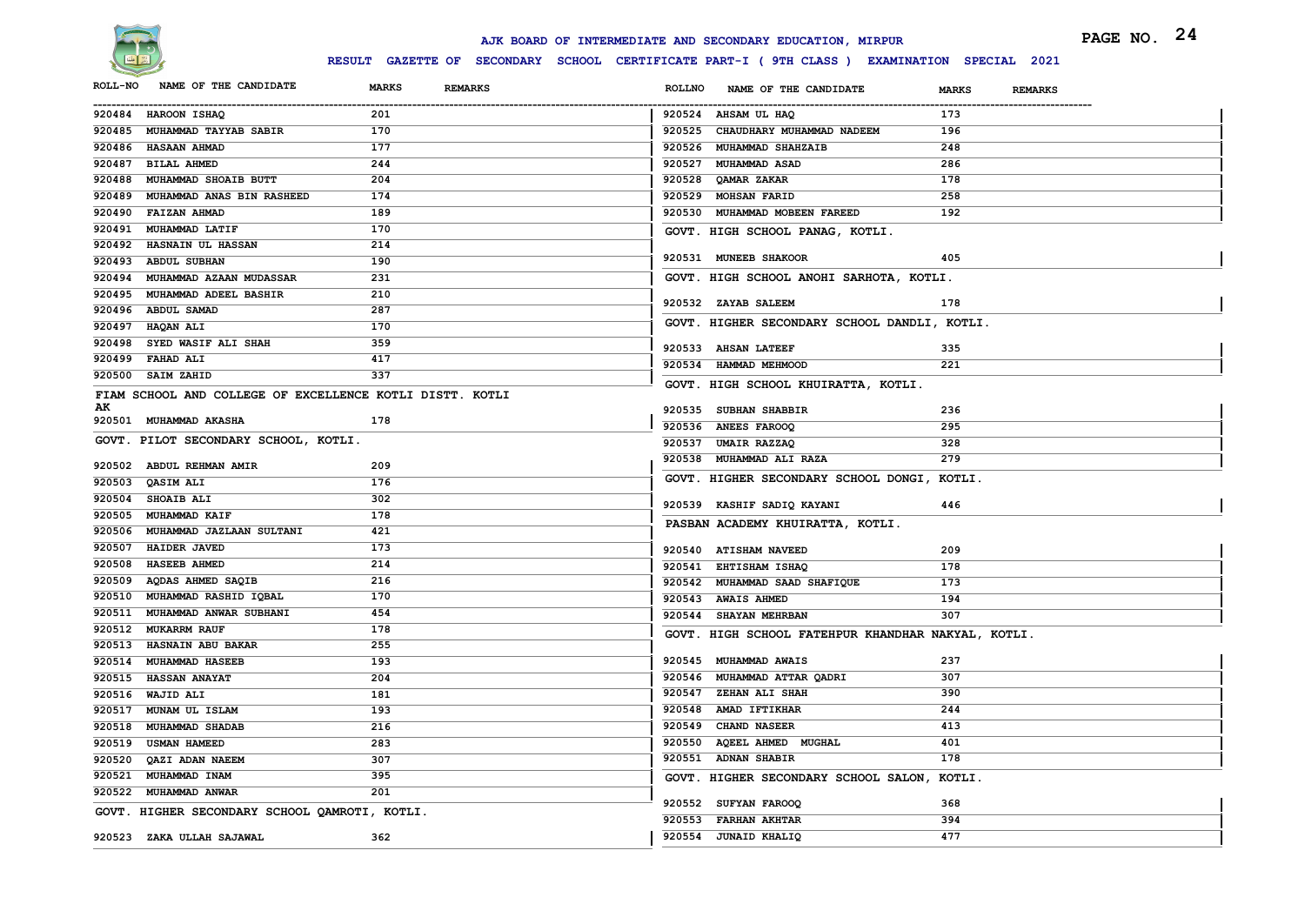

|                                                 |                                                          |              |                |               | AJK BOARD OF INTERMEDIATE AND SECONDARY EDUCATION, MIRPUR                                    |              | PAGE NO. 24    |  |
|-------------------------------------------------|----------------------------------------------------------|--------------|----------------|---------------|----------------------------------------------------------------------------------------------|--------------|----------------|--|
|                                                 |                                                          |              |                |               | RESULT GAZETTE OF SECONDARY SCHOOL CERTIFICATE PART-I ( 9TH CLASS ) EXAMINATION SPECIAL 2021 |              |                |  |
| <b>ROLL-NO</b>                                  | NAME OF THE CANDIDATE                                    | <b>MARKS</b> | <b>REMARKS</b> | <b>ROLLNO</b> | NAME OF THE CANDIDATE                                                                        | <b>MARKS</b> | <b>REMARKS</b> |  |
| 920484 HAROON ISHAQ                             |                                                          | 201          |                |               | 920524 AHSAM UL HAQ                                                                          | 173          |                |  |
| 920485 MUHAMMAD TAYYAB SABIR                    |                                                          | 170          |                |               | 920525 CHAUDHARY MUHAMMAD NADEEM                                                             | 196          |                |  |
| 920486 HASAAN AHMAD                             |                                                          | 177          |                |               | 920526 MUHAMMAD SHAHZAIB                                                                     | 248          |                |  |
| 920487 BILAL AHMED                              |                                                          | 244          |                |               | 920527 MUHAMMAD ASAD                                                                         | 286          |                |  |
| 920488 MUHAMMAD SHOAIB BUTT                     |                                                          | 204          |                |               | 920528 QAMAR ZAKAR                                                                           | 178          |                |  |
| 920489 MUHAMMAD ANAS BIN RASHEED                |                                                          | 174          |                |               | 920529 MOHSAN FARID                                                                          | 258          |                |  |
| 920490 FAIZAN AHMAD                             |                                                          | 189          |                |               | 920530 MUHAMMAD MOBEEN FAREED                                                                | 192          |                |  |
| 920491 MUHAMMAD LATIF                           |                                                          | 170          |                |               | GOVT. HIGH SCHOOL PANAG, KOTLI.                                                              |              |                |  |
| 920492 HASNAIN UL HASSAN                        |                                                          | 214          |                |               | 920531 MUNEEB SHAKOOR                                                                        | 405          |                |  |
| 920493 ABDUL SUBHAN                             |                                                          | 190          |                |               |                                                                                              |              |                |  |
| 920494 MUHAMMAD AZAAN MUDASSAR                  |                                                          | 231          |                |               | GOVT. HIGH SCHOOL ANOHI SARHOTA, KOTLI.                                                      |              |                |  |
| 920495 MUHAMMAD ADEEL BASHIR                    |                                                          | 210          |                |               | 920532 ZAYAB SALEEM                                                                          | 178          |                |  |
| 920496 ABDUL SAMAD                              |                                                          | 287          |                |               | GOVT. HIGHER SECONDARY SCHOOL DANDLI, KOTLI.                                                 |              |                |  |
| 920497 HAQAN ALI                                |                                                          | 170          |                |               |                                                                                              |              |                |  |
| 920498 SYED WASIF ALI SHAH                      |                                                          | 359          |                |               | 920533 AHSAN LATEEF                                                                          | 335          |                |  |
| 920499 FAHAD ALI                                |                                                          | 417          |                |               | 920534 HAMMAD MEHMOOD                                                                        | 221          |                |  |
| 920500 SAIM ZAHID                               |                                                          | 337          |                |               | GOVT. HIGH SCHOOL KHUIRATTA, KOTLI.                                                          |              |                |  |
| AK                                              | FIAM SCHOOL AND COLLEGE OF EXCELLENCE KOTLI DISTT. KOTLI |              |                |               |                                                                                              |              |                |  |
| 920501 MUHAMMAD AKASHA                          |                                                          | 178          |                |               | 920535 SUBHAN SHABBIR                                                                        | 236          |                |  |
|                                                 | GOVT. PILOT SECONDARY SCHOOL, KOTLI.                     |              |                |               | 920536 ANEES FAROOQ                                                                          | 295          |                |  |
|                                                 |                                                          |              |                |               | 920537 UMAIR RAZZAQ                                                                          | 328          |                |  |
| 920502 ABDUL REHMAN AMIR                        |                                                          | 209          |                |               | 920538 MUHAMMAD ALI RAZA                                                                     | 279          |                |  |
| QASIM ALI<br>920503                             |                                                          | 176          |                |               | GOVT. HIGHER SECONDARY SCHOOL DONGI, KOTLI.                                                  |              |                |  |
| 920504 SHOAIB ALI                               |                                                          | 302          |                |               | 920539 KASHIF SADIQ KAYANI                                                                   | 446          |                |  |
| 920505 MUHAMMAD KAIF                            |                                                          | 178          |                |               | PASBAN ACADEMY KHUIRATTA, KOTLI.                                                             |              |                |  |
| 920506 MUHAMMAD JAZLAAN SULTANI                 |                                                          | 421          |                |               |                                                                                              |              |                |  |
| 920507 HAIDER JAVED                             |                                                          | 173          |                |               | 920540 ATISHAM NAVEED                                                                        | 209          |                |  |
| 920508 HASEEB AHMED                             |                                                          | 214          |                |               | 920541 EHTISHAM ISHAQ                                                                        | 178          |                |  |
| 920509 AQDAS AHMED SAQIB                        |                                                          | 216          |                |               | 920542 MUHAMMAD SAAD SHAFIQUE                                                                | 173          |                |  |
| MUHAMMAD RASHID IQBAL<br>920510                 |                                                          | 170          |                |               | 920543 AWAIS AHMED                                                                           | 194          |                |  |
| 920511 MUHAMMAD ANWAR SUBHANI                   |                                                          | 454          |                |               | 920544 SHAYAN MEHRBAN                                                                        | 307          |                |  |
| 920512 MUKARRM RAUF                             |                                                          | 178          |                |               | GOVT. HIGH SCHOOL FATEHPUR KHANDHAR NAKYAL, KOTLI.                                           |              |                |  |
| 920513 HASNAIN ABU BAKAR                        |                                                          | 255          |                |               |                                                                                              | 237          |                |  |
| 920514 MUHAMMAD HASEEB                          |                                                          | 193          |                |               | 920545 MUHAMMAD AWAIS<br>920546 MUHAMMAD ATTAR QADRI                                         | 307          |                |  |
| 920515 HASSAN ANAYAT<br>920516 WAJID ALI        |                                                          | 204          |                |               | 920547 ZEHAN ALI SHAH                                                                        | 390          |                |  |
|                                                 |                                                          | 181<br>193   |                |               | 920548 AMAD IFTIKHAR                                                                         | 244          |                |  |
| 920517 MUNAM UL ISLAM<br>920518 MUHAMMAD SHADAB |                                                          | 216          |                |               | 920549 CHAND NASEER                                                                          | 413          |                |  |
| 920519 USMAN HAMEED                             |                                                          | 283          |                |               | 920550 AQEEL AHMED MUGHAL                                                                    | 401          |                |  |
| 920520 QAZI ADAN NAEEM                          |                                                          | 307          |                |               | 920551 ADNAN SHABIR                                                                          | 178          |                |  |
| 920521 MUHAMMAD INAM                            |                                                          | 395          |                |               | GOVT. HIGHER SECONDARY SCHOOL SALON, KOTLI.                                                  |              |                |  |
| 920522 MUHAMMAD ANWAR                           |                                                          | 201          |                |               |                                                                                              |              |                |  |
|                                                 |                                                          |              |                |               | 920552 SUFYAN FAROOQ                                                                         | 368          |                |  |
|                                                 | GOVT. HIGHER SECONDARY SCHOOL QAMROTI, KOTLI.            |              |                |               | 920553 FARHAN AKHTAR                                                                         | 394          |                |  |
| 920523 ZAKA ULLAH SAJAWAL                       |                                                          | 362          |                |               | 920554 JUNAID KHALIQ                                                                         | 477          |                |  |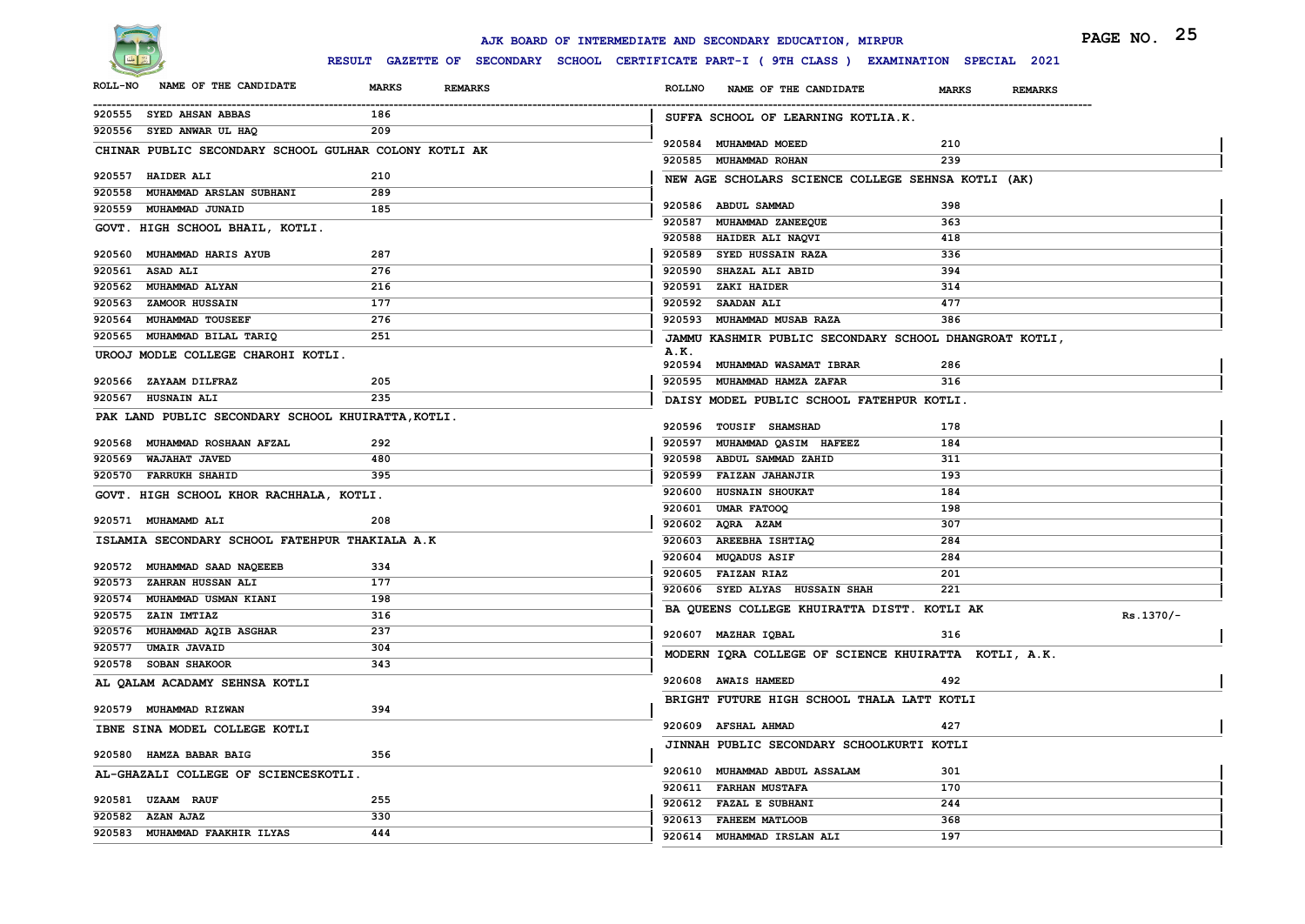

|                |                                                       |                                                                                              |               | AJK BOARD OF INTERMEDIATE AND SECONDARY EDUCATION, MIRPUR |              |                | PAGE NO. 25 |
|----------------|-------------------------------------------------------|----------------------------------------------------------------------------------------------|---------------|-----------------------------------------------------------|--------------|----------------|-------------|
|                |                                                       | RESULT GAZETTE OF SECONDARY SCHOOL CERTIFICATE PART-I ( 9TH CLASS ) EXAMINATION SPECIAL 2021 |               |                                                           |              |                |             |
| <b>ROLL-NO</b> | NAME OF THE CANDIDATE                                 | <b>MARKS</b><br><b>REMARKS</b>                                                               | <b>ROLLNO</b> | NAME OF THE CANDIDATE                                     | <b>MARKS</b> | <b>REMARKS</b> |             |
|                | 920555 SYED AHSAN ABBAS                               | 186                                                                                          |               | SUFFA SCHOOL OF LEARNING KOTLIA.K.                        |              |                |             |
|                | 920556 SYED ANWAR UL HAQ                              | 209                                                                                          |               | 920584 MUHAMMAD MOEED                                     | 210          |                |             |
|                | CHINAR PUBLIC SECONDARY SCHOOL GULHAR COLONY KOTLI AK |                                                                                              |               | 920585 MUHAMMAD ROHAN                                     | 239          |                |             |
|                | 920557 HAIDER ALI                                     | 210                                                                                          |               | NEW AGE SCHOLARS SCIENCE COLLEGE SEHNSA KOTLI (AK)        |              |                |             |
|                | 920558 MUHAMMAD ARSLAN SUBHANI                        | 289                                                                                          |               |                                                           |              |                |             |
|                | 920559 MUHAMMAD JUNAID                                | 185                                                                                          |               | 920586 ABDUL SAMMAD                                       | 398          |                |             |
|                | GOVT. HIGH SCHOOL BHAIL, KOTLI.                       |                                                                                              |               | 920587 MUHAMMAD ZANEEQUE<br>920588 HAIDER ALI NAQVI       | 363          |                |             |
| 920560         | <b>MUHAMMAD HARIS AYUB</b>                            | 287                                                                                          |               | 920589 SYED HUSSAIN RAZA                                  | 418<br>336   |                |             |
|                | 920561 ASAD ALI                                       | 276                                                                                          |               | 920590 SHAZAL ALI ABID                                    | 394          |                |             |
|                | 920562 MUHAMMAD ALYAN                                 | 216                                                                                          |               | 920591 ZAKI HAIDER                                        | 314          |                |             |
|                | 920563 ZAMOOR HUSSAIN                                 | 177                                                                                          |               | 920592 SAADAN ALI                                         | 477          |                |             |
|                | 920564 MUHAMMAD TOUSEEF                               | 276                                                                                          |               | 920593 MUHAMMAD MUSAB RAZA                                | 386          |                |             |
|                | 920565 MUHAMMAD BILAL TARIQ                           | 251                                                                                          |               | JAMMU KASHMIR PUBLIC SECONDARY SCHOOL DHANGROAT KOTLI,    |              |                |             |
|                | UROOJ MODLE COLLEGE CHAROHI KOTLI.                    |                                                                                              | A.K.          |                                                           |              |                |             |
|                |                                                       |                                                                                              |               | 920594 MUHAMMAD WASAMAT IBRAR                             | 286          |                |             |
|                | 920566 ZAYAAM DILFRAZ                                 | 205                                                                                          |               | 920595 MUHAMMAD HAMZA ZAFAR                               | 316          |                |             |
|                | 920567 HUSNAIN ALI                                    | 235                                                                                          |               | DAISY MODEL PUBLIC SCHOOL FATEHPUR KOTLI.                 |              |                |             |
|                | PAK LAND PUBLIC SECONDARY SCHOOL KHUIRATTA, KOTLI.    |                                                                                              |               | 920596 TOUSIF SHAMSHAD                                    | 178          |                |             |
|                | 920568 MUHAMMAD ROSHAAN AFZAL                         | 292                                                                                          |               | 920597 MUHAMMAD QASIM HAFEEZ                              | 184          |                |             |
|                | 920569 WAJAHAT JAVED                                  | 480                                                                                          |               | 920598 ABDUL SAMMAD ZAHID                                 | 311          |                |             |
|                | 920570 FARRUKH SHAHID                                 | 395                                                                                          |               | 920599 FAIZAN JAHANJIR                                    | 193          |                |             |
|                | GOVT. HIGH SCHOOL KHOR RACHHALA, KOTLI.               |                                                                                              |               | 920600 HUSNAIN SHOUKAT                                    | 184          |                |             |
|                |                                                       |                                                                                              |               | 920601 UMAR FATOOQ                                        | 198          |                |             |
|                | 920571 MUHAMAMD ALI                                   | 208                                                                                          |               | 920602 AQRA AZAM                                          | 307          |                |             |
|                | ISLAMIA SECONDARY SCHOOL FATEHPUR THAKIALA A.K        |                                                                                              |               | 920603 AREEBHA ISHTIAQ                                    | 284          |                |             |
|                | 920572 MUHAMMAD SAAD NAQEEEB                          | 334                                                                                          |               | 920604 MUQADUS ASIF                                       | 284          |                |             |
|                | 920573 ZAHRAN HUSSAN ALI                              | 177                                                                                          |               | 920605 FAIZAN RIAZ                                        | 201          |                |             |
|                | 920574 MUHAMMAD USMAN KIANI                           | 198                                                                                          |               | 920606 SYED ALYAS HUSSAIN SHAH                            | 221          |                |             |
|                | 920575 ZAIN IMTIAZ                                    | 316                                                                                          |               | BA QUEENS COLLEGE KHUIRATTA DISTT. KOTLI AK               |              |                | $Rs.1370/-$ |
|                | 920576 MUHAMMAD AQIB ASGHAR                           | 237                                                                                          |               | 920607 MAZHAR IQBAL                                       | 316          |                |             |
|                | 920577 UMAIR JAVAID                                   | 304                                                                                          |               | MODERN IQRA COLLEGE OF SCIENCE KHUIRATTA KOTLI, A.K.      |              |                |             |
|                | 920578 SOBAN SHAKOOR                                  | 343                                                                                          |               |                                                           |              |                |             |
|                | AL QALAM ACADAMY SEHNSA KOTLI                         |                                                                                              |               | 920608 AWAIS HAMEED                                       | 492          |                |             |
|                | 920579 MUHAMMAD RIZWAN                                | 394                                                                                          |               | BRIGHT FUTURE HIGH SCHOOL THALA LATT KOTLI                |              |                |             |
|                | IBNE SINA MODEL COLLEGE KOTLI                         |                                                                                              |               | 920609 AFSHAL AHMAD                                       |              |                |             |
|                |                                                       |                                                                                              |               | JINNAH PUBLIC SECONDARY SCHOOLKURTI KOTLI                 |              |                |             |
|                | 920580 HAMZA BABAR BAIG                               | 356                                                                                          |               |                                                           |              |                |             |
|                | AL-GHAZALI COLLEGE OF SCIENCESKOTLI.                  |                                                                                              |               | 920610 MUHAMMAD ABDUL ASSALAM                             | 301          |                |             |
|                | 920581 UZAAM RAUF                                     | 255                                                                                          |               | 920611 FARHAN MUSTAFA                                     | 170          |                |             |
|                | 920582 AZAN AJAZ                                      | 330                                                                                          |               | 920612 FAZAL E SUBHANI                                    | 244          |                |             |
|                | 920583 MUHAMMAD FAAKHIR ILYAS                         | 444                                                                                          |               | 920613 FAHEEM MATLOOB                                     | 368          |                |             |
|                |                                                       |                                                                                              |               | 920614 MUHAMMAD IRSLAN ALI                                | 197          |                |             |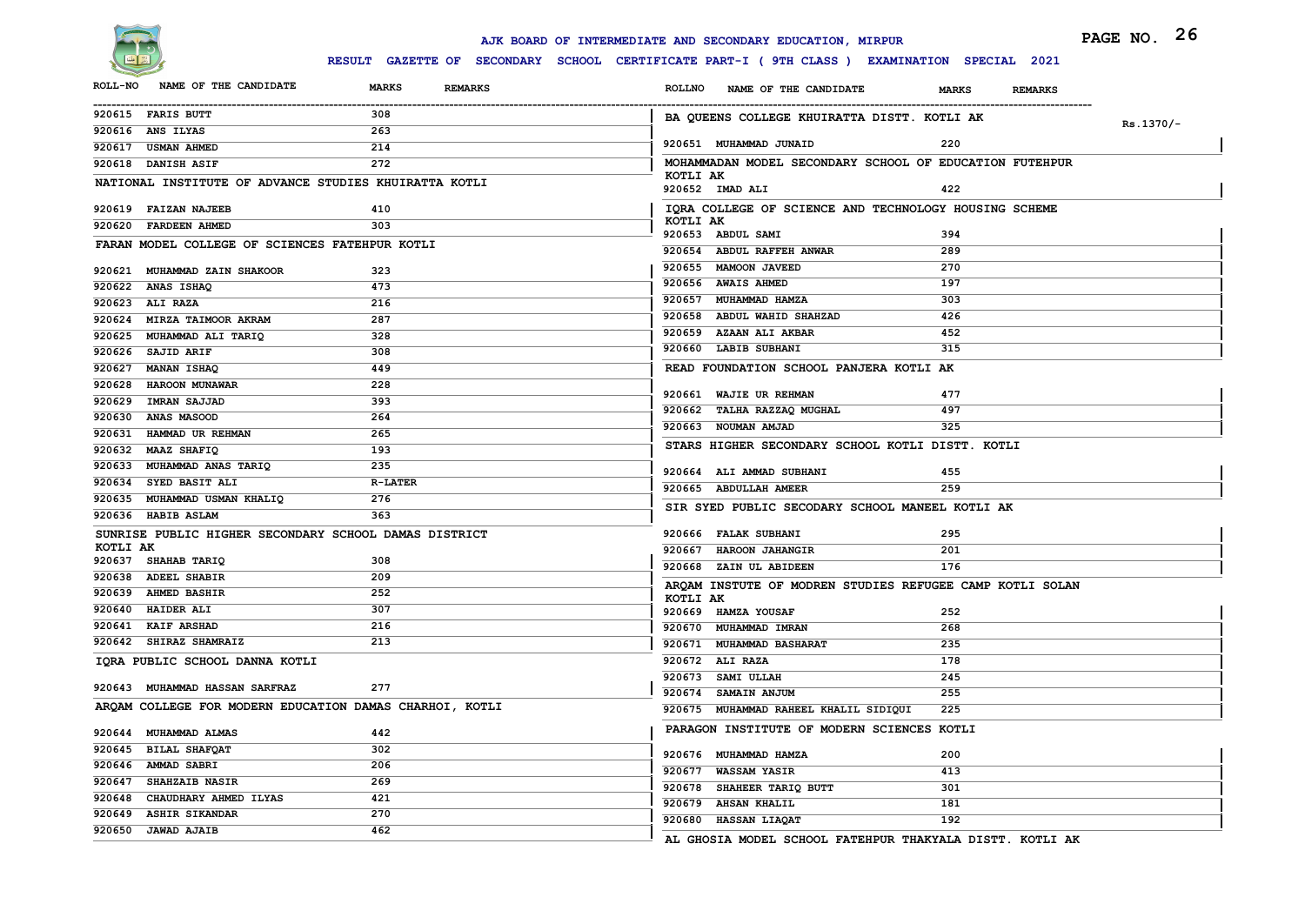

|                                                         |                                | AJK BOARD OF INTERMEDIATE AND SECONDARY EDUCATION, MIRPUR                                   | PAGE NO. 26                    |
|---------------------------------------------------------|--------------------------------|---------------------------------------------------------------------------------------------|--------------------------------|
|                                                         |                                | RESULT GAZETTE OF SECONDARY SCHOOL CERTIFICATE PART-I (9TH CLASS ) EXAMINATION SPECIAL 2021 |                                |
| NAME OF THE CANDIDATE<br><b>ROLL-NO</b>                 | <b>MARKS</b><br><b>REMARKS</b> | <b>ROLLNO</b><br>NAME OF THE CANDIDATE                                                      | <b>MARKS</b><br><b>REMARKS</b> |
| 920615 FARIS BUTT                                       | 308                            | BA QUEENS COLLEGE KHUIRATTA DISTT. KOTLI AK                                                 | $Rs.1370/-$                    |
| 920616 ANS ILYAS                                        | 263                            | 920651 MUHAMMAD JUNAID                                                                      | 220                            |
| 920617 USMAN AHMED                                      | 214                            |                                                                                             |                                |
| 920618 DANISH ASIF                                      | 272                            | MOHAMMADAN MODEL SECONDARY SCHOOL OF EDUCATION FUTEHPUR<br>KOTLI AK                         |                                |
| NATIONAL INSTITUTE OF ADVANCE STUDIES KHUIRATTA KOTLI   |                                | 920652 IMAD ALI                                                                             | 422                            |
| 920619 FAIZAN NAJEEB                                    | 410                            | IQRA COLLEGE OF SCIENCE AND TECHNOLOGY HOUSING SCHEME                                       |                                |
| 920620 FARDEEN AHMED                                    | 303                            | KOTLI AK<br>920653 ABDUL SAMI                                                               | 394                            |
| FARAN MODEL COLLEGE OF SCIENCES FATEHPUR KOTLI          |                                | 920654 ABDUL RAFFEH ANWAR                                                                   | 289                            |
| 920621 MUHAMMAD ZAIN SHAKOOR                            | 323                            | 920655 MAMOON JAVEED                                                                        | 270                            |
| 920622 ANAS ISHAQ                                       | 473                            | 920656 AWAIS AHMED                                                                          | 197                            |
| 920623 ALI RAZA                                         | 216                            | 920657 MUHAMMAD HAMZA                                                                       | 303                            |
| 920624 MIRZA TAIMOOR AKRAM                              | 287                            | 920658 ABDUL WAHID SHAHZAD                                                                  | 426                            |
| 920625 MUHAMMAD ALI TARIQ                               | 328                            | 920659 AZAAN ALI AKBAR                                                                      | 452                            |
| 920626 SAJID ARIF                                       | 308                            | 920660 LABIB SUBHANI                                                                        | 315                            |
| 920627 MANAN ISHAQ                                      | 449                            | READ FOUNDATION SCHOOL PANJERA KOTLI AK                                                     |                                |
| 920628 HAROON MUNAWAR                                   | 228                            |                                                                                             |                                |
| 920629 IMRAN SAJJAD                                     | 393                            | 920661 WAJIE UR REHMAN                                                                      | 477                            |
| 920630 ANAS MASOOD                                      | 264                            | 920662 TALHA RAZZAQ MUGHAL                                                                  | 497                            |
| 920631 HAMMAD UR REHMAN                                 | 265                            | 920663 NOUMAN AMJAD                                                                         | 325                            |
| 920632 MAAZ SHAFIQ                                      | 193                            | STARS HIGHER SECONDARY SCHOOL KOTLI DISTT. KOTLI                                            |                                |
| 920633 MUHAMMAD ANAS TARIQ                              | 235                            | 920664 ALI AMMAD SUBHANI                                                                    | 455                            |
| 920634 SYED BASIT ALI                                   | <b>R-LATER</b>                 | 920665 ABDULLAH AMEER                                                                       | 259                            |
| 920635 MUHAMMAD USMAN KHALIQ                            | 276                            |                                                                                             |                                |
| 920636 HABIB ASLAM                                      | 363                            | SIR SYED PUBLIC SECODARY SCHOOL MANEEL KOTLI AK                                             |                                |
| SUNRISE PUBLIC HIGHER SECONDARY SCHOOL DAMAS DISTRICT   |                                | 920666 FALAK SUBHANI                                                                        | 295                            |
| KOTLI AK<br>920637 SHAHAB TARIQ                         | 308                            | 920667 HAROON JAHANGIR                                                                      | 201                            |
| 920638 ADEEL SHABIR                                     | 209                            | 920668 ZAIN UL ABIDEEN                                                                      | 176                            |
| 920639 AHMED BASHIR                                     | 252                            | ARQAM INSTUTE OF MODREN STUDIES REFUGEE CAMP KOTLI SOLAN                                    |                                |
| 920640 HAIDER ALI                                       | 307                            | KOTLI AK<br>920669 HAMZA YOUSAF                                                             | 252                            |
| 920641 KAIF ARSHAD                                      | 216                            | 920670 MUHAMMAD IMRAN                                                                       | 268                            |
| 920642 SHIRAZ SHAMRAIZ                                  | 213                            | 920671 MUHAMMAD BASHARAT                                                                    | 235                            |
| IQRA PUBLIC SCHOOL DANNA KOTLI                          |                                | 920672 ALI RAZA                                                                             | 178                            |
|                                                         |                                | 920673 SAMI ULLAH                                                                           | 245                            |
| 920643 MUHAMMAD HASSAN SARFRAZ                          | 277                            | 920674 SAMAIN ANJUM                                                                         | 255                            |
| ARQAM COLLEGE FOR MODERN EDUCATION DAMAS CHARHOI, KOTLI |                                | 920675 MUHAMMAD RAHEEL KHALIL SIDIQUI                                                       | 225                            |
| 920644 MUHAMMAD ALMAS                                   | 442                            | PARAGON INSTITUTE OF MODERN SCIENCES KOTLI                                                  |                                |
| 920645 BILAL SHAFQAT                                    | 302                            |                                                                                             |                                |
| 920646 AMMAD SABRI                                      | 206                            | 920676 MUHAMMAD HAMZA                                                                       | 200                            |
| 920647 SHAHZAIB NASIR                                   | 269                            | 920677 WASSAM YASIR                                                                         | 413                            |
| 920648 CHAUDHARY AHMED ILYAS                            | 421                            | 920678 SHAHEER TARIQ BUTT                                                                   | 301                            |
| 920649 ASHIR SIKANDAR                                   | 270                            | 920679 AHSAN KHALIL<br>920680 HASSAN LIAQAT                                                 | 181<br>192                     |
| 920650 JAWAD AJAIB                                      | 462                            |                                                                                             |                                |
|                                                         |                                | AL GHOSIA MODEL SCHOOL FATEHPUR THAKYALA DISTT. KOTLI AK                                    |                                |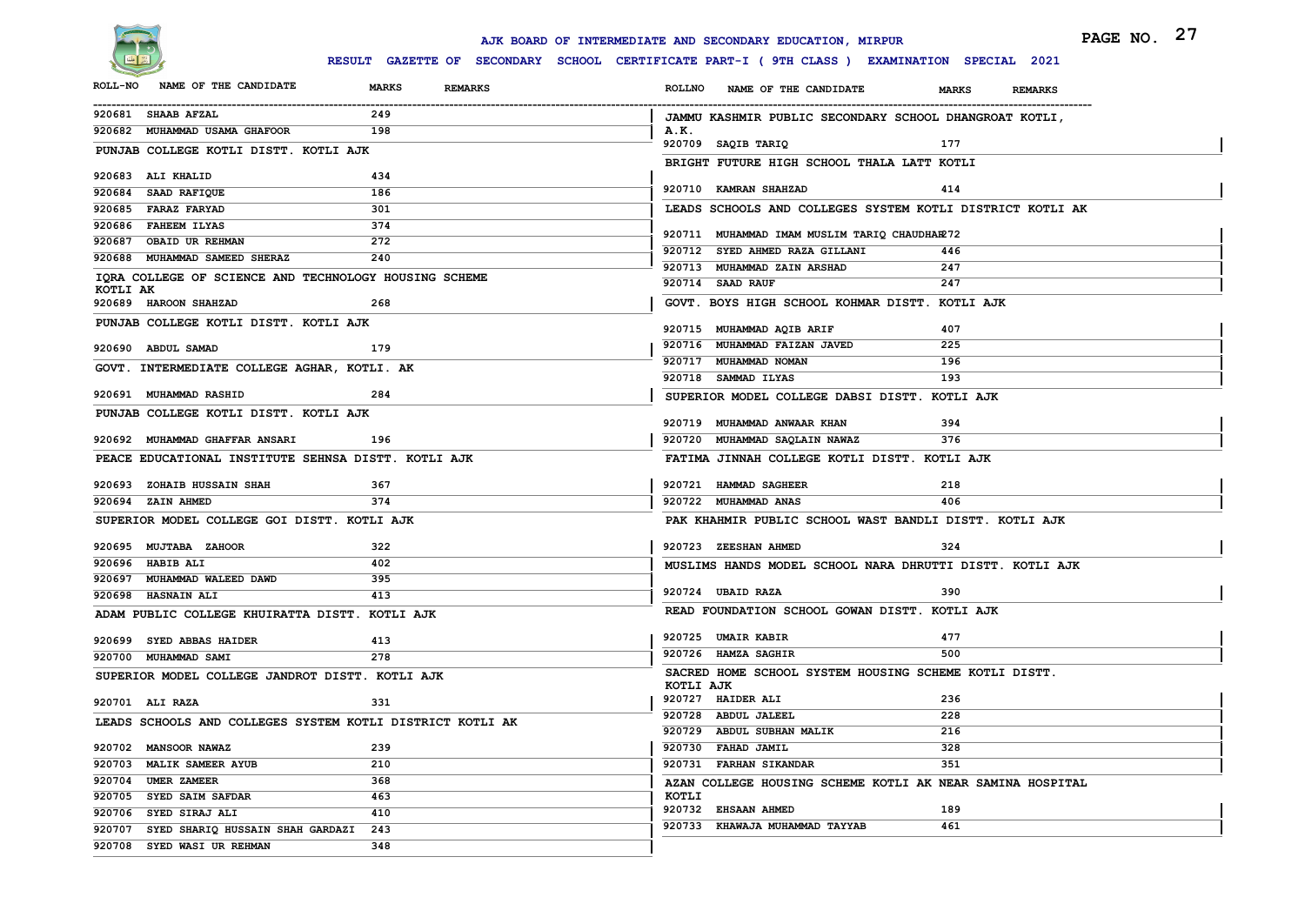

|                                                                                                                                             | PAGE NO. 27 |
|---------------------------------------------------------------------------------------------------------------------------------------------|-------------|
| RESULT GAZETTE OF SECONDARY SCHOOL CERTIFICATE PART-I ( 9TH CLASS ) EXAMINATION SPECIAL 2021                                                |             |
| NAME OF THE CANDIDATE<br><b>ROLL-NO</b><br><b>MARKS</b><br><b>REMARKS</b><br>ROLLNO NAME OF THE CANDIDATE<br><b>MARKS</b><br><b>REMARKS</b> |             |
| 920681 SHAAB AFZAL<br>249<br>JAMMU KASHMIR PUBLIC SECONDARY SCHOOL DHANGROAT KOTLI,                                                         |             |
| 198<br>920682 MUHAMMAD USAMA GHAFOOR<br>A.K.                                                                                                |             |
| 920709 SAQIB TARIQ<br>177<br>PUNJAB COLLEGE KOTLI DISTT. KOTLI AJK                                                                          |             |
| BRIGHT FUTURE HIGH SCHOOL THALA LATT KOTLI<br>920683 ALI KHALID<br>434                                                                      |             |
| 920710 KAMRAN SHAHZAD<br>414<br>920684 SAAD RAFIQUE<br>186                                                                                  |             |
| LEADS SCHOOLS AND COLLEGES SYSTEM KOTLI DISTRICT KOTLI AK<br>920685 FARAZ FARYAD<br>301                                                     |             |
| 920686 FAHEEM ILYAS<br>374                                                                                                                  |             |
| 920711 MUHAMMAD IMAM MUSLIM TARIQ CHAUDHAR272<br>272<br>920687 OBAID UR REHMAN                                                              |             |
| 920712 SYED AHMED RAZA GILLANI<br>446<br>920688 MUHAMMAD SAMEED SHERAZ<br>240                                                               |             |
| 920713 MUHAMMAD ZAIN ARSHAD<br>247<br>IQRA COLLEGE OF SCIENCE AND TECHNOLOGY HOUSING SCHEME<br>920714 SAAD RAUF<br>247                      |             |
| KOTLI AK                                                                                                                                    |             |
| GOVT. BOYS HIGH SCHOOL KOHMAR DISTT. KOTLI AJK<br>920689 HAROON SHAHZAD<br>268                                                              |             |
| PUNJAB COLLEGE KOTLI DISTT. KOTLI AJK<br>920715 MUHAMMAD AQIB ARIF<br>407                                                                   |             |
| 920716 MUHAMMAD FAIZAN JAVED<br>225<br>920690 ABDUL SAMAD<br>179                                                                            |             |
| 920717 MUHAMMAD NOMAN<br>196<br>GOVT. INTERMEDIATE COLLEGE AGHAR, KOTLI. AK                                                                 |             |
| 193<br>920718 SAMMAD ILYAS                                                                                                                  |             |
| 920691 MUHAMMAD RASHID<br>284<br>SUPERIOR MODEL COLLEGE DABSI DISTT. KOTLI AJK                                                              |             |
| PUNJAB COLLEGE KOTLI DISTT. KOTLI AJK<br>920719 MUHAMMAD ANWAAR KHAN<br>394                                                                 |             |
| 920692 MUHAMMAD GHAFFAR ANSARI<br>196<br>920720 MUHAMMAD SAQLAIN NAWAZ<br>376                                                               |             |
| PEACE EDUCATIONAL INSTITUTE SEHNSA DISTT. KOTLI AJK<br>FATIMA JINNAH COLLEGE KOTLI DISTT. KOTLI AJK                                         |             |
|                                                                                                                                             |             |
| 920693 ZOHAIB HUSSAIN SHAH<br>367<br>920721 HAMMAD SAGHEER<br>218                                                                           |             |
| 920694 ZAIN AHMED<br>374<br>920722 MUHAMMAD ANAS<br>406                                                                                     |             |
| SUPERIOR MODEL COLLEGE GOI DISTT. KOTLI AJK<br>PAK KHAHMIR PUBLIC SCHOOL WAST BANDLI DISTT. KOTLI AJK                                       |             |
| 322<br>920723 ZEESHAN AHMED<br>920695 MUJTABA ZAHOOR<br>324                                                                                 |             |
| 920696 HABIB ALI<br>402<br>MUSLIMS HANDS MODEL SCHOOL NARA DHRUTTI DISTT. KOTLI AJK                                                         |             |
| 920697 MUHAMMAD WALEED DAWD<br>395                                                                                                          |             |
| 920724 UBAID RAZA<br>390<br>413<br>920698 HASNAIN ALI                                                                                       |             |
| READ FOUNDATION SCHOOL GOWAN DISTT. KOTLI AJK<br>ADAM PUBLIC COLLEGE KHUIRATTA DISTT. KOTLI AJK                                             |             |
| 920725 UMAIR KABIR<br>477<br>920699 SYED ABBAS HAIDER<br>413                                                                                |             |
| 920726 HAMZA SAGHIR<br>500<br>920700 MUHAMMAD SAMI<br>278                                                                                   |             |
| SACRED HOME SCHOOL SYSTEM HOUSING SCHEME KOTLI DISTT.<br>SUPERIOR MODEL COLLEGE JANDROT DISTT. KOTLI AJK                                    |             |
| KOTLI AJK                                                                                                                                   |             |
| 920727 HAIDER ALI<br>236<br>920701 ALI RAZA<br>331                                                                                          |             |
| 920728 ABDUL JALEEL<br>228<br>LEADS SCHOOLS AND COLLEGES SYSTEM KOTLI DISTRICT KOTLI AK<br>920729 ABDUL SUBHAN MALIK                        |             |
| 216<br>920730 FAHAD JAMIL<br>920702 MANSOOR NAWAZ<br>239<br>328                                                                             |             |
| 210<br>920731 FARHAN SIKANDAR<br>920703 MALIK SAMEER AYUB<br>351                                                                            |             |
| 920704 UMER ZAMEER<br>368<br>AZAN COLLEGE HOUSING SCHEME KOTLI AK NEAR SAMINA HOSPITAL                                                      |             |
| KOTLI<br>920705 SYED SAIM SAFDAR<br>463                                                                                                     |             |
| 920732 EHSAAN AHMED<br>189<br>920706 SYED SIRAJ ALI<br>410                                                                                  |             |
| 920733 KHAWAJA MUHAMMAD TAYYAB<br>461<br>920707 SYED SHARIQ HUSSAIN SHAH GARDAZI<br>243                                                     |             |
| 920708 SYED WASI UR REHMAN<br>348                                                                                                           |             |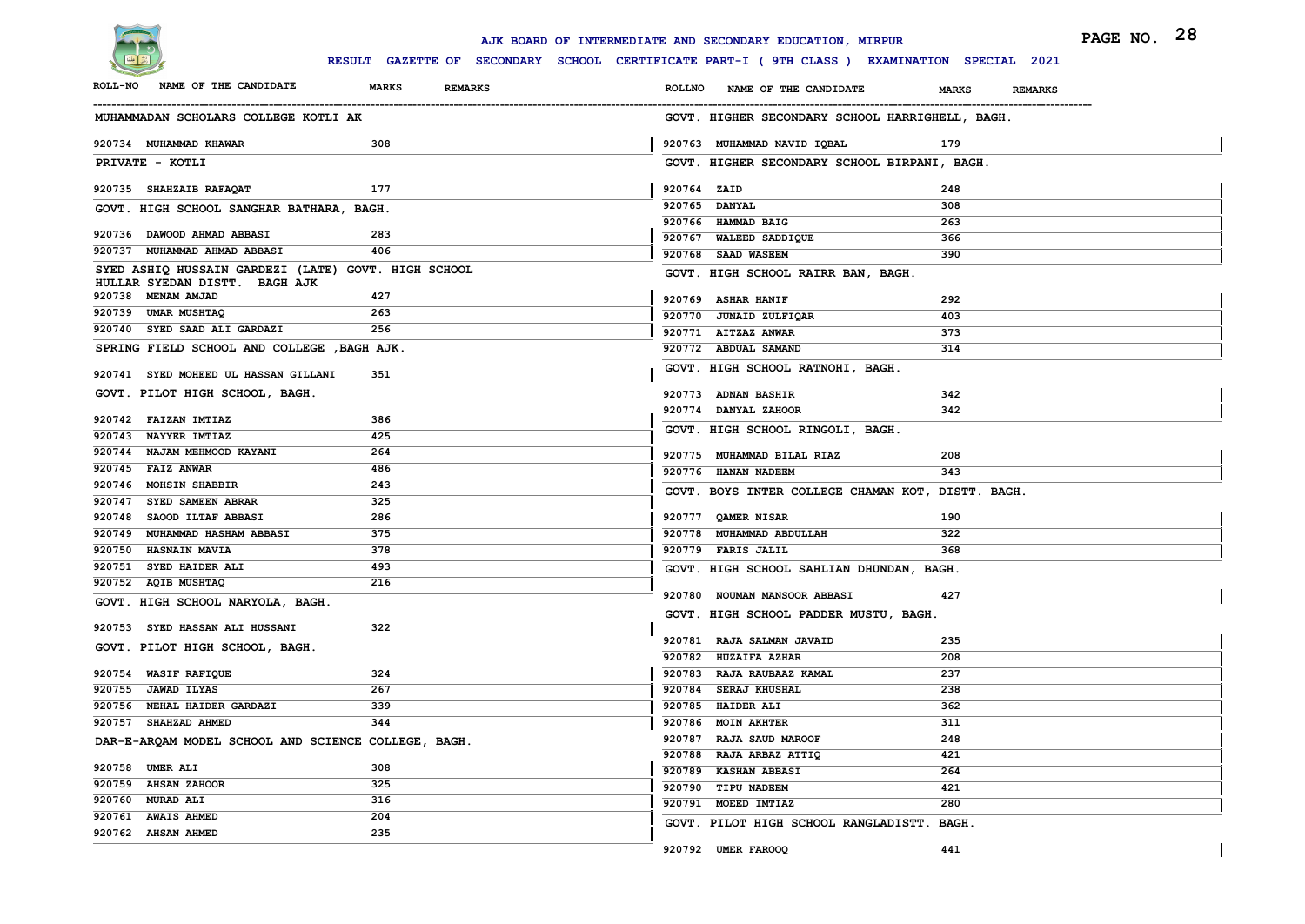

|                                                                                      |                                | AJK BOARD OF INTERMEDIATE AND SECONDARY EDUCATION, MIRPUR                                    | PAGE NO. 28                    |
|--------------------------------------------------------------------------------------|--------------------------------|----------------------------------------------------------------------------------------------|--------------------------------|
|                                                                                      |                                | RESULT GAZETTE OF SECONDARY SCHOOL CERTIFICATE PART-I ( 9TH CLASS ) EXAMINATION SPECIAL 2021 |                                |
| NAME OF THE CANDIDATE<br><b>ROLL-NO</b>                                              | <b>MARKS</b><br><b>REMARKS</b> | <b>ROLLNO</b><br>NAME OF THE CANDIDATE                                                       | <b>MARKS</b><br><b>REMARKS</b> |
| MUHAMMADAN SCHOLARS COLLEGE KOTLI AK                                                 |                                | GOVT. HIGHER SECONDARY SCHOOL HARRIGHELL, BAGH.                                              |                                |
| 920734 MUHAMMAD KHAWAR                                                               | 308                            | 920763 MUHAMMAD NAVID IQBAL                                                                  | 179                            |
| PRIVATE - KOTLI                                                                      |                                | GOVT. HIGHER SECONDARY SCHOOL BIRPANI, BAGH.                                                 |                                |
| 920735 SHAHZAIB RAFAQAT                                                              | 177                            | 920764 ZAID                                                                                  | 248                            |
| GOVT. HIGH SCHOOL SANGHAR BATHARA, BAGH.                                             |                                | 920765 DANYAL                                                                                | 308                            |
|                                                                                      |                                | 920766 HAMMAD BAIG                                                                           | 263                            |
| 920736 DAWOOD AHMAD ABBASI<br>920737 MUHAMMAD AHMAD ABBASI                           | 283<br>406                     | 920767 WALEED SADDIQUE                                                                       | 366                            |
|                                                                                      |                                | 920768 SAAD WASEEM                                                                           | 390                            |
| SYED ASHIQ HUSSAIN GARDEZI (LATE) GOVT. HIGH SCHOOL<br>HULLAR SYEDAN DISTT. BAGH AJK |                                | GOVT. HIGH SCHOOL RAIRR BAN, BAGH.                                                           |                                |
| 920738 MENAM AMJAD                                                                   | 427                            | 920769 ASHAR HANIF                                                                           | 292                            |
| 920739 UMAR MUSHTAQ                                                                  | 263                            | 920770 JUNAID ZULFIQAR                                                                       | 403                            |
| 920740 SYED SAAD ALI GARDAZI                                                         | 256                            | 920771 AITZAZ ANWAR                                                                          | 373                            |
| SPRING FIELD SCHOOL AND COLLEGE , BAGH AJK.                                          |                                | 920772 ABDUAL SAMAND                                                                         | 314                            |
| 920741 SYED MOHEED UL HASSAN GILLANI                                                 | 351                            | GOVT. HIGH SCHOOL RATNOHI, BAGH.                                                             |                                |
| GOVT. PILOT HIGH SCHOOL, BAGH.                                                       |                                | 920773 ADNAN BASHIR                                                                          | 342                            |
| 920742 FAIZAN IMTIAZ                                                                 | 386                            | 920774 DANYAL ZAHOOR                                                                         | 342                            |
| 920743 NAYYER IMTIAZ                                                                 | 425                            | GOVT. HIGH SCHOOL RINGOLI, BAGH.                                                             |                                |
| 920744 NAJAM MEHMOOD KAYANI                                                          | 264                            | 920775 MUHAMMAD BILAL RIAZ                                                                   | 208                            |
| 920745 FAIZ ANWAR                                                                    | 486                            | 920776 HANAN NADEEM                                                                          | 343                            |
| 920746 MOHSIN SHABBIR                                                                | 243                            | GOVT. BOYS INTER COLLEGE CHAMAN KOT, DISTT. BAGH.                                            |                                |
| 920747 SYED SAMEEN ABRAR                                                             | 325                            |                                                                                              |                                |
| 920748 SAOOD ILTAF ABBASI                                                            | 286                            | 920777 QAMER NISAR                                                                           | 190                            |
| 920749 MUHAMMAD HASHAM ABBASI                                                        | 375                            | 920778 MUHAMMAD ABDULLAH                                                                     | 322                            |
| 920750 HASNAIN MAVIA                                                                 | 378                            | 920779 FARIS JALIL                                                                           | 368                            |
| 920751 SYED HAIDER ALI                                                               | 493                            | GOVT. HIGH SCHOOL SAHLIAN DHUNDAN, BAGH.                                                     |                                |
| 920752 AQIB MUSHTAQ                                                                  | 216                            | 920780 NOUMAN MANSOOR ABBASI                                                                 | 427                            |
| GOVT. HIGH SCHOOL NARYOLA, BAGH.                                                     |                                | GOVT. HIGH SCHOOL PADDER MUSTU, BAGH.                                                        |                                |
| 920753 SYED HASSAN ALI HUSSANI                                                       | 322                            |                                                                                              |                                |
| GOVT. PILOT HIGH SCHOOL, BAGH.                                                       |                                | 920781 RAJA SALMAN JAVAID                                                                    | 235                            |
|                                                                                      |                                | 920782 HUZAIFA AZHAR                                                                         | 208                            |
| 920754 WASIF RAFIQUE                                                                 | 324                            | 920783 RAJA RAUBAAZ KAMAL                                                                    | 237                            |
| 920755 JAWAD ILYAS                                                                   | 267                            | 920784 SERAJ KHUSHAL                                                                         | 238                            |
| 920756 NEHAL HAIDER GARDAZI                                                          | 339                            | 920785 HAIDER ALI                                                                            | 362                            |
| 920757 SHAHZAD AHMED                                                                 | 344                            | 920786 MOIN AKHTER<br>920787 RAJA SAUD MAROOF                                                | 311<br>248                     |
| DAR-E-ARQAM MODEL SCHOOL AND SCIENCE COLLEGE, BAGH.                                  |                                | 920788 RAJA ARBAZ ATTIQ                                                                      | 421                            |
| 920758 UMER ALI                                                                      | 308                            | 920789 KASHAN ABBASI                                                                         | 264                            |
| 920759 AHSAN ZAHOOR                                                                  | 325                            | 920790 TIPU NADEEM                                                                           | 421                            |
| 920760 MURAD ALI                                                                     | 316                            | 920791 MOEED IMTIAZ                                                                          | 280                            |
| 920761 AWAIS AHMED                                                                   | 204                            | GOVT. PILOT HIGH SCHOOL RANGLADISTT. BAGH.                                                   |                                |
| 920762 AHSAN AHMED                                                                   | 235                            |                                                                                              |                                |
|                                                                                      |                                | 920792 UMER FAROOQ                                                                           | 441                            |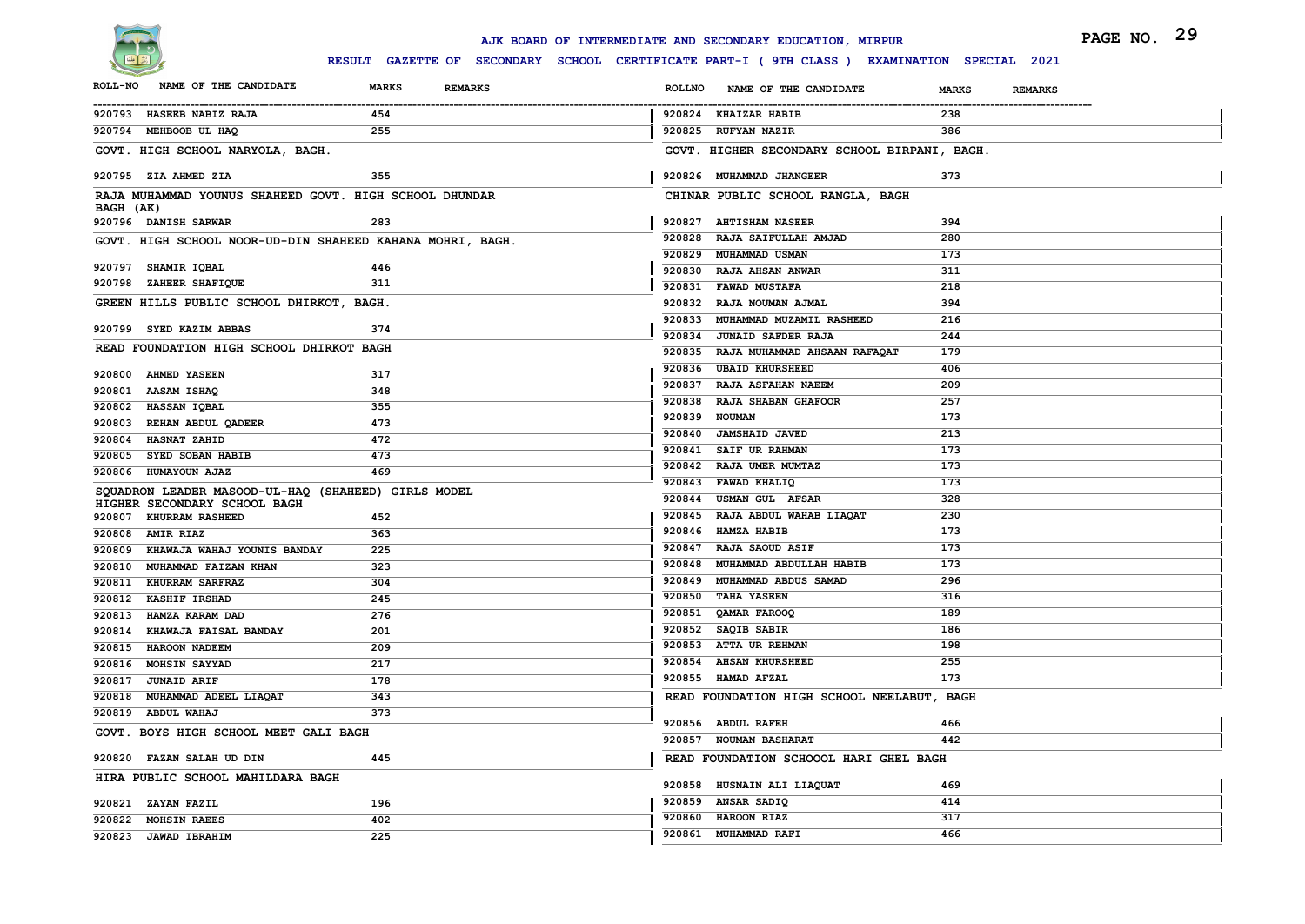

|                                                                     |                                                                                              | AJK BOARD OF INTERMEDIATE AND SECONDARY EDUCATION, MIRPUR | PAGE NO. 29                    |
|---------------------------------------------------------------------|----------------------------------------------------------------------------------------------|-----------------------------------------------------------|--------------------------------|
|                                                                     | RESULT GAZETTE OF SECONDARY SCHOOL CERTIFICATE PART-I ( 9TH CLASS ) EXAMINATION SPECIAL 2021 |                                                           |                                |
| NAME OF THE CANDIDATE<br><b>ROLL-NO</b>                             | <b>MARKS</b><br><b>REMARKS</b>                                                               | <b>ROLLNO</b><br>NAME OF THE CANDIDATE                    | <b>MARKS</b><br><b>REMARKS</b> |
| 920793 HASEEB NABIZ RAJA                                            | 454                                                                                          | 920824 KHAIZAR HABIB                                      | 238                            |
| 920794 MEHBOOB UL HAQ                                               | 255                                                                                          | 920825 RUFYAN NAZIR                                       | 386                            |
| GOVT. HIGH SCHOOL NARYOLA, BAGH.                                    |                                                                                              | GOVT. HIGHER SECONDARY SCHOOL BIRPANI, BAGH.              |                                |
| 920795 ZIA AHMED ZIA                                                | 355                                                                                          | 920826 MUHAMMAD JHANGEER                                  | 373                            |
| RAJA MUHAMMAD YOUNUS SHAHEED GOVT. HIGH SCHOOL DHUNDAR<br>BAGH (AK) |                                                                                              | CHINAR PUBLIC SCHOOL RANGLA, BAGH                         |                                |
| 920796 DANISH SARWAR                                                | 283                                                                                          | 920827 AHTISHAM NASEER                                    | 394                            |
| GOVT. HIGH SCHOOL NOOR-UD-DIN SHAHEED KAHANA MOHRI, BAGH.           |                                                                                              | 920828 RAJA SAIFULLAH AMJAD                               | 280                            |
|                                                                     |                                                                                              | 920829 MUHAMMAD USMAN                                     | 173                            |
| 920797 SHAMIR IQBAL                                                 | 446                                                                                          | 920830 RAJA AHSAN ANWAR                                   | 311                            |
| 920798 ZAHEER SHAFIQUE                                              | 311                                                                                          | 920831 FAWAD MUSTAFA                                      | 218                            |
| GREEN HILLS PUBLIC SCHOOL DHIRKOT, BAGH.                            |                                                                                              | 920832 RAJA NOUMAN AJMAL                                  | 394                            |
| 920799 SYED KAZIM ABBAS                                             | 374                                                                                          | 920833 MUHAMMAD MUZAMIL RASHEED                           | 216                            |
| READ FOUNDATION HIGH SCHOOL DHIRKOT BAGH                            |                                                                                              | 920834 JUNAID SAFDER RAJA                                 | 244                            |
|                                                                     |                                                                                              | 920835 RAJA MUHAMMAD AHSAAN RAFAQAT                       | 179                            |
| 920800 AHMED YASEEN                                                 | 317                                                                                          | 920836 UBAID KHURSHEED                                    | 406                            |
| 920801 AASAM ISHAQ                                                  | 348                                                                                          | 920837 RAJA ASFAHAN NAEEM<br>920838 RAJA SHABAN GHAFOOR   | 209<br>257                     |
| 920802 HASSAN IQBAL                                                 | 355                                                                                          | 920839 NOUMAN                                             | 173                            |
| 920803 REHAN ABDUL QADEER                                           | 473                                                                                          | 920840 JAMSHAID JAVED                                     | 213                            |
| 920804<br><b>HASNAT ZAHID</b>                                       | 472                                                                                          | 920841 SAIF UR RAHMAN                                     | 173                            |
| 920805<br><b>SYED SOBAN HABIB</b>                                   | 473                                                                                          | 920842 RAJA UMER MUMTAZ                                   | 173                            |
| 920806 HUMAYOUN AJAZ                                                | 469                                                                                          | 920843 FAWAD KHALIQ                                       | 173                            |
| SQUADRON LEADER MASOOD-UL-HAQ (SHAHEED) GIRLS MODEL                 |                                                                                              | 920844<br>USMAN GUL AFSAR                                 | 328                            |
| HIGHER SECONDARY SCHOOL BAGH<br>920807 KHURRAM RASHEED              | 452                                                                                          | 920845 RAJA ABDUL WAHAB LIAQAT                            | 230                            |
| 920808 AMIR RIAZ                                                    | 363                                                                                          | 920846 HAMZA HABIB                                        | 173                            |
| 920809 KHAWAJA WAHAJ YOUNIS BANDAY                                  | 225                                                                                          | 920847 RAJA SAOUD ASIF                                    | 173                            |
| 920810 MUHAMMAD FAIZAN KHAN                                         | 323                                                                                          | 920848<br>MUHAMMAD ABDULLAH HABIB                         | 173                            |
| 920811 KHURRAM SARFRAZ                                              | 304                                                                                          | 920849 MUHAMMAD ABDUS SAMAD                               | 296                            |
| 920812 KASHIF IRSHAD                                                | 245                                                                                          | 920850 TAHA YASEEN                                        | 316                            |
| 920813<br>HAMZA KARAM DAD                                           | 276                                                                                          | 920851 QAMAR FAROOQ                                       | 189                            |
| 920814 KHAWAJA FAISAL BANDAY                                        | 201                                                                                          | 920852 SAQIB SABIR                                        | 186                            |
| 920815<br><b>HAROON NADEEM</b>                                      | 209                                                                                          | 920853 ATTA UR REHMAN                                     | 198                            |
| 920816 MOHSIN SAYYAD                                                | 217                                                                                          | 920854 AHSAN KHURSHEED                                    | 255                            |
| 920817 JUNAID ARIF                                                  | 178                                                                                          | 920855 HAMAD AFZAL                                        | 173                            |
| MUHAMMAD ADEEL LIAQAT<br>920818                                     | 343                                                                                          | READ FOUNDATION HIGH SCHOOL NEELABUT, BAGH                |                                |
| 920819 ABDUL WAHAJ                                                  | 373                                                                                          |                                                           |                                |
| GOVT. BOYS HIGH SCHOOL MEET GALI BAGH                               |                                                                                              | 920856 ABDUL RAFEH<br>920857 NOUMAN BASHARAT              | 466<br>442                     |
| 920820 FAZAN SALAH UD DIN                                           | 445                                                                                          | READ FOUNDATION SCHOOOL HARI GHEL BAGH                    |                                |
| HIRA PUBLIC SCHOOL MAHILDARA BAGH                                   |                                                                                              | 920858 HUSNAIN ALI LIAQUAT                                | 469                            |
| 920821 ZAYAN FAZIL                                                  | 196                                                                                          | 920859 ANSAR SADIQ                                        | 414                            |
| 920822 MOHSIN RAEES                                                 | 402                                                                                          | 920860 HAROON RIAZ                                        | 317                            |
| 920823 JAWAD IBRAHIM                                                | 225                                                                                          | 920861 MUHAMMAD RAFI                                      | 466                            |
|                                                                     |                                                                                              |                                                           |                                |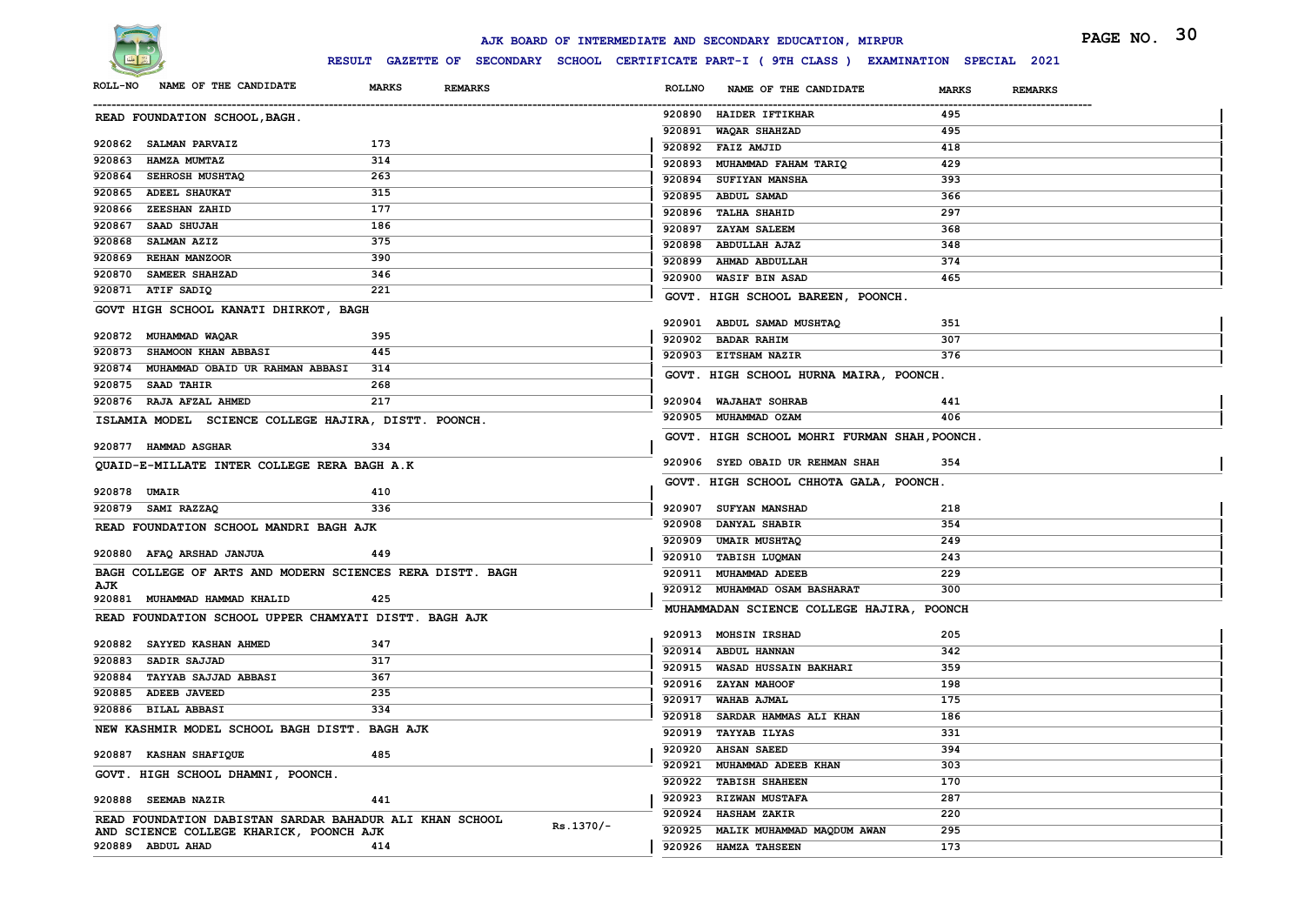

|                                                           |                                |           |               | AJK BOARD OF INTERMEDIATE AND SECONDARY EDUCATION, MIRPUR                                    |              |                | PAGE NO. 30 |  |
|-----------------------------------------------------------|--------------------------------|-----------|---------------|----------------------------------------------------------------------------------------------|--------------|----------------|-------------|--|
|                                                           |                                |           |               | RESULT GAZETTE OF SECONDARY SCHOOL CERTIFICATE PART-I ( 9TH CLASS ) EXAMINATION SPECIAL 2021 |              |                |             |  |
| NAME OF THE CANDIDATE<br><b>ROLL-NO</b>                   | <b>MARKS</b><br><b>REMARKS</b> |           | <b>ROLLNO</b> | NAME OF THE CANDIDATE                                                                        | <b>MARKS</b> | <b>REMARKS</b> |             |  |
| READ FOUNDATION SCHOOL, BAGH.                             |                                |           |               | 920890 HAIDER IFTIKHAR                                                                       | 495          |                |             |  |
|                                                           |                                |           |               | 920891 WAQAR SHAHZAD                                                                         | 495          |                |             |  |
| 920862 SALMAN PARVAIZ                                     | 173                            |           |               | 920892 FAIZ AMJID                                                                            | 418          |                |             |  |
| 920863<br><b>HAMZA MUMTAZ</b>                             | 314                            |           |               | 920893 MUHAMMAD FAHAM TARIQ                                                                  | 429          |                |             |  |
| 920864 SEHROSH MUSHTAQ                                    | 263                            |           |               | 920894 SUFIYAN MANSHA                                                                        | 393          |                |             |  |
| <b>ADEEL SHAUKAT</b><br>920865                            | 315                            |           |               | 920895 ABDUL SAMAD                                                                           | 366          |                |             |  |
| 920866 ZEESHAN ZAHID                                      | 177                            |           |               | 920896 TALHA SHAHID                                                                          | 297          |                |             |  |
| 920867 SAAD SHUJAH                                        | 186                            |           |               | 920897 ZAYAM SALEEM                                                                          | 368          |                |             |  |
| 920868<br><b>SALMAN AZIZ</b>                              | 375                            |           |               | 920898 ABDULLAH AJAZ                                                                         | 348          |                |             |  |
| <b>REHAN MANZOOR</b><br>920869                            | 390                            |           |               | 920899 AHMAD ABDULLAH                                                                        | 374          |                |             |  |
| SAMEER SHAHZAD<br>920870                                  | 346                            |           |               | 920900 WASIF BIN ASAD                                                                        | 465          |                |             |  |
| 920871 ATIF SADIQ                                         | 221                            |           |               | GOVT. HIGH SCHOOL BAREEN, POONCH.                                                            |              |                |             |  |
| GOVT HIGH SCHOOL KANATI DHIRKOT, BAGH                     |                                |           |               |                                                                                              |              |                |             |  |
| 920872 MUHAMMAD WAQAR                                     | 395                            |           |               | 920901 ABDUL SAMAD MUSHTAQ                                                                   | 351          |                |             |  |
| <b>SHAMOON KHAN ABBASI</b><br>920873                      | 445                            |           |               | 920902 BADAR RAHIM                                                                           | 307          |                |             |  |
| 920874 MUHAMMAD OBAID UR RAHMAN ABBASI                    | 314                            |           |               | 920903 EITSHAM NAZIR                                                                         | 376          |                |             |  |
| 920875 SAAD TAHIR                                         | 268                            |           |               | GOVT. HIGH SCHOOL HURNA MAIRA, POONCH.                                                       |              |                |             |  |
| 920876 RAJA AFZAL AHMED                                   | 217                            |           |               | 920904 WAJAHAT SOHRAB                                                                        | 441          |                |             |  |
|                                                           |                                |           |               | 920905 MUHAMMAD OZAM                                                                         | 406          |                |             |  |
| ISLAMIA MODEL SCIENCE COLLEGE HAJIRA, DISTT. POONCH.      |                                |           |               |                                                                                              |              |                |             |  |
| 920877 HAMMAD ASGHAR                                      | 334                            |           |               | GOVT. HIGH SCHOOL MOHRI FURMAN SHAH, POONCH                                                  |              |                |             |  |
| QUAID-E-MILLATE INTER COLLEGE RERA BAGH A.K               |                                |           |               | 920906 SYED OBAID UR REHMAN SHAH                                                             | 354          |                |             |  |
|                                                           |                                |           |               | GOVT. HIGH SCHOOL CHHOTA GALA, POONCH.                                                       |              |                |             |  |
| 920878 UMAIR                                              | 410                            |           |               |                                                                                              |              |                |             |  |
| 920879 SAMI RAZZAQ                                        | 336                            |           |               | 920907 SUFYAN MANSHAD                                                                        | 218          |                |             |  |
| READ FOUNDATION SCHOOL MANDRI BAGH AJK                    |                                |           |               | 920908 DANYAL SHABIR                                                                         | 354          |                |             |  |
|                                                           |                                |           |               | 920909 UMAIR MUSHTAQ                                                                         | 249          |                |             |  |
| 920880 AFAQ ARSHAD JANJUA                                 | 449                            |           |               | 920910 TABISH LUQMAN                                                                         | 243          |                |             |  |
| BAGH COLLEGE OF ARTS AND MODERN SCIENCES RERA DISTT. BAGH |                                |           |               | 920911 MUHAMMAD ADEEB                                                                        | 229          |                |             |  |
| AJK                                                       |                                |           |               | 920912 MUHAMMAD OSAM BASHARAT                                                                | 300          |                |             |  |
| 920881 MUHAMMAD HAMMAD KHALID                             | 425                            |           |               | MUHAMMADAN SCIENCE COLLEGE HAJIRA, POONCH                                                    |              |                |             |  |
| READ FOUNDATION SCHOOL UPPER CHAMYATI DISTT. BAGH AJK     |                                |           |               |                                                                                              |              |                |             |  |
| <b>SAYYED KASHAN AHMED</b><br>920882                      | 347                            |           |               | 920913 MOHSIN IRSHAD                                                                         | 205          |                |             |  |
| SADIR SAJJAD<br>920883                                    | 317                            |           |               | 920914 ABDUL HANNAN                                                                          | 342          |                |             |  |
| <b>TAYYAB SAJJAD ABBASI</b><br>920884                     | 367                            |           |               | 920915 WASAD HUSSAIN BAKHARI                                                                 | 359          |                |             |  |
| <b>ADEEB JAVEED</b><br>920885                             | 235                            |           |               | 920916 ZAYAN MAHOOF                                                                          | 198          |                |             |  |
| 920886 BILAL ABBASI                                       | 334                            |           |               | 920917 WAHAB AJMAL                                                                           | 175          |                |             |  |
|                                                           |                                |           |               | 920918 SARDAR HAMMAS ALI KHAN                                                                | 186          |                |             |  |
| NEW KASHMIR MODEL SCHOOL BAGH DISTT. BAGH AJK             |                                |           |               | 920919 TAYYAB ILYAS                                                                          | 331          |                |             |  |
| 920887 KASHAN SHAFIQUE                                    | 485                            |           |               | 920920 AHSAN SAEED                                                                           | 394          |                |             |  |
| GOVT. HIGH SCHOOL DHAMNI, POONCH.                         |                                |           |               | 920921 MUHAMMAD ADEEB KHAN                                                                   | 303          |                |             |  |
|                                                           |                                |           |               | 920922 TABISH SHAHEEN                                                                        | 170          |                |             |  |
| 920888 SEEMAB NAZIR                                       | 441                            |           |               | 920923 RIZWAN MUSTAFA                                                                        | 287          |                |             |  |
| READ FOUNDATION DABISTAN SARDAR BAHADUR ALI KHAN SCHOOL   |                                |           |               | 920924 HASHAM ZAKIR                                                                          | 220          |                |             |  |
| AND SCIENCE COLLEGE KHARICK, POONCH AJK                   |                                | Rs.1370/- |               | 920925 MALIK MUHAMMAD MAQDUM AWAN                                                            | 295          |                |             |  |
| 920889 ABDUL AHAD                                         | 414                            |           |               | 920926 HAMZA TAHSEEN                                                                         | 173          |                |             |  |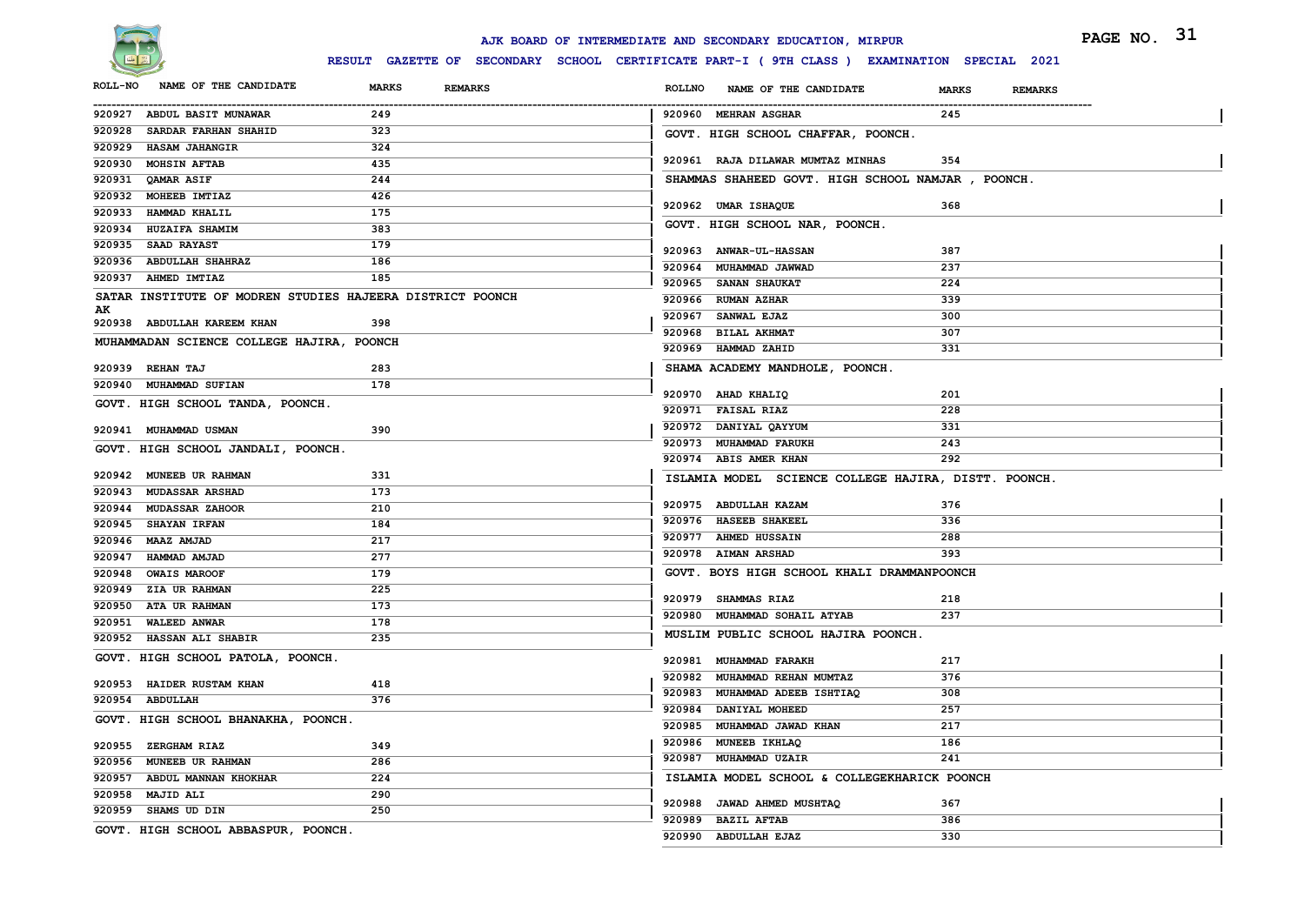

|                                                                 |                                | AJK BOARD OF INTERMEDIATE AND SECONDARY EDUCATION, MIRPUR                                    | PAGE NO. 31                    |
|-----------------------------------------------------------------|--------------------------------|----------------------------------------------------------------------------------------------|--------------------------------|
|                                                                 |                                | RESULT GAZETTE OF SECONDARY SCHOOL CERTIFICATE PART-I ( 9TH CLASS ) EXAMINATION SPECIAL 2021 |                                |
| NAME OF THE CANDIDATE<br><b>ROLL-NO</b>                         | <b>MARKS</b><br><b>REMARKS</b> | <b>ROLLNO</b><br>NAME OF THE CANDIDATE                                                       | <b>MARKS</b><br><b>REMARKS</b> |
| 920927 ABDUL BASIT MUNAWAR                                      | 249                            | 920960 MEHRAN ASGHAR                                                                         | 245                            |
| <b>SARDAR FARHAN SHAHID</b><br>920928                           | 323                            | GOVT. HIGH SCHOOL CHAFFAR, POONCH.                                                           |                                |
| 920929 HASAM JAHANGIR                                           | 324                            |                                                                                              |                                |
| 920930 MOHSIN AFTAB                                             | 435                            | 920961 RAJA DILAWAR MUMTAZ MINHAS                                                            | 354                            |
| 920931 QAMAR ASIF                                               | 244                            | SHAMMAS SHAHEED GOVT. HIGH SCHOOL NAMJAR, POONCH.                                            |                                |
| 920932 MOHEEB IMTIAZ                                            | 426                            | 920962 UMAR ISHAQUE                                                                          | 368                            |
| 920933<br><b>HAMMAD KHALIL</b>                                  | 175                            | GOVT. HIGH SCHOOL NAR, POONCH.                                                               |                                |
| 920934 HUZAIFA SHAMIM                                           | 383                            |                                                                                              |                                |
| 920935 SAAD RAYAST                                              | 179                            | 920963 ANWAR-UL-HASSAN                                                                       | 387                            |
| 920936 ABDULLAH SHAHRAZ                                         | 186                            | 920964 MUHAMMAD JAWWAD                                                                       | 237                            |
| 920937 AHMED IMTIAZ                                             | 185                            | 920965 SANAN SHAUKAT                                                                         | 224                            |
| SATAR INSTITUTE OF MODREN STUDIES HAJEERA DISTRICT POONCH<br>AK |                                | 920966 RUMAN AZHAR                                                                           | 339                            |
| 920938 ABDULLAH KAREEM KHAN                                     | 398                            | 920967 SANWAL EJAZ                                                                           | 300                            |
| MUHAMMADAN SCIENCE COLLEGE HAJIRA, POONCH                       |                                | 920968 BILAL AKHMAT                                                                          | 307                            |
|                                                                 |                                | 920969 HAMMAD ZAHID                                                                          | 331                            |
| 920939 REHAN TAJ                                                | 283                            | SHAMA ACADEMY MANDHOLE, POONCH.                                                              |                                |
| 920940 MUHAMMAD SUFIAN                                          | 178                            | 920970 AHAD KHALIQ                                                                           | 201                            |
| GOVT. HIGH SCHOOL TANDA, POONCH.                                |                                | 920971 FAISAL RIAZ                                                                           | 228                            |
| 920941 MUHAMMAD USMAN                                           | 390                            | 920972 DANIYAL QAYYUM                                                                        | 331                            |
|                                                                 |                                | 920973 MUHAMMAD FARUKH                                                                       | 243                            |
| GOVT. HIGH SCHOOL JANDALI, POONCH.                              |                                | 920974 ABIS AMER KHAN                                                                        | 292                            |
| 920942 MUNEEB UR RAHMAN                                         | 331                            | ISLAMIA MODEL SCIENCE COLLEGE HAJIRA, DISTT. POONCH.                                         |                                |
| 920943 MUDASSAR ARSHAD                                          | 173                            |                                                                                              |                                |
| 920944 MUDASSAR ZAHOOR                                          | 210                            | 920975 ABDULLAH KAZAM                                                                        | 376                            |
| 920945 SHAYAN IRFAN                                             | 184                            | 920976 HASEEB SHAKEEL                                                                        | 336                            |
| 920946 MAAZ AMJAD                                               | 217                            | 920977 AHMED HUSSAIN                                                                         | 288                            |
| 920947 HAMMAD AMJAD                                             | 277                            | 920978 AIMAN ARSHAD                                                                          | 393                            |
| 920948 OWAIS MAROOF                                             | 179                            | GOVT. BOYS HIGH SCHOOL KHALI DRAMMANPOONCH                                                   |                                |
| 920949 ZIA UR RAHMAN                                            | 225                            | 920979 SHAMMAS RIAZ                                                                          | 218                            |
| 920950 ATA UR RAHMAN                                            | 173                            | 920980 MUHAMMAD SOHAIL ATYAB                                                                 | 237                            |
| 920951 WALEED ANWAR                                             | 178                            | MUSLIM PUBLIC SCHOOL HAJIRA POONCH.                                                          |                                |
| 920952 HASSAN ALI SHABIR                                        | 235                            |                                                                                              |                                |
| GOVT. HIGH SCHOOL PATOLA, POONCH.                               |                                | 920981 MUHAMMAD FARAKH                                                                       | 217                            |
| 920953 HAIDER RUSTAM KHAN                                       | 418                            | 920982 MUHAMMAD REHAN MUMTAZ                                                                 | 376                            |
| 920954 ABDULLAH                                                 | 376                            | 920983 MUHAMMAD ADEEB ISHTIAQ                                                                | 308                            |
| GOVT. HIGH SCHOOL BHANAKHA, POONCH.                             |                                | 920984 DANIYAL MOHEED                                                                        | 257                            |
|                                                                 |                                | 920985 MUHAMMAD JAWAD KHAN                                                                   | 217                            |
| 920955 ZERGHAM RIAZ                                             | 349                            | 920986 MUNEEB IKHLAQ                                                                         | 186                            |
| 920956 MUNEEB UR RAHMAN                                         | 286                            | 920987 MUHAMMAD UZAIR                                                                        | 241                            |
| 920957 ABDUL MANNAN KHOKHAR                                     | 224                            | ISLAMIA MODEL SCHOOL & COLLEGEKHARICK POONCH                                                 |                                |
| 920958 MAJID ALI                                                | 290                            | 920988 JAWAD AHMED MUSHTAQ                                                                   | 367                            |
| 920959 SHAMS UD DIN                                             | 250                            | 920989 BAZIL AFTAB                                                                           | 386                            |
| GOVT. HIGH SCHOOL ABBASPUR, POONCH.                             |                                | 920990 ABDULLAH EJAZ                                                                         | 330                            |
|                                                                 |                                |                                                                                              |                                |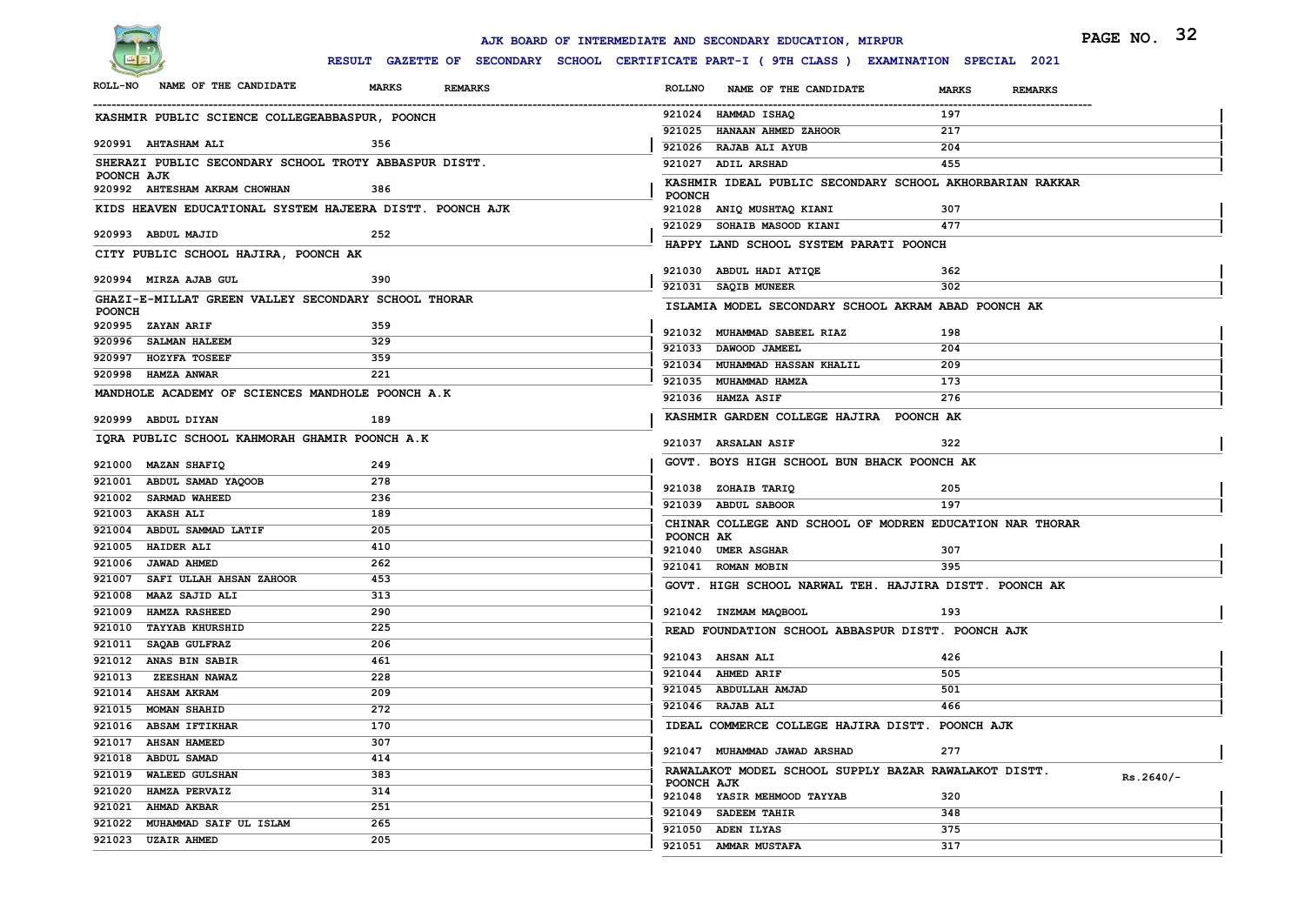

|                                                       |                                                          | AJK BOARD OF INTERMEDIATE AND SECONDARY EDUCATION, MIRPUR                                    | PAGE NO. 32    |
|-------------------------------------------------------|----------------------------------------------------------|----------------------------------------------------------------------------------------------|----------------|
|                                                       |                                                          | RESULT GAZETTE OF SECONDARY SCHOOL CERTIFICATE PART-I ( 9TH CLASS ) EXAMINATION SPECIAL 2021 |                |
| NAME OF THE CANDIDATE<br><b>ROLL-NO</b>               | <b>MARKS</b><br><b>REMARKS</b>                           | <b>ROLLNO</b><br>NAME OF THE CANDIDATE<br><b>MARKS</b>                                       | <b>REMARKS</b> |
| KASHMIR PUBLIC SCIENCE COLLEGEABBASPUR, POONCH        |                                                          | --------<br>921024 HAMMAD ISHAQ<br>197                                                       |                |
|                                                       |                                                          | 921025 HANAAN AHMED ZAHOOR<br>217                                                            |                |
| 920991 AHTASHAM ALI                                   | 356                                                      | 921026 RAJAB ALI AYUB<br>204                                                                 |                |
| SHERAZI PUBLIC SECONDARY SCHOOL TROTY ABBASPUR DISTT. |                                                          | 921027 ADIL ARSHAD<br>455                                                                    |                |
| POONCH AJK<br>920992 AHTESHAM AKRAM CHOWHAN           | 386                                                      | KASHMIR IDEAL PUBLIC SECONDARY SCHOOL AKHORBARIAN RAKKAR<br><b>POONCH</b>                    |                |
|                                                       | KIDS HEAVEN EDUCATIONAL SYSTEM HAJEERA DISTT. POONCH AJK | 921028 ANIQ MUSHTAQ KIANI<br>307                                                             |                |
| 920993 ABDUL MAJID                                    | 252                                                      | 921029 SOHAIB MASOOD KIANI<br>477                                                            |                |
| CITY PUBLIC SCHOOL HAJIRA, POONCH AK                  |                                                          | HAPPY LAND SCHOOL SYSTEM PARATI POONCH                                                       |                |
|                                                       |                                                          | 921030 ABDUL HADI ATIQE<br>362                                                               |                |
| 920994 MIRZA AJAB GUL                                 | 390                                                      | 921031 SAQIB MUNEER<br>302                                                                   |                |
| GHAZI-E-MILLAT GREEN VALLEY SECONDARY SCHOOL THORAR   |                                                          |                                                                                              |                |
| <b>POONCH</b>                                         |                                                          | ISLAMIA MODEL SECONDARY SCHOOL AKRAM ABAD POONCH AK                                          |                |
| 920995 ZAYAN ARIF                                     | 359                                                      | 921032 MUHAMMAD SABEEL RIAZ<br>198                                                           |                |
| 920996 SALMAN HALEEM                                  | 329                                                      | 921033 DAWOOD JAMEEL<br>204                                                                  |                |
| 920997 HOZYFA TOSEEF                                  | 359<br>221                                               | 921034 MUHAMMAD HASSAN KHALIL<br>209                                                         |                |
| 920998 HAMZA ANWAR                                    |                                                          | 921035 MUHAMMAD HAMZA<br>173                                                                 |                |
| MANDHOLE ACADEMY OF SCIENCES MANDHOLE POONCH A.K      |                                                          | 276<br>921036 HAMZA ASIF                                                                     |                |
| 920999 ABDUL DIYAN                                    | 189                                                      | KASHMIR GARDEN COLLEGE HAJIRA POONCH AK                                                      |                |
| IQRA PUBLIC SCHOOL KAHMORAH GHAMIR POONCH A.K         |                                                          | 921037 ARSALAN ASIF<br>322                                                                   |                |
| 921000 MAZAN SHAFIQ                                   | 249                                                      | GOVT. BOYS HIGH SCHOOL BUN BHACK POONCH AK                                                   |                |
| 921001 ABDUL SAMAD YAQOOB                             | 278                                                      | 921038 ZOHAIB TARIQ<br>205                                                                   |                |
| 921002 SARMAD WAHEED                                  | 236                                                      | 921039 ABDUL SABOOR<br>197                                                                   |                |
| 921003 AKASH ALI                                      | 189                                                      | CHINAR COLLEGE AND SCHOOL OF MODREN EDUCATION NAR THORAR                                     |                |
| 921004 ABDUL SAMMAD LATIF                             | 205                                                      | POONCH AK                                                                                    |                |
| 921005 HAIDER ALI                                     | 410                                                      | 921040 UMER ASGHAR<br>307                                                                    |                |
| 921006 JAWAD AHMED                                    | 262                                                      | 921041 ROMAN MOBIN<br>395                                                                    |                |
| <b>SAFI ULLAH AHSAN ZAHOOR</b><br>921007              | 453                                                      | GOVT. HIGH SCHOOL NARWAL TEH. HAJJIRA DISTT. POONCH AK                                       |                |
| 921008 MAAZ SAJID ALI                                 | 313                                                      |                                                                                              |                |
| 921009<br><b>HAMZA RASHEED</b>                        | 290                                                      | 921042 INZMAM MAQBOOL<br>193                                                                 |                |
| 921010 TAYYAB KHURSHID                                | 225                                                      | READ FOUNDATION SCHOOL ABBASPUR DISTT. POONCH AJK                                            |                |
| 921011 SAQAB GULFRAZ                                  | 206                                                      | 921043 AHSAN ALI<br>426                                                                      |                |
| 921012 ANAS BIN SABIR                                 | 461                                                      | 921044 AHMED ARIF<br>505                                                                     |                |
| 921013<br><b>ZEESHAN NAWAZ</b>                        | 228                                                      | 921045 ABDULLAH AMJAD<br>501                                                                 |                |
| 921014 AHSAM AKRAM                                    | 209                                                      | 466<br>921046 RAJAB ALI                                                                      |                |
| 921015 MOMAN SHAHID<br>921016 ABSAM IFTIKHAR          | 272<br>170                                               | IDEAL COMMERCE COLLEGE HAJIRA DISTT. POONCH AJK                                              |                |
| 921017 AHSAN HAMEED                                   | 307                                                      |                                                                                              |                |
| 921018 ABDUL SAMAD                                    | 414                                                      | 921047 MUHAMMAD JAWAD ARSHAD<br>277                                                          |                |
| 921019 WALEED GULSHAN                                 | 383                                                      | RAWALAKOT MODEL SCHOOL SUPPLY BAZAR RAWALAKOT DISTT.                                         |                |
| 921020 HAMZA PERVAIZ                                  | 314                                                      | POONCH AJK                                                                                   | $Rs.2640/-$    |
| 921021 AHMAD AKBAR                                    | 251                                                      | 921048 YASIR MEHMOOD TAYYAB<br>320                                                           |                |
| 921022 MUHAMMAD SAIF UL ISLAM                         | 265                                                      | 921049 SADEEM TAHIR<br>348                                                                   |                |
| 921023 UZAIR AHMED                                    | 205                                                      | 921050 ADEN ILYAS<br>375                                                                     |                |
|                                                       |                                                          | 921051 AMMAR MUSTAFA<br>317                                                                  |                |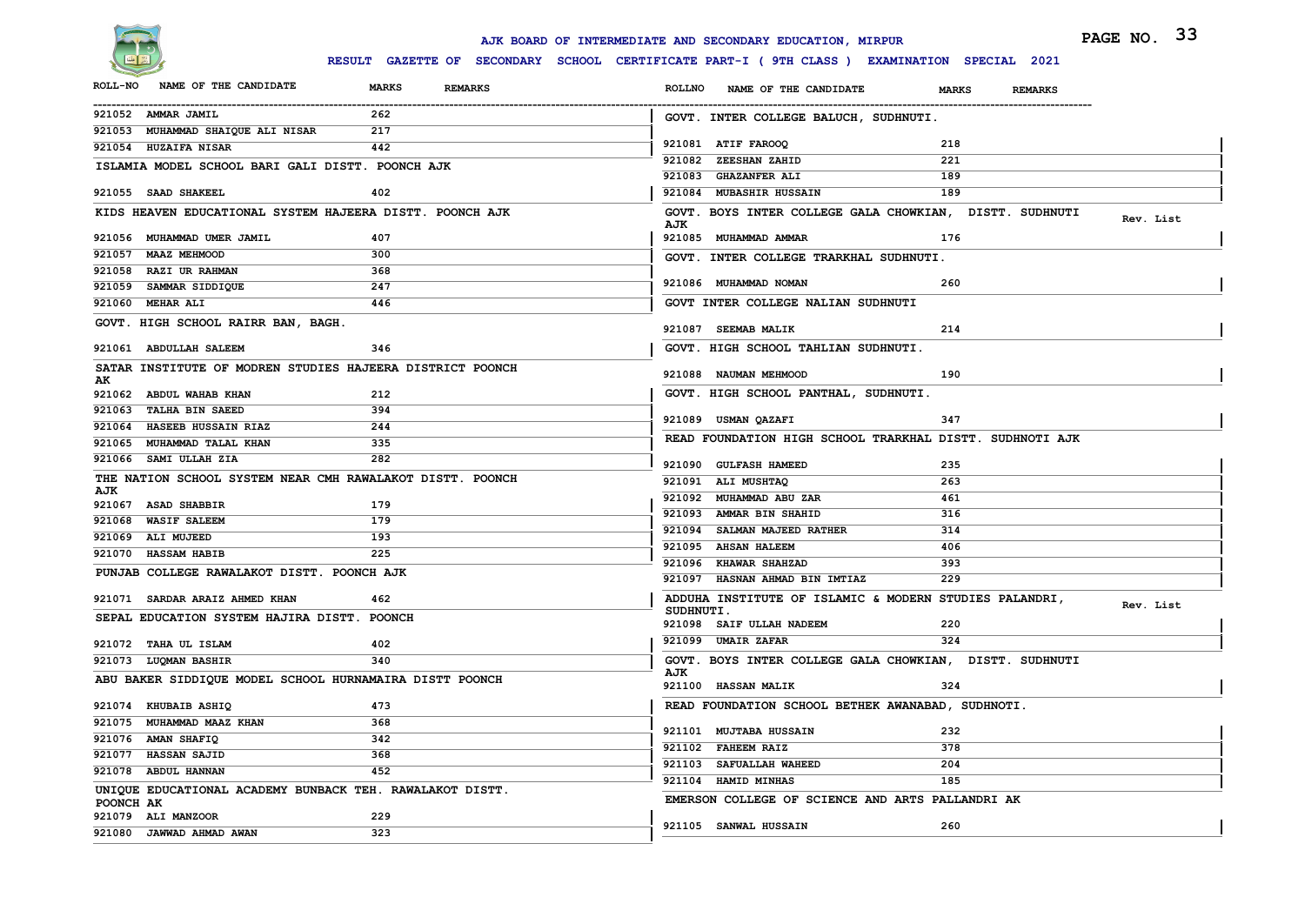

|                                                           |                                | AJK BOARD OF INTERMEDIATE AND SECONDARY EDUCATION, MIRPUR                                  | PAGE NO. 33 |
|-----------------------------------------------------------|--------------------------------|--------------------------------------------------------------------------------------------|-------------|
|                                                           |                                | RESULT GAZETTE OF SECONDARY SCHOOL CERTIFICATE PART-I (9TH CLASS) EXAMINATION SPECIAL 2021 |             |
| <b>ROLL-NO</b><br>NAME OF THE CANDIDATE                   | <b>MARKS</b><br><b>REMARKS</b> | <b>ROLLNO</b><br>NAME OF THE CANDIDATE<br><b>MARKS</b><br><b>REMARKS</b>                   |             |
| 921052 AMMAR JAMIL                                        | 262                            | GOVT. INTER COLLEGE BALUCH, SUDHNUTI.                                                      |             |
| 921053 MUHAMMAD SHAIQUE ALI NISAR<br>921054 HUZAIFA NISAR | 217<br>442                     | 921081 ATIF FAROOQ<br>218                                                                  |             |
|                                                           |                                | 921082 ZEESHAN ZAHID<br>221                                                                |             |
| ISLAMIA MODEL SCHOOL BARI GALI DISTT. POONCH AJK          |                                | 189<br>921083 GHAZANFER ALI                                                                |             |
| 921055 SAAD SHAKEEL                                       | 402                            | 189<br>921084 MUBASHIR HUSSAIN                                                             |             |
| KIDS HEAVEN EDUCATIONAL SYSTEM HAJEERA DISTT. POONCH AJK  |                                | GOVT. BOYS INTER COLLEGE GALA CHOWKIAN, DISTT. SUDHNUTI                                    | Rev. List   |
| 921056 MUHAMMAD UMER JAMIL                                | 407                            | AJK<br>921085 MUHAMMAD AMMAR<br>176                                                        |             |
| 921057 MAAZ MEHMOOD                                       | 300                            | GOVT. INTER COLLEGE TRARKHAL SUDHNUTI.                                                     |             |
| 921058 RAZI UR RAHMAN                                     | 368                            |                                                                                            |             |
| 921059 SAMMAR SIDDIQUE                                    | 247                            | 260<br>921086 MUHAMMAD NOMAN                                                               |             |
| 921060 MEHAR ALI                                          | 446                            | GOVT INTER COLLEGE NALIAN SUDHNUTI                                                         |             |
| GOVT. HIGH SCHOOL RAIRR BAN, BAGH.                        |                                | 921087 SEEMAB MALIK<br>214                                                                 |             |
| 921061 ABDULLAH SALEEM                                    | 346                            | GOVT. HIGH SCHOOL TAHLIAN SUDHNUTI.                                                        |             |
| SATAR INSTITUTE OF MODREN STUDIES HAJEERA DISTRICT POONCH |                                | 921088 NAUMAN MEHMOOD<br>190                                                               |             |
| 921062 ABDUL WAHAB KHAN                                   | 212                            | GOVT. HIGH SCHOOL PANTHAL, SUDHNUTI.                                                       |             |
| 921063<br><b>TALHA BIN SAEED</b>                          | 394                            |                                                                                            |             |
| 921064 HASEEB HUSSAIN RIAZ                                | 244                            | 347<br>921089 USMAN QAZAFI                                                                 |             |
| 921065<br>MUHAMMAD TALAL KHAN                             | 335                            | READ FOUNDATION HIGH SCHOOL TRARKHAL DISTT. SUDHNOTI AJK                                   |             |
| 921066 SAMI ULLAH ZIA                                     | 282                            | 921090 GULFASH HAMEED<br>235                                                               |             |
| THE NATION SCHOOL SYSTEM NEAR CMH RAWALAKOT DISTT. POONCH |                                | 921091 ALI MUSHTAQ<br>263                                                                  |             |
| AJK                                                       |                                | 921092 MUHAMMAD ABU ZAR<br>461                                                             |             |
| 921067 ASAD SHABBIR                                       | 179                            | 921093 AMMAR BIN SHAHID<br>316                                                             |             |
| 921068 WASIF SALEEM                                       | 179                            | 921094 SALMAN MAJEED RATHER<br>314                                                         |             |
| 921069 ALI MUJEED                                         | 193                            | 921095 AHSAN HALEEM<br>406                                                                 |             |
| 921070 HASSAM HABIB                                       | 225                            | 921096 KHAWAR SHAHZAD<br>393                                                               |             |
| PUNJAB COLLEGE RAWALAKOT DISTT. POONCH AJK                |                                | 921097 HASNAN AHMAD BIN IMTIAZ<br>229                                                      |             |
| 921071 SARDAR ARAIZ AHMED KHAN                            | 462                            | ADDUHA INSTITUTE OF ISLAMIC & MODERN STUDIES PALANDRI,                                     | Rev. List   |
| SEPAL EDUCATION SYSTEM HAJIRA DISTT. POONCH               |                                | SUDHNUTI.<br>921098 SAIF ULLAH NADEEM<br>220                                               |             |
| 921072 TAHA UL ISLAM                                      | 402                            | 921099 UMAIR ZAFAR<br>324                                                                  |             |
| 921073 LUQMAN BASHIR                                      | 340                            | GOVT. BOYS INTER COLLEGE GALA CHOWKIAN, DISTT. SUDHNUTI                                    |             |
| ABU BAKER SIDDIQUE MODEL SCHOOL HURNAMAIRA DISTT POONCH   |                                | AJK<br>921100 HASSAN MALIK<br>324                                                          |             |
| 921074 KHUBAIB ASHIQ                                      | 473                            | READ FOUNDATION SCHOOL BETHEK AWANABAD, SUDHNOTI.                                          |             |
| 921075 MUHAMMAD MAAZ KHAN                                 | 368                            |                                                                                            |             |
| 921076 AMAN SHAFIQ                                        | 342                            | 232<br>921101 MUJTABA HUSSAIN                                                              |             |
| 921077 HASSAN SAJID                                       | 368                            | 921102 FAHEEM RAIZ<br>378                                                                  |             |
| 921078 ABDUL HANNAN                                       | 452                            | 921103 SAFUALLAH WAHEED<br>204                                                             |             |
| UNIQUE EDUCATIONAL ACADEMY BUNBACK TEH. RAWALAKOT DISTT.  |                                | 921104 HAMID MINHAS<br>185                                                                 |             |
| POONCH AK                                                 |                                | EMERSON COLLEGE OF SCIENCE AND ARTS PALLANDRI AK                                           |             |
| 921079 ALI MANZOOR                                        | 229                            | 260<br>921105 SANWAL HUSSAIN                                                               |             |
| 921080 JAWWAD AHMAD AWAN                                  | 323                            |                                                                                            |             |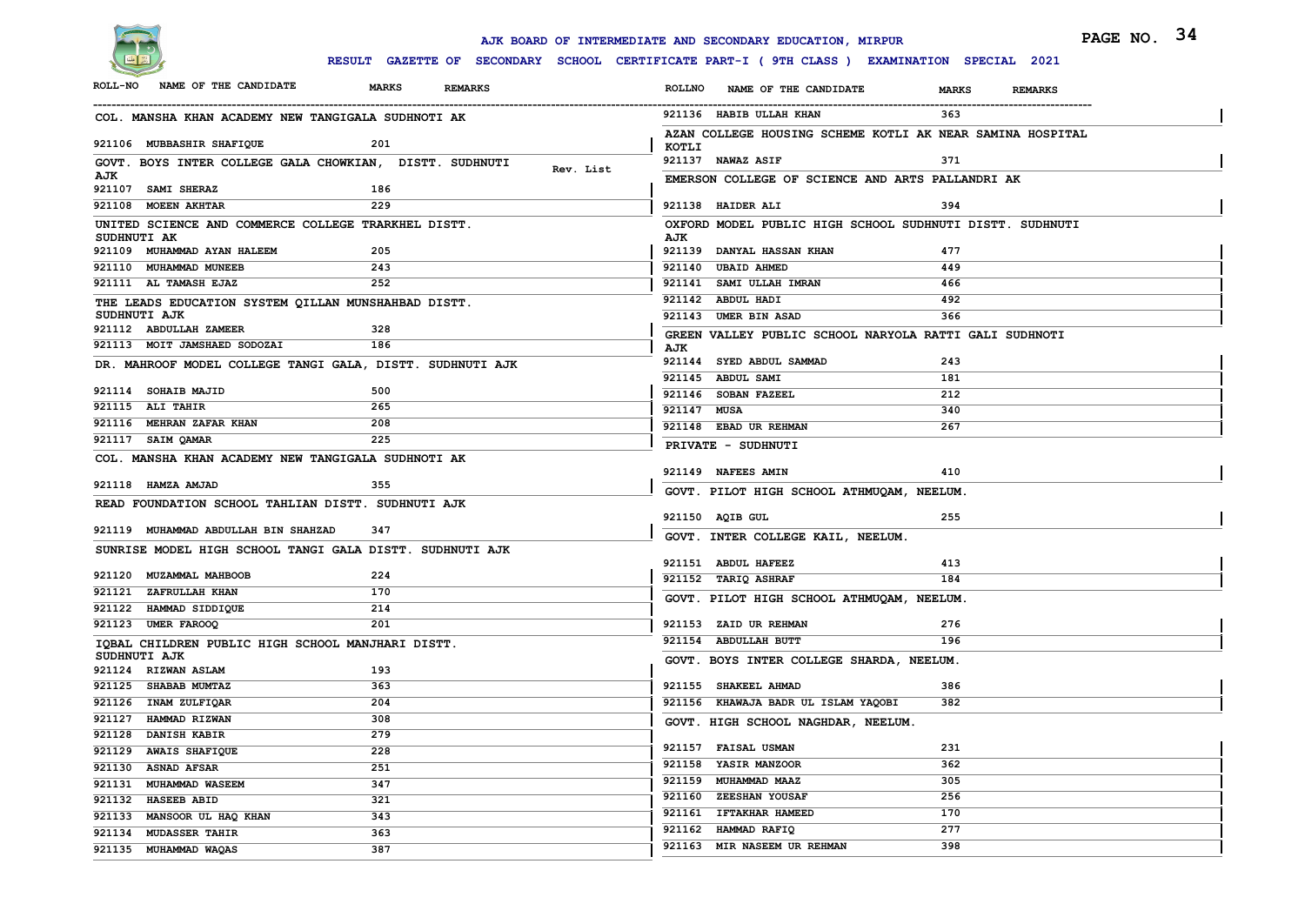

|                                                     |                                                           | PAGE NO. 34<br>AJK BOARD OF INTERMEDIATE AND SECONDARY EDUCATION, MIRPUR                     |
|-----------------------------------------------------|-----------------------------------------------------------|----------------------------------------------------------------------------------------------|
|                                                     |                                                           | RESULT GAZETTE OF SECONDARY SCHOOL CERTIFICATE PART-I ( 9TH CLASS ) EXAMINATION SPECIAL 2021 |
| NAME OF THE CANDIDATE<br><b>ROLL-NO</b>             | <b>MARKS</b><br><b>REMARKS</b>                            | <b>ROLLNO</b><br>NAME OF THE CANDIDATE<br><b>MARKS</b><br><b>REMARKS</b>                     |
| COL. MANSHA KHAN ACADEMY NEW TANGIGALA SUDHNOTI AK  |                                                           | 921136 HABIB ULLAH KHAN<br>363                                                               |
| 921106 MUBBASHIR SHAFIQUE                           | 201                                                       | AZAN COLLEGE HOUSING SCHEME KOTLI AK NEAR SAMINA HOSPITAL<br>KOTLI                           |
|                                                     | GOVT. BOYS INTER COLLEGE GALA CHOWKIAN, DISTT. SUDHNUTI   | 921137 NAWAZ ASIF<br>371                                                                     |
| AJK<br>921107 SAMI SHERAZ                           | Rev. List<br>186                                          | EMERSON COLLEGE OF SCIENCE AND ARTS PALLANDRI AK                                             |
| 921108 MOEEN AKHTAR                                 | 229                                                       | 394<br>921138 HAIDER ALI                                                                     |
| UNITED SCIENCE AND COMMERCE COLLEGE TRARKHEL DISTT. |                                                           | OXFORD MODEL PUBLIC HIGH SCHOOL SUDHNUTI DISTT. SUDHNUTI                                     |
| SUDHNUTI AK                                         |                                                           | AJK                                                                                          |
| 921109 MUHAMMAD AYAN HALEEM                         | 205                                                       | 921139 DANYAL HASSAN KHAN<br>477                                                             |
| 921110 MUHAMMAD MUNEEB                              | 243                                                       | 921140 UBAID AHMED<br>449                                                                    |
| 921111 AL TAMASH EJAZ                               | 252                                                       | 921141 SAMI ULLAH IMRAN<br>466                                                               |
| THE LEADS EDUCATION SYSTEM QILLAN MUNSHAHBAD DISTT. |                                                           | 921142 ABDUL HADI<br>492                                                                     |
| SUDHNUTI AJK                                        |                                                           | 366<br>921143 UMER BIN ASAD                                                                  |
| 921112 ABDULLAH ZAMEER                              | 328                                                       | GREEN VALLEY PUBLIC SCHOOL NARYOLA RATTI GALI SUDHNOTI                                       |
| 921113 MOIT JAMSHAED SODOZAI                        | 186                                                       | AJK<br>921144 SYED ABDUL SAMMAD<br>243                                                       |
|                                                     | DR. MAHROOF MODEL COLLEGE TANGI GALA, DISTT. SUDHNUTI AJK | 921145 ABDUL SAMI<br>181                                                                     |
| 921114 SOHAIB MAJID                                 | 500                                                       | 921146 SOBAN FAZEEL<br>212                                                                   |
| 921115 ALI TAHIR                                    | 265                                                       | 921147 MUSA<br>340                                                                           |
| 921116 MEHRAN ZAFAR KHAN                            | 208                                                       | 267<br>921148 EBAD UR REHMAN                                                                 |
| 921117 SAIM QAMAR                                   | 225                                                       | PRIVATE - SUDHNUTI                                                                           |
| COL. MANSHA KHAN ACADEMY NEW TANGIGALA SUDHNOTI AK  |                                                           |                                                                                              |
|                                                     |                                                           | 410<br>921149 NAFEES AMIN                                                                    |
| 921118 HAMZA AMJAD                                  | 355                                                       | GOVT. PILOT HIGH SCHOOL ATHMUQAM, NEELUM.                                                    |
| READ FOUNDATION SCHOOL TAHLIAN DISTT. SUDHNUTI AJK  |                                                           |                                                                                              |
| 921119 MUHAMMAD ABDULLAH BIN SHAHZAD                | 347                                                       | 255<br>921150 AQIB GUL                                                                       |
|                                                     |                                                           | GOVT. INTER COLLEGE KAIL, NEELUM.                                                            |
|                                                     | SUNRISE MODEL HIGH SCHOOL TANGI GALA DISTT. SUDHNUTI AJK  | 921151 ABDUL HAFEEZ<br>413                                                                   |
| 921120 MUZAMMAL MAHBOOB                             | 224                                                       | 921152 TARIQ ASHRAF<br>184                                                                   |
| 921121 ZAFRULLAH KHAN                               | 170                                                       | GOVT. PILOT HIGH SCHOOL ATHMUQAM, NEELUM.                                                    |
| 921122 HAMMAD SIDDIQUE                              | 214                                                       |                                                                                              |
| 921123 UMER FAROOQ                                  | 201                                                       | 921153 ZAID UR REHMAN<br>276                                                                 |
| IQBAL CHILDREN PUBLIC HIGH SCHOOL MANJHARI DISTT.   |                                                           | 921154 ABDULLAH BUTT<br>196                                                                  |
| SUDHNUTI AJK                                        |                                                           | GOVT. BOYS INTER COLLEGE SHARDA, NEELUM.                                                     |
| 921124 RIZWAN ASLAM                                 | 193                                                       |                                                                                              |
| 921125 SHABAB MUMTAZ                                | 363                                                       | 921155 SHAKEEL AHMAD<br>386                                                                  |
| 921126 INAM ZULFIQAR                                | 204                                                       | 382<br>921156 KHAWAJA BADR UL ISLAM YAQOBI                                                   |
| 921127 HAMMAD RIZWAN                                | 308                                                       | GOVT. HIGH SCHOOL NAGHDAR, NEELUM.                                                           |
| 921128 DANISH KABIR                                 | 279                                                       | 921157 FAISAL USMAN<br>231                                                                   |
| 921129 AWAIS SHAFIQUE                               | 228                                                       | 362<br>921158 YASIR MANZOOR                                                                  |
| 921130 ASNAD AFSAR                                  | 251                                                       | 921159 MUHAMMAD MAAZ<br>305                                                                  |
| 921131 MUHAMMAD WASEEM                              | 347                                                       | 921160 ZEESHAN YOUSAF<br>256                                                                 |
| 921132 HASEEB ABID                                  | 321                                                       | 921161 IFTAKHAR HAMEED<br>170                                                                |
| 921133 MANSOOR UL HAQ KHAN                          | 343                                                       | 921162 HAMMAD RAFIQ<br>277                                                                   |
| 921134 MUDASSER TAHIR                               | 363<br>387                                                | 921163 MIR NASEEM UR REHMAN<br>398                                                           |
| 921135 MUHAMMAD WAQAS                               |                                                           |                                                                                              |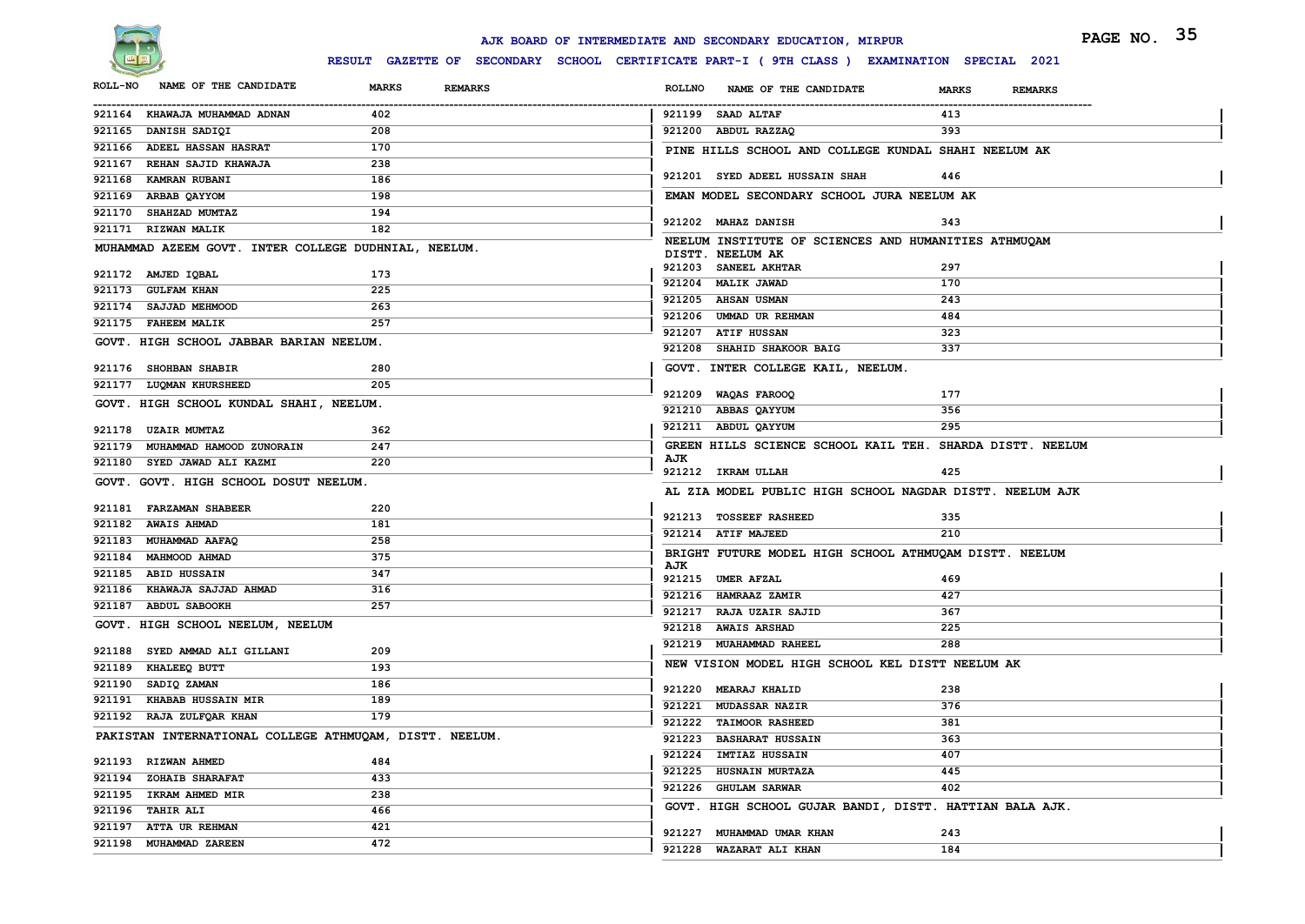

|                                                         |                                | AJK BOARD OF INTERMEDIATE AND SECONDARY EDUCATION, MIRPUR                                    | PAGE NO. 35 |
|---------------------------------------------------------|--------------------------------|----------------------------------------------------------------------------------------------|-------------|
|                                                         |                                | RESULT GAZETTE OF SECONDARY SCHOOL CERTIFICATE PART-I ( 9TH CLASS ) EXAMINATION SPECIAL 2021 |             |
| NAME OF THE CANDIDATE<br><b>ROLL-NO</b>                 | <b>MARKS</b><br><b>REMARKS</b> | <b>ROLLNO</b><br>NAME OF THE CANDIDATE<br><b>MARKS</b><br><b>REMARKS</b>                     |             |
| 921164 KHAWAJA MUHAMMAD ADNAN                           | 402                            | 921199 SAAD ALTAF<br>413                                                                     |             |
| 921165 DANISH SADIQI                                    | 208                            | 921200 ABDUL RAZZAQ<br>393                                                                   |             |
| 921166 ADEEL HASSAN HASRAT                              | 170                            | PINE HILLS SCHOOL AND COLLEGE KUNDAL SHAHI NEELUM AK                                         |             |
| 921167 REHAN SAJID KHAWAJA                              | 238                            |                                                                                              |             |
| <b>KAMRAN RUBANI</b><br>921168                          | 186                            | 921201 SYED ADEEL HUSSAIN SHAH<br>446                                                        |             |
| 921169 ARBAB QAYYOM                                     | 198                            | EMAN MODEL SECONDARY SCHOOL JURA NEELUM AK                                                   |             |
| 921170 SHAHZAD MUMTAZ                                   | 194                            | 343<br>921202 MAHAZ DANISH                                                                   |             |
| 921171 RIZWAN MALIK                                     | 182                            | NEELUM INSTITUTE OF SCIENCES AND HUMANITIES ATHMUQAM                                         |             |
| MUHAMMAD AZEEM GOVT. INTER COLLEGE DUDHNIAL, NEELUM.    |                                | DISTT. NEELUM AK                                                                             |             |
| 921172 AMJED IQBAL                                      | 173                            | 921203 SANEEL AKHTAR<br>297                                                                  |             |
| 921173 GULFAM KHAN                                      | 225                            | 921204 MALIK JAWAD<br>170                                                                    |             |
| 921174 SAJJAD MEHMOOD                                   | 263                            | 243<br>921205 AHSAN USMAN                                                                    |             |
| 921175 FAHEEM MALIK                                     | 257                            | 921206 UMMAD UR REHMAN<br>484                                                                |             |
|                                                         |                                | 921207 ATIF HUSSAN<br>323                                                                    |             |
| GOVT. HIGH SCHOOL JABBAR BARIAN NEELUM.                 |                                | 921208 SHAHID SHAKOOR BAIG<br>337                                                            |             |
| 921176 SHOHBAN SHABIR                                   | 280                            | GOVT. INTER COLLEGE KAIL, NEELUM.                                                            |             |
| 921177 LUQMAN KHURSHEED                                 | 205                            |                                                                                              |             |
| GOVT. HIGH SCHOOL KUNDAL SHAHI, NEELUM.                 |                                | 921209 WAQAS FAROOQ<br>177<br>921210 ABBAS OAYYUM<br>356                                     |             |
|                                                         |                                | 921211 ABDUL QAYYUM<br>295                                                                   |             |
| 921178 UZAIR MUMTAZ                                     | 362                            |                                                                                              |             |
| 921179 MUHAMMAD HAMOOD ZUNORAIN                         | 247                            | GREEN HILLS SCIENCE SCHOOL KAIL TEH. SHARDA DISTT. NEELUM<br>AJK                             |             |
| 921180 SYED JAWAD ALI KAZMI                             | 220                            | 921212 IKRAM ULLAH<br>425                                                                    |             |
| GOVT. GOVT. HIGH SCHOOL DOSUT NEELUM.                   |                                | AL ZIA MODEL PUBLIC HIGH SCHOOL NAGDAR DISTT. NEELUM AJK                                     |             |
| 921181 FARZAMAN SHABEER                                 | 220                            |                                                                                              |             |
| 921182 AWAIS AHMAD                                      | 181                            | 921213 TOSSEEF RASHEED<br>335                                                                |             |
| 921183 MUHAMMAD AAFAQ                                   | 258                            | 921214 ATIF MAJEED<br>210                                                                    |             |
| 921184 MAHMOOD AHMAD                                    | 375                            | BRIGHT FUTURE MODEL HIGH SCHOOL ATHMUQAM DISTT. NEELUM                                       |             |
| 921185 ABID HUSSAIN                                     | 347                            | AJK<br>921215 UMER AFZAL<br>469                                                              |             |
| 921186 KHAWAJA SAJJAD AHMAD                             | 316                            | 921216 HAMRAAZ ZAMIR<br>427                                                                  |             |
| 921187 ABDUL SABOOKH                                    | 257                            | 921217 RAJA UZAIR SAJID<br>367                                                               |             |
| GOVT. HIGH SCHOOL NEELUM, NEELUM                        |                                | 921218 AWAIS ARSHAD<br>225                                                                   |             |
|                                                         |                                | 921219 MUAHAMMAD RAHEEL<br>288                                                               |             |
| 921188 SYED AMMAD ALI GILLANI                           | 209                            | NEW VISION MODEL HIGH SCHOOL KEL DISTT NEELUM AK                                             |             |
| <b>KHALEEQ BUTT</b><br>921189                           | 193                            |                                                                                              |             |
| 921190 SADIQ ZAMAN                                      | 186                            | 921220 MEARAJ KHALID<br>238                                                                  |             |
| 921191 KHABAB HUSSAIN MIR<br>921192 RAJA ZULFQAR KHAN   | 189<br>179                     | 376<br>921221 MUDASSAR NAZIR                                                                 |             |
|                                                         |                                | 921222 TAIMOOR RASHEED<br>381                                                                |             |
| PAKISTAN INTERNATIONAL COLLEGE ATHMUQAM, DISTT. NEELUM. |                                | 921223 BASHARAT HUSSAIN<br>363                                                               |             |
| 921193 RIZWAN AHMED                                     | 484                            | 407<br>921224 IMTIAZ HUSSAIN                                                                 |             |
| 921194 ZOHAIB SHARAFAT                                  | 433                            | 921225 HUSNAIN MURTAZA<br>445                                                                |             |
| 921195 IKRAM AHMED MIR                                  | 238                            | 921226 GHULAM SARWAR<br>402                                                                  |             |
| 921196 TAHIR ALI                                        | 466                            | GOVT. HIGH SCHOOL GUJAR BANDI, DISTT. HATTIAN BALA AJK.                                      |             |
| 921197 ATTA UR REHMAN                                   | 421                            | 921227 MUHAMMAD UMAR KHAN<br>243                                                             |             |
| 921198 MUHAMMAD ZAREEN                                  | 472                            | 921228 WAZARAT ALI KHAN<br>184                                                               |             |
|                                                         |                                |                                                                                              |             |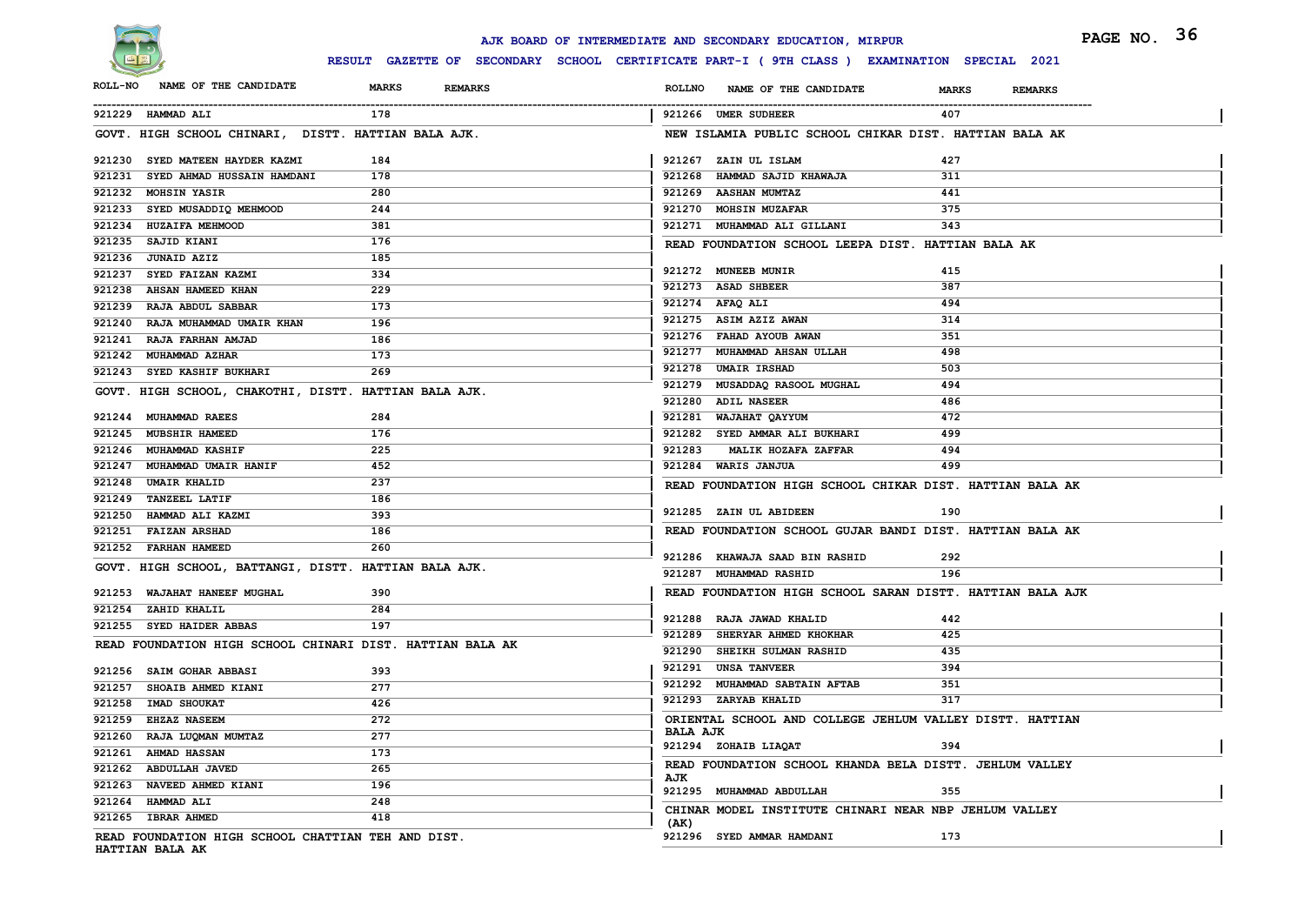

## **RESULT GAZETTE OF SECONDARY SCHOOL CERTIFICATE PART-I ( 9TH CLASS ) EXAMINATION SPECIAL 2021**

|                                                                                              | AJK BOARD OF INTERMEDIATE AND SECONDARY EDUCATION, MIRPUR     | PAGE NO. 36    |
|----------------------------------------------------------------------------------------------|---------------------------------------------------------------|----------------|
| RESULT GAZETTE OF SECONDARY SCHOOL CERTIFICATE PART-I ( 9TH CLASS ) EXAMINATION SPECIAL 2021 |                                                               |                |
| <b>ROLL-NO</b><br>NAME OF THE CANDIDATE<br><b>MARKS</b><br><b>REMARKS</b>                    | <b>ROLLNO</b><br>NAME OF THE CANDIDATE<br><b>MARKS</b>        | <b>REMARKS</b> |
| 921229 HAMMAD ALI<br>178                                                                     | 921266 UMER SUDHEER<br>407                                    |                |
| GOVT. HIGH SCHOOL CHINARI, DISTT. HATTIAN BALA AJK.                                          | NEW ISLAMIA PUBLIC SCHOOL CHIKAR DIST. HATTIAN BALA AK        |                |
| 921230 SYED MATEEN HAYDER KAZMI<br>184                                                       | 921267 ZAIN UL ISLAM<br>427                                   |                |
| 921231 SYED AHMAD HUSSAIN HAMDANI<br>178                                                     | 921268 HAMMAD SAJID KHAWAJA<br>311                            |                |
| 921232 MOHSIN YASIR<br>280                                                                   | 921269 AASHAN MUMTAZ<br>441                                   |                |
| 921233 SYED MUSADDIQ MEHMOOD<br>244                                                          | 375<br>921270 MOHSIN MUZAFAR                                  |                |
| 921234 HUZAIFA MEHMOOD<br>381                                                                | 921271 MUHAMMAD ALI GILLANI<br>343                            |                |
| 176<br>921235 SAJID KIANI                                                                    | READ FOUNDATION SCHOOL LEEPA DIST. HATTIAN BALA AK            |                |
| 185<br>921236 JUNAID AZIZ                                                                    |                                                               |                |
| 921237 SYED FAIZAN KAZMI<br>334                                                              | 415<br>921272 MUNEEB MUNIR                                    |                |
| 229<br>921238 AHSAN HAMEED KHAN                                                              | 387<br>921273 ASAD SHBEER                                     |                |
| 921239 RAJA ABDUL SABBAR<br>173                                                              | 921274 AFAQ ALI<br>494                                        |                |
| 921240 RAJA MUHAMMAD UMAIR KHAN<br>196                                                       | 314<br>921275 ASIM AZIZ AWAN                                  |                |
| 921241 RAJA FARHAN AMJAD<br>186                                                              | 921276 FAHAD AYOUB AWAN<br>351                                |                |
| 921242 MUHAMMAD AZHAR<br>173                                                                 | 921277 MUHAMMAD AHSAN ULLAH<br>498                            |                |
| 269<br>921243 SYED KASHIF BUKHARI                                                            | 921278 UMAIR IRSHAD<br>503                                    |                |
| GOVT. HIGH SCHOOL, CHAKOTHI, DISTT. HATTIAN BALA AJK.                                        | 921279 MUSADDAQ RASOOL MUGHAL<br>494                          |                |
|                                                                                              | 921280 ADIL NASEER<br>486                                     |                |
| 921244 MUHAMMAD RAEES<br>284                                                                 | 921281 WAJAHAT QAYYUM<br>472                                  |                |
| 921245 MUBSHIR HAMEED<br>176                                                                 | 921282 SYED AMMAR ALI BUKHARI<br>499                          |                |
| 225<br>921246 MUHAMMAD KASHIF                                                                | 921283<br>494<br><b>MALIK HOZAFA ZAFFAR</b>                   |                |
| 921247 MUHAMMAD UMAIR HANIF<br>452                                                           | 921284 WARIS JANJUA<br>499                                    |                |
| 921248 UMAIR KHALID<br>237                                                                   | READ FOUNDATION HIGH SCHOOL CHIKAR DIST. HATTIAN BALA AK      |                |
| 921249 TANZEEL LATIF<br>186                                                                  |                                                               |                |
| 921250 HAMMAD ALI KAZMI<br>393                                                               | 921285 ZAIN UL ABIDEEN<br>190                                 |                |
| 921251 FAIZAN ARSHAD<br>186                                                                  | READ FOUNDATION SCHOOL GUJAR BANDI DIST. HATTIAN BALA AK      |                |
| 921252 FARHAN HAMEED<br>260                                                                  | 921286 KHAWAJA SAAD BIN RASHID<br>292                         |                |
| GOVT. HIGH SCHOOL, BATTANGI, DISTT. HATTIAN BALA AJK.                                        | 921287 MUHAMMAD RASHID<br>196                                 |                |
| 921253 WAJAHAT HANEEF MUGHAL<br>390                                                          | READ FOUNDATION HIGH SCHOOL SARAN DISTT. HATTIAN BALA AJK     |                |
| 284<br>921254 ZAHID KHALIL                                                                   |                                                               |                |
| 197<br>921255 SYED HAIDER ABBAS                                                              | 921288 RAJA JAWAD KHALID<br>442                               |                |
| READ FOUNDATION HIGH SCHOOL CHINARI DIST. HATTIAN BALA AK                                    | 921289 SHERYAR AHMED KHOKHAR<br>425                           |                |
|                                                                                              | 921290 SHEIKH SULMAN RASHID<br>435                            |                |
| 921256 SAIM GOHAR ABBASI<br>393                                                              | <b>UNSA TANVEER</b><br>394<br>921291                          |                |
| 921257 SHOAIB AHMED KIANI<br>277                                                             | 921292 MUHAMMAD SABTAIN AFTAB<br>351                          |                |
| 921258 IMAD SHOUKAT<br>426                                                                   | 921293 ZARYAB KHALID<br>317                                   |                |
| 272<br>921259 EHZAZ NASEEM                                                                   | ORIENTAL SCHOOL AND COLLEGE JEHLUM VALLEY DISTT. HATTIAN      |                |
| 277<br>921260 RAJA LUQMAN MUMTAZ                                                             | <b>BALA AJK</b>                                               |                |
| 173<br>921261 AHMAD HASSAN                                                                   | 921294 ZOHAIB LIAQAT<br>394                                   |                |
| 921262 ABDULLAH JAVED<br>265                                                                 | READ FOUNDATION SCHOOL KHANDA BELA DISTT. JEHLUM VALLEY       |                |
| 921263 NAVEED AHMED KIANI<br>196                                                             | AJK<br>921295 MUHAMMAD ABDULLAH<br>355                        |                |
| 921264 HAMMAD ALI<br>248                                                                     |                                                               |                |
| 418<br>921265 IBRAR AHMED                                                                    | CHINAR MODEL INSTITUTE CHINARI NEAR NBP JEHLUM VALLEY<br>(AK) |                |
| READ FOUNDATION HIGH SCHOOL CHATTIAN TEH AND DIST.                                           | 173<br>921296 SYED AMMAR HAMDANI                              |                |

**HATTIAN BALA AK**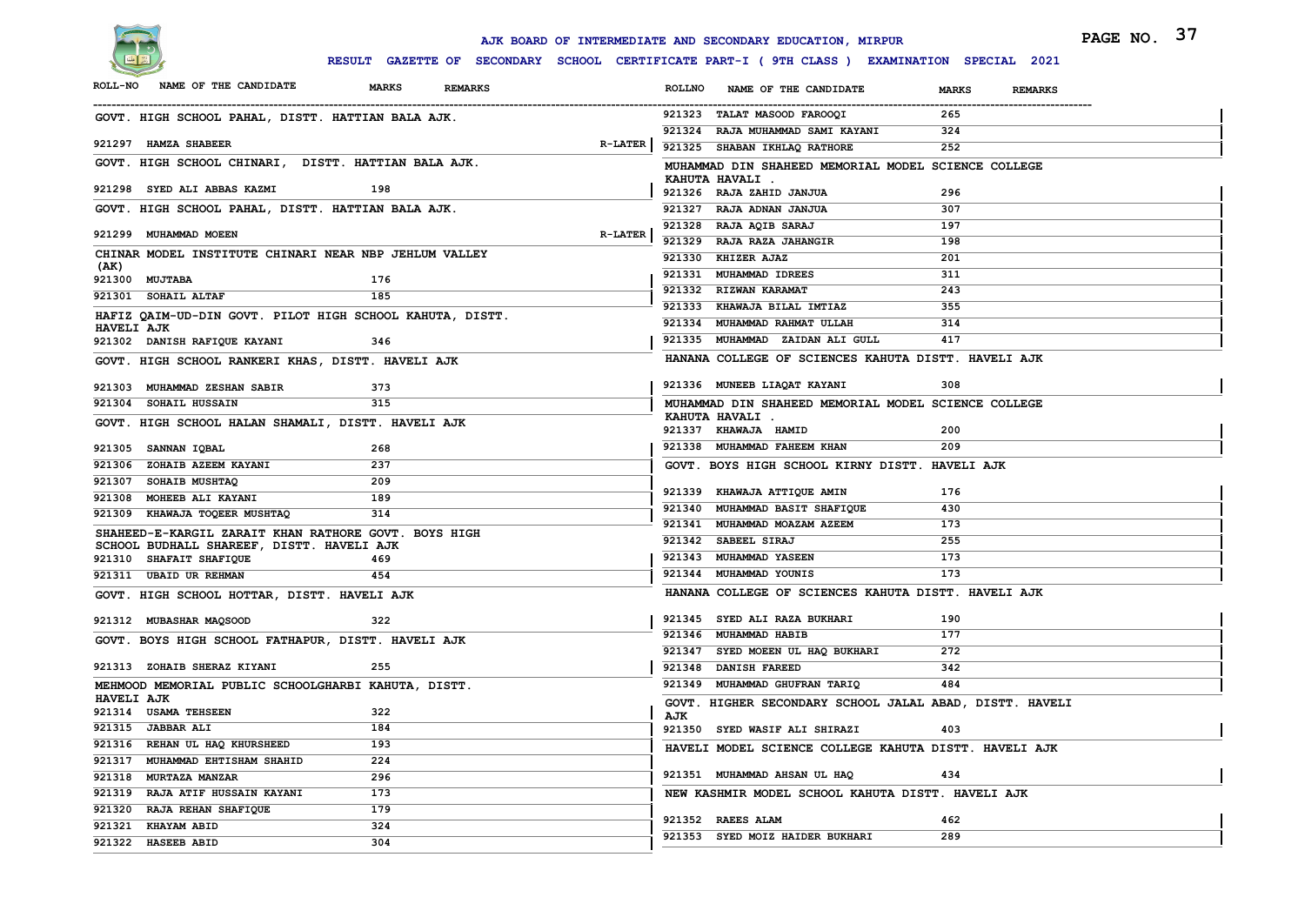

|                                                          |                                |                | AJK BOARD OF INTERMEDIATE AND SECONDARY EDUCATION, MIRPUR                                    |                                | PAGE NO. 37 |
|----------------------------------------------------------|--------------------------------|----------------|----------------------------------------------------------------------------------------------|--------------------------------|-------------|
|                                                          |                                |                | RESULT GAZETTE OF SECONDARY SCHOOL CERTIFICATE PART-I ( 9TH CLASS ) EXAMINATION SPECIAL 2021 |                                |             |
| NAME OF THE CANDIDATE<br><b>ROLL-NO</b>                  | <b>MARKS</b><br><b>REMARKS</b> |                | <b>ROLLNO</b><br>NAME OF THE CANDIDATE                                                       | <b>MARKS</b><br><b>REMARKS</b> |             |
| GOVT. HIGH SCHOOL PAHAL, DISTT. HATTIAN BALA AJK.        |                                |                | 921323 TALAT MASOOD FAROOQI                                                                  | 265                            |             |
|                                                          |                                |                | 921324 RAJA MUHAMMAD SAMI KAYANI                                                             | 324                            |             |
| 921297 HAMZA SHABEER                                     |                                | <b>R-LATER</b> | 921325 SHABAN IKHLAQ RATHORE                                                                 | 252                            |             |
| GOVT. HIGH SCHOOL CHINARI, DISTT. HATTIAN BALA AJK.      |                                |                | MUHAMMAD DIN SHAHEED MEMORIAL MODEL SCIENCE COLLEGE                                          |                                |             |
| 921298 SYED ALI ABBAS KAZMI                              | 198                            |                | KAHUTA HAVALI .<br>921326 RAJA ZAHID JANJUA                                                  | 296                            |             |
| GOVT. HIGH SCHOOL PAHAL, DISTT. HATTIAN BALA AJK.        |                                |                | 921327 RAJA ADNAN JANJUA                                                                     | 307                            |             |
|                                                          |                                |                | 921328 RAJA AQIB SARAJ                                                                       | 197                            |             |
| 921299 MUHAMMAD MOEEN                                    |                                | <b>R-LATER</b> | 921329 RAJA RAZA JAHANGIR                                                                    | 198                            |             |
| CHINAR MODEL INSTITUTE CHINARI NEAR NBP JEHLUM VALLEY    |                                |                | 921330 KHIZER AJAZ                                                                           | 201                            |             |
| (AK)<br>921300 MUJTABA                                   | 176                            |                | 921331 MUHAMMAD IDREES                                                                       | 311                            |             |
| 921301 SOHAIL ALTAF                                      | 185                            |                | 921332 RIZWAN KARAMAT                                                                        | 243                            |             |
| HAFIZ QAIM-UD-DIN GOVT. PILOT HIGH SCHOOL KAHUTA, DISTT. |                                |                | 921333 KHAWAJA BILAL IMTIAZ                                                                  | 355                            |             |
| <b>HAVELI AJK</b>                                        |                                |                | 921334 MUHAMMAD RAHMAT ULLAH                                                                 | 314                            |             |
| 921302 DANISH RAFIQUE KAYANI                             | 346                            |                | 921335 MUHAMMAD ZAIDAN ALI GULL                                                              | 417                            |             |
| GOVT. HIGH SCHOOL RANKERI KHAS, DISTT. HAVELI AJK        |                                |                | HANANA COLLEGE OF SCIENCES KAHUTA DISTT. HAVELI AJK                                          |                                |             |
| 921303 MUHAMMAD ZESHAN SABIR                             | 373                            |                | 921336 MUNEEB LIAQAT KAYANI                                                                  | 308                            |             |
| 921304 SOHAIL HUSSAIN                                    | 315                            |                | MUHAMMAD DIN SHAHEED MEMORIAL MODEL SCIENCE COLLEGE                                          |                                |             |
| GOVT. HIGH SCHOOL HALAN SHAMALI, DISTT. HAVELI AJK       |                                |                | KAHUTA HAVALI .<br>921337 KHAWAJA HAMID                                                      | 200                            |             |
| 921305 SANNAN IQBAL                                      | 268                            |                | 921338 MUHAMMAD FAHEEM KHAN                                                                  | 209                            |             |
| 921306 ZOHAIB AZEEM KAYANI                               | 237                            |                | GOVT. BOYS HIGH SCHOOL KIRNY DISTT. HAVELI AJK                                               |                                |             |
| 921307 SOHAIB MUSHTAQ                                    | 209                            |                |                                                                                              |                                |             |
| 921308 MOHEEB ALI KAYANI                                 | 189                            |                | 921339 KHAWAJA ATTIQUE AMIN                                                                  | 176                            |             |
| 921309 KHAWAJA TOQEER MUSHTAQ                            | 314                            |                | 921340 MUHAMMAD BASIT SHAFIQUE                                                               | 430                            |             |
| SHAHEED-E-KARGIL ZARAIT KHAN RATHORE GOVT. BOYS HIGH     |                                |                | 921341 MUHAMMAD MOAZAM AZEEM                                                                 | 173                            |             |
| SCHOOL BUDHALL SHAREEF, DISTT. HAVELI AJK                |                                |                | 921342 SABEEL SIRAJ                                                                          | 255                            |             |
| 921310 SHAFAIT SHAFIQUE                                  | 469                            |                | 921343 MUHAMMAD YASEEN                                                                       | 173                            |             |
| 921311 UBAID UR REHMAN                                   | 454                            |                | 921344 MUHAMMAD YOUNIS                                                                       | 173                            |             |
| GOVT. HIGH SCHOOL HOTTAR, DISTT. HAVELI AJK              |                                |                | HANANA COLLEGE OF SCIENCES KAHUTA DISTT. HAVELI AJK                                          |                                |             |
| 921312 MUBASHAR MAQSOOD                                  | 322                            |                | 921345 SYED ALI RAZA BUKHARI                                                                 | 190                            |             |
| GOVT. BOYS HIGH SCHOOL FATHAPUR, DISTT. HAVELI AJK       |                                |                | 921346 MUHAMMAD HABIB                                                                        | 177                            |             |
|                                                          |                                |                | 921347 SYED MOEEN UL HAQ BUKHARI                                                             | 272                            |             |
| 921313 ZOHAIB SHERAZ KIYANI                              | 255                            |                | 921348 DANISH FAREED                                                                         | 342                            |             |
| MEHMOOD MEMORIAL PUBLIC SCHOOLGHARBI KAHUTA, DISTT.      |                                |                | 921349 MUHAMMAD GHUFRAN TARIQ                                                                | 484                            |             |
| <b>HAVELI AJK</b><br>921314 USAMA TEHSEEN                | 322                            |                | GOVT. HIGHER SECONDARY SCHOOL JALAL ABAD, DISTT. HAVELI                                      |                                |             |
| 921315 JABBAR ALI                                        | 184                            |                | AJK<br>921350 SYED WASIF ALI SHIRAZI                                                         |                                |             |
| 921316 REHAN UL HAQ KHURSHEED                            | 193                            |                |                                                                                              | 403                            |             |
| 921317 MUHAMMAD EHTISHAM SHAHID                          | 224                            |                | HAVELI MODEL SCIENCE COLLEGE KAHUTA DISTT. HAVELI AJK                                        |                                |             |
| 921318 MURTAZA MANZAR                                    | 296                            |                | 921351 MUHAMMAD AHSAN UL HAQ                                                                 | 434                            |             |
| 921319 RAJA ATIF HUSSAIN KAYANI                          | 173                            |                | NEW KASHMIR MODEL SCHOOL KAHUTA DISTT. HAVELI AJK                                            |                                |             |
| 921320 RAJA REHAN SHAFIQUE                               | 179                            |                |                                                                                              |                                |             |
| 921321 KHAYAM ABID                                       | 324                            |                | 921352 RAEES ALAM                                                                            | 462                            |             |
| 921322 HASEEB ABID                                       | 304                            |                | 921353 SYED MOIZ HAIDER BUKHARI                                                              | 289                            |             |
|                                                          |                                |                |                                                                                              |                                |             |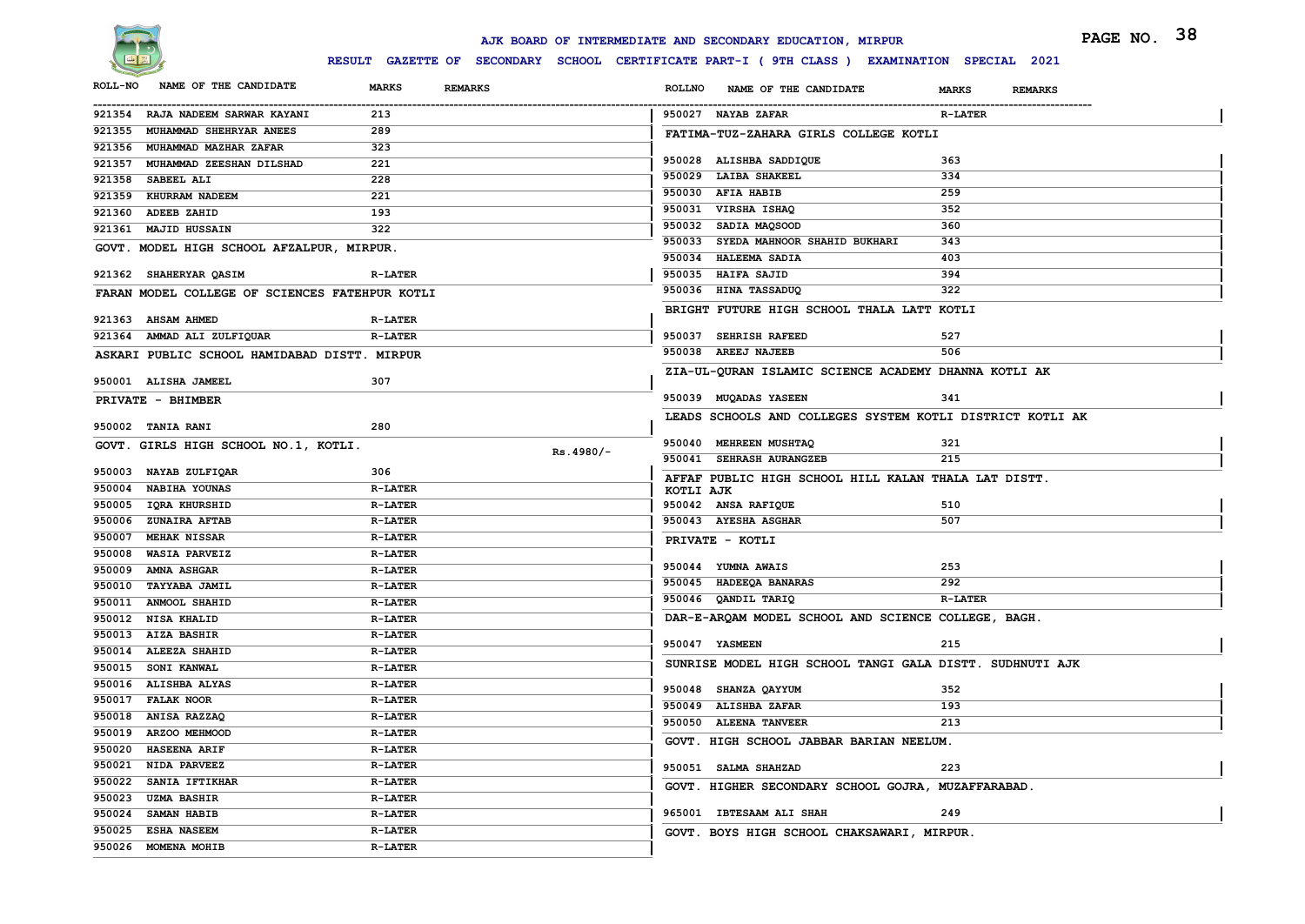

|                |                                                |                                |             |               | AJK BOARD OF INTERMEDIATE AND SECONDARY EDUCATION, MIRPUR                                    |                                | PAGE NO. 38 |  |
|----------------|------------------------------------------------|--------------------------------|-------------|---------------|----------------------------------------------------------------------------------------------|--------------------------------|-------------|--|
|                |                                                |                                |             |               | RESULT GAZETTE OF SECONDARY SCHOOL CERTIFICATE PART-I ( 9TH CLASS ) EXAMINATION SPECIAL 2021 |                                |             |  |
| <b>ROLL-NO</b> | NAME OF THE CANDIDATE                          | <b>MARKS</b><br><b>REMARKS</b> |             | <b>ROLLNO</b> | NAME OF THE CANDIDATE                                                                        | <b>MARKS</b><br><b>REMARKS</b> |             |  |
|                | 921354 RAJA NADEEM SARWAR KAYANI               | 213                            |             |               | 950027 NAYAB ZAFAR                                                                           | <b>R-LATER</b>                 |             |  |
|                | 921355 MUHAMMAD SHEHRYAR ANEES                 | 289                            |             |               | FATIMA-TUZ-ZAHARA GIRLS COLLEGE KOTLI                                                        |                                |             |  |
|                | 921356 MUHAMMAD MAZHAR ZAFAR                   | 323                            |             |               |                                                                                              |                                |             |  |
|                | 921357 MUHAMMAD ZEESHAN DILSHAD                | 221                            |             |               | 950028 ALISHBA SADDIQUE                                                                      | 363                            |             |  |
|                | 921358 SABEEL ALI                              | 228                            |             |               | 950029 LAIBA SHAKEEL                                                                         | 334                            |             |  |
|                | 921359 KHURRAM NADEEM                          | 221                            |             |               | 950030 AFIA HABIB                                                                            | 259                            |             |  |
| 921360         | <b>ADEEB ZAHID</b>                             | 193                            |             |               | 950031 VIRSHA ISHAQ                                                                          | 352                            |             |  |
|                | 921361 MAJID HUSSAIN                           | 322                            |             |               | 950032 SADIA MAQSOOD                                                                         | 360                            |             |  |
|                | GOVT. MODEL HIGH SCHOOL AFZALPUR, MIRPUR.      |                                |             |               | 950033 SYEDA MAHNOOR SHAHID BUKHARI<br>950034 HALEEMA SADIA                                  | 343<br>403                     |             |  |
|                |                                                |                                |             |               |                                                                                              |                                |             |  |
|                | 921362 SHAHERYAR QASIM                         | <b>R-LATER</b>                 |             |               | 950035 HAIFA SAJID<br>950036 HINA TASSADUQ                                                   | 394<br>322                     |             |  |
|                | FARAN MODEL COLLEGE OF SCIENCES FATEHPUR KOTLI |                                |             |               |                                                                                              |                                |             |  |
|                | 921363 AHSAM AHMED                             | <b>R-LATER</b>                 |             |               | BRIGHT FUTURE HIGH SCHOOL THALA LATT KOTLI                                                   |                                |             |  |
|                | 921364 AMMAD ALI ZULFIQUAR                     | <b>R-LATER</b>                 |             |               | 950037 SEHRISH RAFEED                                                                        | 527                            |             |  |
|                | ASKARI PUBLIC SCHOOL HAMIDABAD DISTT. MIRPUR   |                                |             |               | 950038 AREEJ NAJEEB                                                                          | 506                            |             |  |
|                |                                                |                                |             |               | ZIA-UL-QURAN ISLAMIC SCIENCE ACADEMY DHANNA KOTLI AK                                         |                                |             |  |
|                | 950001 ALISHA JAMEEL                           | 307                            |             |               |                                                                                              |                                |             |  |
|                | PRIVATE - BHIMBER                              |                                |             |               | 950039 MUQADAS YASEEN                                                                        | 341                            |             |  |
|                | 950002 TANIA RANI                              | 280                            |             |               | LEADS SCHOOLS AND COLLEGES SYSTEM KOTLI DISTRICT KOTLI AK                                    |                                |             |  |
|                |                                                |                                |             |               | 950040 MEHREEN MUSHTAQ                                                                       | 321                            |             |  |
|                | GOVT. GIRLS HIGH SCHOOL NO.1, KOTLI.           |                                | $Rs.4980/-$ |               | 950041 SEHRASH AURANGZEB                                                                     | 215                            |             |  |
|                | 950003 NAYAB ZULFIQAR                          | 306                            |             |               | AFFAF PUBLIC HIGH SCHOOL HILL KALAN THALA LAT DISTT.                                         |                                |             |  |
|                | 950004 NABIHA YOUNAS                           | <b>R-LATER</b>                 |             | KOTLI AJK     |                                                                                              |                                |             |  |
|                | 950005 IQRA KHURSHID                           | <b>R-LATER</b>                 |             |               | 950042 ANSA RAFIQUE                                                                          | 510                            |             |  |
|                | 950006 ZUNAIRA AFTAB                           | <b>R-LATER</b>                 |             |               | 950043 AYESHA ASGHAR                                                                         | 507                            |             |  |
|                | 950007 MEHAK NISSAR                            | <b>R-LATER</b>                 |             |               | PRIVATE - KOTLI                                                                              |                                |             |  |
|                | 950008 WASIA PARVEIZ                           | <b>R-LATER</b>                 |             |               |                                                                                              |                                |             |  |
|                | 950009 AMNA ASHGAR                             | <b>R-LATER</b>                 |             |               | 950044 YUMNA AWAIS                                                                           | 253                            |             |  |
|                | 950010 TAYYABA JAMIL                           | <b>R-LATER</b>                 |             |               | 950045 HADEEQA BANARAS                                                                       | 292                            |             |  |
|                | 950011 ANMOOL SHAHID                           | <b>R-LATER</b>                 |             |               | 950046 QANDIL TARIQ                                                                          | <b>R-LATER</b>                 |             |  |
|                | 950012 NISA KHALID                             | <b>R-LATER</b>                 |             |               | DAR-E-ARQAM MODEL SCHOOL AND SCIENCE COLLEGE, BAGH.                                          |                                |             |  |
|                | 950013 AIZA BASHIR                             | <b>R-LATER</b>                 |             |               | 950047 YASMEEN                                                                               | 215                            |             |  |
|                | 950014 ALEEZA SHAHID                           | <b>R-LATER</b>                 |             |               |                                                                                              |                                |             |  |
| 950015         | <b>SONI KANWAL</b>                             | <b>R-LATER</b>                 |             |               | SUNRISE MODEL HIGH SCHOOL TANGI GALA DISTT. SUDHNUTI AJK                                     |                                |             |  |
|                | 950016 ALISHBA ALYAS                           | <b>R-LATER</b>                 |             |               | 950048 SHANZA QAYYUM                                                                         | 352                            |             |  |
|                | 950017 FALAK NOOR                              | <b>R-LATER</b>                 |             |               | 950049 ALISHBA ZAFAR                                                                         | 193                            |             |  |
|                | 950018 ANISA RAZZAQ                            | <b>R-LATER</b>                 |             |               | 950050 ALEENA TANVEER                                                                        | 213                            |             |  |
|                | 950019 ARZOO MEHMOOD                           | <b>R-LATER</b>                 |             |               | GOVT. HIGH SCHOOL JABBAR BARIAN NEELUM.                                                      |                                |             |  |
|                | 950020 HASEENA ARIF                            | <b>R-LATER</b>                 |             |               |                                                                                              |                                |             |  |
|                | 950021 NIDA PARVEEZ                            | <b>R-LATER</b>                 |             |               | 950051 SALMA SHAHZAD                                                                         | 223                            |             |  |
|                | 950022 SANIA IFTIKHAR                          | <b>R-LATER</b>                 |             |               | GOVT. HIGHER SECONDARY SCHOOL GOJRA, MUZAFFARABAD.                                           |                                |             |  |
|                | 950023 UZMA BASHIR                             | $R-LATER$                      |             |               |                                                                                              |                                |             |  |
|                | 950024 SAMAN HABIB                             | <b>R-LATER</b>                 |             |               | 965001 IBTESAAM ALI SHAH                                                                     | 249                            |             |  |
|                | 950025 ESHA NASEEM                             | <b>R-LATER</b>                 |             |               | GOVT. BOYS HIGH SCHOOL CHAKSAWARI, MIRPUR.                                                   |                                |             |  |
|                | 950026 MOMENA MOHIB                            | <b>R-LATER</b>                 |             |               |                                                                                              |                                |             |  |